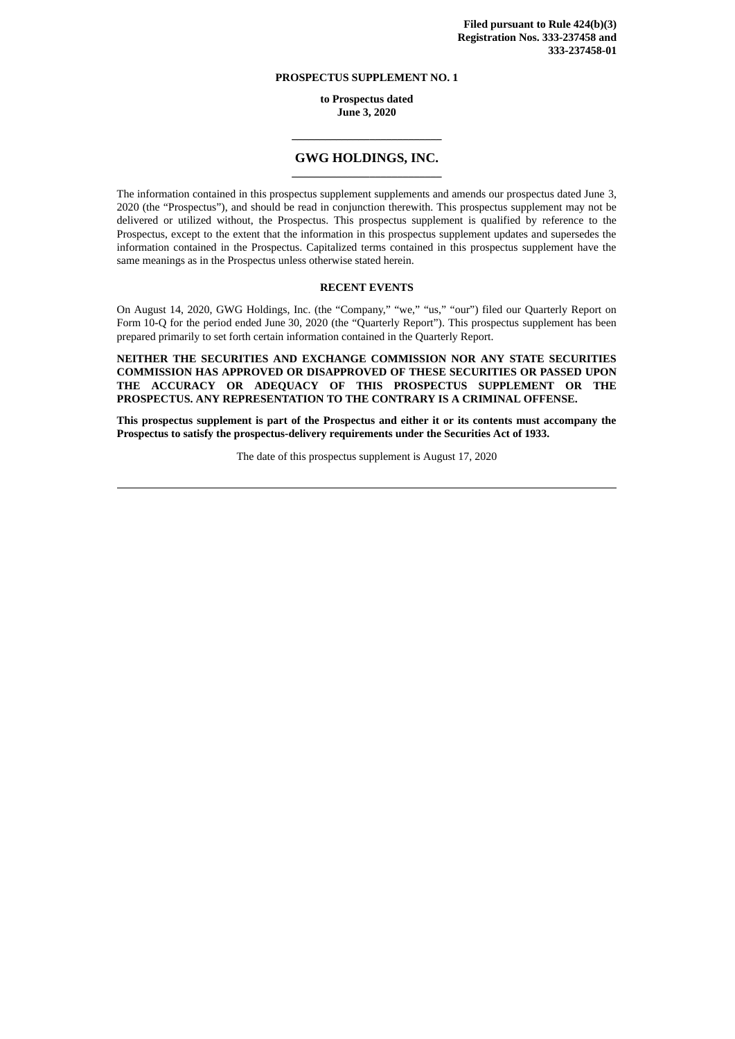## **PROSPECTUS SUPPLEMENT NO. 1**

**to Prospectus dated June 3, 2020**

# **\_\_\_\_\_\_\_\_\_\_\_\_\_\_\_\_\_\_\_\_\_\_\_\_\_\_\_ GWG HOLDINGS, INC. \_\_\_\_\_\_\_\_\_\_\_\_\_\_\_\_\_\_\_\_\_\_\_\_\_\_\_**

The information contained in this prospectus supplement supplements and amends our prospectus dated June 3, 2020 (the "Prospectus"), and should be read in conjunction therewith. This prospectus supplement may not be delivered or utilized without, the Prospectus. This prospectus supplement is qualified by reference to the Prospectus, except to the extent that the information in this prospectus supplement updates and supersedes the information contained in the Prospectus. Capitalized terms contained in this prospectus supplement have the same meanings as in the Prospectus unless otherwise stated herein.

### **RECENT EVENTS**

On August 14, 2020, GWG Holdings, Inc. (the "Company," "we," "us," "our") filed our Quarterly Report on Form 10-Q for the period ended June 30, 2020 (the "Quarterly Report"). This prospectus supplement has been prepared primarily to set forth certain information contained in the Quarterly Report.

**NEITHER THE SECURITIES AND EXCHANGE COMMISSION NOR ANY STATE SECURITIES COMMISSION HAS APPROVED OR DISAPPROVED OF THESE SECURITIES OR PASSED UPON THE ACCURACY OR ADEQUACY OF THIS PROSPECTUS SUPPLEMENT OR THE PROSPECTUS. ANY REPRESENTATION TO THE CONTRARY IS A CRIMINAL OFFENSE.**

**This prospectus supplement is part of the Prospectus and either it or its contents must accompany the Prospectus to satisfy the prospectus-delivery requirements under the Securities Act of 1933.**

The date of this prospectus supplement is August 17, 2020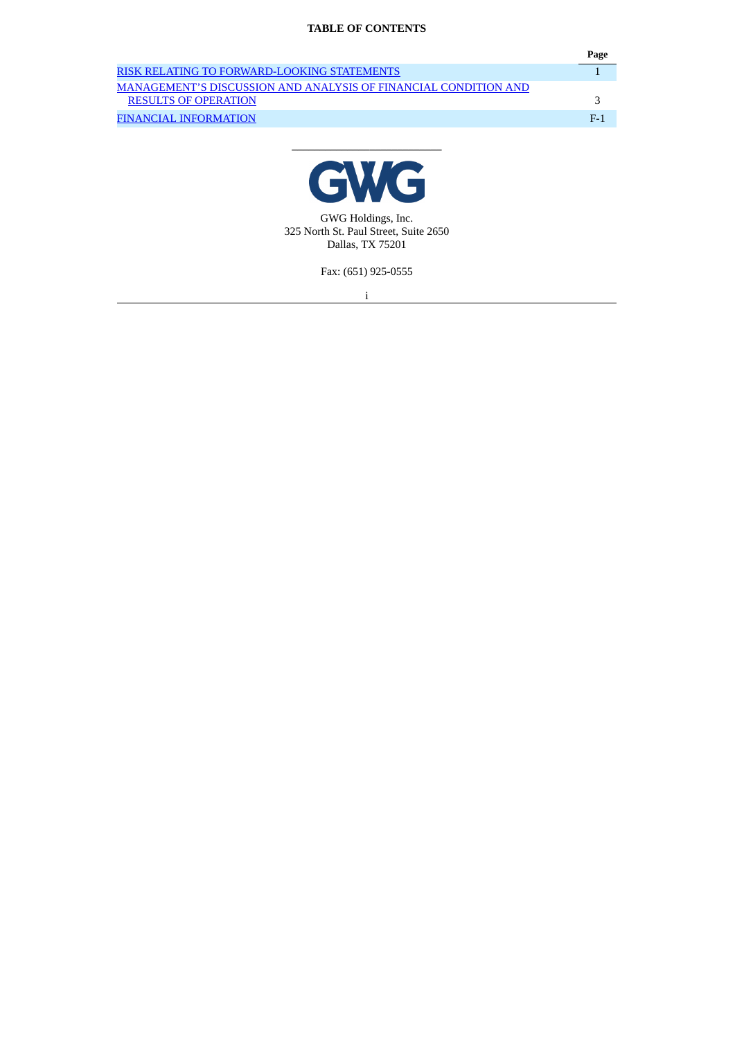# **TABLE OF CONTENTS**

|                                                                 | Page   |
|-----------------------------------------------------------------|--------|
| RISK RELATING TO FORWARD-LOOKING STATEMENTS                     |        |
| MANAGEMENT'S DISCUSSION AND ANALYSIS OF FINANCIAL CONDITION AND |        |
| <b>RESULTS OF OPERATION</b>                                     |        |
| FINANCIAL INFORMATION                                           | - F. 1 |



**\_\_\_\_\_\_\_\_\_\_\_\_\_\_\_\_\_\_\_\_\_\_\_\_\_\_\_**

GWG Holdings, Inc. 325 North St. Paul Street, Suite 2650 Dallas, TX 75201

Fax: (651) 925-0555

i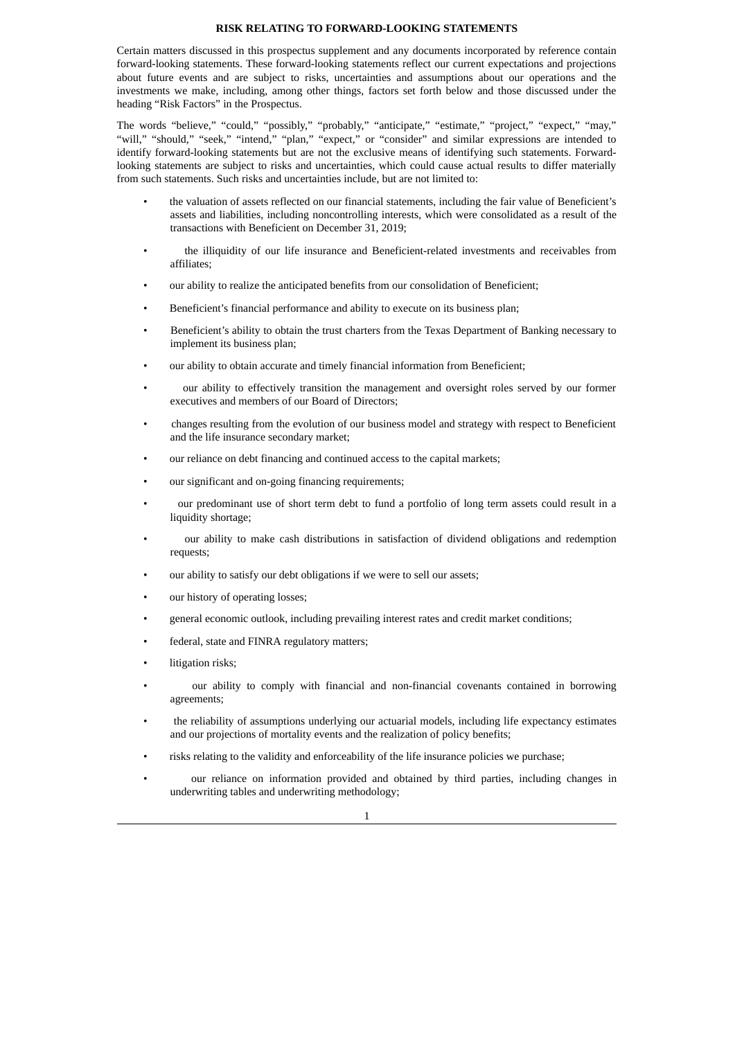#### **RISK RELATING TO FORWARD-LOOKING STATEMENTS**

<span id="page-2-0"></span>Certain matters discussed in this prospectus supplement and any documents incorporated by reference contain forward-looking statements. These forward-looking statements reflect our current expectations and projections about future events and are subject to risks, uncertainties and assumptions about our operations and the investments we make, including, among other things, factors set forth below and those discussed under the heading "Risk Factors" in the Prospectus.

The words "believe," "could," "possibly," "probably," "anticipate," "estimate," "project," "expect," "may," "will," "should," "seek," "intend," "plan," "expect," or "consider" and similar expressions are intended to identify forward-looking statements but are not the exclusive means of identifying such statements. Forwardlooking statements are subject to risks and uncertainties, which could cause actual results to differ materially from such statements. Such risks and uncertainties include, but are not limited to:

- the valuation of assets reflected on our financial statements, including the fair value of Beneficient's assets and liabilities, including noncontrolling interests, which were consolidated as a result of the transactions with Beneficient on December 31, 2019;
- the illiquidity of our life insurance and Beneficient-related investments and receivables from affiliates;
- our ability to realize the anticipated benefits from our consolidation of Beneficient;
- Beneficient's financial performance and ability to execute on its business plan;
- Beneficient's ability to obtain the trust charters from the Texas Department of Banking necessary to implement its business plan;
- our ability to obtain accurate and timely financial information from Beneficient;
- our ability to effectively transition the management and oversight roles served by our former executives and members of our Board of Directors;
- changes resulting from the evolution of our business model and strategy with respect to Beneficient and the life insurance secondary market;
- our reliance on debt financing and continued access to the capital markets;
- our significant and on-going financing requirements;
- our predominant use of short term debt to fund a portfolio of long term assets could result in a liquidity shortage;
- our ability to make cash distributions in satisfaction of dividend obligations and redemption requests;
- our ability to satisfy our debt obligations if we were to sell our assets;
- our history of operating losses;
- general economic outlook, including prevailing interest rates and credit market conditions;
- federal, state and FINRA regulatory matters;
- litigation risks;
- our ability to comply with financial and non-financial covenants contained in borrowing agreements;
- the reliability of assumptions underlying our actuarial models, including life expectancy estimates and our projections of mortality events and the realization of policy benefits;
- risks relating to the validity and enforceability of the life insurance policies we purchase;
- our reliance on information provided and obtained by third parties, including changes in underwriting tables and underwriting methodology;

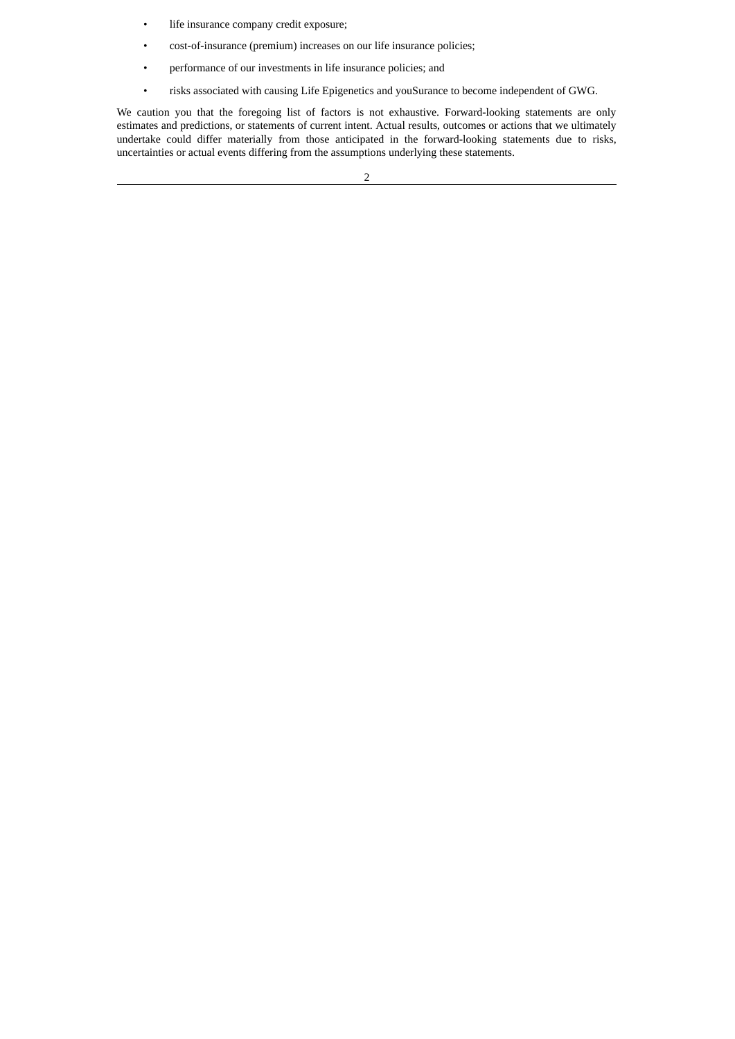- life insurance company credit exposure;
- cost-of-insurance (premium) increases on our life insurance policies;
- performance of our investments in life insurance policies; and
- risks associated with causing Life Epigenetics and youSurance to become independent of GWG.

We caution you that the foregoing list of factors is not exhaustive. Forward-looking statements are only estimates and predictions, or statements of current intent. Actual results, outcomes or actions that we ultimately undertake could differ materially from those anticipated in the forward-looking statements due to risks, uncertainties or actual events differing from the assumptions underlying these statements.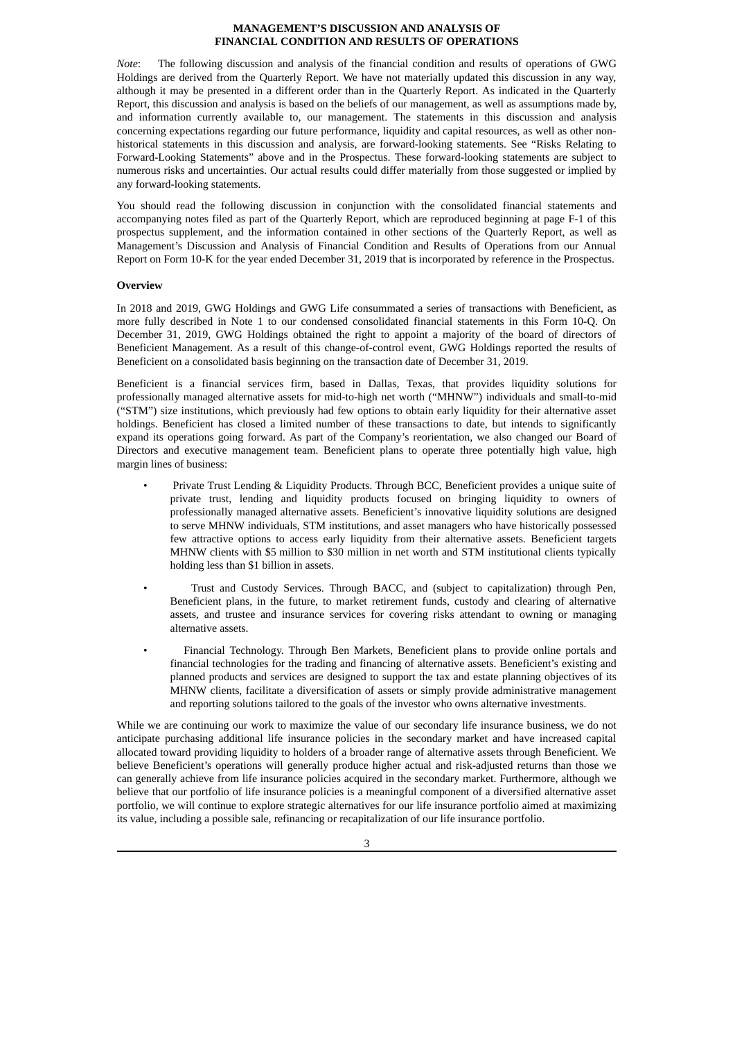### **MANAGEMENT'S DISCUSSION AND ANALYSIS OF FINANCIAL CONDITION AND RESULTS OF OPERATIONS**

<span id="page-4-0"></span>*Note*: The following discussion and analysis of the financial condition and results of operations of GWG Holdings are derived from the Quarterly Report. We have not materially updated this discussion in any way, although it may be presented in a different order than in the Quarterly Report. As indicated in the Quarterly Report, this discussion and analysis is based on the beliefs of our management, as well as assumptions made by, and information currently available to, our management. The statements in this discussion and analysis concerning expectations regarding our future performance, liquidity and capital resources, as well as other nonhistorical statements in this discussion and analysis, are forward-looking statements. See "Risks Relating to Forward-Looking Statements" above and in the Prospectus. These forward-looking statements are subject to numerous risks and uncertainties. Our actual results could differ materially from those suggested or implied by any forward-looking statements.

You should read the following discussion in conjunction with the consolidated financial statements and accompanying notes filed as part of the Quarterly Report, which are reproduced beginning at page F-1 of this prospectus supplement, and the information contained in other sections of the Quarterly Report, as well as Management's Discussion and Analysis of Financial Condition and Results of Operations from our Annual Report on Form 10-K for the year ended December 31, 2019 that is incorporated by reference in the Prospectus.

#### **Overview**

In 2018 and 2019, GWG Holdings and GWG Life consummated a series of transactions with Beneficient, as more fully described in Note 1 to our condensed consolidated financial statements in this Form 10-Q. On December 31, 2019, GWG Holdings obtained the right to appoint a majority of the board of directors of Beneficient Management. As a result of this change-of-control event, GWG Holdings reported the results of Beneficient on a consolidated basis beginning on the transaction date of December 31, 2019.

Beneficient is a financial services firm, based in Dallas, Texas, that provides liquidity solutions for professionally managed alternative assets for mid-to-high net worth ("MHNW") individuals and small-to-mid ("STM") size institutions, which previously had few options to obtain early liquidity for their alternative asset holdings. Beneficient has closed a limited number of these transactions to date, but intends to significantly expand its operations going forward. As part of the Company's reorientation, we also changed our Board of Directors and executive management team. Beneficient plans to operate three potentially high value, high margin lines of business:

- Private Trust Lending & Liquidity Products. Through BCC, Beneficient provides a unique suite of private trust, lending and liquidity products focused on bringing liquidity to owners of professionally managed alternative assets. Beneficient's innovative liquidity solutions are designed to serve MHNW individuals, STM institutions, and asset managers who have historically possessed few attractive options to access early liquidity from their alternative assets. Beneficient targets MHNW clients with \$5 million to \$30 million in net worth and STM institutional clients typically holding less than \$1 billion in assets.
- Trust and Custody Services. Through BACC, and (subject to capitalization) through Pen, Beneficient plans, in the future, to market retirement funds, custody and clearing of alternative assets, and trustee and insurance services for covering risks attendant to owning or managing alternative assets.
- Financial Technology. Through Ben Markets, Beneficient plans to provide online portals and financial technologies for the trading and financing of alternative assets. Beneficient's existing and planned products and services are designed to support the tax and estate planning objectives of its MHNW clients, facilitate a diversification of assets or simply provide administrative management and reporting solutions tailored to the goals of the investor who owns alternative investments.

While we are continuing our work to maximize the value of our secondary life insurance business, we do not anticipate purchasing additional life insurance policies in the secondary market and have increased capital allocated toward providing liquidity to holders of a broader range of alternative assets through Beneficient. We believe Beneficient's operations will generally produce higher actual and risk-adjusted returns than those we can generally achieve from life insurance policies acquired in the secondary market. Furthermore, although we believe that our portfolio of life insurance policies is a meaningful component of a diversified alternative asset portfolio, we will continue to explore strategic alternatives for our life insurance portfolio aimed at maximizing its value, including a possible sale, refinancing or recapitalization of our life insurance portfolio.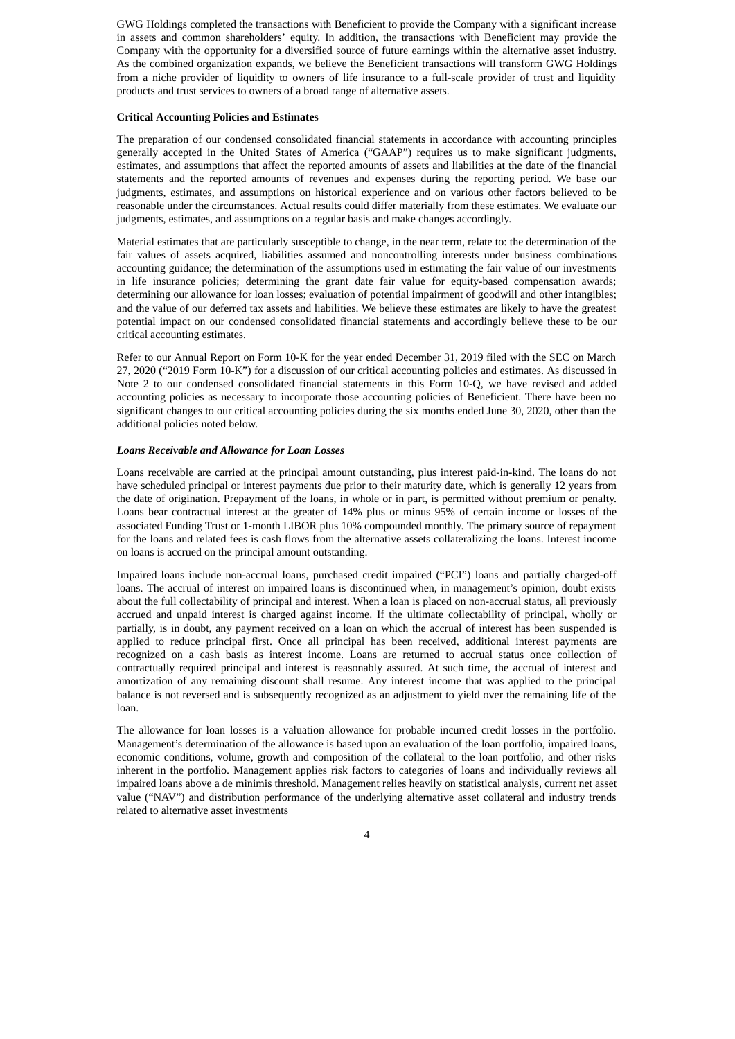GWG Holdings completed the transactions with Beneficient to provide the Company with a significant increase in assets and common shareholders' equity. In addition, the transactions with Beneficient may provide the Company with the opportunity for a diversified source of future earnings within the alternative asset industry. As the combined organization expands, we believe the Beneficient transactions will transform GWG Holdings from a niche provider of liquidity to owners of life insurance to a full-scale provider of trust and liquidity products and trust services to owners of a broad range of alternative assets.

### **Critical Accounting Policies and Estimates**

The preparation of our condensed consolidated financial statements in accordance with accounting principles generally accepted in the United States of America ("GAAP") requires us to make significant judgments, estimates, and assumptions that affect the reported amounts of assets and liabilities at the date of the financial statements and the reported amounts of revenues and expenses during the reporting period. We base our judgments, estimates, and assumptions on historical experience and on various other factors believed to be reasonable under the circumstances. Actual results could differ materially from these estimates. We evaluate our judgments, estimates, and assumptions on a regular basis and make changes accordingly.

Material estimates that are particularly susceptible to change, in the near term, relate to: the determination of the fair values of assets acquired, liabilities assumed and noncontrolling interests under business combinations accounting guidance; the determination of the assumptions used in estimating the fair value of our investments in life insurance policies; determining the grant date fair value for equity-based compensation awards; determining our allowance for loan losses; evaluation of potential impairment of goodwill and other intangibles; and the value of our deferred tax assets and liabilities. We believe these estimates are likely to have the greatest potential impact on our condensed consolidated financial statements and accordingly believe these to be our critical accounting estimates.

Refer to our Annual Report on Form 10-K for the year ended December 31, 2019 filed with the SEC on March 27, 2020 ("2019 Form 10-K") for a discussion of our critical accounting policies and estimates. As discussed in Note 2 to our condensed consolidated financial statements in this Form 10-Q, we have revised and added accounting policies as necessary to incorporate those accounting policies of Beneficient. There have been no significant changes to our critical accounting policies during the six months ended June 30, 2020, other than the additional policies noted below.

### *Loans Receivable and Allowance for Loan Losses*

Loans receivable are carried at the principal amount outstanding, plus interest paid-in-kind. The loans do not have scheduled principal or interest payments due prior to their maturity date, which is generally 12 years from the date of origination. Prepayment of the loans, in whole or in part, is permitted without premium or penalty. Loans bear contractual interest at the greater of 14% plus or minus 95% of certain income or losses of the associated Funding Trust or 1-month LIBOR plus 10% compounded monthly. The primary source of repayment for the loans and related fees is cash flows from the alternative assets collateralizing the loans. Interest income on loans is accrued on the principal amount outstanding.

Impaired loans include non-accrual loans, purchased credit impaired ("PCI") loans and partially charged-off loans. The accrual of interest on impaired loans is discontinued when, in management's opinion, doubt exists about the full collectability of principal and interest. When a loan is placed on non-accrual status, all previously accrued and unpaid interest is charged against income. If the ultimate collectability of principal, wholly or partially, is in doubt, any payment received on a loan on which the accrual of interest has been suspended is applied to reduce principal first. Once all principal has been received, additional interest payments are recognized on a cash basis as interest income. Loans are returned to accrual status once collection of contractually required principal and interest is reasonably assured. At such time, the accrual of interest and amortization of any remaining discount shall resume. Any interest income that was applied to the principal balance is not reversed and is subsequently recognized as an adjustment to yield over the remaining life of the loan.

The allowance for loan losses is a valuation allowance for probable incurred credit losses in the portfolio. Management's determination of the allowance is based upon an evaluation of the loan portfolio, impaired loans, economic conditions, volume, growth and composition of the collateral to the loan portfolio, and other risks inherent in the portfolio. Management applies risk factors to categories of loans and individually reviews all impaired loans above a de minimis threshold. Management relies heavily on statistical analysis, current net asset value ("NAV") and distribution performance of the underlying alternative asset collateral and industry trends related to alternative asset investments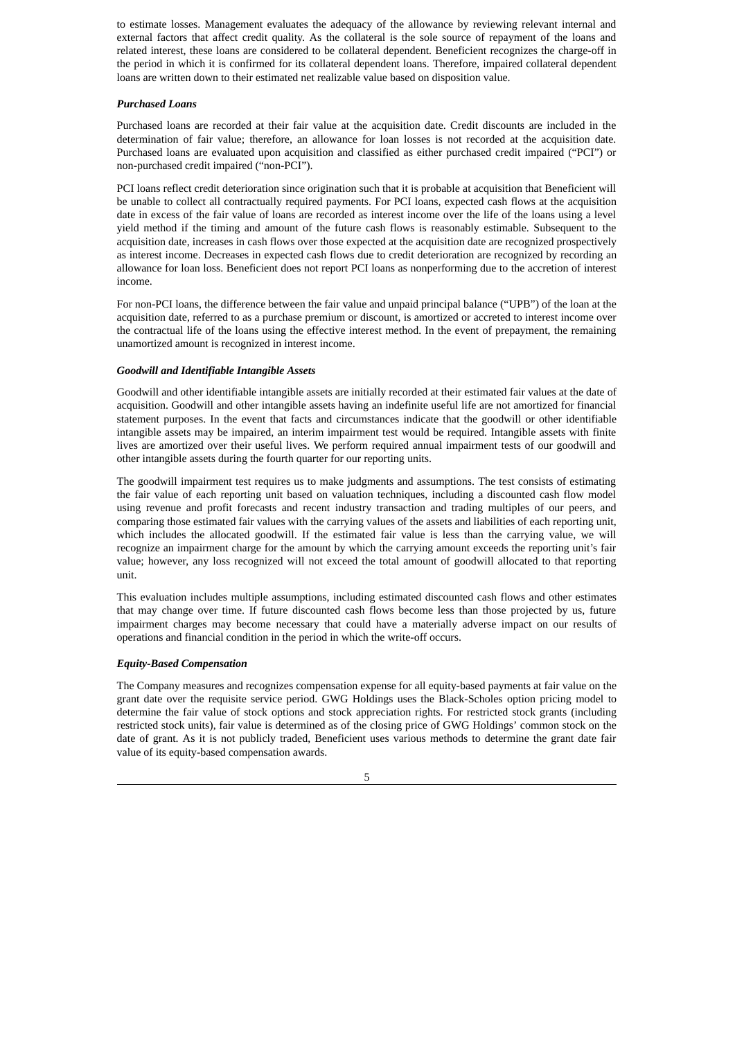to estimate losses. Management evaluates the adequacy of the allowance by reviewing relevant internal and external factors that affect credit quality. As the collateral is the sole source of repayment of the loans and related interest, these loans are considered to be collateral dependent. Beneficient recognizes the charge-off in the period in which it is confirmed for its collateral dependent loans. Therefore, impaired collateral dependent loans are written down to their estimated net realizable value based on disposition value.

### *Purchased Loans*

Purchased loans are recorded at their fair value at the acquisition date. Credit discounts are included in the determination of fair value; therefore, an allowance for loan losses is not recorded at the acquisition date. Purchased loans are evaluated upon acquisition and classified as either purchased credit impaired ("PCI") or non-purchased credit impaired ("non-PCI").

PCI loans reflect credit deterioration since origination such that it is probable at acquisition that Beneficient will be unable to collect all contractually required payments. For PCI loans, expected cash flows at the acquisition date in excess of the fair value of loans are recorded as interest income over the life of the loans using a level yield method if the timing and amount of the future cash flows is reasonably estimable. Subsequent to the acquisition date, increases in cash flows over those expected at the acquisition date are recognized prospectively as interest income. Decreases in expected cash flows due to credit deterioration are recognized by recording an allowance for loan loss. Beneficient does not report PCI loans as nonperforming due to the accretion of interest income.

For non-PCI loans, the difference between the fair value and unpaid principal balance ("UPB") of the loan at the acquisition date, referred to as a purchase premium or discount, is amortized or accreted to interest income over the contractual life of the loans using the effective interest method. In the event of prepayment, the remaining unamortized amount is recognized in interest income.

### *Goodwill and Identifiable Intangible Assets*

Goodwill and other identifiable intangible assets are initially recorded at their estimated fair values at the date of acquisition. Goodwill and other intangible assets having an indefinite useful life are not amortized for financial statement purposes. In the event that facts and circumstances indicate that the goodwill or other identifiable intangible assets may be impaired, an interim impairment test would be required. Intangible assets with finite lives are amortized over their useful lives. We perform required annual impairment tests of our goodwill and other intangible assets during the fourth quarter for our reporting units.

The goodwill impairment test requires us to make judgments and assumptions. The test consists of estimating the fair value of each reporting unit based on valuation techniques, including a discounted cash flow model using revenue and profit forecasts and recent industry transaction and trading multiples of our peers, and comparing those estimated fair values with the carrying values of the assets and liabilities of each reporting unit, which includes the allocated goodwill. If the estimated fair value is less than the carrying value, we will recognize an impairment charge for the amount by which the carrying amount exceeds the reporting unit's fair value; however, any loss recognized will not exceed the total amount of goodwill allocated to that reporting unit.

This evaluation includes multiple assumptions, including estimated discounted cash flows and other estimates that may change over time. If future discounted cash flows become less than those projected by us, future impairment charges may become necessary that could have a materially adverse impact on our results of operations and financial condition in the period in which the write-off occurs.

#### *Equity-Based Compensation*

The Company measures and recognizes compensation expense for all equity-based payments at fair value on the grant date over the requisite service period. GWG Holdings uses the Black-Scholes option pricing model to determine the fair value of stock options and stock appreciation rights. For restricted stock grants (including restricted stock units), fair value is determined as of the closing price of GWG Holdings' common stock on the date of grant. As it is not publicly traded, Beneficient uses various methods to determine the grant date fair value of its equity-based compensation awards.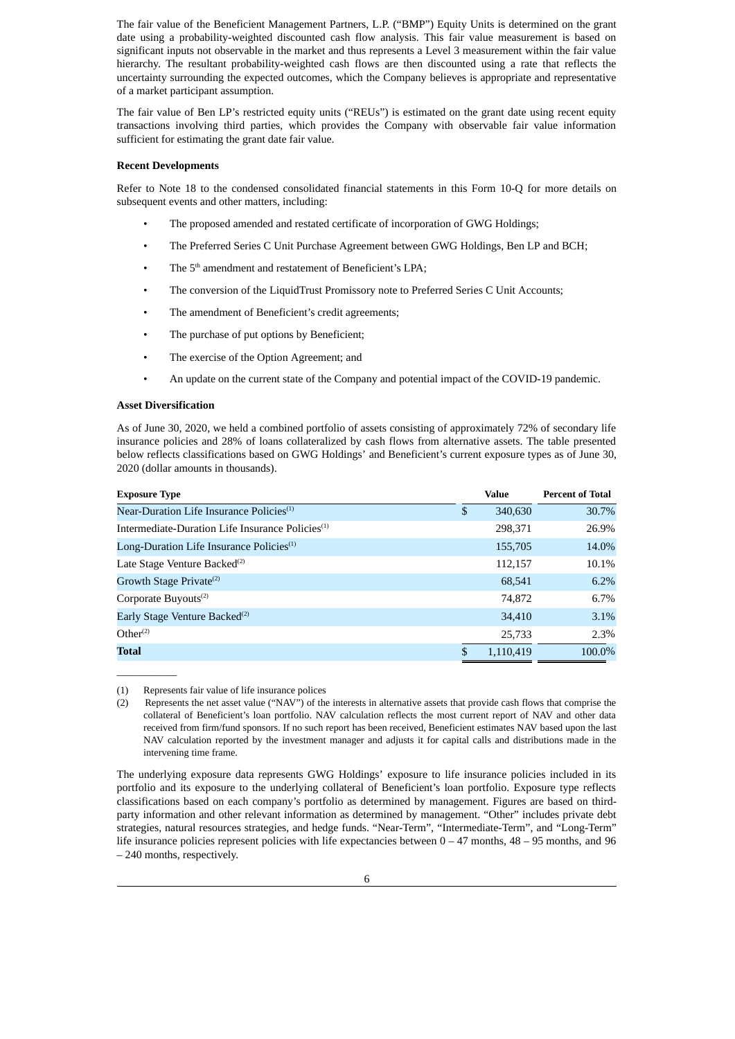The fair value of the Beneficient Management Partners, L.P. ("BMP") Equity Units is determined on the grant date using a probability-weighted discounted cash flow analysis. This fair value measurement is based on significant inputs not observable in the market and thus represents a Level 3 measurement within the fair value hierarchy. The resultant probability-weighted cash flows are then discounted using a rate that reflects the uncertainty surrounding the expected outcomes, which the Company believes is appropriate and representative of a market participant assumption.

The fair value of Ben LP's restricted equity units ("REUs") is estimated on the grant date using recent equity transactions involving third parties, which provides the Company with observable fair value information sufficient for estimating the grant date fair value.

#### **Recent Developments**

Refer to Note 18 to the condensed consolidated financial statements in this Form 10-Q for more details on subsequent events and other matters, including:

- The proposed amended and restated certificate of incorporation of GWG Holdings;
- The Preferred Series C Unit Purchase Agreement between GWG Holdings, Ben LP and BCH;
- The 5<sup>th</sup> amendment and restatement of Beneficient's LPA;
- The conversion of the LiquidTrust Promissory note to Preferred Series C Unit Accounts;
- The amendment of Beneficient's credit agreements;
- The purchase of put options by Beneficient;
- The exercise of the Option Agreement; and
- An update on the current state of the Company and potential impact of the COVID-19 pandemic.

### **Asset Diversification**

 $\overline{\phantom{a}}$  ,  $\overline{\phantom{a}}$  ,  $\overline{\phantom{a}}$  ,  $\overline{\phantom{a}}$  ,  $\overline{\phantom{a}}$  ,  $\overline{\phantom{a}}$  ,  $\overline{\phantom{a}}$  ,  $\overline{\phantom{a}}$  ,  $\overline{\phantom{a}}$  ,  $\overline{\phantom{a}}$  ,  $\overline{\phantom{a}}$  ,  $\overline{\phantom{a}}$  ,  $\overline{\phantom{a}}$  ,  $\overline{\phantom{a}}$  ,  $\overline{\phantom{a}}$  ,  $\overline{\phantom{a}}$ 

As of June 30, 2020, we held a combined portfolio of assets consisting of approximately 72% of secondary life insurance policies and 28% of loans collateralized by cash flows from alternative assets. The table presented below reflects classifications based on GWG Holdings' and Beneficient's current exposure types as of June 30, 2020 (dollar amounts in thousands).

| <b>Exposure Type</b>                                         |    | Value     | <b>Percent of Total</b> |  |  |
|--------------------------------------------------------------|----|-----------|-------------------------|--|--|
| Near-Duration Life Insurance Policies <sup>(1)</sup>         | \$ | 340,630   | 30.7%                   |  |  |
| Intermediate-Duration Life Insurance Policies <sup>(1)</sup> |    | 298,371   | 26.9%                   |  |  |
| Long-Duration Life Insurance Policies <sup>(1)</sup>         |    | 155,705   | 14.0%                   |  |  |
| Late Stage Venture Backed <sup>(2)</sup>                     |    | 112,157   | 10.1%                   |  |  |
| Growth Stage Private <sup>(2)</sup>                          |    | 68,541    | 6.2%                    |  |  |
| Corporate Buyouts <sup>(2)</sup>                             |    | 74,872    | 6.7%                    |  |  |
| Early Stage Venture Backed <sup>(2)</sup>                    |    | 34,410    | 3.1%                    |  |  |
| Other <sup>(2)</sup>                                         |    | 25,733    | 2.3%                    |  |  |
| <b>Total</b>                                                 | £. | 1,110,419 | 100.0%                  |  |  |

(1) Represents fair value of life insurance polices

(2) Represents the net asset value ("NAV") of the interests in alternative assets that provide cash flows that comprise the collateral of Beneficient's loan portfolio. NAV calculation reflects the most current report of NAV and other data received from firm/fund sponsors. If no such report has been received, Beneficient estimates NAV based upon the last NAV calculation reported by the investment manager and adjusts it for capital calls and distributions made in the intervening time frame.

The underlying exposure data represents GWG Holdings' exposure to life insurance policies included in its portfolio and its exposure to the underlying collateral of Beneficient's loan portfolio. Exposure type reflects classifications based on each company's portfolio as determined by management. Figures are based on thirdparty information and other relevant information as determined by management. "Other" includes private debt strategies, natural resources strategies, and hedge funds. "Near-Term", "Intermediate-Term", and "Long-Term" life insurance policies represent policies with life expectancies between  $0 - 47$  months,  $48 - 95$  months, and 96 – 240 months, respectively.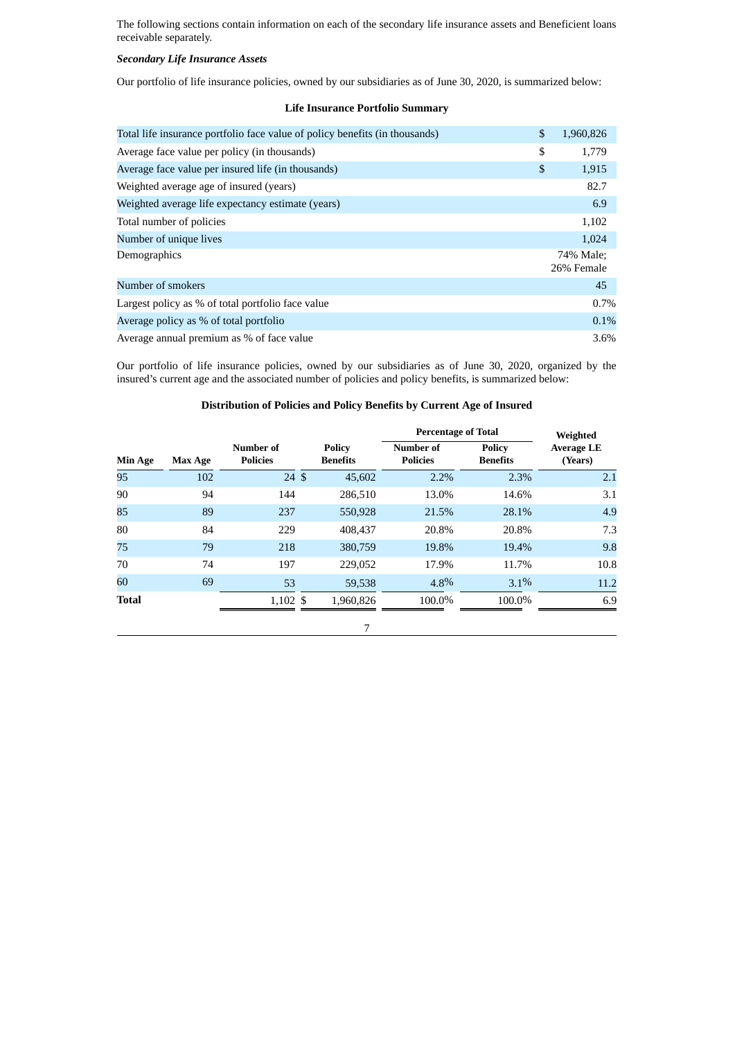The following sections contain information on each of the secondary life insurance assets and Beneficient loans receivable separately.

## *Secondary Life Insurance Assets*

Our portfolio of life insurance policies, owned by our subsidiaries as of June 30, 2020, is summarized below:

# **Life Insurance Portfolio Summary**

| Total life insurance portfolio face value of policy benefits (in thousands) | \$<br>1,960,826         |
|-----------------------------------------------------------------------------|-------------------------|
| Average face value per policy (in thousands)                                | \$<br>1.779             |
| Average face value per insured life (in thousands)                          | \$<br>1,915             |
| Weighted average age of insured (years)                                     | 82.7                    |
| Weighted average life expectancy estimate (years)                           | 6.9                     |
| Total number of policies                                                    | 1,102                   |
| Number of unique lives                                                      | 1,024                   |
| Demographics                                                                | 74% Male:<br>26% Female |
| Number of smokers                                                           | 45                      |
| Largest policy as % of total portfolio face value                           | 0.7%                    |
| Average policy as % of total portfolio                                      | 0.1%                    |
| Average annual premium as % of face value                                   | 3.6%                    |

Our portfolio of life insurance policies, owned by our subsidiaries as of June 30, 2020, organized by the insured's current age and the associated number of policies and policy benefits, is summarized below:

# **Distribution of Policies and Policy Benefits by Current Age of Insured**

|                |         |                              |                                  | <b>Percentage of Total</b>   | Weighted                         |                              |
|----------------|---------|------------------------------|----------------------------------|------------------------------|----------------------------------|------------------------------|
| <b>Min Age</b> | Max Age | Number of<br><b>Policies</b> | <b>Policy</b><br><b>Benefits</b> | Number of<br><b>Policies</b> | <b>Policy</b><br><b>Benefits</b> | <b>Average LE</b><br>(Years) |
| 95             | 102     | $24 \text{ }$ \$             | 45,602                           | 2.2%                         | 2.3%                             | 2.1                          |
| 90             | 94      | 144                          | 286,510                          | 13.0%                        | 14.6%                            | 3.1                          |
| 85             | 89      | 237                          | 550,928                          | 21.5%                        | 28.1%                            | 4.9                          |
| 80             | 84      | 229                          | 408,437                          | 20.8%                        | 20.8%                            | 7.3                          |
| 75             | 79      | 218                          | 380,759                          | 19.8%                        | 19.4%                            | 9.8                          |
| 70             | 74      | 197                          | 229,052                          | 17.9%                        | 11.7%                            | 10.8                         |
| 60             | 69      | 53                           | 59,538                           | 4.8%                         | 3.1%                             | 11.2                         |
| <b>Total</b>   |         | $1,102$ \$                   | 1.960.826                        | 100.0%                       | 100.0%                           | 6.9                          |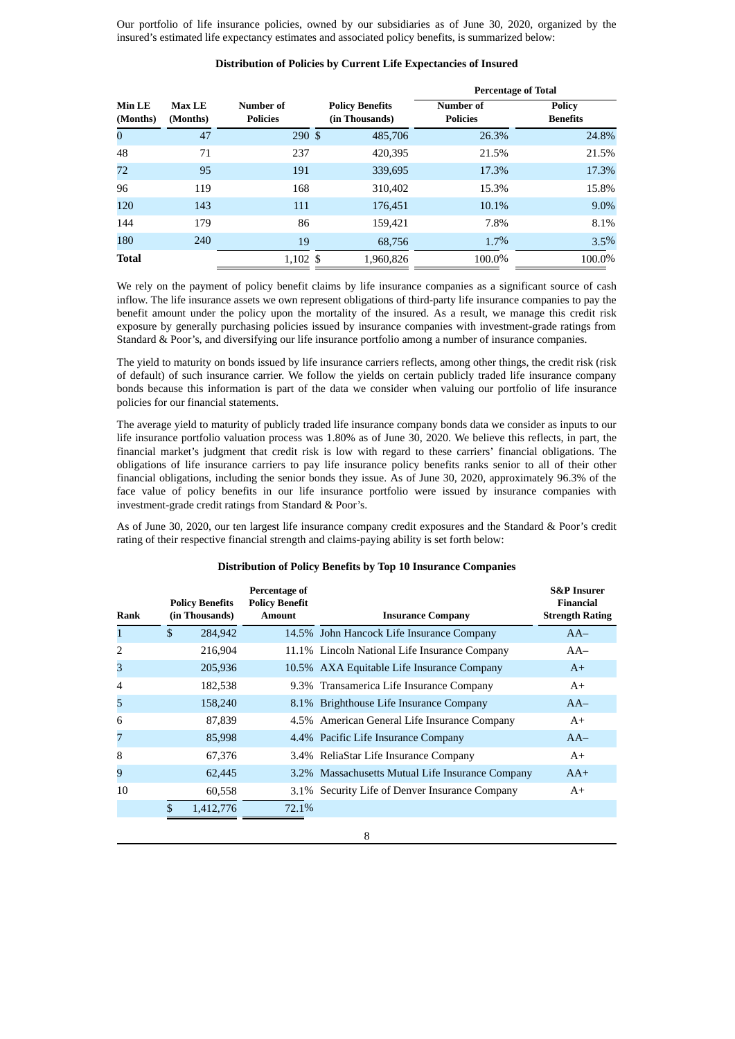Our portfolio of life insurance policies, owned by our subsidiaries as of June 30, 2020, organized by the insured's estimated life expectancy estimates and associated policy benefits, is summarized below:

### **Distribution of Policies by Current Life Expectancies of Insured**

|                    |                                                           |                     |                                          |                              | <b>Percentage of Total</b>       |
|--------------------|-----------------------------------------------------------|---------------------|------------------------------------------|------------------------------|----------------------------------|
| Min LE<br>(Months) | Number of<br><b>Max LE</b><br><b>Policies</b><br>(Months) |                     | <b>Policy Benefits</b><br>(in Thousands) | Number of<br><b>Policies</b> | <b>Policy</b><br><b>Benefits</b> |
| $\bf{0}$           | 47                                                        | 290S                | 485,706                                  | 26.3%                        | 24.8%                            |
| 48                 | 71                                                        | 237                 | 420,395                                  | 21.5%                        | 21.5%                            |
| 72                 | 95                                                        | 191                 | 339,695                                  | 17.3%                        | 17.3%                            |
| 96                 | 119                                                       | 168                 | 310,402                                  | 15.3%                        | 15.8%                            |
| 120                | 143                                                       | 111                 | 176,451                                  | 10.1%                        | 9.0%                             |
| 144                | 179                                                       | 86                  | 159,421                                  | 7.8%                         | 8.1%                             |
| 180                | 240                                                       | 19                  | 68.756                                   | 1.7%                         | 3.5%                             |
| <b>Total</b>       |                                                           | $1,102 \text{ }$ \$ | 1,960,826                                | 100.0%                       | 100.0%                           |

We rely on the payment of policy benefit claims by life insurance companies as a significant source of cash inflow. The life insurance assets we own represent obligations of third-party life insurance companies to pay the benefit amount under the policy upon the mortality of the insured. As a result, we manage this credit risk exposure by generally purchasing policies issued by insurance companies with investment-grade ratings from Standard & Poor's, and diversifying our life insurance portfolio among a number of insurance companies.

The yield to maturity on bonds issued by life insurance carriers reflects, among other things, the credit risk (risk of default) of such insurance carrier. We follow the yields on certain publicly traded life insurance company bonds because this information is part of the data we consider when valuing our portfolio of life insurance policies for our financial statements.

The average yield to maturity of publicly traded life insurance company bonds data we consider as inputs to our life insurance portfolio valuation process was 1.80% as of June 30, 2020. We believe this reflects, in part, the financial market's judgment that credit risk is low with regard to these carriers' financial obligations. The obligations of life insurance carriers to pay life insurance policy benefits ranks senior to all of their other financial obligations, including the senior bonds they issue. As of June 30, 2020, approximately 96.3% of the face value of policy benefits in our life insurance portfolio were issued by insurance companies with investment-grade credit ratings from Standard & Poor's.

As of June 30, 2020, our ten largest life insurance company credit exposures and the Standard & Poor's credit rating of their respective financial strength and claims-paying ability is set forth below:

| Rank           | <b>Policy Benefits</b><br>(in Thousands) | Percentage of<br><b>Policy Benefit</b><br><b>Amount</b> | <b>Insurance Company</b>                         | <b>S&amp;P</b> Insurer<br><b>Financial</b><br><b>Strength Rating</b> |
|----------------|------------------------------------------|---------------------------------------------------------|--------------------------------------------------|----------------------------------------------------------------------|
| $\mathbf{1}$   | \$<br>284,942                            |                                                         | 14.5% John Hancock Life Insurance Company        | $AA-$                                                                |
| $\overline{2}$ | 216,904                                  |                                                         | 11.1% Lincoln National Life Insurance Company    | $AA-$                                                                |
| 3              | 205,936                                  |                                                         | 10.5% AXA Equitable Life Insurance Company       | $A^+$                                                                |
| $\overline{4}$ | 182,538                                  |                                                         | 9.3% Transamerica Life Insurance Company         | $A+$                                                                 |
| 5              | 158,240                                  |                                                         | 8.1% Brighthouse Life Insurance Company          | $AA-$                                                                |
| 6              | 87,839                                   |                                                         | 4.5% American General Life Insurance Company     | $A+$                                                                 |
| 7              | 85,998                                   |                                                         | 4.4% Pacific Life Insurance Company              | $AA-$                                                                |
| 8              | 67,376                                   |                                                         | 3.4% ReliaStar Life Insurance Company            | $A+$                                                                 |
| 9              | 62,445                                   |                                                         | 3.2% Massachusetts Mutual Life Insurance Company | $AA+$                                                                |
| 10             | 60,558                                   |                                                         | 3.1% Security Life of Denver Insurance Company   | $A+$                                                                 |
|                | \$<br>1,412,776                          | 72.1%                                                   |                                                  |                                                                      |

#### **Distribution of Policy Benefits by Top 10 Insurance Companies**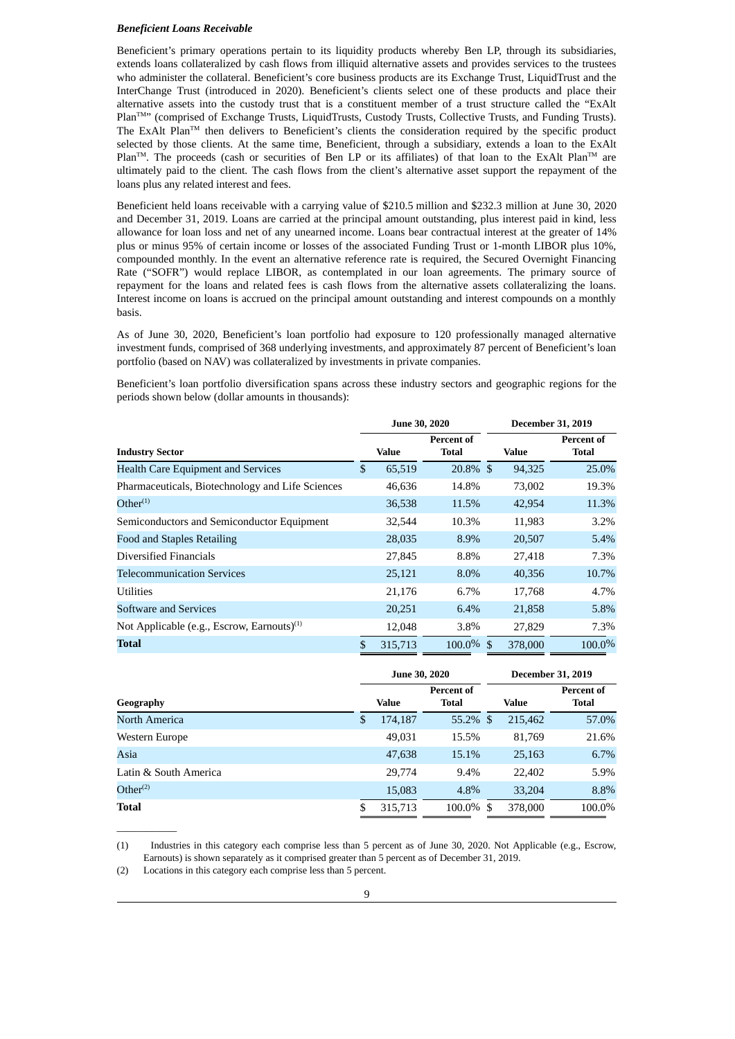#### *Beneficient Loans Receivable*

Beneficient's primary operations pertain to its liquidity products whereby Ben LP, through its subsidiaries, extends loans collateralized by cash flows from illiquid alternative assets and provides services to the trustees who administer the collateral. Beneficient's core business products are its Exchange Trust, LiquidTrust and the InterChange Trust (introduced in 2020). Beneficient's clients select one of these products and place their alternative assets into the custody trust that is a constituent member of a trust structure called the "ExAlt Plan<sup>TM</sup>" (comprised of Exchange Trusts, LiquidTrusts, Custody Trusts, Collective Trusts, and Funding Trusts). The ExAlt Plan<sup> $TM$ </sup> then delivers to Beneficient's clients the consideration required by the specific product selected by those clients. At the same time, Beneficient, through a subsidiary, extends a loan to the ExAlt  $Plan^{TM}$ . The proceeds (cash or securities of Ben LP or its affiliates) of that loan to the ExAlt Plan<sup>TM</sup> are ultimately paid to the client. The cash flows from the client's alternative asset support the repayment of the loans plus any related interest and fees.

Beneficient held loans receivable with a carrying value of \$210.5 million and \$232.3 million at June 30, 2020 and December 31, 2019. Loans are carried at the principal amount outstanding, plus interest paid in kind, less allowance for loan loss and net of any unearned income. Loans bear contractual interest at the greater of 14% plus or minus 95% of certain income or losses of the associated Funding Trust or 1-month LIBOR plus 10%, compounded monthly. In the event an alternative reference rate is required, the Secured Overnight Financing Rate ("SOFR") would replace LIBOR, as contemplated in our loan agreements. The primary source of repayment for the loans and related fees is cash flows from the alternative assets collateralizing the loans. Interest income on loans is accrued on the principal amount outstanding and interest compounds on a monthly basis.

As of June 30, 2020, Beneficient's loan portfolio had exposure to 120 professionally managed alternative investment funds, comprised of 368 underlying investments, and approximately 87 percent of Beneficient's loan portfolio (based on NAV) was collateralized by investments in private companies.

Beneficient's loan portfolio diversification spans across these industry sectors and geographic regions for the periods shown below (dollar amounts in thousands):

|                                                        | <b>June 30, 2020</b> |                                   | <b>December 31, 2019</b> |                     |  |  |  |  |
|--------------------------------------------------------|----------------------|-----------------------------------|--------------------------|---------------------|--|--|--|--|
| <b>Industry Sector</b>                                 | Value                | <b>Percent of</b><br><b>Total</b> | <b>Value</b>             | Percent of<br>Total |  |  |  |  |
| <b>Health Care Equipment and Services</b>              | \$<br>65,519         | $20.8\%$ \$                       | 94,325                   | 25.0%               |  |  |  |  |
| Pharmaceuticals, Biotechnology and Life Sciences       | 46,636               | 14.8%                             | 73,002                   | 19.3%               |  |  |  |  |
| Other <sup>(1)</sup>                                   | 36,538               | 11.5%                             | 42,954                   | 11.3%               |  |  |  |  |
| Semiconductors and Semiconductor Equipment             | 32,544               | 10.3%                             | 11,983                   | 3.2%                |  |  |  |  |
| <b>Food and Staples Retailing</b>                      | 28,035               | 8.9%                              | 20,507                   | 5.4%                |  |  |  |  |
| Diversified Financials                                 | 27,845               | 8.8%                              | 27,418                   | 7.3%                |  |  |  |  |
| <b>Telecommunication Services</b>                      | 25,121               | $8.0\%$                           | 40,356                   | 10.7%               |  |  |  |  |
| <b>Utilities</b>                                       | 21,176               | 6.7%                              | 17,768                   | 4.7%                |  |  |  |  |
| Software and Services                                  | 20,251               | 6.4%                              | 21,858                   | 5.8%                |  |  |  |  |
| Not Applicable (e.g., Escrow, Earnouts) <sup>(1)</sup> | 12,048               | $3.8\%$                           | 27,829                   | 7.3%                |  |  |  |  |
| <b>Total</b>                                           | \$<br>315,713        | $100.0\%$ \$                      | 378,000                  | 100.0%              |  |  |  |  |

|                       | <b>June 30, 2020</b> |                                   |      | <b>December 31, 2019</b> |                                   |  |  |  |  |
|-----------------------|----------------------|-----------------------------------|------|--------------------------|-----------------------------------|--|--|--|--|
| Geography             | <b>Value</b>         | <b>Percent of</b><br><b>Total</b> |      | Value                    | <b>Percent of</b><br><b>Total</b> |  |  |  |  |
| North America         | \$<br>174,187        | $55.2\%$ \$                       |      | 215,462                  | 57.0%                             |  |  |  |  |
| Western Europe        | 49,031               | 15.5%                             |      | 81,769                   | 21.6%                             |  |  |  |  |
| Asia                  | 47,638               | 15.1%                             |      | 25,163                   | 6.7%                              |  |  |  |  |
| Latin & South America | 29,774               | 9.4%                              |      | 22,402                   | 5.9%                              |  |  |  |  |
| Other <sup>(2)</sup>  | 15,083               | 4.8%                              |      | 33.204                   | 8.8%                              |  |  |  |  |
| <b>Total</b>          | \$<br>315,713        | 100.0%                            | - \$ | 378,000                  | 100.0%                            |  |  |  |  |

<sup>(1)</sup> Industries in this category each comprise less than 5 percent as of June 30, 2020. Not Applicable (e.g., Escrow, Earnouts) is shown separately as it comprised greater than 5 percent as of December 31, 2019.

 $\overline{\phantom{a}}$  ,  $\overline{\phantom{a}}$  ,  $\overline{\phantom{a}}$  ,  $\overline{\phantom{a}}$  ,  $\overline{\phantom{a}}$  ,  $\overline{\phantom{a}}$  ,  $\overline{\phantom{a}}$  ,  $\overline{\phantom{a}}$  ,  $\overline{\phantom{a}}$  ,  $\overline{\phantom{a}}$  ,  $\overline{\phantom{a}}$  ,  $\overline{\phantom{a}}$  ,  $\overline{\phantom{a}}$  ,  $\overline{\phantom{a}}$  ,  $\overline{\phantom{a}}$  ,  $\overline{\phantom{a}}$ 

<sup>(2)</sup> Locations in this category each comprise less than 5 percent.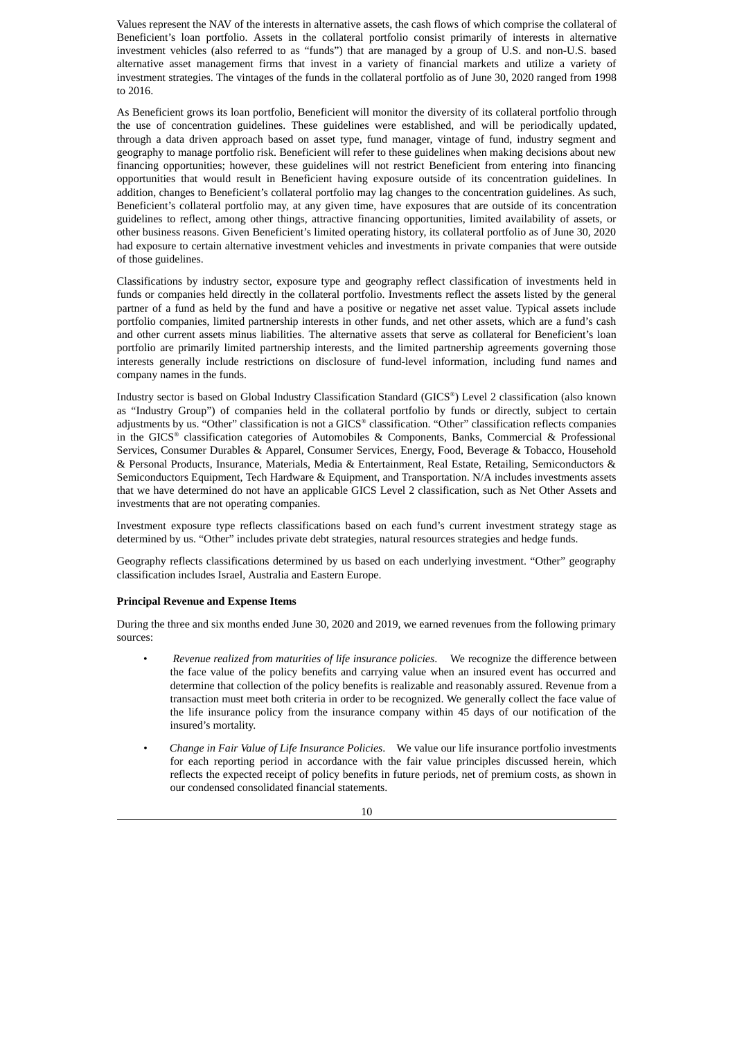Values represent the NAV of the interests in alternative assets, the cash flows of which comprise the collateral of Beneficient's loan portfolio. Assets in the collateral portfolio consist primarily of interests in alternative investment vehicles (also referred to as "funds") that are managed by a group of U.S. and non-U.S. based alternative asset management firms that invest in a variety of financial markets and utilize a variety of investment strategies. The vintages of the funds in the collateral portfolio as of June 30, 2020 ranged from 1998 to 2016.

As Beneficient grows its loan portfolio, Beneficient will monitor the diversity of its collateral portfolio through the use of concentration guidelines. These guidelines were established, and will be periodically updated, through a data driven approach based on asset type, fund manager, vintage of fund, industry segment and geography to manage portfolio risk. Beneficient will refer to these guidelines when making decisions about new financing opportunities; however, these guidelines will not restrict Beneficient from entering into financing opportunities that would result in Beneficient having exposure outside of its concentration guidelines. In addition, changes to Beneficient's collateral portfolio may lag changes to the concentration guidelines. As such, Beneficient's collateral portfolio may, at any given time, have exposures that are outside of its concentration guidelines to reflect, among other things, attractive financing opportunities, limited availability of assets, or other business reasons. Given Beneficient's limited operating history, its collateral portfolio as of June 30, 2020 had exposure to certain alternative investment vehicles and investments in private companies that were outside of those guidelines.

Classifications by industry sector, exposure type and geography reflect classification of investments held in funds or companies held directly in the collateral portfolio. Investments reflect the assets listed by the general partner of a fund as held by the fund and have a positive or negative net asset value. Typical assets include portfolio companies, limited partnership interests in other funds, and net other assets, which are a fund's cash and other current assets minus liabilities. The alternative assets that serve as collateral for Beneficient's loan portfolio are primarily limited partnership interests, and the limited partnership agreements governing those interests generally include restrictions on disclosure of fund-level information, including fund names and company names in the funds.

Industry sector is based on Global Industry Classification Standard (GICS®) Level 2 classification (also known as "Industry Group") of companies held in the collateral portfolio by funds or directly, subject to certain adjustments by us. "Other" classification is not a GICS ® classification. "Other" classification reflects companies in the GICS ® classification categories of Automobiles & Components, Banks, Commercial & Professional Services, Consumer Durables & Apparel, Consumer Services, Energy, Food, Beverage & Tobacco, Household & Personal Products, Insurance, Materials, Media & Entertainment, Real Estate, Retailing, Semiconductors & Semiconductors Equipment, Tech Hardware & Equipment, and Transportation. N/A includes investments assets that we have determined do not have an applicable GICS Level 2 classification, such as Net Other Assets and investments that are not operating companies.

Investment exposure type reflects classifications based on each fund's current investment strategy stage as determined by us. "Other" includes private debt strategies, natural resources strategies and hedge funds.

Geography reflects classifications determined by us based on each underlying investment. "Other" geography classification includes Israel, Australia and Eastern Europe.

#### **Principal Revenue and Expense Items**

During the three and six months ended June 30, 2020 and 2019, we earned revenues from the following primary sources:

- *Revenue realized from maturities of life insurance policies*. We recognize the difference between the face value of the policy benefits and carrying value when an insured event has occurred and determine that collection of the policy benefits is realizable and reasonably assured. Revenue from a transaction must meet both criteria in order to be recognized. We generally collect the face value of the life insurance policy from the insurance company within 45 days of our notification of the insured's mortality.
- *• Change in Fair Value of Life Insurance Policies*. We value our life insurance portfolio investments for each reporting period in accordance with the fair value principles discussed herein, which reflects the expected receipt of policy benefits in future periods, net of premium costs, as shown in our condensed consolidated financial statements.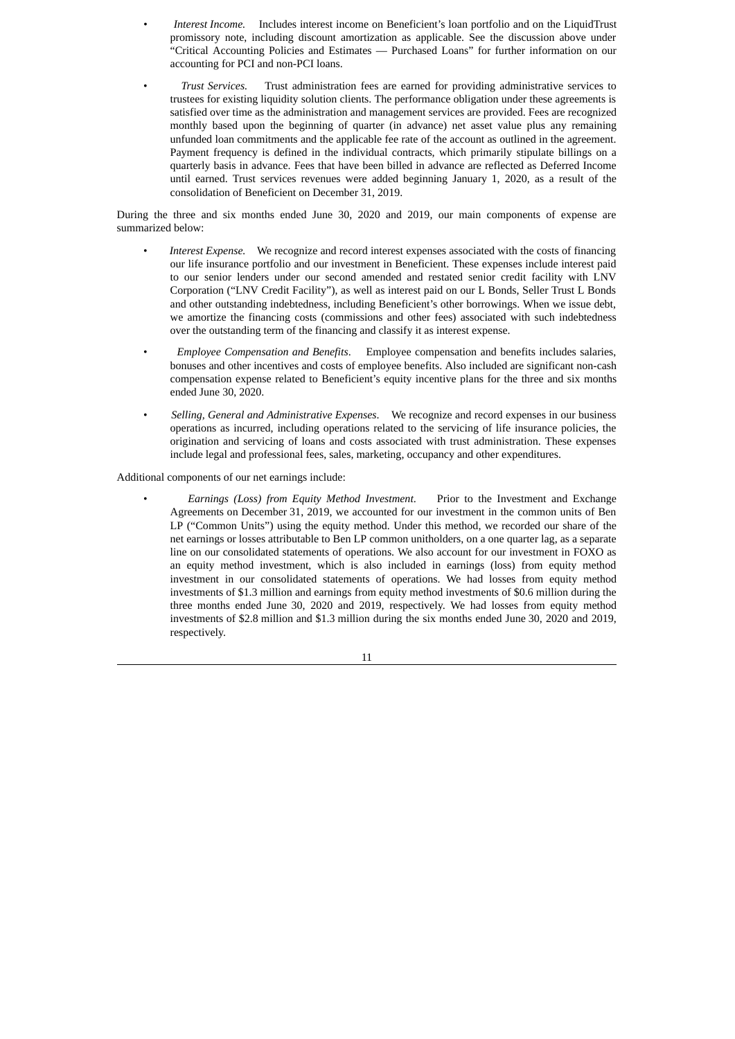- *• Interest Income.* Includes interest income on Beneficient's loan portfolio and on the LiquidTrust promissory note, including discount amortization as applicable. See the discussion above under "Critical Accounting Policies and Estimates — Purchased Loans" for further information on our accounting for PCI and non-PCI loans.
- *Trust Services.* Trust administration fees are earned for providing administrative services to trustees for existing liquidity solution clients. The performance obligation under these agreements is satisfied over time as the administration and management services are provided. Fees are recognized monthly based upon the beginning of quarter (in advance) net asset value plus any remaining unfunded loan commitments and the applicable fee rate of the account as outlined in the agreement. Payment frequency is defined in the individual contracts, which primarily stipulate billings on a quarterly basis in advance. Fees that have been billed in advance are reflected as Deferred Income until earned. Trust services revenues were added beginning January 1, 2020, as a result of the consolidation of Beneficient on December 31, 2019.

During the three and six months ended June 30, 2020 and 2019, our main components of expense are summarized below:

- *Interest Expense.* We recognize and record interest expenses associated with the costs of financing our life insurance portfolio and our investment in Beneficient. These expenses include interest paid to our senior lenders under our second amended and restated senior credit facility with LNV Corporation ("LNV Credit Facility"), as well as interest paid on our L Bonds, Seller Trust L Bonds and other outstanding indebtedness, including Beneficient's other borrowings. When we issue debt, we amortize the financing costs (commissions and other fees) associated with such indebtedness over the outstanding term of the financing and classify it as interest expense.
- *Employee Compensation and Benefits*. Employee compensation and benefits includes salaries, bonuses and other incentives and costs of employee benefits. Also included are significant non-cash compensation expense related to Beneficient's equity incentive plans for the three and six months ended June 30, 2020.
- *Selling, General and Administrative Expenses*. We recognize and record expenses in our business operations as incurred, including operations related to the servicing of life insurance policies, the origination and servicing of loans and costs associated with trust administration. These expenses include legal and professional fees, sales, marketing, occupancy and other expenditures.

Additional components of our net earnings include:

• *Earnings (Loss) from Equity Method Investment*. Prior to the Investment and Exchange Agreements on December 31, 2019, we accounted for our investment in the common units of Ben LP ("Common Units") using the equity method. Under this method, we recorded our share of the net earnings or losses attributable to Ben LP common unitholders, on a one quarter lag, as a separate line on our consolidated statements of operations. We also account for our investment in FOXO as an equity method investment, which is also included in earnings (loss) from equity method investment in our consolidated statements of operations. We had losses from equity method investments of \$1.3 million and earnings from equity method investments of \$0.6 million during the three months ended June 30, 2020 and 2019, respectively. We had losses from equity method investments of \$2.8 million and \$1.3 million during the six months ended June 30, 2020 and 2019, respectively.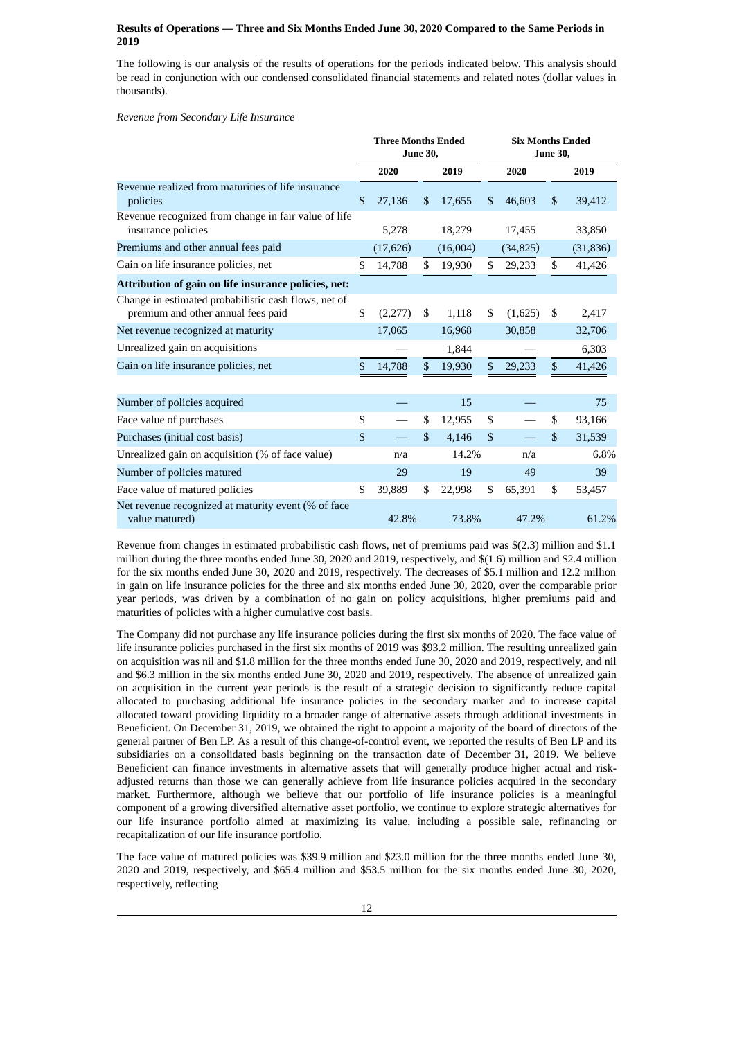### **Results of Operations — Three and Six Months Ended June 30, 2020 Compared to the Same Periods in 2019**

The following is our analysis of the results of operations for the periods indicated below. This analysis should be read in conjunction with our condensed consolidated financial statements and related notes (dollar values in thousands).

*Revenue from Secondary Life Insurance*

|                                                                                            |    | <b>Three Months Ended</b> | <b>June 30,</b> |          |     | <b>Six Months Ended</b><br><b>June 30,</b> |               |           |
|--------------------------------------------------------------------------------------------|----|---------------------------|-----------------|----------|-----|--------------------------------------------|---------------|-----------|
|                                                                                            |    | 2020                      |                 | 2019     |     | 2020                                       |               | 2019      |
| Revenue realized from maturities of life insurance<br>$\mathbb{S}$<br>policies             |    | 27,136                    | \$              | 17,655   | \$. | 46,603                                     | \$            | 39,412    |
| Revenue recognized from change in fair value of life<br>insurance policies                 |    | 5,278                     |                 | 18,279   |     | 17,455                                     |               | 33,850    |
| Premiums and other annual fees paid                                                        |    | (17, 626)                 |                 | (16,004) |     | (34, 825)                                  |               | (31, 836) |
| Gain on life insurance policies, net                                                       | \$ | 14,788                    | \$              | 19,930   | \$  | 29,233                                     | \$            | 41,426    |
| Attribution of gain on life insurance policies, net:                                       |    |                           |                 |          |     |                                            |               |           |
| Change in estimated probabilistic cash flows, net of<br>premium and other annual fees paid | \$ | (2,277)                   | \$              | 1,118    | \$  | (1,625)                                    | \$            | 2,417     |
| Net revenue recognized at maturity                                                         |    | 17,065                    |                 | 16,968   |     | 30,858                                     |               | 32,706    |
| Unrealized gain on acquisitions                                                            |    |                           |                 | 1,844    |     |                                            |               | 6,303     |
| Gain on life insurance policies, net                                                       | \$ | 14,788                    | \$              | 19,930   | \$  | 29,233                                     | $\mathcal{S}$ | 41,426    |
| Number of policies acquired                                                                |    |                           |                 | 15       |     |                                            |               | 75        |
| Face value of purchases                                                                    | \$ |                           | \$              | 12,955   | \$  |                                            | \$            | 93,166    |
| Purchases (initial cost basis)                                                             | \$ |                           | \$              | 4,146    | \$  |                                            | \$            | 31,539    |
| Unrealized gain on acquisition (% of face value)                                           |    | n/a                       |                 | 14.2%    |     | n/a                                        |               | 6.8%      |
| Number of policies matured                                                                 |    | 29                        |                 | 19       |     | 49                                         |               | 39        |
| Face value of matured policies                                                             | \$ | 39,889                    | \$              | 22,998   | \$  | 65,391                                     | \$            | 53,457    |
| Net revenue recognized at maturity event (% of face<br>value matured)                      |    | 42.8%                     |                 | 73.8%    |     | 47.2%                                      |               | 61.2%     |

Revenue from changes in estimated probabilistic cash flows, net of premiums paid was \$(2.3) million and \$1.1 million during the three months ended June 30, 2020 and 2019, respectively, and \$(1.6) million and \$2.4 million for the six months ended June 30, 2020 and 2019, respectively. The decreases of \$5.1 million and 12.2 million in gain on life insurance policies for the three and six months ended June 30, 2020, over the comparable prior year periods, was driven by a combination of no gain on policy acquisitions, higher premiums paid and maturities of policies with a higher cumulative cost basis.

The Company did not purchase any life insurance policies during the first six months of 2020. The face value of life insurance policies purchased in the first six months of 2019 was \$93.2 million. The resulting unrealized gain on acquisition was nil and \$1.8 million for the three months ended June 30, 2020 and 2019, respectively, and nil and \$6.3 million in the six months ended June 30, 2020 and 2019, respectively. The absence of unrealized gain on acquisition in the current year periods is the result of a strategic decision to significantly reduce capital allocated to purchasing additional life insurance policies in the secondary market and to increase capital allocated toward providing liquidity to a broader range of alternative assets through additional investments in Beneficient. On December 31, 2019, we obtained the right to appoint a majority of the board of directors of the general partner of Ben LP. As a result of this change-of-control event, we reported the results of Ben LP and its subsidiaries on a consolidated basis beginning on the transaction date of December 31, 2019. We believe Beneficient can finance investments in alternative assets that will generally produce higher actual and riskadjusted returns than those we can generally achieve from life insurance policies acquired in the secondary market. Furthermore, although we believe that our portfolio of life insurance policies is a meaningful component of a growing diversified alternative asset portfolio, we continue to explore strategic alternatives for our life insurance portfolio aimed at maximizing its value, including a possible sale, refinancing or recapitalization of our life insurance portfolio.

The face value of matured policies was \$39.9 million and \$23.0 million for the three months ended June 30, 2020 and 2019, respectively, and \$65.4 million and \$53.5 million for the six months ended June 30, 2020, respectively, reflecting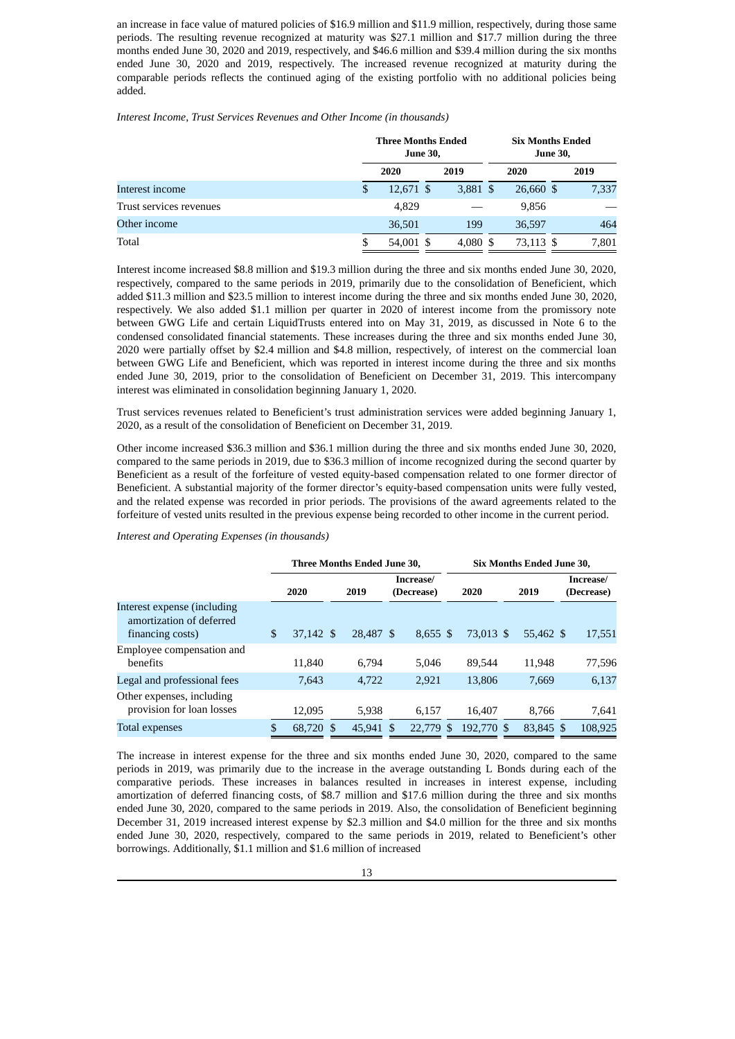an increase in face value of matured policies of \$16.9 million and \$11.9 million, respectively, during those same periods. The resulting revenue recognized at maturity was \$27.1 million and \$17.7 million during the three months ended June 30, 2020 and 2019, respectively, and \$46.6 million and \$39.4 million during the six months ended June 30, 2020 and 2019, respectively. The increased revenue recognized at maturity during the comparable periods reflects the continued aging of the existing portfolio with no additional policies being added.

*Interest Income, Trust Services Revenues and Other Income (in thousands)*

|                         |   | <b>Three Months Ended</b><br><b>June 30,</b> |            | <b>Six Months Ended</b><br><b>June 30,</b> |      |       |  |
|-------------------------|---|----------------------------------------------|------------|--------------------------------------------|------|-------|--|
|                         |   | 2020                                         | 2019       | 2020                                       | 2019 |       |  |
| Interest income         | S | 12,671 \$                                    | 3,881 \$   | 26,660 \$                                  |      | 7,337 |  |
| Trust services revenues |   | 4.829                                        |            | 9,856                                      |      |       |  |
| Other income            |   | 36,501                                       | 199        | 36.597                                     |      | 464   |  |
| Total                   |   | 54,001 \$                                    | $4,080$ \$ | 73,113 \$                                  |      | 7,801 |  |

Interest income increased \$8.8 million and \$19.3 million during the three and six months ended June 30, 2020, respectively, compared to the same periods in 2019, primarily due to the consolidation of Beneficient, which added \$11.3 million and \$23.5 million to interest income during the three and six months ended June 30, 2020, respectively. We also added \$1.1 million per quarter in 2020 of interest income from the promissory note between GWG Life and certain LiquidTrusts entered into on May 31, 2019, as discussed in Note 6 to the condensed consolidated financial statements. These increases during the three and six months ended June 30, 2020 were partially offset by \$2.4 million and \$4.8 million, respectively, of interest on the commercial loan between GWG Life and Beneficient, which was reported in interest income during the three and six months ended June 30, 2019, prior to the consolidation of Beneficient on December 31, 2019. This intercompany interest was eliminated in consolidation beginning January 1, 2020.

Trust services revenues related to Beneficient's trust administration services were added beginning January 1, 2020, as a result of the consolidation of Beneficient on December 31, 2019.

Other income increased \$36.3 million and \$36.1 million during the three and six months ended June 30, 2020, compared to the same periods in 2019, due to \$36.3 million of income recognized during the second quarter by Beneficient as a result of the forfeiture of vested equity-based compensation related to one former director of Beneficient. A substantial majority of the former director's equity-based compensation units were fully vested, and the related expense was recorded in prior periods. The provisions of the award agreements related to the forfeiture of vested units resulted in the previous expense being recorded to other income in the current period.

|                                                                             |                 | Three Months Ended June 30. |           |                         | Six Months Ended June 30. |               |            |      |           |      |         |  |                         |
|-----------------------------------------------------------------------------|-----------------|-----------------------------|-----------|-------------------------|---------------------------|---------------|------------|------|-----------|------|---------|--|-------------------------|
|                                                                             | 2020            |                             | 2019      | Increase/<br>(Decrease) |                           |               |            | 2020 |           | 2019 |         |  | Increase/<br>(Decrease) |
| Interest expense (including<br>amortization of deferred<br>financing costs) | \$<br>37.142 \$ |                             | 28,487 \$ |                         | $8.655$ \$                |               | 73.013 \$  |      | 55,462 \$ |      | 17,551  |  |                         |
| Employee compensation and<br>benefits                                       | 11.840          |                             | 6.794     |                         | 5.046                     |               | 89.544     |      | 11.948    |      | 77,596  |  |                         |
| Legal and professional fees                                                 | 7,643           |                             | 4.722     |                         | 2,921                     |               | 13,806     |      | 7,669     |      | 6,137   |  |                         |
| Other expenses, including<br>provision for loan losses                      | 12.095          |                             | 5.938     |                         | 6.157                     |               | 16.407     |      | 8.766     |      | 7,641   |  |                         |
| <b>Total expenses</b>                                                       | \$<br>68,720 \$ |                             | 45,941    | S                       | 22,779                    | <sup>\$</sup> | 192,770 \$ |      | 83.845 \$ |      | 108,925 |  |                         |

*Interest and Operating Expenses (in thousands)*

The increase in interest expense for the three and six months ended June 30, 2020, compared to the same periods in 2019, was primarily due to the increase in the average outstanding L Bonds during each of the comparative periods. These increases in balances resulted in increases in interest expense, including amortization of deferred financing costs, of \$8.7 million and \$17.6 million during the three and six months ended June 30, 2020, compared to the same periods in 2019. Also, the consolidation of Beneficient beginning December 31, 2019 increased interest expense by \$2.3 million and \$4.0 million for the three and six months ended June 30, 2020, respectively, compared to the same periods in 2019, related to Beneficient's other borrowings. Additionally, \$1.1 million and \$1.6 million of increased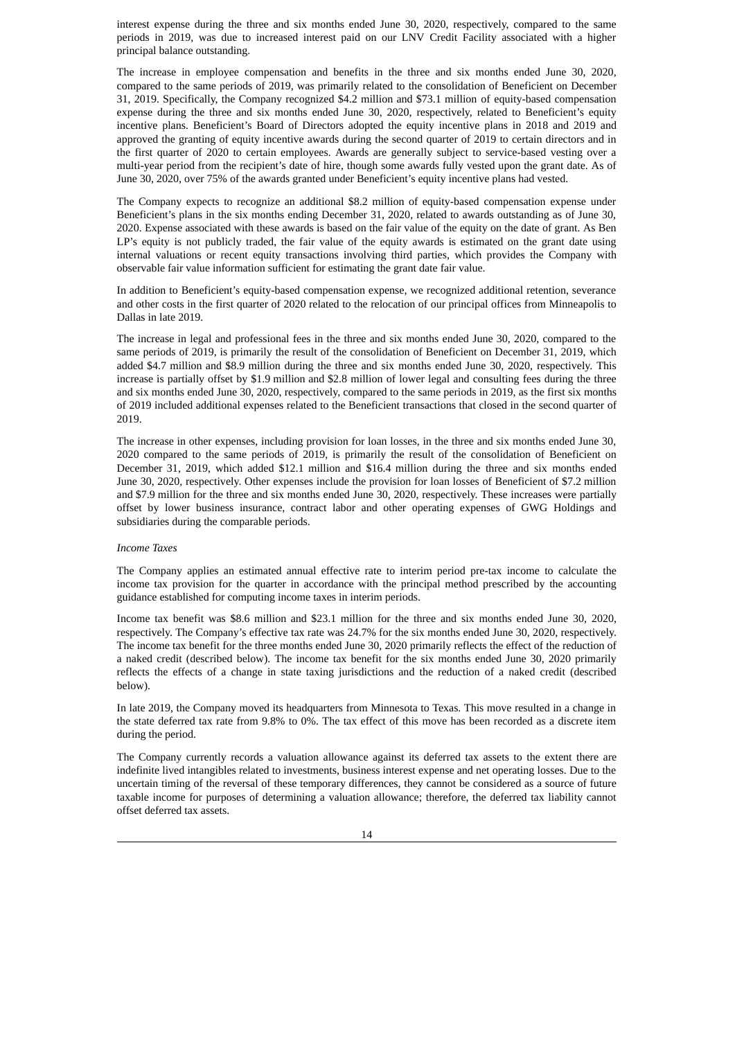interest expense during the three and six months ended June 30, 2020, respectively, compared to the same periods in 2019, was due to increased interest paid on our LNV Credit Facility associated with a higher principal balance outstanding.

The increase in employee compensation and benefits in the three and six months ended June 30, 2020, compared to the same periods of 2019, was primarily related to the consolidation of Beneficient on December 31, 2019. Specifically, the Company recognized \$4.2 million and \$73.1 million of equity-based compensation expense during the three and six months ended June 30, 2020, respectively, related to Beneficient's equity incentive plans. Beneficient's Board of Directors adopted the equity incentive plans in 2018 and 2019 and approved the granting of equity incentive awards during the second quarter of 2019 to certain directors and in the first quarter of 2020 to certain employees. Awards are generally subject to service-based vesting over a multi-year period from the recipient's date of hire, though some awards fully vested upon the grant date. As of June 30, 2020, over 75% of the awards granted under Beneficient's equity incentive plans had vested.

The Company expects to recognize an additional \$8.2 million of equity-based compensation expense under Beneficient's plans in the six months ending December 31, 2020, related to awards outstanding as of June 30, 2020. Expense associated with these awards is based on the fair value of the equity on the date of grant. As Ben LP's equity is not publicly traded, the fair value of the equity awards is estimated on the grant date using internal valuations or recent equity transactions involving third parties, which provides the Company with observable fair value information sufficient for estimating the grant date fair value.

In addition to Beneficient's equity-based compensation expense, we recognized additional retention, severance and other costs in the first quarter of 2020 related to the relocation of our principal offices from Minneapolis to Dallas in late 2019.

The increase in legal and professional fees in the three and six months ended June 30, 2020, compared to the same periods of 2019, is primarily the result of the consolidation of Beneficient on December 31, 2019, which added \$4.7 million and \$8.9 million during the three and six months ended June 30, 2020, respectively. This increase is partially offset by \$1.9 million and \$2.8 million of lower legal and consulting fees during the three and six months ended June 30, 2020, respectively, compared to the same periods in 2019, as the first six months of 2019 included additional expenses related to the Beneficient transactions that closed in the second quarter of 2019.

The increase in other expenses, including provision for loan losses, in the three and six months ended June 30, 2020 compared to the same periods of 2019, is primarily the result of the consolidation of Beneficient on December 31, 2019, which added \$12.1 million and \$16.4 million during the three and six months ended June 30, 2020, respectively. Other expenses include the provision for loan losses of Beneficient of \$7.2 million and \$7.9 million for the three and six months ended June 30, 2020, respectively. These increases were partially offset by lower business insurance, contract labor and other operating expenses of GWG Holdings and subsidiaries during the comparable periods.

### *Income Taxes*

The Company applies an estimated annual effective rate to interim period pre-tax income to calculate the income tax provision for the quarter in accordance with the principal method prescribed by the accounting guidance established for computing income taxes in interim periods.

Income tax benefit was \$8.6 million and \$23.1 million for the three and six months ended June 30, 2020, respectively. The Company's effective tax rate was 24.7% for the six months ended June 30, 2020, respectively. The income tax benefit for the three months ended June 30, 2020 primarily reflects the effect of the reduction of a naked credit (described below). The income tax benefit for the six months ended June 30, 2020 primarily reflects the effects of a change in state taxing jurisdictions and the reduction of a naked credit (described below).

In late 2019, the Company moved its headquarters from Minnesota to Texas. This move resulted in a change in the state deferred tax rate from 9.8% to 0%. The tax effect of this move has been recorded as a discrete item during the period.

The Company currently records a valuation allowance against its deferred tax assets to the extent there are indefinite lived intangibles related to investments, business interest expense and net operating losses. Due to the uncertain timing of the reversal of these temporary differences, they cannot be considered as a source of future taxable income for purposes of determining a valuation allowance; therefore, the deferred tax liability cannot offset deferred tax assets.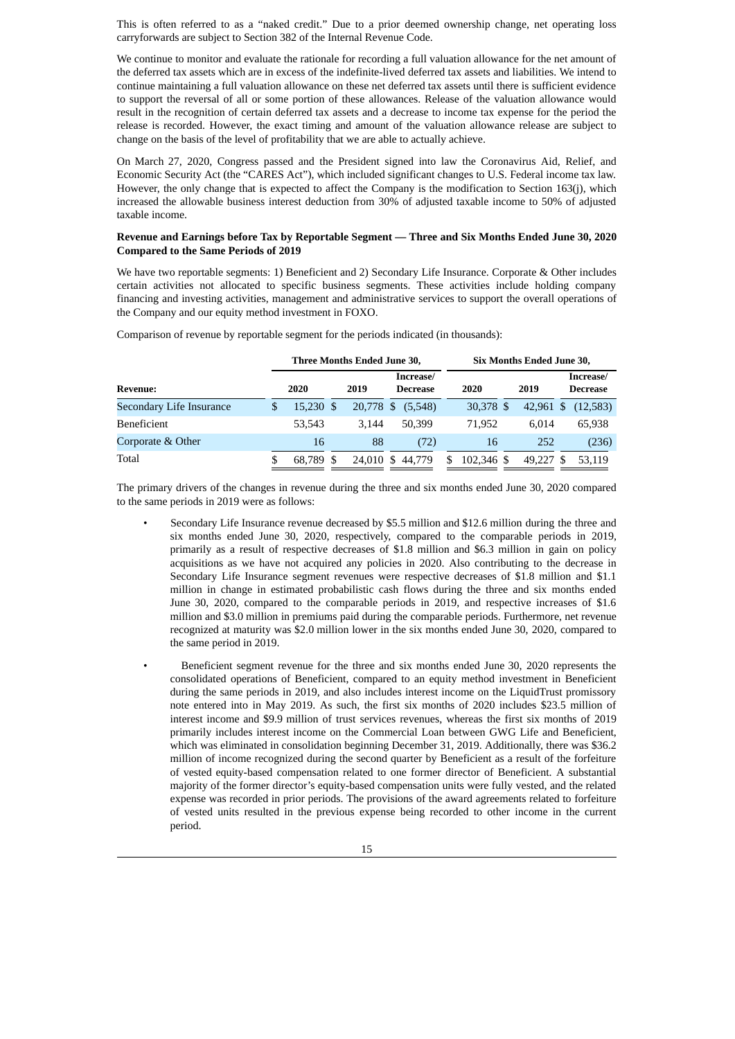This is often referred to as a "naked credit." Due to a prior deemed ownership change, net operating loss carryforwards are subject to Section 382 of the Internal Revenue Code.

We continue to monitor and evaluate the rationale for recording a full valuation allowance for the net amount of the deferred tax assets which are in excess of the indefinite-lived deferred tax assets and liabilities. We intend to continue maintaining a full valuation allowance on these net deferred tax assets until there is sufficient evidence to support the reversal of all or some portion of these allowances. Release of the valuation allowance would result in the recognition of certain deferred tax assets and a decrease to income tax expense for the period the release is recorded. However, the exact timing and amount of the valuation allowance release are subject to change on the basis of the level of profitability that we are able to actually achieve.

On March 27, 2020, Congress passed and the President signed into law the Coronavirus Aid, Relief, and Economic Security Act (the "CARES Act"), which included significant changes to U.S. Federal income tax law. However, the only change that is expected to affect the Company is the modification to Section 163(j), which increased the allowable business interest deduction from 30% of adjusted taxable income to 50% of adjusted taxable income.

#### **Revenue and Earnings before Tax by Reportable Segment — Three and Six Months Ended June 30, 2020 Compared to the Same Periods of 2019**

We have two reportable segments: 1) Beneficient and 2) Secondary Life Insurance. Corporate & Other includes certain activities not allocated to specific business segments. These activities include holding company financing and investing activities, management and administrative services to support the overall operations of the Company and our equity method investment in FOXO.

Comparison of revenue by reportable segment for the periods indicated (in thousands):

|                          |   | Three Months Ended June 30, |  |           |  |                              | Six Months Ended June 30, |            |  |           |  |                              |
|--------------------------|---|-----------------------------|--|-----------|--|------------------------------|---------------------------|------------|--|-----------|--|------------------------------|
| <b>Revenue:</b>          |   | 2020                        |  | 2019      |  | Increase/<br><b>Decrease</b> |                           | 2020       |  | 2019      |  | Increase/<br><b>Decrease</b> |
| Secondary Life Insurance | S | 15,230 \$                   |  | 20,778 \$ |  | (5,548)                      |                           | 30,378 \$  |  | 42,961 \$ |  | (12,583)                     |
| <b>Beneficient</b>       |   | 53.543                      |  | 3.144     |  | 50,399                       |                           | 71.952     |  | 6.014     |  | 65,938                       |
| Corporate & Other        |   | 16                          |  | 88        |  | (72)                         |                           | 16         |  | 252       |  | (236)                        |
| Total                    |   | 68.789 \$                   |  | 24,010 \$ |  | 44,779                       | \$.                       | 102.346 \$ |  | 49,227 \$ |  | 53.119                       |

The primary drivers of the changes in revenue during the three and six months ended June 30, 2020 compared to the same periods in 2019 were as follows:

- Secondary Life Insurance revenue decreased by \$5.5 million and \$12.6 million during the three and six months ended June 30, 2020, respectively, compared to the comparable periods in 2019, primarily as a result of respective decreases of \$1.8 million and \$6.3 million in gain on policy acquisitions as we have not acquired any policies in 2020. Also contributing to the decrease in Secondary Life Insurance segment revenues were respective decreases of \$1.8 million and \$1.1 million in change in estimated probabilistic cash flows during the three and six months ended June 30, 2020, compared to the comparable periods in 2019, and respective increases of \$1.6 million and \$3.0 million in premiums paid during the comparable periods. Furthermore, net revenue recognized at maturity was \$2.0 million lower in the six months ended June 30, 2020, compared to the same period in 2019.
	- Beneficient segment revenue for the three and six months ended June 30, 2020 represents the consolidated operations of Beneficient, compared to an equity method investment in Beneficient during the same periods in 2019, and also includes interest income on the LiquidTrust promissory note entered into in May 2019. As such, the first six months of 2020 includes \$23.5 million of interest income and \$9.9 million of trust services revenues, whereas the first six months of 2019 primarily includes interest income on the Commercial Loan between GWG Life and Beneficient, which was eliminated in consolidation beginning December 31, 2019. Additionally, there was \$36.2 million of income recognized during the second quarter by Beneficient as a result of the forfeiture of vested equity-based compensation related to one former director of Beneficient. A substantial majority of the former director's equity-based compensation units were fully vested, and the related expense was recorded in prior periods. The provisions of the award agreements related to forfeiture of vested units resulted in the previous expense being recorded to other income in the current period.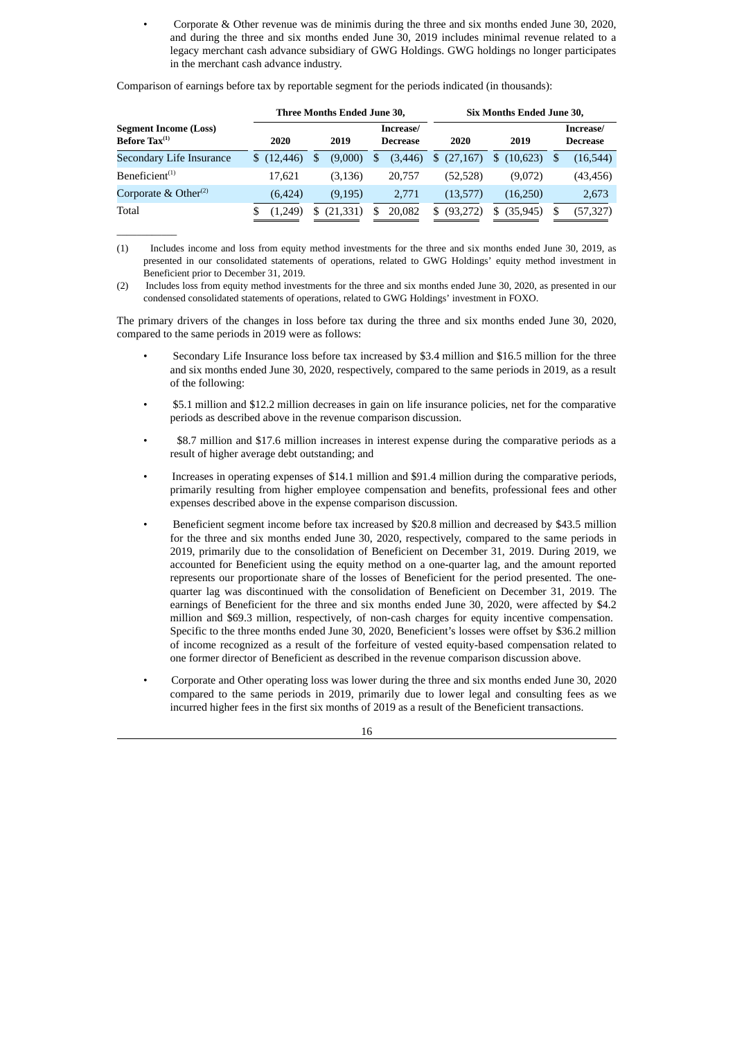• Corporate & Other revenue was de minimis during the three and six months ended June 30, 2020, and during the three and six months ended June 30, 2019 includes minimal revenue related to a legacy merchant cash advance subsidiary of GWG Holdings. GWG holdings no longer participates in the merchant cash advance industry.

Comparison of earnings before tax by reportable segment for the periods indicated (in thousands):

 $\overline{\phantom{a}}$  ,  $\overline{\phantom{a}}$  ,  $\overline{\phantom{a}}$  ,  $\overline{\phantom{a}}$  ,  $\overline{\phantom{a}}$  ,  $\overline{\phantom{a}}$  ,  $\overline{\phantom{a}}$  ,  $\overline{\phantom{a}}$  ,  $\overline{\phantom{a}}$  ,  $\overline{\phantom{a}}$  ,  $\overline{\phantom{a}}$  ,  $\overline{\phantom{a}}$  ,  $\overline{\phantom{a}}$  ,  $\overline{\phantom{a}}$  ,  $\overline{\phantom{a}}$  ,  $\overline{\phantom{a}}$ 

|                                                           | Three Months Ended June 30, |    |           |   |                              |     | <b>Six Months Ended June 30,</b> |            |                              |
|-----------------------------------------------------------|-----------------------------|----|-----------|---|------------------------------|-----|----------------------------------|------------|------------------------------|
| <b>Segment Income (Loss)</b><br>Before $\text{Tax}^{(1)}$ | 2020                        |    | 2019      |   | Increase/<br><b>Decrease</b> |     | 2020                             | 2019       | Increase/<br><b>Decrease</b> |
| Secondary Life Insurance                                  | \$(12, 446)                 | \$ | (9,000)   | S | (3, 446)                     |     | \$(27,167)                       | \$(10,623) | (16, 544)                    |
| Beneficient <sup>(1)</sup>                                | 17.621                      |    | (3, 136)  |   | 20,757                       |     | (52, 528)                        | (9.072)    | (43,456)                     |
| Corporate & Other <sup>(2)</sup>                          | (6, 424)                    |    | (9, 195)  |   | 2.771                        |     | (13,577)                         | (16,250)   | 2,673                        |
| Total                                                     | (1.249)                     |    | (21, 331) |   | 20,082                       | \$. | (93, 272)                        | (35, 945)  | (57,327)                     |

(1) Includes income and loss from equity method investments for the three and six months ended June 30, 2019, as presented in our consolidated statements of operations, related to GWG Holdings' equity method investment in Beneficient prior to December 31, 2019.

(2) Includes loss from equity method investments for the three and six months ended June 30, 2020, as presented in our condensed consolidated statements of operations, related to GWG Holdings' investment in FOXO.

The primary drivers of the changes in loss before tax during the three and six months ended June 30, 2020, compared to the same periods in 2019 were as follows:

- Secondary Life Insurance loss before tax increased by \$3.4 million and \$16.5 million for the three and six months ended June 30, 2020, respectively, compared to the same periods in 2019, as a result of the following:
- \$5.1 million and \$12.2 million decreases in gain on life insurance policies, net for the comparative periods as described above in the revenue comparison discussion.
- \$8.7 million and \$17.6 million increases in interest expense during the comparative periods as a result of higher average debt outstanding; and
- Increases in operating expenses of \$14.1 million and \$91.4 million during the comparative periods, primarily resulting from higher employee compensation and benefits, professional fees and other expenses described above in the expense comparison discussion.
- Beneficient segment income before tax increased by \$20.8 million and decreased by \$43.5 million for the three and six months ended June 30, 2020, respectively, compared to the same periods in 2019, primarily due to the consolidation of Beneficient on December 31, 2019. During 2019, we accounted for Beneficient using the equity method on a one-quarter lag, and the amount reported represents our proportionate share of the losses of Beneficient for the period presented. The onequarter lag was discontinued with the consolidation of Beneficient on December 31, 2019. The earnings of Beneficient for the three and six months ended June 30, 2020, were affected by \$4.2 million and \$69.3 million, respectively, of non-cash charges for equity incentive compensation. Specific to the three months ended June 30, 2020, Beneficient's losses were offset by \$36.2 million of income recognized as a result of the forfeiture of vested equity-based compensation related to one former director of Beneficient as described in the revenue comparison discussion above.
- Corporate and Other operating loss was lower during the three and six months ended June 30, 2020 compared to the same periods in 2019, primarily due to lower legal and consulting fees as we incurred higher fees in the first six months of 2019 as a result of the Beneficient transactions.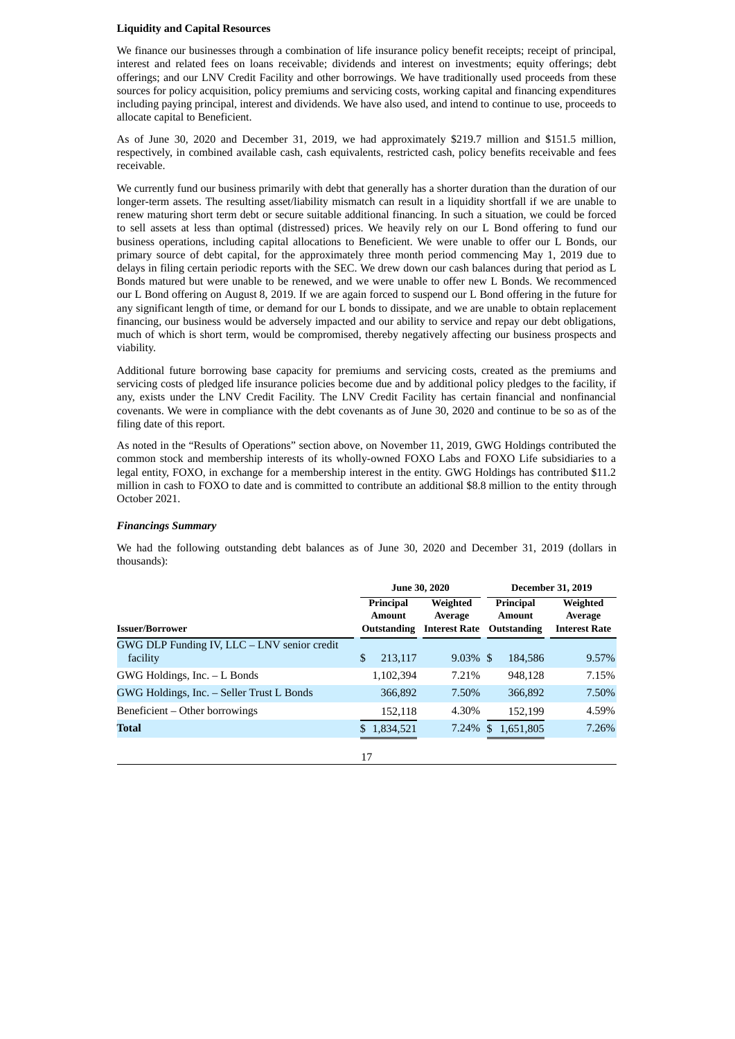### **Liquidity and Capital Resources**

We finance our businesses through a combination of life insurance policy benefit receipts; receipt of principal, interest and related fees on loans receivable; dividends and interest on investments; equity offerings; debt offerings; and our LNV Credit Facility and other borrowings. We have traditionally used proceeds from these sources for policy acquisition, policy premiums and servicing costs, working capital and financing expenditures including paying principal, interest and dividends. We have also used, and intend to continue to use, proceeds to allocate capital to Beneficient.

As of June 30, 2020 and December 31, 2019, we had approximately \$219.7 million and \$151.5 million, respectively, in combined available cash, cash equivalents, restricted cash, policy benefits receivable and fees receivable.

We currently fund our business primarily with debt that generally has a shorter duration than the duration of our longer-term assets. The resulting asset/liability mismatch can result in a liquidity shortfall if we are unable to renew maturing short term debt or secure suitable additional financing. In such a situation, we could be forced to sell assets at less than optimal (distressed) prices. We heavily rely on our L Bond offering to fund our business operations, including capital allocations to Beneficient. We were unable to offer our L Bonds, our primary source of debt capital, for the approximately three month period commencing May 1, 2019 due to delays in filing certain periodic reports with the SEC. We drew down our cash balances during that period as L Bonds matured but were unable to be renewed, and we were unable to offer new L Bonds. We recommenced our L Bond offering on August 8, 2019. If we are again forced to suspend our L Bond offering in the future for any significant length of time, or demand for our L bonds to dissipate, and we are unable to obtain replacement financing, our business would be adversely impacted and our ability to service and repay our debt obligations, much of which is short term, would be compromised, thereby negatively affecting our business prospects and viability.

Additional future borrowing base capacity for premiums and servicing costs, created as the premiums and servicing costs of pledged life insurance policies become due and by additional policy pledges to the facility, if any, exists under the LNV Credit Facility. The LNV Credit Facility has certain financial and nonfinancial covenants. We were in compliance with the debt covenants as of June 30, 2020 and continue to be so as of the filing date of this report.

As noted in the "Results of Operations" section above, on November 11, 2019, GWG Holdings contributed the common stock and membership interests of its wholly-owned FOXO Labs and FOXO Life subsidiaries to a legal entity, FOXO, in exchange for a membership interest in the entity. GWG Holdings has contributed \$11.2 million in cash to FOXO to date and is committed to contribute an additional \$8.8 million to the entity through October 2021.

#### *Financings Summary*

We had the following outstanding debt balances as of June 30, 2020 and December 31, 2019 (dollars in thousands):

|                                                         | <b>June 30, 2020</b> |                                           |                                             |     | <b>December 31, 2019</b>                         |                                             |  |
|---------------------------------------------------------|----------------------|-------------------------------------------|---------------------------------------------|-----|--------------------------------------------------|---------------------------------------------|--|
| <b>Issuer/Borrower</b>                                  |                      | Principal<br><b>Amount</b><br>Outstanding | Weighted<br>Average<br><b>Interest Rate</b> |     | <b>Principal</b><br><b>Amount</b><br>Outstanding | Weighted<br>Average<br><b>Interest Rate</b> |  |
| GWG DLP Funding IV, LLC - LNV senior credit<br>facility | \$                   | 213,117                                   | $9.03\%$ \$                                 |     | 184.586                                          | 9.57%                                       |  |
| GWG Holdings, Inc. - L Bonds                            |                      | 1,102,394                                 | 7.21%                                       |     | 948.128                                          | 7.15%                                       |  |
| GWG Holdings, Inc. - Seller Trust L Bonds               |                      | 366,892                                   | 7.50%                                       |     | 366,892                                          | 7.50%                                       |  |
| Beneficient – Other borrowings                          |                      | 152,118                                   | 4.30%                                       |     | 152.199                                          | 4.59%                                       |  |
| <b>Total</b>                                            |                      | \$1.834,521                               | 7.24%                                       | \$. | 1,651,805                                        | 7.26%                                       |  |
|                                                         | 17                   |                                           |                                             |     |                                                  |                                             |  |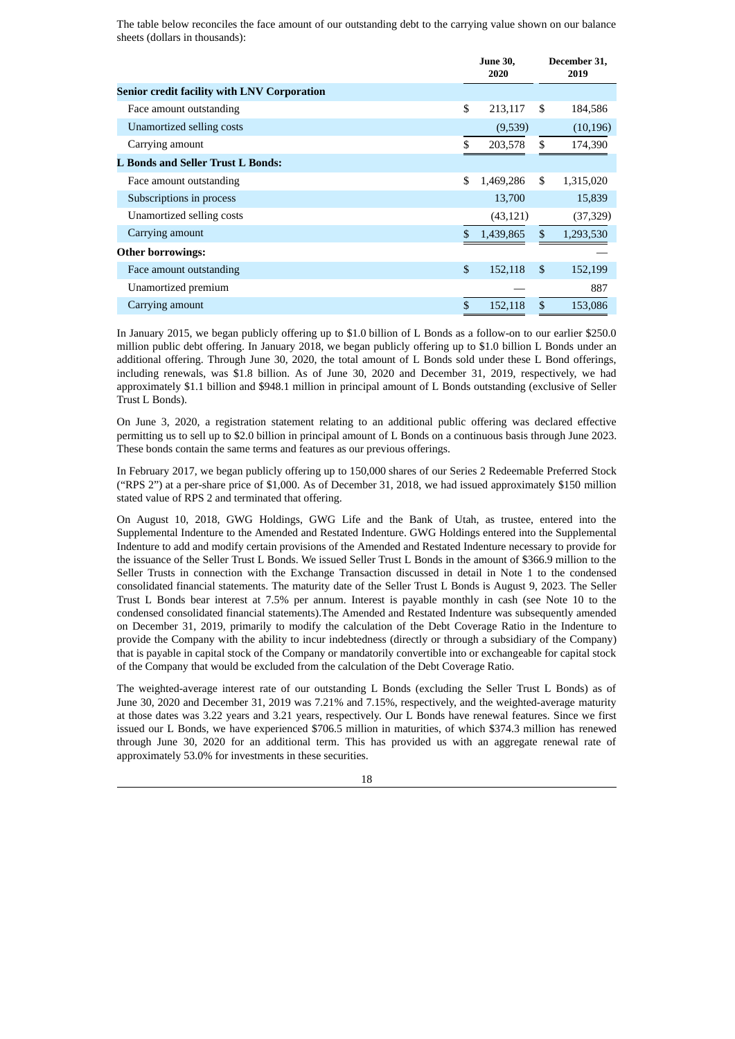The table below reconciles the face amount of our outstanding debt to the carrying value shown on our balance sheets (dollars in thousands):

|                                                    | <b>June 30.</b><br>2020 |               | December 31,<br>2019 |
|----------------------------------------------------|-------------------------|---------------|----------------------|
| <b>Senior credit facility with LNV Corporation</b> |                         |               |                      |
| Face amount outstanding                            | \$<br>213,117           | \$.           | 184,586              |
| Unamortized selling costs                          | (9,539)                 |               | (10, 196)            |
| Carrying amount                                    | \$<br>203,578           | \$            | 174,390              |
| L Bonds and Seller Trust L Bonds:                  |                         |               |                      |
| Face amount outstanding                            | \$<br>1,469,286         | \$            | 1,315,020            |
| Subscriptions in process                           | 13,700                  |               | 15,839               |
| Unamortized selling costs                          | (43, 121)               |               | (37,329)             |
| Carrying amount                                    | \$<br>1,439,865         | $\mathcal{S}$ | 1,293,530            |
| <b>Other borrowings:</b>                           |                         |               |                      |
| Face amount outstanding                            | \$<br>152,118           | <sup>\$</sup> | 152,199              |
| Unamortized premium                                |                         |               | 887                  |
| Carrying amount                                    | \$<br>152,118           | \$            | 153,086              |
|                                                    |                         |               |                      |

In January 2015, we began publicly offering up to \$1.0 billion of L Bonds as a follow-on to our earlier \$250.0 million public debt offering. In January 2018, we began publicly offering up to \$1.0 billion L Bonds under an additional offering. Through June 30, 2020, the total amount of L Bonds sold under these L Bond offerings, including renewals, was \$1.8 billion. As of June 30, 2020 and December 31, 2019, respectively, we had approximately \$1.1 billion and \$948.1 million in principal amount of L Bonds outstanding (exclusive of Seller Trust L Bonds).

On June 3, 2020, a registration statement relating to an additional public offering was declared effective permitting us to sell up to \$2.0 billion in principal amount of L Bonds on a continuous basis through June 2023. These bonds contain the same terms and features as our previous offerings.

In February 2017, we began publicly offering up to 150,000 shares of our Series 2 Redeemable Preferred Stock ("RPS 2") at a per-share price of \$1,000. As of December 31, 2018, we had issued approximately \$150 million stated value of RPS 2 and terminated that offering.

On August 10, 2018, GWG Holdings, GWG Life and the Bank of Utah, as trustee, entered into the Supplemental Indenture to the Amended and Restated Indenture. GWG Holdings entered into the Supplemental Indenture to add and modify certain provisions of the Amended and Restated Indenture necessary to provide for the issuance of the Seller Trust L Bonds. We issued Seller Trust L Bonds in the amount of \$366.9 million to the Seller Trusts in connection with the Exchange Transaction discussed in detail in Note 1 to the condensed consolidated financial statements. The maturity date of the Seller Trust L Bonds is August 9, 2023. The Seller Trust L Bonds bear interest at 7.5% per annum. Interest is payable monthly in cash (see Note 10 to the condensed consolidated financial statements).The Amended and Restated Indenture was subsequently amended on December 31, 2019, primarily to modify the calculation of the Debt Coverage Ratio in the Indenture to provide the Company with the ability to incur indebtedness (directly or through a subsidiary of the Company) that is payable in capital stock of the Company or mandatorily convertible into or exchangeable for capital stock of the Company that would be excluded from the calculation of the Debt Coverage Ratio.

The weighted-average interest rate of our outstanding L Bonds (excluding the Seller Trust L Bonds) as of June 30, 2020 and December 31, 2019 was 7.21% and 7.15%, respectively, and the weighted-average maturity at those dates was 3.22 years and 3.21 years, respectively. Our L Bonds have renewal features. Since we first issued our L Bonds, we have experienced \$706.5 million in maturities, of which \$374.3 million has renewed through June 30, 2020 for an additional term. This has provided us with an aggregate renewal rate of approximately 53.0% for investments in these securities.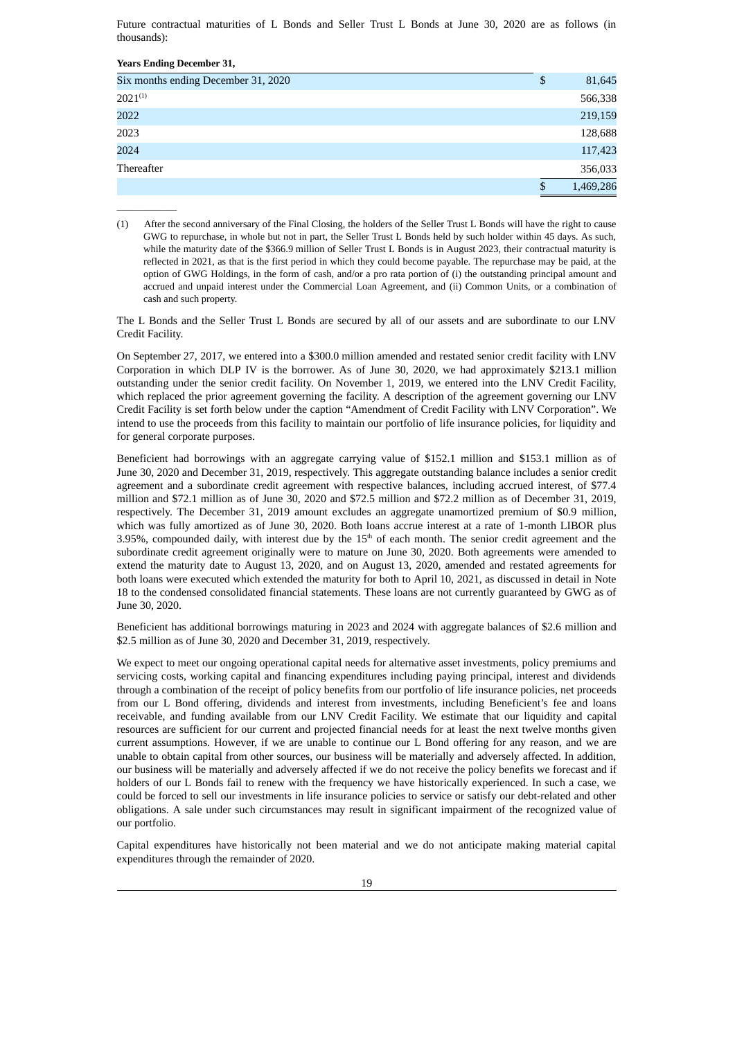Future contractual maturities of L Bonds and Seller Trust L Bonds at June 30, 2020 are as follows (in thousands):

| <b>Years Ending December 31,</b>    |                 |
|-------------------------------------|-----------------|
| Six months ending December 31, 2020 | \$<br>81,645    |
| $2021^{(1)}$                        | 566,338         |
| 2022                                | 219,159         |
| 2023                                | 128,688         |
| 2024                                | 117,423         |
| Thereafter                          | 356,033         |
|                                     | \$<br>1,469,286 |

(1) After the second anniversary of the Final Closing, the holders of the Seller Trust L Bonds will have the right to cause GWG to repurchase, in whole but not in part, the Seller Trust L Bonds held by such holder within 45 days. As such, while the maturity date of the \$366.9 million of Seller Trust L Bonds is in August 2023, their contractual maturity is reflected in 2021, as that is the first period in which they could become payable. The repurchase may be paid, at the option of GWG Holdings, in the form of cash, and/or a pro rata portion of (i) the outstanding principal amount and accrued and unpaid interest under the Commercial Loan Agreement, and (ii) Common Units, or a combination of cash and such property.

 $\overline{\phantom{a}}$  ,  $\overline{\phantom{a}}$  ,  $\overline{\phantom{a}}$  ,  $\overline{\phantom{a}}$  ,  $\overline{\phantom{a}}$  ,  $\overline{\phantom{a}}$  ,  $\overline{\phantom{a}}$  ,  $\overline{\phantom{a}}$  ,  $\overline{\phantom{a}}$  ,  $\overline{\phantom{a}}$  ,  $\overline{\phantom{a}}$  ,  $\overline{\phantom{a}}$  ,  $\overline{\phantom{a}}$  ,  $\overline{\phantom{a}}$  ,  $\overline{\phantom{a}}$  ,  $\overline{\phantom{a}}$ 

The L Bonds and the Seller Trust L Bonds are secured by all of our assets and are subordinate to our LNV Credit Facility.

On September 27, 2017, we entered into a \$300.0 million amended and restated senior credit facility with LNV Corporation in which DLP IV is the borrower. As of June 30, 2020, we had approximately \$213.1 million outstanding under the senior credit facility. On November 1, 2019, we entered into the LNV Credit Facility, which replaced the prior agreement governing the facility. A description of the agreement governing our LNV Credit Facility is set forth below under the caption "Amendment of Credit Facility with LNV Corporation". We intend to use the proceeds from this facility to maintain our portfolio of life insurance policies, for liquidity and for general corporate purposes.

Beneficient had borrowings with an aggregate carrying value of \$152.1 million and \$153.1 million as of June 30, 2020 and December 31, 2019, respectively. This aggregate outstanding balance includes a senior credit agreement and a subordinate credit agreement with respective balances, including accrued interest, of \$77.4 million and \$72.1 million as of June 30, 2020 and \$72.5 million and \$72.2 million as of December 31, 2019, respectively. The December 31, 2019 amount excludes an aggregate unamortized premium of \$0.9 million, which was fully amortized as of June 30, 2020. Both loans accrue interest at a rate of 1-month LIBOR plus 3.95%, compounded daily, with interest due by the  $15<sup>th</sup>$  of each month. The senior credit agreement and the subordinate credit agreement originally were to mature on June 30, 2020. Both agreements were amended to extend the maturity date to August 13, 2020, and on August 13, 2020, amended and restated agreements for both loans were executed which extended the maturity for both to April 10, 2021, as discussed in detail in Note 18 to the condensed consolidated financial statements. These loans are not currently guaranteed by GWG as of June 30, 2020.

Beneficient has additional borrowings maturing in 2023 and 2024 with aggregate balances of \$2.6 million and \$2.5 million as of June 30, 2020 and December 31, 2019, respectively.

We expect to meet our ongoing operational capital needs for alternative asset investments, policy premiums and servicing costs, working capital and financing expenditures including paying principal, interest and dividends through a combination of the receipt of policy benefits from our portfolio of life insurance policies, net proceeds from our L Bond offering, dividends and interest from investments, including Beneficient's fee and loans receivable, and funding available from our LNV Credit Facility. We estimate that our liquidity and capital resources are sufficient for our current and projected financial needs for at least the next twelve months given current assumptions. However, if we are unable to continue our L Bond offering for any reason, and we are unable to obtain capital from other sources, our business will be materially and adversely affected. In addition, our business will be materially and adversely affected if we do not receive the policy benefits we forecast and if holders of our L Bonds fail to renew with the frequency we have historically experienced. In such a case, we could be forced to sell our investments in life insurance policies to service or satisfy our debt-related and other obligations. A sale under such circumstances may result in significant impairment of the recognized value of our portfolio.

Capital expenditures have historically not been material and we do not anticipate making material capital expenditures through the remainder of 2020.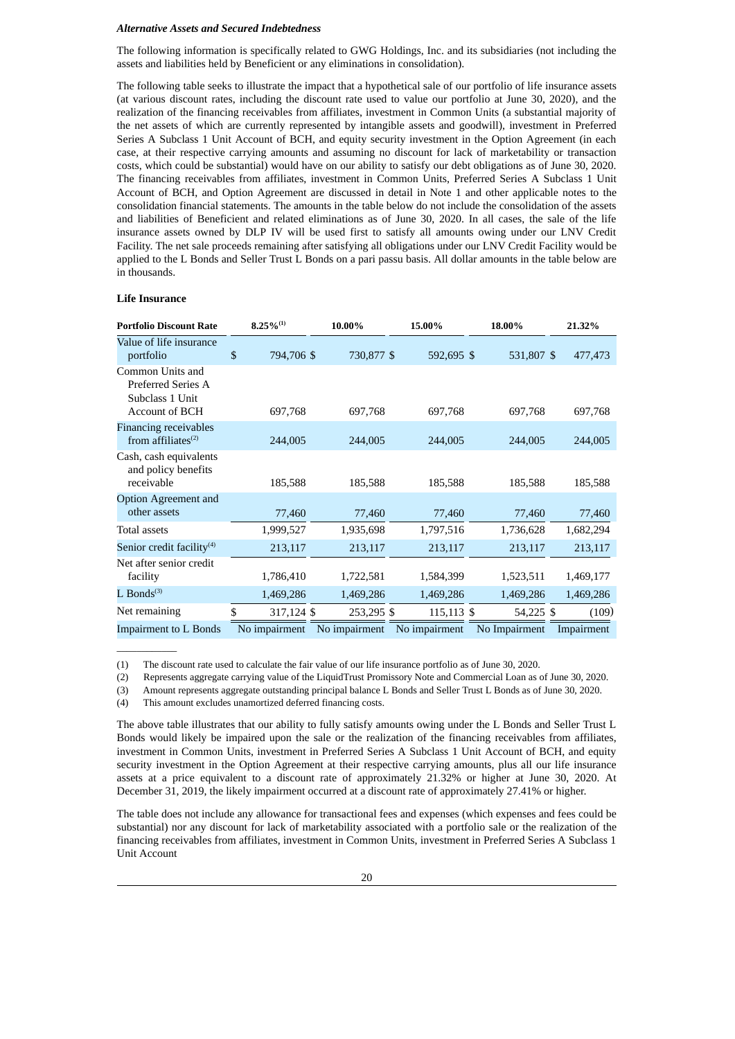#### *Alternative Assets and Secured Indebtedness*

The following information is specifically related to GWG Holdings, Inc. and its subsidiaries (not including the assets and liabilities held by Beneficient or any eliminations in consolidation).

The following table seeks to illustrate the impact that a hypothetical sale of our portfolio of life insurance assets (at various discount rates, including the discount rate used to value our portfolio at June 30, 2020), and the realization of the financing receivables from affiliates, investment in Common Units (a substantial majority of the net assets of which are currently represented by intangible assets and goodwill), investment in Preferred Series A Subclass 1 Unit Account of BCH, and equity security investment in the Option Agreement (in each case, at their respective carrying amounts and assuming no discount for lack of marketability or transaction costs, which could be substantial) would have on our ability to satisfy our debt obligations as of June 30, 2020. The financing receivables from affiliates, investment in Common Units, Preferred Series A Subclass 1 Unit Account of BCH, and Option Agreement are discussed in detail in Note 1 and other applicable notes to the consolidation financial statements. The amounts in the table below do not include the consolidation of the assets and liabilities of Beneficient and related eliminations as of June 30, 2020. In all cases, the sale of the life insurance assets owned by DLP IV will be used first to satisfy all amounts owing under our LNV Credit Facility. The net sale proceeds remaining after satisfying all obligations under our LNV Credit Facility would be applied to the L Bonds and Seller Trust L Bonds on a pari passu basis. All dollar amounts in the table below are in thousands.

#### **Life Insurance**

 $\overline{\phantom{a}}$  ,  $\overline{\phantom{a}}$  ,  $\overline{\phantom{a}}$  ,  $\overline{\phantom{a}}$  ,  $\overline{\phantom{a}}$  ,  $\overline{\phantom{a}}$  ,  $\overline{\phantom{a}}$  ,  $\overline{\phantom{a}}$  ,  $\overline{\phantom{a}}$  ,  $\overline{\phantom{a}}$  ,  $\overline{\phantom{a}}$  ,  $\overline{\phantom{a}}$  ,  $\overline{\phantom{a}}$  ,  $\overline{\phantom{a}}$  ,  $\overline{\phantom{a}}$  ,  $\overline{\phantom{a}}$ 

| <b>Portfolio Discount Rate</b>                                              | $8.25\%^{(1)}$   | 10.00%        | 15.00%        | 18.00%        | 21.32%     |
|-----------------------------------------------------------------------------|------------------|---------------|---------------|---------------|------------|
| Value of life insurance<br>portfolio                                        | \$<br>794,706 \$ | 730,877 \$    | 592,695 \$    | 531,807 \$    | 477,473    |
| Common Units and<br>Preferred Series A<br>Subclass 1 Unit<br>Account of BCH | 697,768          | 697,768       | 697,768       | 697,768       | 697,768    |
| <b>Financing receivables</b><br>from affiliates $(2)$                       | 244,005          | 244,005       | 244,005       | 244,005       | 244,005    |
| Cash, cash equivalents<br>and policy benefits<br>receivable                 | 185,588          | 185,588       | 185,588       | 185,588       | 185,588    |
| <b>Option Agreement and</b><br>other assets                                 | 77,460           | 77,460        | 77,460        | 77,460        | 77,460     |
| <b>Total assets</b>                                                         | 1,999,527        | 1,935,698     | 1,797,516     | 1,736,628     | 1,682,294  |
| Senior credit facility <sup>(4)</sup>                                       | 213,117          | 213,117       | 213,117       | 213,117       | 213,117    |
| Net after senior credit<br>facility                                         | 1,786,410        | 1,722,581     | 1,584,399     | 1,523,511     | 1,469,177  |
| L Bonds $(3)$                                                               | 1,469,286        | 1,469,286     | 1,469,286     | 1,469,286     | 1,469,286  |
| Net remaining                                                               | \$<br>317,124 \$ | 253,295 \$    | 115,113 \$    | 54,225 \$     | (109)      |
| <b>Impairment to L Bonds</b>                                                | No impairment    | No impairment | No impairment | No Impairment | Impairment |

(1) The discount rate used to calculate the fair value of our life insurance portfolio as of June 30, 2020.

(2) Represents aggregate carrying value of the LiquidTrust Promissory Note and Commercial Loan as of June 30, 2020.

(3) Amount represents aggregate outstanding principal balance L Bonds and Seller Trust L Bonds as of June 30, 2020.

(4) This amount excludes unamortized deferred financing costs.

The above table illustrates that our ability to fully satisfy amounts owing under the L Bonds and Seller Trust L Bonds would likely be impaired upon the sale or the realization of the financing receivables from affiliates, investment in Common Units, investment in Preferred Series A Subclass 1 Unit Account of BCH, and equity security investment in the Option Agreement at their respective carrying amounts, plus all our life insurance assets at a price equivalent to a discount rate of approximately 21.32% or higher at June 30, 2020. At December 31, 2019, the likely impairment occurred at a discount rate of approximately 27.41% or higher.

The table does not include any allowance for transactional fees and expenses (which expenses and fees could be substantial) nor any discount for lack of marketability associated with a portfolio sale or the realization of the financing receivables from affiliates, investment in Common Units, investment in Preferred Series A Subclass 1 Unit Account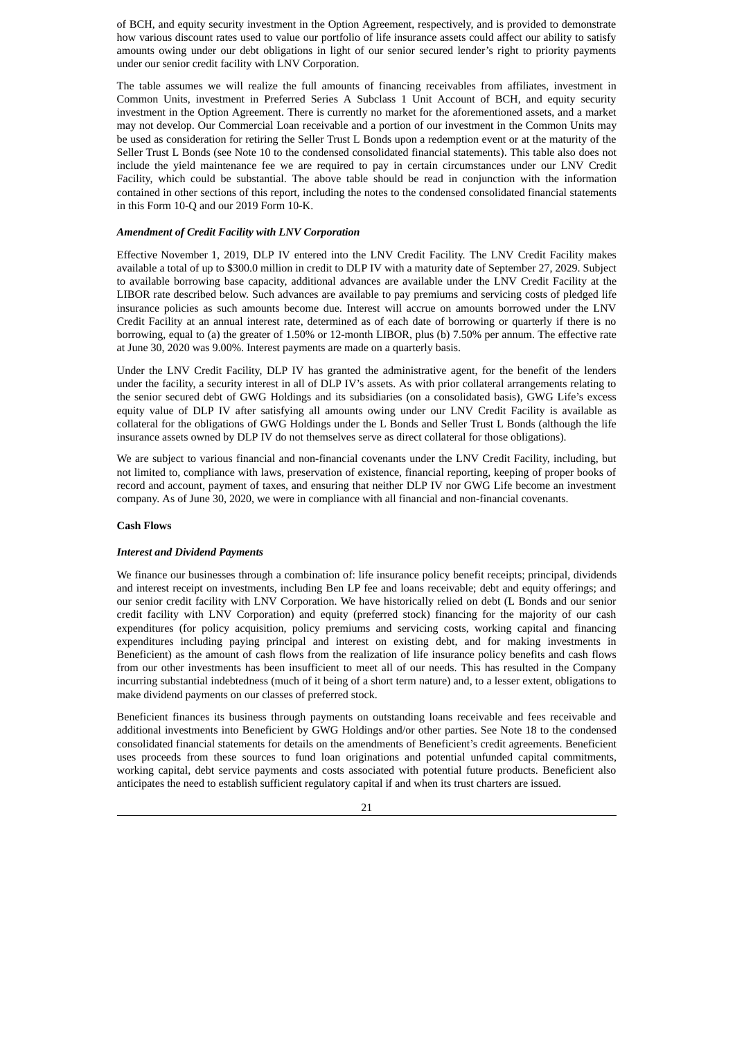of BCH, and equity security investment in the Option Agreement, respectively, and is provided to demonstrate how various discount rates used to value our portfolio of life insurance assets could affect our ability to satisfy amounts owing under our debt obligations in light of our senior secured lender's right to priority payments under our senior credit facility with LNV Corporation.

The table assumes we will realize the full amounts of financing receivables from affiliates, investment in Common Units, investment in Preferred Series A Subclass 1 Unit Account of BCH, and equity security investment in the Option Agreement. There is currently no market for the aforementioned assets, and a market may not develop. Our Commercial Loan receivable and a portion of our investment in the Common Units may be used as consideration for retiring the Seller Trust L Bonds upon a redemption event or at the maturity of the Seller Trust L Bonds (see Note 10 to the condensed consolidated financial statements). This table also does not include the yield maintenance fee we are required to pay in certain circumstances under our LNV Credit Facility, which could be substantial. The above table should be read in conjunction with the information contained in other sections of this report, including the notes to the condensed consolidated financial statements in this Form 10-Q and our 2019 Form 10-K.

#### *Amendment of Credit Facility with LNV Corporation*

Effective November 1, 2019, DLP IV entered into the LNV Credit Facility. The LNV Credit Facility makes available a total of up to \$300.0 million in credit to DLP IV with a maturity date of September 27, 2029. Subject to available borrowing base capacity, additional advances are available under the LNV Credit Facility at the LIBOR rate described below. Such advances are available to pay premiums and servicing costs of pledged life insurance policies as such amounts become due. Interest will accrue on amounts borrowed under the LNV Credit Facility at an annual interest rate, determined as of each date of borrowing or quarterly if there is no borrowing, equal to (a) the greater of 1.50% or 12-month LIBOR, plus (b) 7.50% per annum. The effective rate at June 30, 2020 was 9.00%. Interest payments are made on a quarterly basis.

Under the LNV Credit Facility, DLP IV has granted the administrative agent, for the benefit of the lenders under the facility, a security interest in all of DLP IV's assets. As with prior collateral arrangements relating to the senior secured debt of GWG Holdings and its subsidiaries (on a consolidated basis), GWG Life's excess equity value of DLP IV after satisfying all amounts owing under our LNV Credit Facility is available as collateral for the obligations of GWG Holdings under the L Bonds and Seller Trust L Bonds (although the life insurance assets owned by DLP IV do not themselves serve as direct collateral for those obligations).

We are subject to various financial and non-financial covenants under the LNV Credit Facility, including, but not limited to, compliance with laws, preservation of existence, financial reporting, keeping of proper books of record and account, payment of taxes, and ensuring that neither DLP IV nor GWG Life become an investment company. As of June 30, 2020, we were in compliance with all financial and non-financial covenants.

#### **Cash Flows**

#### *Interest and Dividend Payments*

We finance our businesses through a combination of: life insurance policy benefit receipts; principal, dividends and interest receipt on investments, including Ben LP fee and loans receivable; debt and equity offerings; and our senior credit facility with LNV Corporation. We have historically relied on debt (L Bonds and our senior credit facility with LNV Corporation) and equity (preferred stock) financing for the majority of our cash expenditures (for policy acquisition, policy premiums and servicing costs, working capital and financing expenditures including paying principal and interest on existing debt, and for making investments in Beneficient) as the amount of cash flows from the realization of life insurance policy benefits and cash flows from our other investments has been insufficient to meet all of our needs. This has resulted in the Company incurring substantial indebtedness (much of it being of a short term nature) and, to a lesser extent, obligations to make dividend payments on our classes of preferred stock.

Beneficient finances its business through payments on outstanding loans receivable and fees receivable and additional investments into Beneficient by GWG Holdings and/or other parties. See Note 18 to the condensed consolidated financial statements for details on the amendments of Beneficient's credit agreements. Beneficient uses proceeds from these sources to fund loan originations and potential unfunded capital commitments, working capital, debt service payments and costs associated with potential future products. Beneficient also anticipates the need to establish sufficient regulatory capital if and when its trust charters are issued.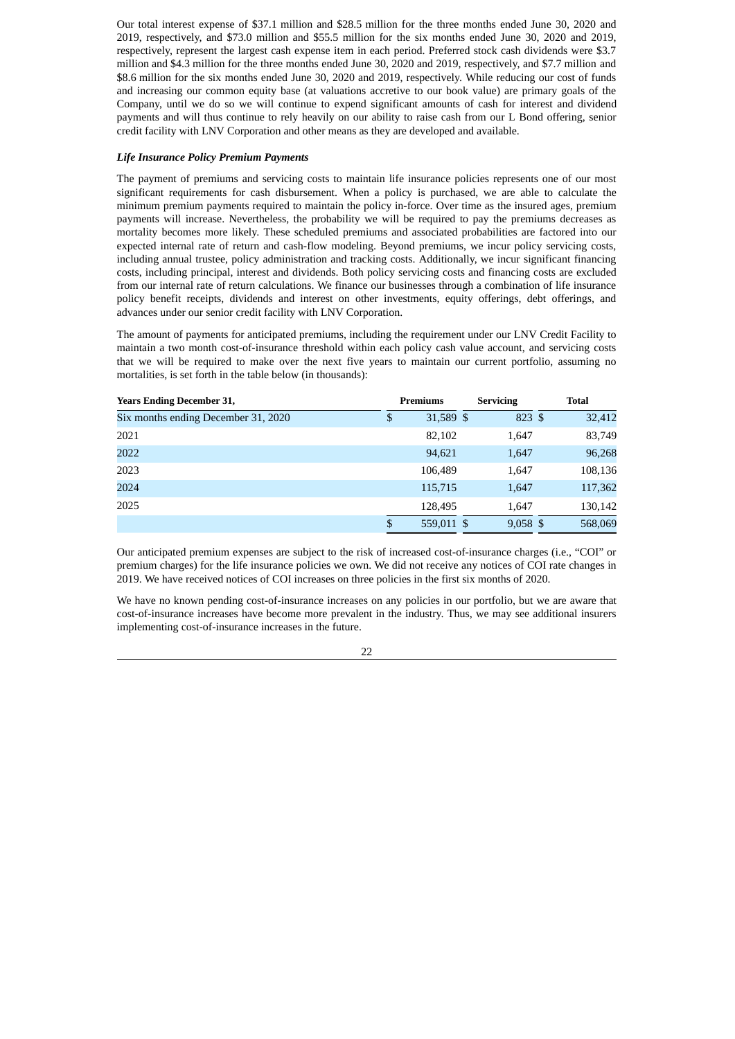Our total interest expense of \$37.1 million and \$28.5 million for the three months ended June 30, 2020 and 2019, respectively, and \$73.0 million and \$55.5 million for the six months ended June 30, 2020 and 2019, respectively, represent the largest cash expense item in each period. Preferred stock cash dividends were \$3.7 million and \$4.3 million for the three months ended June 30, 2020 and 2019, respectively, and \$7.7 million and \$8.6 million for the six months ended June 30, 2020 and 2019, respectively. While reducing our cost of funds and increasing our common equity base (at valuations accretive to our book value) are primary goals of the Company, until we do so we will continue to expend significant amounts of cash for interest and dividend payments and will thus continue to rely heavily on our ability to raise cash from our L Bond offering, senior credit facility with LNV Corporation and other means as they are developed and available.

### *Life Insurance Policy Premium Payments*

The payment of premiums and servicing costs to maintain life insurance policies represents one of our most significant requirements for cash disbursement. When a policy is purchased, we are able to calculate the minimum premium payments required to maintain the policy in-force. Over time as the insured ages, premium payments will increase. Nevertheless, the probability we will be required to pay the premiums decreases as mortality becomes more likely. These scheduled premiums and associated probabilities are factored into our expected internal rate of return and cash-flow modeling. Beyond premiums, we incur policy servicing costs, including annual trustee, policy administration and tracking costs. Additionally, we incur significant financing costs, including principal, interest and dividends. Both policy servicing costs and financing costs are excluded from our internal rate of return calculations. We finance our businesses through a combination of life insurance policy benefit receipts, dividends and interest on other investments, equity offerings, debt offerings, and advances under our senior credit facility with LNV Corporation.

The amount of payments for anticipated premiums, including the requirement under our LNV Credit Facility to maintain a two month cost-of-insurance threshold within each policy cash value account, and servicing costs that we will be required to make over the next five years to maintain our current portfolio, assuming no mortalities, is set forth in the table below (in thousands):

| <b>Years Ending December 31,</b>    |    | Premiums   |  | <b>Servicing</b> |  | <b>Total</b> |  |
|-------------------------------------|----|------------|--|------------------|--|--------------|--|
| Six months ending December 31, 2020 | \$ | 31,589 \$  |  | 823 \$           |  | 32,412       |  |
| 2021                                |    | 82,102     |  | 1,647            |  | 83,749       |  |
| 2022                                |    | 94,621     |  | 1,647            |  | 96,268       |  |
| 2023                                |    | 106,489    |  | 1,647            |  | 108,136      |  |
| 2024                                |    | 115,715    |  | 1,647            |  | 117,362      |  |
| 2025                                |    | 128,495    |  | 1,647            |  | 130,142      |  |
|                                     | \$ | 559,011 \$ |  | $9,058$ \$       |  | 568,069      |  |

Our anticipated premium expenses are subject to the risk of increased cost-of-insurance charges (i.e., "COI" or premium charges) for the life insurance policies we own. We did not receive any notices of COI rate changes in 2019. We have received notices of COI increases on three policies in the first six months of 2020.

We have no known pending cost-of-insurance increases on any policies in our portfolio, but we are aware that cost-of-insurance increases have become more prevalent in the industry. Thus, we may see additional insurers implementing cost-of-insurance increases in the future.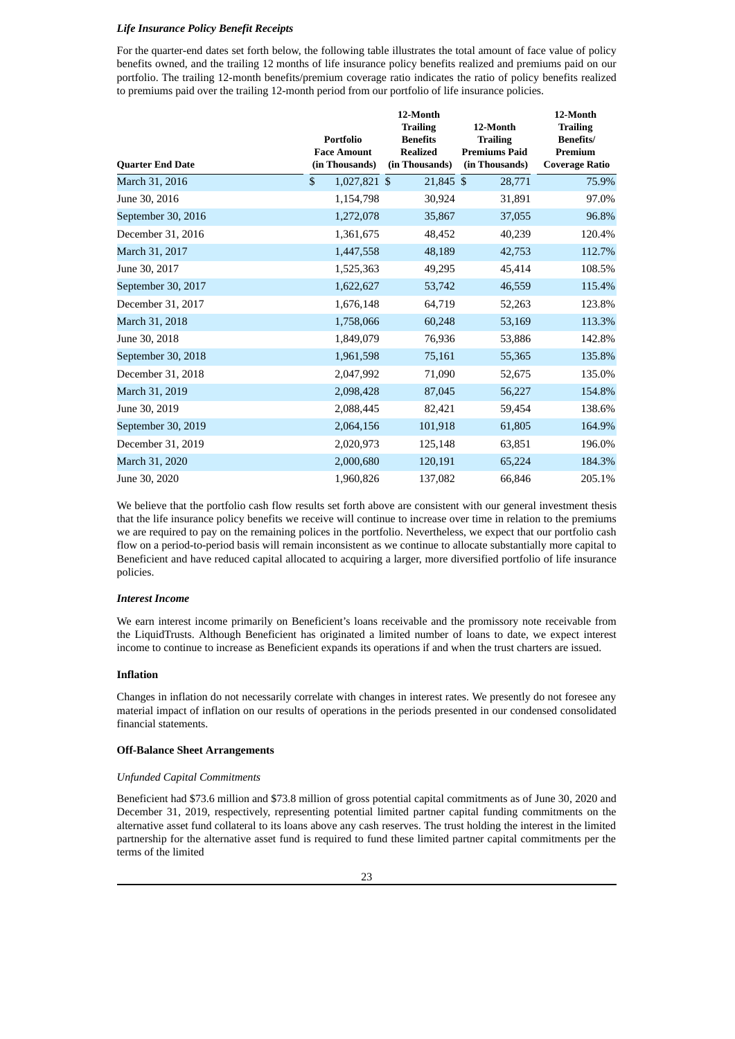### *Life Insurance Policy Benefit Receipts*

For the quarter-end dates set forth below, the following table illustrates the total amount of face value of policy benefits owned, and the trailing 12 months of life insurance policy benefits realized and premiums paid on our portfolio. The trailing 12-month benefits/premium coverage ratio indicates the ratio of policy benefits realized to premiums paid over the trailing 12-month period from our portfolio of life insurance policies.

|                         |                                 | 12-Month                           |                                         | 12-Month                    |
|-------------------------|---------------------------------|------------------------------------|-----------------------------------------|-----------------------------|
|                         |                                 | <b>Trailing</b>                    | 12-Month                                | <b>Trailing</b>             |
|                         | Portfolio<br><b>Face Amount</b> | <b>Benefits</b><br><b>Realized</b> | <b>Trailing</b><br><b>Premiums Paid</b> | <b>Benefits/</b><br>Premium |
| <b>Quarter End Date</b> | (in Thousands)                  | (in Thousands)                     | (in Thousands)                          | <b>Coverage Ratio</b>       |
| March 31, 2016          | \$<br>1,027,821 \$              | 21,845 \$                          | 28,771                                  | 75.9%                       |
| June 30, 2016           | 1,154,798                       | 30,924                             | 31,891                                  | 97.0%                       |
| September 30, 2016      | 1,272,078                       | 35,867                             | 37,055                                  | 96.8%                       |
| December 31, 2016       | 1,361,675                       | 48,452                             | 40,239                                  | 120.4%                      |
| March 31, 2017          | 1,447,558                       | 48,189                             | 42,753                                  | 112.7%                      |
| June 30, 2017           | 1,525,363                       | 49,295                             | 45,414                                  | 108.5%                      |
| September 30, 2017      | 1,622,627                       | 53,742                             | 46,559                                  | 115.4%                      |
| December 31, 2017       | 1,676,148                       | 64,719                             | 52,263                                  | 123.8%                      |
| March 31, 2018          | 1,758,066                       | 60,248                             | 53,169                                  | 113.3%                      |
| June 30, 2018           | 1,849,079                       | 76,936                             | 53,886                                  | 142.8%                      |
| September 30, 2018      | 1,961,598                       | 75,161                             | 55,365                                  | 135.8%                      |
| December 31, 2018       | 2,047,992                       | 71,090                             | 52,675                                  | 135.0%                      |
| March 31, 2019          | 2,098,428                       | 87,045                             | 56,227                                  | 154.8%                      |
| June 30, 2019           | 2,088,445                       | 82,421                             | 59,454                                  | 138.6%                      |
| September 30, 2019      | 2,064,156                       | 101,918                            | 61,805                                  | 164.9%                      |
| December 31, 2019       | 2,020,973                       | 125,148                            | 63,851                                  | 196.0%                      |
| March 31, 2020          | 2,000,680                       | 120,191                            | 65,224                                  | 184.3%                      |
| June 30, 2020           | 1,960,826                       | 137,082                            | 66.846                                  | 205.1%                      |

We believe that the portfolio cash flow results set forth above are consistent with our general investment thesis that the life insurance policy benefits we receive will continue to increase over time in relation to the premiums we are required to pay on the remaining polices in the portfolio. Nevertheless, we expect that our portfolio cash flow on a period-to-period basis will remain inconsistent as we continue to allocate substantially more capital to Beneficient and have reduced capital allocated to acquiring a larger, more diversified portfolio of life insurance policies.

#### *Interest Income*

We earn interest income primarily on Beneficient's loans receivable and the promissory note receivable from the LiquidTrusts. Although Beneficient has originated a limited number of loans to date, we expect interest income to continue to increase as Beneficient expands its operations if and when the trust charters are issued.

#### **Inflation**

Changes in inflation do not necessarily correlate with changes in interest rates. We presently do not foresee any material impact of inflation on our results of operations in the periods presented in our condensed consolidated financial statements.

#### **Off-Balance Sheet Arrangements**

# *Unfunded Capital Commitments*

Beneficient had \$73.6 million and \$73.8 million of gross potential capital commitments as of June 30, 2020 and December 31, 2019, respectively, representing potential limited partner capital funding commitments on the alternative asset fund collateral to its loans above any cash reserves. The trust holding the interest in the limited partnership for the alternative asset fund is required to fund these limited partner capital commitments per the terms of the limited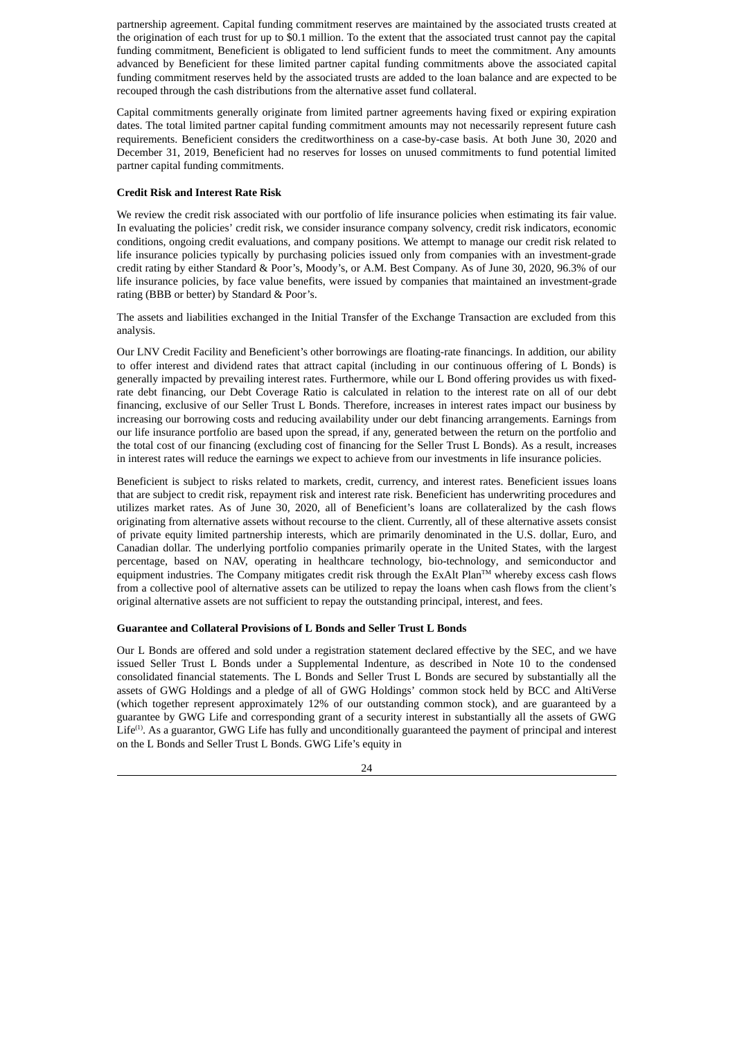partnership agreement. Capital funding commitment reserves are maintained by the associated trusts created at the origination of each trust for up to \$0.1 million. To the extent that the associated trust cannot pay the capital funding commitment, Beneficient is obligated to lend sufficient funds to meet the commitment. Any amounts advanced by Beneficient for these limited partner capital funding commitments above the associated capital funding commitment reserves held by the associated trusts are added to the loan balance and are expected to be recouped through the cash distributions from the alternative asset fund collateral.

Capital commitments generally originate from limited partner agreements having fixed or expiring expiration dates. The total limited partner capital funding commitment amounts may not necessarily represent future cash requirements. Beneficient considers the creditworthiness on a case-by-case basis. At both June 30, 2020 and December 31, 2019, Beneficient had no reserves for losses on unused commitments to fund potential limited partner capital funding commitments.

#### **Credit Risk and Interest Rate Risk**

We review the credit risk associated with our portfolio of life insurance policies when estimating its fair value. In evaluating the policies' credit risk, we consider insurance company solvency, credit risk indicators, economic conditions, ongoing credit evaluations, and company positions. We attempt to manage our credit risk related to life insurance policies typically by purchasing policies issued only from companies with an investment-grade credit rating by either Standard & Poor's, Moody's, or A.M. Best Company. As of June 30, 2020, 96.3% of our life insurance policies, by face value benefits, were issued by companies that maintained an investment-grade rating (BBB or better) by Standard & Poor's.

The assets and liabilities exchanged in the Initial Transfer of the Exchange Transaction are excluded from this analysis.

Our LNV Credit Facility and Beneficient's other borrowings are floating-rate financings. In addition, our ability to offer interest and dividend rates that attract capital (including in our continuous offering of L Bonds) is generally impacted by prevailing interest rates. Furthermore, while our L Bond offering provides us with fixedrate debt financing, our Debt Coverage Ratio is calculated in relation to the interest rate on all of our debt financing, exclusive of our Seller Trust L Bonds. Therefore, increases in interest rates impact our business by increasing our borrowing costs and reducing availability under our debt financing arrangements. Earnings from our life insurance portfolio are based upon the spread, if any, generated between the return on the portfolio and the total cost of our financing (excluding cost of financing for the Seller Trust L Bonds). As a result, increases in interest rates will reduce the earnings we expect to achieve from our investments in life insurance policies.

Beneficient is subject to risks related to markets, credit, currency, and interest rates. Beneficient issues loans that are subject to credit risk, repayment risk and interest rate risk. Beneficient has underwriting procedures and utilizes market rates. As of June 30, 2020, all of Beneficient's loans are collateralized by the cash flows originating from alternative assets without recourse to the client. Currently, all of these alternative assets consist of private equity limited partnership interests, which are primarily denominated in the U.S. dollar, Euro, and Canadian dollar. The underlying portfolio companies primarily operate in the United States, with the largest percentage, based on NAV, operating in healthcare technology, bio-technology, and semiconductor and equipment industries. The Company mitigates credit risk through the ExAlt Plan™ whereby excess cash flows from a collective pool of alternative assets can be utilized to repay the loans when cash flows from the client's original alternative assets are not sufficient to repay the outstanding principal, interest, and fees.

#### **Guarantee and Collateral Provisions of L Bonds and Seller Trust L Bonds**

Our L Bonds are offered and sold under a registration statement declared effective by the SEC, and we have issued Seller Trust L Bonds under a Supplemental Indenture, as described in Note 10 to the condensed consolidated financial statements. The L Bonds and Seller Trust L Bonds are secured by substantially all the assets of GWG Holdings and a pledge of all of GWG Holdings' common stock held by BCC and AltiVerse (which together represent approximately 12% of our outstanding common stock), and are guaranteed by a guarantee by GWG Life and corresponding grant of a security interest in substantially all the assets of GWG Life<sup>(1)</sup>. As a guarantor, GWG Life has fully and unconditionally guaranteed the payment of principal and interest on the L Bonds and Seller Trust L Bonds. GWG Life's equity in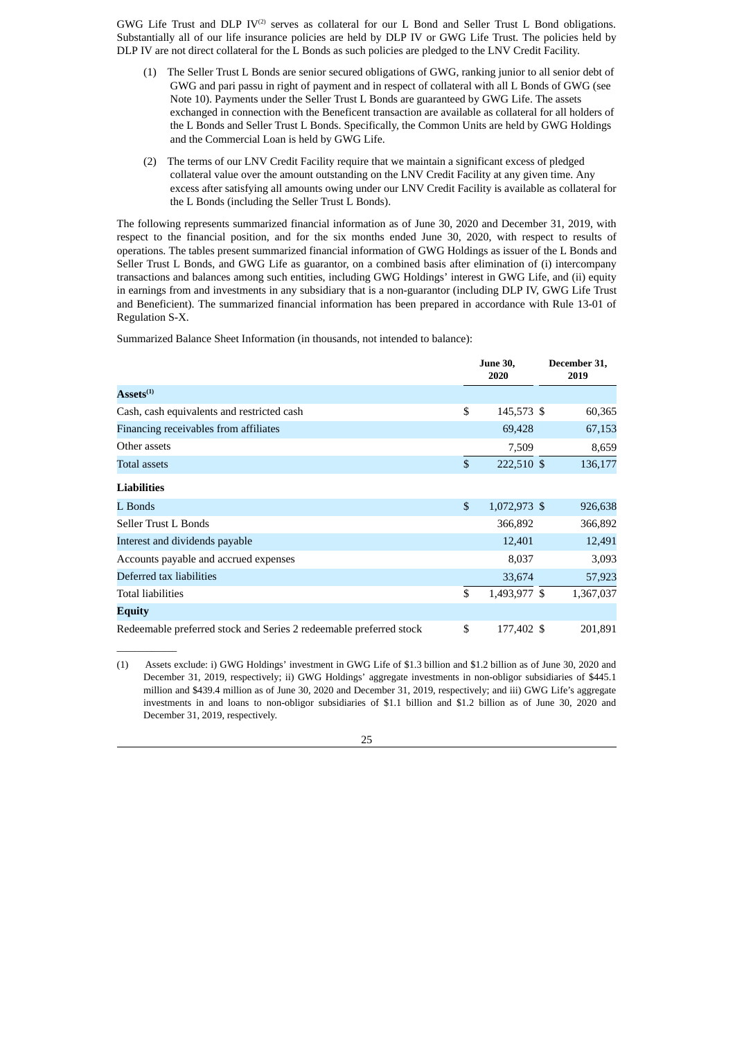GWG Life Trust and DLP  $IV^{(2)}$  serves as collateral for our L Bond and Seller Trust L Bond obligations. Substantially all of our life insurance policies are held by DLP IV or GWG Life Trust. The policies held by DLP IV are not direct collateral for the L Bonds as such policies are pledged to the LNV Credit Facility.

- (1) The Seller Trust L Bonds are senior secured obligations of GWG, ranking junior to all senior debt of GWG and pari passu in right of payment and in respect of collateral with all L Bonds of GWG (see Note 10). Payments under the Seller Trust L Bonds are guaranteed by GWG Life. The assets exchanged in connection with the Beneficent transaction are available as collateral for all holders of the L Bonds and Seller Trust L Bonds. Specifically, the Common Units are held by GWG Holdings and the Commercial Loan is held by GWG Life.
- (2) The terms of our LNV Credit Facility require that we maintain a significant excess of pledged collateral value over the amount outstanding on the LNV Credit Facility at any given time. Any excess after satisfying all amounts owing under our LNV Credit Facility is available as collateral for the L Bonds (including the Seller Trust L Bonds).

The following represents summarized financial information as of June 30, 2020 and December 31, 2019, with respect to the financial position, and for the six months ended June 30, 2020, with respect to results of operations. The tables present summarized financial information of GWG Holdings as issuer of the L Bonds and Seller Trust L Bonds, and GWG Life as guarantor, on a combined basis after elimination of (i) intercompany transactions and balances among such entities, including GWG Holdings' interest in GWG Life, and (ii) equity in earnings from and investments in any subsidiary that is a non-guarantor (including DLP IV, GWG Life Trust and Beneficient). The summarized financial information has been prepared in accordance with Rule 13-01 of Regulation S-X.

Summarized Balance Sheet Information (in thousands, not intended to balance):

 $\overline{\phantom{a}}$  ,  $\overline{\phantom{a}}$  ,  $\overline{\phantom{a}}$  ,  $\overline{\phantom{a}}$  ,  $\overline{\phantom{a}}$  ,  $\overline{\phantom{a}}$  ,  $\overline{\phantom{a}}$  ,  $\overline{\phantom{a}}$  ,  $\overline{\phantom{a}}$  ,  $\overline{\phantom{a}}$  ,  $\overline{\phantom{a}}$  ,  $\overline{\phantom{a}}$  ,  $\overline{\phantom{a}}$  ,  $\overline{\phantom{a}}$  ,  $\overline{\phantom{a}}$  ,  $\overline{\phantom{a}}$ 

|                                                                    |              | <b>June 30,</b><br>2020 | December 31,<br>2019 |
|--------------------------------------------------------------------|--------------|-------------------------|----------------------|
| $\textbf{Assets}^{(1)}$                                            |              |                         |                      |
| Cash, cash equivalents and restricted cash                         | \$           | 145,573 \$              | 60,365               |
| Financing receivables from affiliates                              |              | 69,428                  | 67,153               |
| Other assets                                                       |              | 7,509                   | 8,659                |
| Total assets                                                       | $\mathbb{S}$ | 222,510 \$              | 136,177              |
| <b>Liabilities</b>                                                 |              |                         |                      |
| L Bonds                                                            | \$           | 1,072,973 \$            | 926,638              |
| Seller Trust L Bonds                                               |              | 366,892                 | 366,892              |
| Interest and dividends payable                                     |              | 12,401                  | 12,491               |
| Accounts payable and accrued expenses                              |              | 8,037                   | 3,093                |
| Deferred tax liabilities                                           |              | 33,674                  | 57,923               |
| <b>Total liabilities</b>                                           | \$           | 1,493,977 \$            | 1,367,037            |
| Equity                                                             |              |                         |                      |
| Redeemable preferred stock and Series 2 redeemable preferred stock | \$           | 177,402 \$              | 201,891              |

<sup>(1)</sup> Assets exclude: i) GWG Holdings' investment in GWG Life of \$1.3 billion and \$1.2 billion as of June 30, 2020 and December 31, 2019, respectively; ii) GWG Holdings' aggregate investments in non-obligor subsidiaries of \$445.1 million and \$439.4 million as of June 30, 2020 and December 31, 2019, respectively; and iii) GWG Life's aggregate investments in and loans to non-obligor subsidiaries of \$1.1 billion and \$1.2 billion as of June 30, 2020 and December 31, 2019, respectively.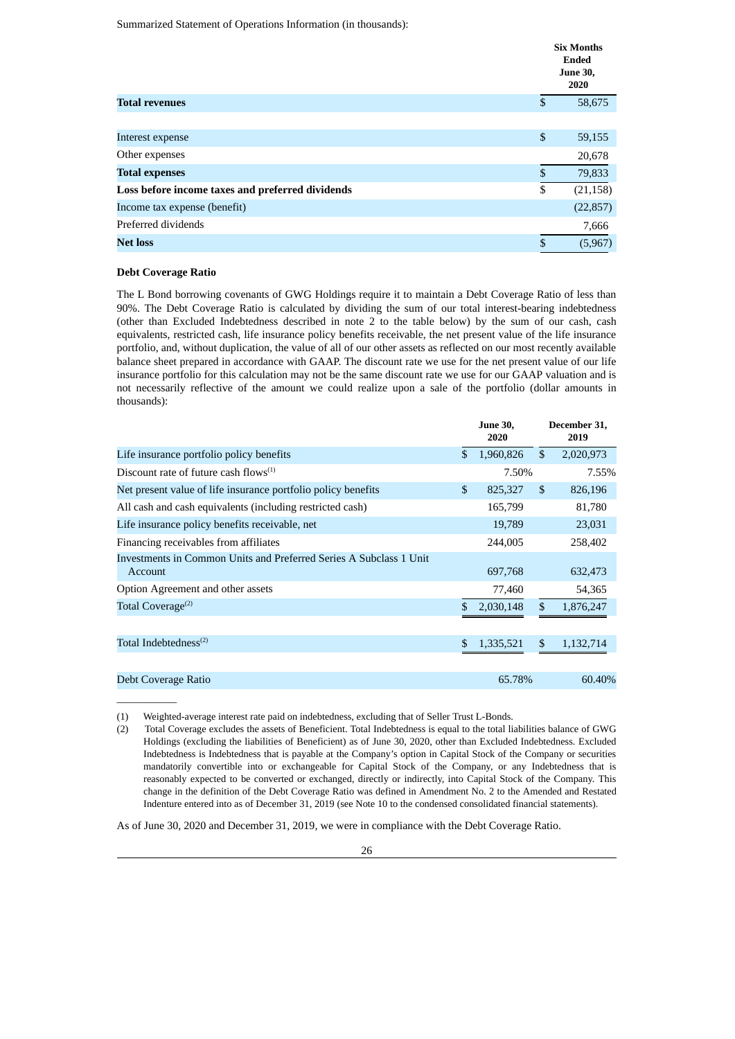Summarized Statement of Operations Information (in thousands):

|                                                  |                           | <b>Six Months</b><br><b>Ended</b><br><b>June 30,</b><br>2020 |
|--------------------------------------------------|---------------------------|--------------------------------------------------------------|
| <b>Total revenues</b>                            | \$                        | 58,675                                                       |
|                                                  |                           |                                                              |
| Interest expense                                 | $\boldsymbol{\mathsf{S}}$ | 59,155                                                       |
| Other expenses                                   |                           | 20,678                                                       |
| <b>Total expenses</b>                            | \$                        | 79,833                                                       |
| Loss before income taxes and preferred dividends | \$                        | (21, 158)                                                    |
| Income tax expense (benefit)                     |                           | (22, 857)                                                    |
| Preferred dividends                              |                           | 7,666                                                        |
| <b>Net loss</b>                                  | \$                        | (5,967)                                                      |

#### **Debt Coverage Ratio**

 $\overline{\phantom{a}}$  ,  $\overline{\phantom{a}}$  ,  $\overline{\phantom{a}}$  ,  $\overline{\phantom{a}}$  ,  $\overline{\phantom{a}}$  ,  $\overline{\phantom{a}}$  ,  $\overline{\phantom{a}}$  ,  $\overline{\phantom{a}}$  ,  $\overline{\phantom{a}}$  ,  $\overline{\phantom{a}}$  ,  $\overline{\phantom{a}}$  ,  $\overline{\phantom{a}}$  ,  $\overline{\phantom{a}}$  ,  $\overline{\phantom{a}}$  ,  $\overline{\phantom{a}}$  ,  $\overline{\phantom{a}}$ 

The L Bond borrowing covenants of GWG Holdings require it to maintain a Debt Coverage Ratio of less than 90%. The Debt Coverage Ratio is calculated by dividing the sum of our total interest-bearing indebtedness (other than Excluded Indebtedness described in note 2 to the table below) by the sum of our cash, cash equivalents, restricted cash, life insurance policy benefits receivable, the net present value of the life insurance portfolio, and, without duplication, the value of all of our other assets as reflected on our most recently available balance sheet prepared in accordance with GAAP. The discount rate we use for the net present value of our life insurance portfolio for this calculation may not be the same discount rate we use for our GAAP valuation and is not necessarily reflective of the amount we could realize upon a sale of the portfolio (dollar amounts in thousands):

|                                                                               | <b>June 30,</b><br>2020 |               | December 31,<br>2019 |
|-------------------------------------------------------------------------------|-------------------------|---------------|----------------------|
| Life insurance portfolio policy benefits                                      | \$<br>1,960,826         | $\mathcal{S}$ | 2,020,973            |
| Discount rate of future cash flows $(1)$                                      | 7.50%                   |               | 7.55%                |
| Net present value of life insurance portfolio policy benefits                 | \$<br>825,327           | <sup>\$</sup> | 826,196              |
| All cash and cash equivalents (including restricted cash)                     | 165,799                 |               | 81,780               |
| Life insurance policy benefits receivable, net                                | 19,789                  |               | 23,031               |
| Financing receivables from affiliates                                         | 244,005                 |               | 258,402              |
| Investments in Common Units and Preferred Series A Subclass 1 Unit<br>Account | 697,768                 |               | 632,473              |
| Option Agreement and other assets                                             | 77,460                  |               | 54,365               |
| Total Coverage <sup>(2)</sup>                                                 | 2,030,148               | \$            | 1,876,247            |
| Total Indebtedness <sup>(2)</sup>                                             | \$<br>1,335,521         | \$.           | 1,132,714            |
| Debt Coverage Ratio                                                           | 65.78%                  |               | 60.40%               |

(1) Weighted-average interest rate paid on indebtedness, excluding that of Seller Trust L-Bonds.

(2) Total Coverage excludes the assets of Beneficient. Total Indebtedness is equal to the total liabilities balance of GWG Holdings (excluding the liabilities of Beneficient) as of June 30, 2020, other than Excluded Indebtedness. Excluded Indebtedness is Indebtedness that is payable at the Company's option in Capital Stock of the Company or securities mandatorily convertible into or exchangeable for Capital Stock of the Company, or any Indebtedness that is reasonably expected to be converted or exchanged, directly or indirectly, into Capital Stock of the Company. This change in the definition of the Debt Coverage Ratio was defined in Amendment No. 2 to the Amended and Restated Indenture entered into as of December 31, 2019 (see Note 10 to the condensed consolidated financial statements).

As of June 30, 2020 and December 31, 2019, we were in compliance with the Debt Coverage Ratio.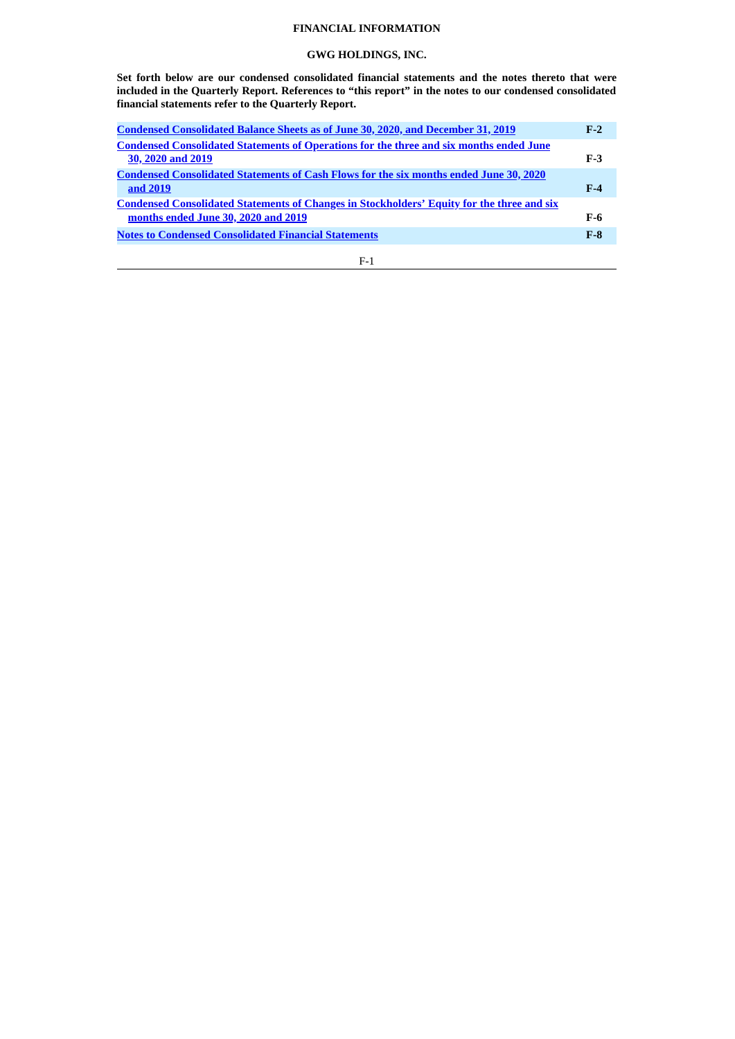# **FINANCIAL INFORMATION**

# **GWG HOLDINGS, INC.**

<span id="page-28-0"></span>**Set forth below are our condensed consolidated financial statements and the notes thereto that were included in the Quarterly Report. References to "this report" in the notes to our condensed consolidated financial statements refer to the Quarterly Report.**

| Condensed Consolidated Balance Sheets as of June 30, 2020, and December 31, 2019                  | $F-2$ |
|---------------------------------------------------------------------------------------------------|-------|
| <b>Condensed Consolidated Statements of Operations for the three and six months ended June</b>    |       |
| 30, 2020 and 2019                                                                                 | $F-3$ |
| <b>Condensed Consolidated Statements of Cash Flows for the six months ended June 30, 2020</b>     |       |
| and 2019                                                                                          | $F-4$ |
| <b>Condensed Consolidated Statements of Changes in Stockholders' Equity for the three and six</b> |       |
| months ended June 30, 2020 and 2019                                                               | F-6   |
| <b>Notes to Condensed Consolidated Financial Statements</b>                                       | $F-8$ |
|                                                                                                   |       |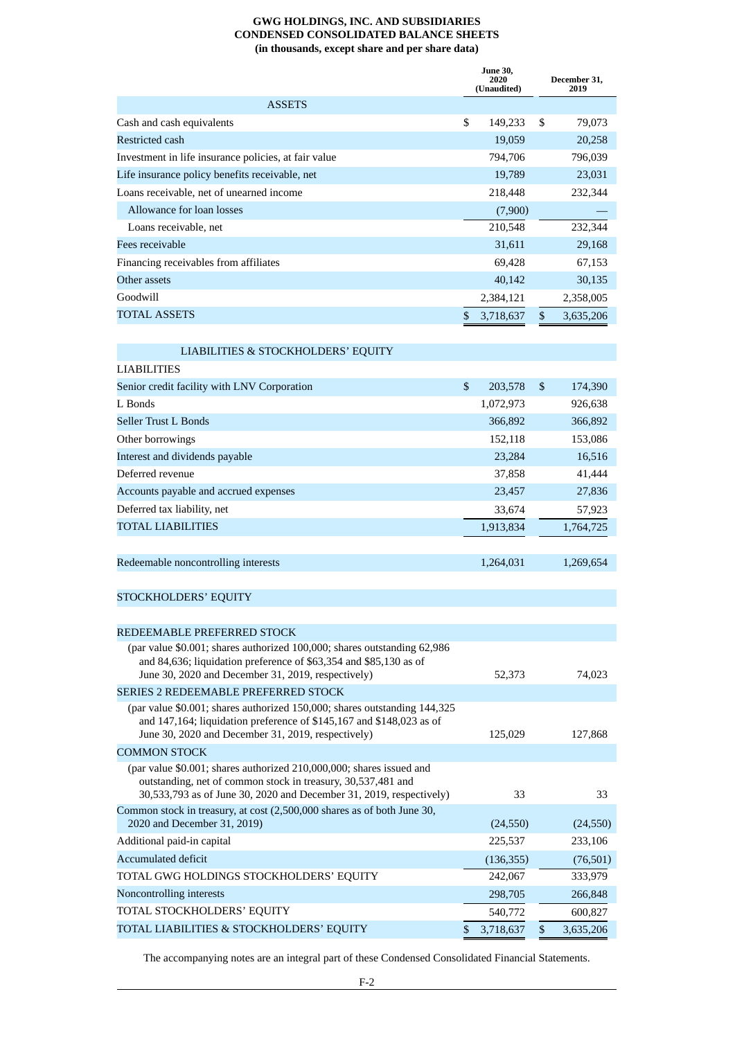# **GWG HOLDINGS, INC. AND SUBSIDIARIES CONDENSED CONSOLIDATED BALANCE SHEETS (in thousands, except share and per share data)**

<span id="page-29-0"></span>

|                                                                                                                                                                                                             | <b>June 30,</b><br>2020<br>(Unaudited) | December 31,<br>2019 |
|-------------------------------------------------------------------------------------------------------------------------------------------------------------------------------------------------------------|----------------------------------------|----------------------|
| <b>ASSETS</b>                                                                                                                                                                                               |                                        |                      |
| Cash and cash equivalents                                                                                                                                                                                   | \$<br>149,233                          | \$<br>79,073         |
| Restricted cash                                                                                                                                                                                             | 19,059                                 | 20,258               |
| Investment in life insurance policies, at fair value                                                                                                                                                        | 794,706                                | 796,039              |
| Life insurance policy benefits receivable, net                                                                                                                                                              | 19,789                                 | 23,031               |
| Loans receivable, net of unearned income                                                                                                                                                                    | 218,448                                | 232,344              |
| Allowance for loan losses                                                                                                                                                                                   | (7,900)                                |                      |
| Loans receivable, net                                                                                                                                                                                       | 210,548                                | 232,344              |
| Fees receivable                                                                                                                                                                                             | 31,611                                 | 29,168               |
| Financing receivables from affiliates                                                                                                                                                                       | 69,428                                 | 67,153               |
| Other assets                                                                                                                                                                                                | 40,142                                 | 30,135               |
| Goodwill                                                                                                                                                                                                    | 2,384,121                              | 2,358,005            |
| <b>TOTAL ASSETS</b>                                                                                                                                                                                         | \$<br>3,718,637                        | \$<br>3,635,206      |
| LIABILITIES & STOCKHOLDERS' EQUITY                                                                                                                                                                          |                                        |                      |
| <b>LIABILITIES</b>                                                                                                                                                                                          |                                        |                      |
| Senior credit facility with LNV Corporation                                                                                                                                                                 | \$<br>203,578                          | \$<br>174,390        |
| L Bonds                                                                                                                                                                                                     | 1,072,973                              | 926,638              |
| <b>Seller Trust L Bonds</b>                                                                                                                                                                                 | 366,892                                | 366,892              |
| Other borrowings                                                                                                                                                                                            | 152,118                                | 153,086              |
| Interest and dividends payable                                                                                                                                                                              | 23,284                                 | 16,516               |
| Deferred revenue                                                                                                                                                                                            | 37,858                                 | 41,444               |
| Accounts payable and accrued expenses                                                                                                                                                                       | 23,457                                 | 27,836               |
| Deferred tax liability, net                                                                                                                                                                                 | 33,674                                 | 57,923               |
| <b>TOTAL LIABILITIES</b>                                                                                                                                                                                    | 1,913,834                              | 1,764,725            |
|                                                                                                                                                                                                             |                                        |                      |
| Redeemable noncontrolling interests                                                                                                                                                                         | 1,264,031                              | 1,269,654            |
| STOCKHOLDERS' EQUITY                                                                                                                                                                                        |                                        |                      |
|                                                                                                                                                                                                             |                                        |                      |
| REDEEMABLE PREFERRED STOCK                                                                                                                                                                                  |                                        |                      |
| (par value \$0.001; shares authorized 100,000; shares outstanding 62,986<br>and 84,636; liquidation preference of \$63,354 and \$85,130 as of                                                               |                                        |                      |
| June 30, 2020 and December 31, 2019, respectively)                                                                                                                                                          | 52,373                                 | 74,023               |
| SERIES 2 REDEEMABLE PREFERRED STOCK<br>(par value \$0.001; shares authorized 150,000; shares outstanding 144,325                                                                                            |                                        |                      |
| and 147,164; liquidation preference of \$145,167 and \$148,023 as of<br>June 30, 2020 and December 31, 2019, respectively)                                                                                  | 125,029                                | 127,868              |
| <b>COMMON STOCK</b>                                                                                                                                                                                         |                                        |                      |
| (par value \$0.001; shares authorized 210,000,000; shares issued and<br>outstanding, net of common stock in treasury, 30,537,481 and<br>30,533,793 as of June 30, 2020 and December 31, 2019, respectively) | 33                                     | 33                   |
| Common stock in treasury, at cost (2,500,000 shares as of both June 30,<br>2020 and December 31, 2019)                                                                                                      | (24, 550)                              | (24, 550)            |
| Additional paid-in capital                                                                                                                                                                                  | 225,537                                | 233,106              |
| <b>Accumulated deficit</b>                                                                                                                                                                                  | (136, 355)                             | (76, 501)            |
| TOTAL GWG HOLDINGS STOCKHOLDERS' EQUITY                                                                                                                                                                     | 242,067                                | 333,979              |
| Noncontrolling interests                                                                                                                                                                                    | 298,705                                | 266,848              |
| TOTAL STOCKHOLDERS' EQUITY                                                                                                                                                                                  | 540,772                                | 600,827              |
| TOTAL LIABILITIES & STOCKHOLDERS' EQUITY                                                                                                                                                                    | \$<br>3,718,637                        | \$<br>3,635,206      |

The accompanying notes are an integral part of these Condensed Consolidated Financial Statements.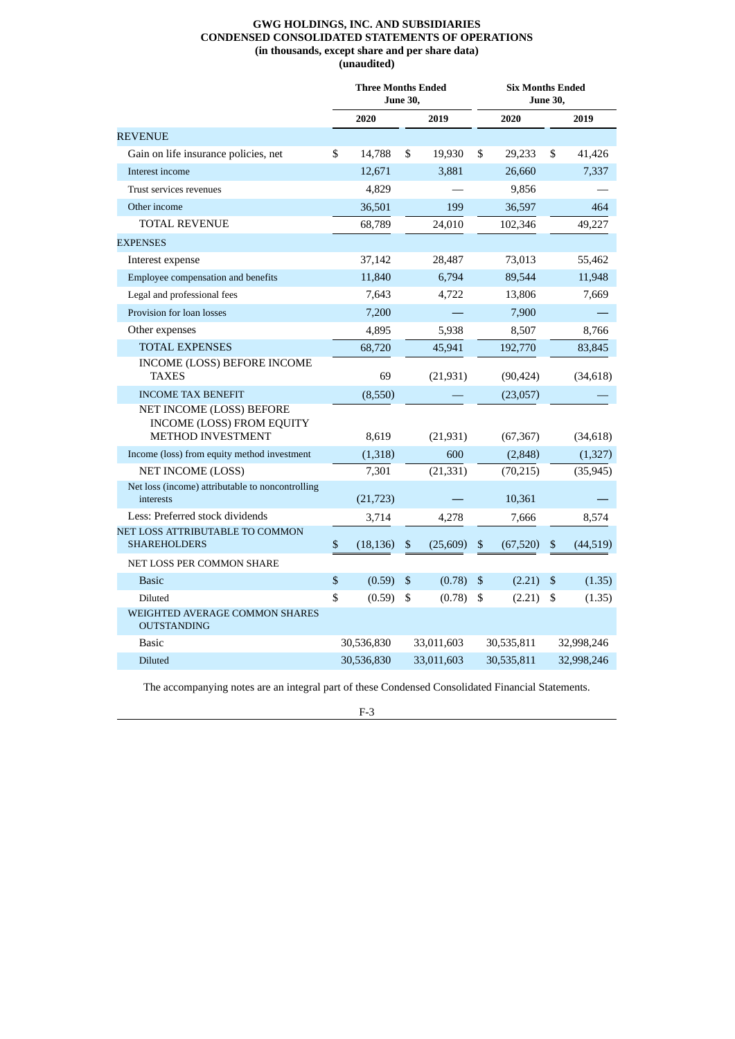## **GWG HOLDINGS, INC. AND SUBSIDIARIES CONDENSED CONSOLIDATED STATEMENTS OF OPERATIONS (in thousands, except share and per share data) (unaudited)**

<span id="page-30-0"></span>

|                                                                                          | <b>Three Months Ended</b><br><b>June 30,</b> |            |              |            | <b>Six Months Ended</b><br><b>June 30,</b> |            |              |            |
|------------------------------------------------------------------------------------------|----------------------------------------------|------------|--------------|------------|--------------------------------------------|------------|--------------|------------|
|                                                                                          |                                              | 2020       |              | 2019       |                                            | 2020       |              | 2019       |
| <b>REVENUE</b>                                                                           |                                              |            |              |            |                                            |            |              |            |
| Gain on life insurance policies, net                                                     | \$                                           | 14,788     | \$           | 19,930     | \$                                         | 29,233     | \$           | 41,426     |
| Interest income                                                                          |                                              | 12,671     |              | 3,881      |                                            | 26,660     |              | 7,337      |
| Trust services revenues                                                                  |                                              | 4,829      |              |            |                                            | 9,856      |              |            |
| Other income                                                                             |                                              | 36,501     |              | 199        |                                            | 36,597     |              | 464        |
| TOTAL REVENUE                                                                            |                                              | 68,789     |              | 24,010     |                                            | 102,346    |              | 49,227     |
| <b>EXPENSES</b>                                                                          |                                              |            |              |            |                                            |            |              |            |
| Interest expense                                                                         |                                              | 37,142     |              | 28,487     |                                            | 73,013     |              | 55,462     |
| Employee compensation and benefits                                                       |                                              | 11,840     |              | 6,794      |                                            | 89,544     |              | 11,948     |
| Legal and professional fees                                                              |                                              | 7,643      |              | 4,722      |                                            | 13,806     |              | 7,669      |
| Provision for loan losses                                                                |                                              | 7,200      |              |            |                                            | 7,900      |              |            |
| Other expenses                                                                           |                                              | 4,895      |              | 5,938      |                                            | 8,507      |              | 8,766      |
| <b>TOTAL EXPENSES</b>                                                                    |                                              | 68,720     |              | 45,941     |                                            | 192,770    |              | 83,845     |
| INCOME (LOSS) BEFORE INCOME<br><b>TAXES</b>                                              |                                              | 69         |              | (21, 931)  |                                            | (90, 424)  |              | (34, 618)  |
| <b>INCOME TAX BENEFIT</b>                                                                |                                              | (8,550)    |              |            |                                            | (23,057)   |              |            |
| NET INCOME (LOSS) BEFORE<br><b>INCOME (LOSS) FROM EQUITY</b><br><b>METHOD INVESTMENT</b> |                                              | 8,619      |              | (21, 931)  |                                            | (67, 367)  |              | (34, 618)  |
| Income (loss) from equity method investment                                              |                                              | (1,318)    |              | 600        |                                            | (2,848)    |              | (1, 327)   |
| NET INCOME (LOSS)                                                                        |                                              | 7,301      |              | (21, 331)  |                                            | (70, 215)  |              | (35, 945)  |
| Net loss (income) attributable to noncontrolling<br>interests                            |                                              | (21, 723)  |              |            |                                            | 10,361     |              |            |
| Less: Preferred stock dividends                                                          |                                              | 3,714      |              | 4,278      |                                            | 7,666      |              | 8,574      |
| NET LOSS ATTRIBUTABLE TO COMMON<br><b>SHAREHOLDERS</b>                                   | \$                                           | (18, 136)  | \$           | (25,609)   | \$                                         | (67, 520)  | \$           | (44, 519)  |
| NET LOSS PER COMMON SHARE                                                                |                                              |            |              |            |                                            |            |              |            |
| <b>Basic</b>                                                                             | \$                                           | (0.59)     | $\mathbb{S}$ | (0.78)     | ${\mathbb S}$                              | (2.21)     | $\mathbb{S}$ | (1.35)     |
| Diluted                                                                                  | \$                                           | (0.59)     | \$           | (0.78)     | \$                                         | (2.21)     | \$           | (1.35)     |
| WEIGHTED AVERAGE COMMON SHARES<br><b>OUTSTANDING</b>                                     |                                              |            |              |            |                                            |            |              |            |
| <b>Basic</b>                                                                             |                                              | 30,536,830 |              | 33,011,603 |                                            | 30,535,811 |              | 32,998,246 |
| <b>Diluted</b>                                                                           |                                              | 30,536,830 |              | 33,011,603 |                                            | 30,535,811 |              | 32,998,246 |

The accompanying notes are an integral part of these Condensed Consolidated Financial Statements.

F-3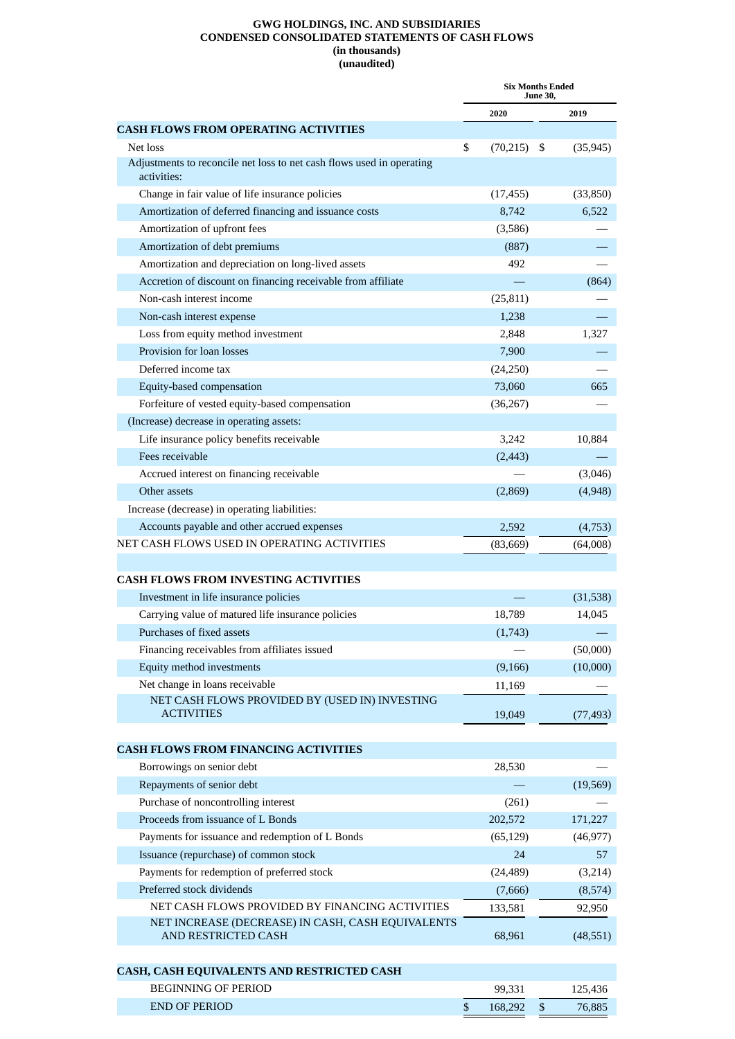### **GWG HOLDINGS, INC. AND SUBSIDIARIES CONDENSED CONSOLIDATED STATEMENTS OF CASH FLOWS (in thousands) (unaudited)**

<span id="page-31-0"></span>

|                                                                                      | <b>Six Months Ended</b><br>June 30, |    |           |
|--------------------------------------------------------------------------------------|-------------------------------------|----|-----------|
|                                                                                      | 2020                                |    | 2019      |
| <b>CASH FLOWS FROM OPERATING ACTIVITIES</b>                                          |                                     |    |           |
| Net loss                                                                             | \$<br>$(70,215)$ \$                 |    | (35, 945) |
| Adjustments to reconcile net loss to net cash flows used in operating<br>activities: |                                     |    |           |
| Change in fair value of life insurance policies                                      | (17, 455)                           |    | (33,850)  |
| Amortization of deferred financing and issuance costs                                | 8,742                               |    | 6,522     |
| Amortization of upfront fees                                                         | (3,586)                             |    |           |
| Amortization of debt premiums                                                        | (887)                               |    |           |
| Amortization and depreciation on long-lived assets                                   | 492                                 |    |           |
| Accretion of discount on financing receivable from affiliate                         |                                     |    | (864)     |
| Non-cash interest income                                                             | (25, 811)                           |    |           |
| Non-cash interest expense                                                            | 1,238                               |    |           |
| Loss from equity method investment                                                   | 2,848                               |    | 1,327     |
| Provision for loan losses                                                            | 7,900                               |    |           |
| Deferred income tax                                                                  | (24,250)                            |    |           |
| Equity-based compensation                                                            | 73,060                              |    | 665       |
| Forfeiture of vested equity-based compensation                                       | (36, 267)                           |    |           |
| (Increase) decrease in operating assets:                                             |                                     |    |           |
| Life insurance policy benefits receivable                                            | 3,242                               |    | 10,884    |
| Fees receivable                                                                      | (2, 443)                            |    |           |
| Accrued interest on financing receivable                                             |                                     |    | (3,046)   |
| Other assets                                                                         | (2,869)                             |    | (4,948)   |
| Increase (decrease) in operating liabilities:                                        |                                     |    |           |
| Accounts payable and other accrued expenses                                          | 2,592                               |    | (4,753)   |
| NET CASH FLOWS USED IN OPERATING ACTIVITIES                                          | (83, 669)                           |    | (64,008)  |
|                                                                                      |                                     |    |           |
| <b>CASH FLOWS FROM INVESTING ACTIVITIES</b>                                          |                                     |    |           |
| Investment in life insurance policies                                                |                                     |    | (31,538)  |
| Carrying value of matured life insurance policies                                    | 18,789                              |    | 14,045    |
| Purchases of fixed assets                                                            | (1,743)                             |    |           |
| Financing receivables from affiliates issued                                         |                                     |    | (50,000)  |
| Equity method investments                                                            | (9, 166)                            |    | (10,000)  |
| Net change in loans receivable                                                       | 11,169                              |    |           |
| NET CASH FLOWS PROVIDED BY (USED IN) INVESTING                                       |                                     |    |           |
| <b>ACTIVITIES</b>                                                                    | 19,049                              |    | (77, 493) |
| <b>CASH FLOWS FROM FINANCING ACTIVITIES</b>                                          |                                     |    |           |
| Borrowings on senior debt                                                            | 28,530                              |    |           |
| Repayments of senior debt                                                            |                                     |    | (19, 569) |
| Purchase of noncontrolling interest                                                  | (261)                               |    |           |
| Proceeds from issuance of L Bonds                                                    | 202,572                             |    | 171,227   |
| Payments for issuance and redemption of L Bonds                                      | (65, 129)                           |    | (46, 977) |
| Issuance (repurchase) of common stock                                                | 24                                  |    | 57        |
| Payments for redemption of preferred stock                                           | (24, 489)                           |    | (3,214)   |
| Preferred stock dividends                                                            | (7,666)                             |    | (8,574)   |
| NET CASH FLOWS PROVIDED BY FINANCING ACTIVITIES                                      | 133,581                             |    | 92,950    |
| NET INCREASE (DECREASE) IN CASH, CASH EQUIVALENTS<br>AND RESTRICTED CASH             | 68,961                              |    | (48, 551) |
|                                                                                      |                                     |    |           |
| CASH, CASH EQUIVALENTS AND RESTRICTED CASH                                           |                                     |    |           |
| <b>BEGINNING OF PERIOD</b>                                                           | 99,331                              |    | 125,436   |
| <b>END OF PERIOD</b>                                                                 | \$<br>168,292                       | \$ | 76,885    |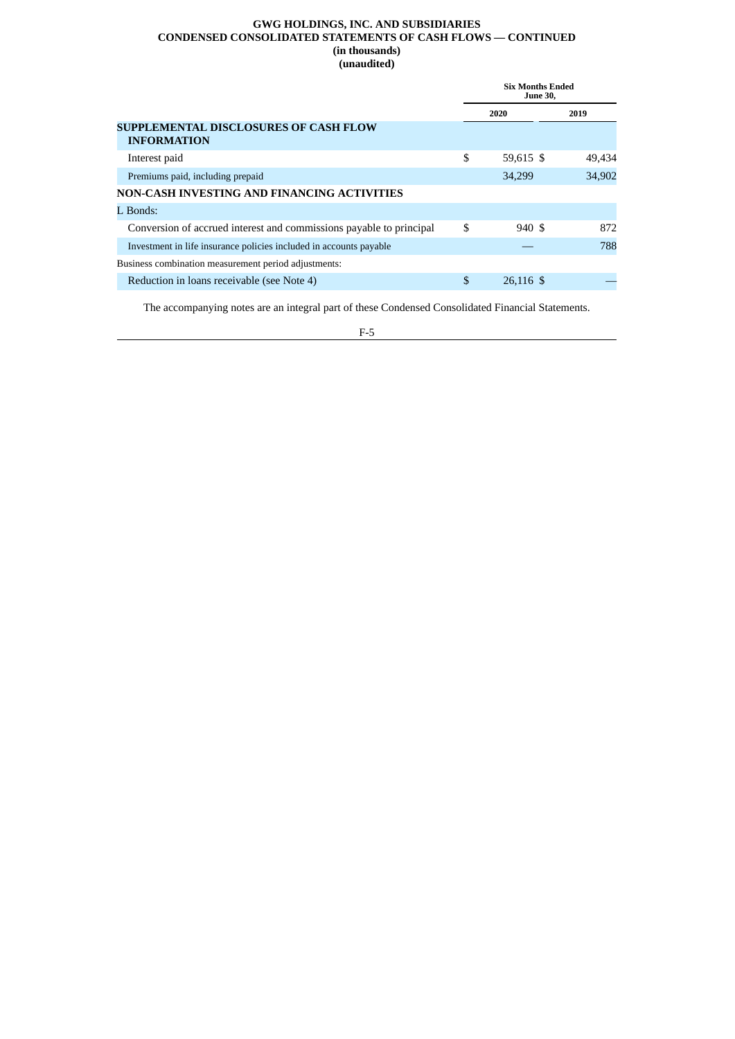### **GWG HOLDINGS, INC. AND SUBSIDIARIES CONDENSED CONSOLIDATED STATEMENTS OF CASH FLOWS — CONTINUED (in thousands) (unaudited)**

|                                                                     | <b>Six Months Ended</b><br><b>June 30.</b> |        |
|---------------------------------------------------------------------|--------------------------------------------|--------|
|                                                                     | 2020                                       | 2019   |
| <b>SUPPLEMENTAL DISCLOSURES OF CASH FLOW</b><br><b>INFORMATION</b>  |                                            |        |
| Interest paid                                                       | \$<br>59,615 \$                            | 49,434 |
| Premiums paid, including prepaid                                    | 34,299                                     | 34,902 |
| NON-CASH INVESTING AND FINANCING ACTIVITIES                         |                                            |        |
| L Bonds:                                                            |                                            |        |
| Conversion of accrued interest and commissions payable to principal | \$<br>940S                                 | 872    |
| Investment in life insurance policies included in accounts payable  |                                            | 788    |
| Business combination measurement period adjustments:                |                                            |        |
| Reduction in loans receivable (see Note 4)                          | \$<br>26.116 \$                            |        |

The accompanying notes are an integral part of these Condensed Consolidated Financial Statements.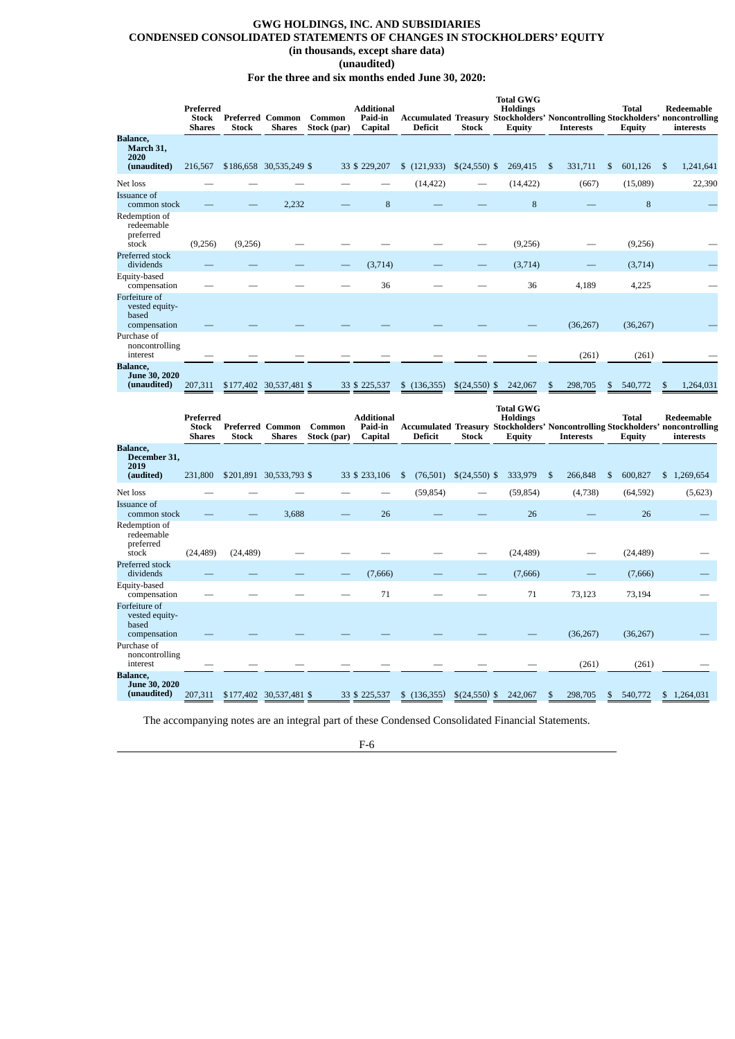# <span id="page-34-0"></span>**GWG HOLDINGS, INC. AND SUBSIDIARIES CONDENSED CONSOLIDATED STATEMENTS OF CHANGES IN STOCKHOLDERS' EQUITY (in thousands, except share data)**

# **(unaudited)**

**For the three and six months ended June 30, 2020:**

|                                                              | Preferred<br><b>Stock</b><br><b>Shares</b> | <b>Stock</b> | <b>Preferred Common</b><br><b>Shares</b> | Common<br>Stock (par) | Additional<br>Paid-in<br>Capital        | <b>Deficit</b>            | <b>Stock</b>                | <b>Total GWG</b><br><b>Holdings</b><br>Equity | <b>Interests</b> | Total<br><b>Equity</b>        | Redeemable<br><b>Accumulated Treasury Stockholders' Noncontrolling Stockholders' noncontrolling</b><br>interests |
|--------------------------------------------------------------|--------------------------------------------|--------------|------------------------------------------|-----------------------|-----------------------------------------|---------------------------|-----------------------------|-----------------------------------------------|------------------|-------------------------------|------------------------------------------------------------------------------------------------------------------|
| <b>Balance,</b><br>March 31,<br>2020                         |                                            |              |                                          |                       |                                         |                           |                             |                                               |                  |                               |                                                                                                                  |
| (unaudited)                                                  | 216,567                                    |              | \$186,658 30,535,249 \$                  |                       | 33 \$ 229,207                           | $(121,933)$ $(24,550)$ \$ |                             | 269,415                                       | \$<br>331,711    | $\mathfrak{S}$<br>601,126     | 1,241,641<br>-\$                                                                                                 |
| Net loss                                                     |                                            |              |                                          |                       |                                         | (14, 422)                 |                             | (14, 422)                                     | (667)            | (15,089)                      | 22,390                                                                                                           |
| Issuance of<br>common stock                                  |                                            |              | 2.232                                    |                       | 8                                       |                           |                             | 8                                             |                  | 8                             |                                                                                                                  |
| Redemption of<br>redeemable<br>preferred<br>stock            | (9,256)                                    | (9,256)      |                                          |                       |                                         |                           |                             | (9,256)                                       |                  | (9,256)                       |                                                                                                                  |
| Preferred stock<br>dividends                                 |                                            |              |                                          |                       | (3,714)                                 |                           |                             | (3,714)                                       |                  | (3,714)                       |                                                                                                                  |
| Equity-based<br>compensation                                 |                                            |              |                                          |                       | 36                                      |                           |                             | 36                                            | 4,189            | 4,225                         |                                                                                                                  |
| Forfeiture of<br>vested equity-<br>based<br>compensation     |                                            |              |                                          |                       |                                         |                           |                             |                                               | (36, 267)        | (36, 267)                     |                                                                                                                  |
| Purchase of<br>noncontrolling<br>interest                    |                                            |              |                                          |                       |                                         |                           |                             |                                               | (261)            | (261)                         |                                                                                                                  |
| <b>Balance,</b><br><b>June 30, 2020</b><br>(unaudited)       | 207,311                                    | \$177,402    | 30,537,481 \$                            |                       | 33 \$ 225,537                           | \$(136,355)               | \$(24,550)                  | $\mathbb{S}$<br>242,067                       | 298,705<br>\$    | 540,772<br>\$                 | 1,264,031<br>Я                                                                                                   |
|                                                              |                                            |              |                                          |                       |                                         |                           |                             |                                               |                  |                               |                                                                                                                  |
|                                                              | Preferred<br><b>Stock</b><br><b>Shares</b> | Stock        | <b>Preferred Common</b><br>Shares        | Common<br>Stock (par) | <b>Additional</b><br>Paid-in<br>Capital | <b>Deficit</b>            | <b>Stock</b>                | <b>Total GWG</b><br><b>Holdings</b><br>Equity | <b>Interests</b> | <b>Total</b><br><b>Equity</b> | Redeemable<br><b>Accumulated Treasury Stockholders' Noncontrolling Stockholders' noncontrolling</b><br>interests |
| <b>Balance</b> ,<br>December 31,<br>2019                     |                                            |              |                                          |                       |                                         |                           |                             |                                               |                  |                               |                                                                                                                  |
| (audited)                                                    | 231,800                                    |              | \$201,891 30,533,793 \$                  |                       | 33 \$ 233,106                           | $\mathfrak s$             | $(76,501)$ \$ $(24,550)$ \$ | 333,979                                       | -S<br>266,848    | 600,827<br>$\mathbf{s}$       | \$1,269,654                                                                                                      |
| Net loss                                                     |                                            |              |                                          |                       |                                         | (59, 854)                 |                             | (59, 854)                                     | (4,738)          | (64, 592)                     | (5,623)                                                                                                          |
| Issuance of<br>common stock                                  |                                            |              | 3,688                                    |                       | 26                                      |                           |                             | 26                                            |                  | 26                            |                                                                                                                  |
| Redemption of<br>redeemable<br>preferred<br>stock            | (24, 489)                                  | (24, 489)    |                                          |                       |                                         |                           |                             | (24, 489)                                     |                  | (24, 489)                     |                                                                                                                  |
| Preferred stock                                              |                                            |              |                                          |                       |                                         |                           |                             |                                               |                  |                               |                                                                                                                  |
| dividends<br>Equity-based<br>compensation                    |                                            |              |                                          |                       | (7,666)<br>71                           |                           |                             | (7,666)<br>71                                 | 73,123           | (7,666)<br>73,194             |                                                                                                                  |
| Forfeiture of<br>vested equity-<br>based<br>compensation     |                                            |              |                                          |                       |                                         |                           |                             |                                               | (36, 267)        | (36, 267)                     |                                                                                                                  |
| Purchase of<br>noncontrolling<br>interest<br><b>Balance,</b> |                                            |              |                                          |                       |                                         |                           |                             |                                               | (261)            | (261)                         |                                                                                                                  |

The accompanying notes are an integral part of these Condensed Consolidated Financial Statements.

F-6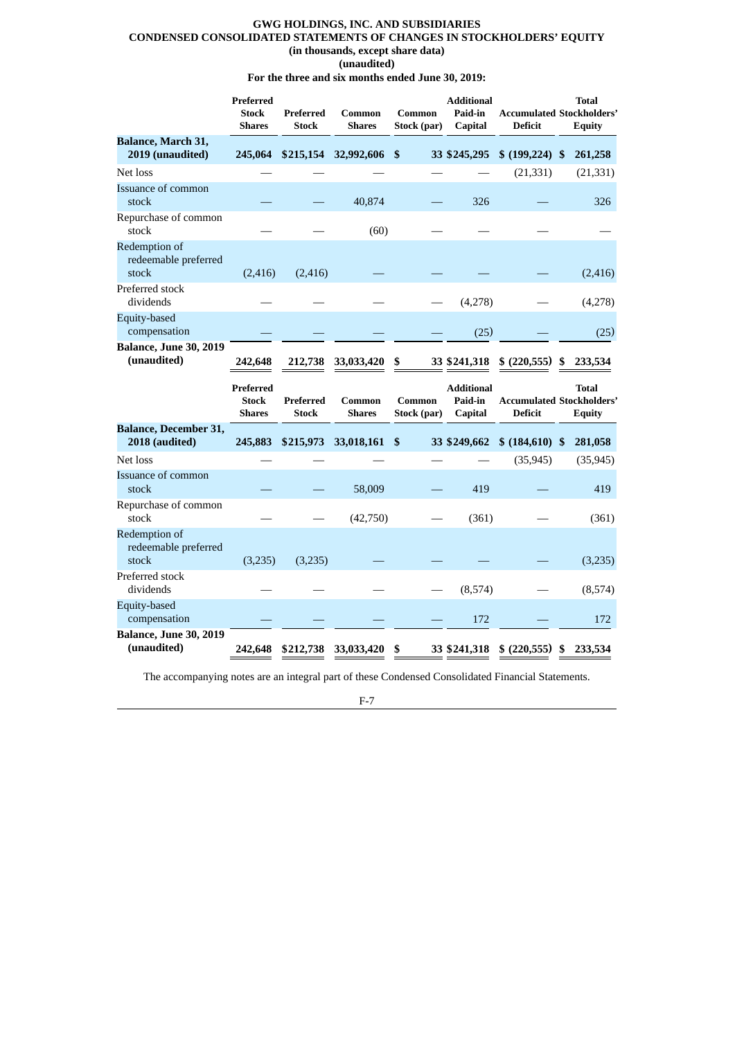## **GWG HOLDINGS, INC. AND SUBSIDIARIES CONDENSED CONSOLIDATED STATEMENTS OF CHANGES IN STOCKHOLDERS' EQUITY (in thousands, except share data) (unaudited)**

**For the three and six months ended June 30, 2019:**

|                                                | Preferred<br><b>Stock</b><br><b>Shares</b> | Preferred<br><b>Stock</b> | Common<br><b>Shares</b> | Common<br>Stock (par)     | <b>Additional</b><br>Paid-in<br>Capital | <b>Accumulated Stockholders'</b><br><b>Deficit</b> |   | <b>Total</b><br><b>Equity</b> |
|------------------------------------------------|--------------------------------------------|---------------------------|-------------------------|---------------------------|-----------------------------------------|----------------------------------------------------|---|-------------------------------|
| Balance, March 31,<br>2019 (unaudited)         | 245,064                                    | \$215,154                 | 32,992,606              | -\$                       | 33 \$245,295                            | \$ (199, 224) \$                                   |   | 261,258                       |
| Net loss                                       |                                            |                           |                         |                           |                                         | (21, 331)                                          |   | (21, 331)                     |
| <b>Issuance of common</b><br>stock             |                                            |                           | 40,874                  |                           | 326                                     |                                                    |   | 326                           |
| Repurchase of common<br>stock                  |                                            |                           | (60)                    |                           |                                         |                                                    |   |                               |
| Redemption of<br>redeemable preferred<br>stock | (2, 416)                                   | (2, 416)                  |                         |                           |                                         |                                                    |   | (2, 416)                      |
| Preferred stock<br>dividends                   |                                            |                           |                         |                           | (4,278)                                 |                                                    |   | (4,278)                       |
| Equity-based<br>compensation                   |                                            |                           |                         |                           | (25)                                    |                                                    |   | (25)                          |
| <b>Balance, June 30, 2019</b><br>(unaudited)   | 242,648                                    | 212,738                   | 33,033,420              | \$                        | 33 \$241,318                            | $$$ (220,555)                                      | S | 233,534                       |
|                                                |                                            |                           |                         |                           |                                         |                                                    |   |                               |
|                                                | Preferred<br><b>Stock</b><br><b>Shares</b> | Preferred<br>Stock        | Common<br><b>Shares</b> | Common<br>Stock (par)     | <b>Additional</b><br>Paid-in<br>Capital | <b>Accumulated Stockholders'</b><br><b>Deficit</b> |   | Total<br><b>Equity</b>        |
| <b>Balance, December 31,</b><br>2018 (audited) | 245,883                                    | \$215,973                 | 33,018,161              | $\boldsymbol{\mathsf{s}}$ | 33 \$249,662                            | \$ (184,610) \$                                    |   | 281,058                       |
| Net loss                                       |                                            |                           |                         |                           |                                         | (35, 945)                                          |   | (35, 945)                     |
| Issuance of common<br>stock                    |                                            |                           | 58,009                  |                           | 419                                     |                                                    |   | 419                           |
| Repurchase of common<br>stock                  |                                            |                           | (42,750)                |                           | (361)                                   |                                                    |   | (361)                         |
| Redemption of<br>redeemable preferred<br>stock | (3,235)                                    | (3,235)                   |                         |                           |                                         |                                                    |   | (3,235)                       |
| Preferred stock<br>dividends                   |                                            |                           |                         |                           | (8,574)                                 |                                                    |   | (8,574)                       |
| Equity-based<br>compensation                   |                                            |                           |                         |                           | 172                                     |                                                    |   | 172                           |

The accompanying notes are an integral part of these Condensed Consolidated Financial Statements.

F-7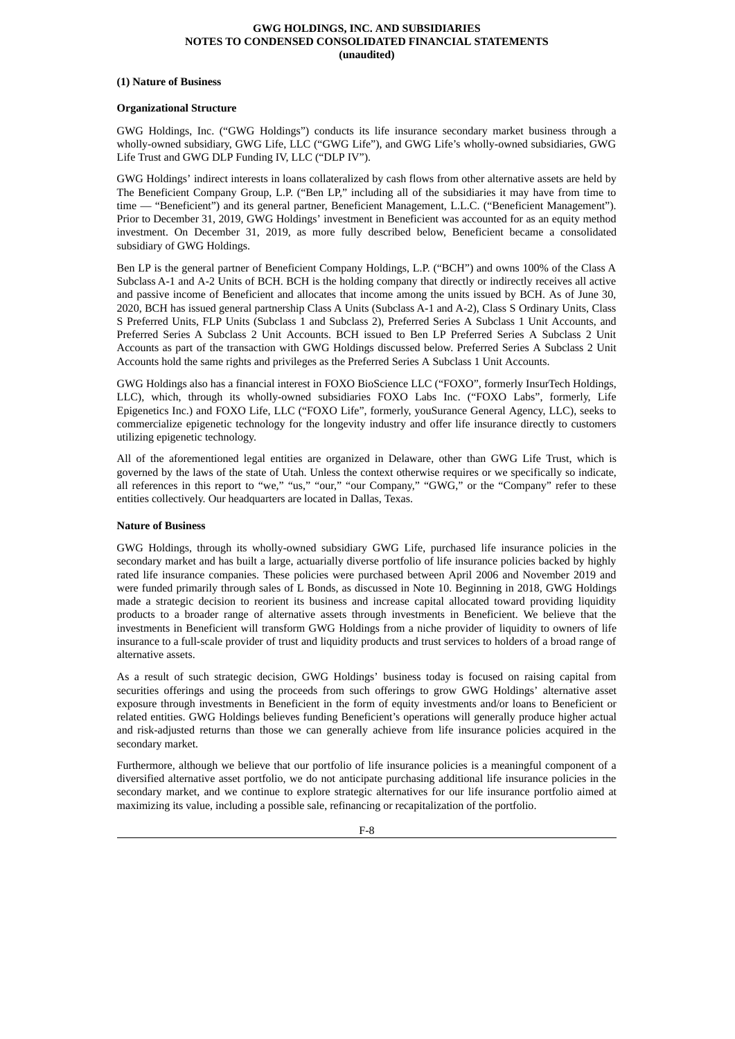#### **(1) Nature of Business**

# **Organizational Structure**

GWG Holdings, Inc. ("GWG Holdings") conducts its life insurance secondary market business through a wholly-owned subsidiary, GWG Life, LLC ("GWG Life"), and GWG Life's wholly-owned subsidiaries, GWG Life Trust and GWG DLP Funding IV, LLC ("DLP IV").

GWG Holdings' indirect interests in loans collateralized by cash flows from other alternative assets are held by The Beneficient Company Group, L.P. ("Ben LP," including all of the subsidiaries it may have from time to time — "Beneficient") and its general partner, Beneficient Management, L.L.C. ("Beneficient Management"). Prior to December 31, 2019, GWG Holdings' investment in Beneficient was accounted for as an equity method investment. On December 31, 2019, as more fully described below, Beneficient became a consolidated subsidiary of GWG Holdings.

Ben LP is the general partner of Beneficient Company Holdings, L.P. ("BCH") and owns 100% of the Class A Subclass A-1 and A-2 Units of BCH. BCH is the holding company that directly or indirectly receives all active and passive income of Beneficient and allocates that income among the units issued by BCH. As of June 30, 2020, BCH has issued general partnership Class A Units (Subclass A-1 and A-2), Class S Ordinary Units, Class S Preferred Units, FLP Units (Subclass 1 and Subclass 2), Preferred Series A Subclass 1 Unit Accounts, and Preferred Series A Subclass 2 Unit Accounts. BCH issued to Ben LP Preferred Series A Subclass 2 Unit Accounts as part of the transaction with GWG Holdings discussed below. Preferred Series A Subclass 2 Unit Accounts hold the same rights and privileges as the Preferred Series A Subclass 1 Unit Accounts.

GWG Holdings also has a financial interest in FOXO BioScience LLC ("FOXO", formerly InsurTech Holdings, LLC), which, through its wholly-owned subsidiaries FOXO Labs Inc. ("FOXO Labs", formerly, Life Epigenetics Inc.) and FOXO Life, LLC ("FOXO Life", formerly, youSurance General Agency, LLC), seeks to commercialize epigenetic technology for the longevity industry and offer life insurance directly to customers utilizing epigenetic technology.

All of the aforementioned legal entities are organized in Delaware, other than GWG Life Trust, which is governed by the laws of the state of Utah. Unless the context otherwise requires or we specifically so indicate, all references in this report to "we," "us," "our," "our Company," "GWG," or the "Company" refer to these entities collectively. Our headquarters are located in Dallas, Texas.

# **Nature of Business**

GWG Holdings, through its wholly-owned subsidiary GWG Life, purchased life insurance policies in the secondary market and has built a large, actuarially diverse portfolio of life insurance policies backed by highly rated life insurance companies. These policies were purchased between April 2006 and November 2019 and were funded primarily through sales of L Bonds, as discussed in Note 10. Beginning in 2018, GWG Holdings made a strategic decision to reorient its business and increase capital allocated toward providing liquidity products to a broader range of alternative assets through investments in Beneficient. We believe that the investments in Beneficient will transform GWG Holdings from a niche provider of liquidity to owners of life insurance to a full-scale provider of trust and liquidity products and trust services to holders of a broad range of alternative assets.

As a result of such strategic decision, GWG Holdings' business today is focused on raising capital from securities offerings and using the proceeds from such offerings to grow GWG Holdings' alternative asset exposure through investments in Beneficient in the form of equity investments and/or loans to Beneficient or related entities. GWG Holdings believes funding Beneficient's operations will generally produce higher actual and risk-adjusted returns than those we can generally achieve from life insurance policies acquired in the secondary market.

Furthermore, although we believe that our portfolio of life insurance policies is a meaningful component of a diversified alternative asset portfolio, we do not anticipate purchasing additional life insurance policies in the secondary market, and we continue to explore strategic alternatives for our life insurance portfolio aimed at maximizing its value, including a possible sale, refinancing or recapitalization of the portfolio.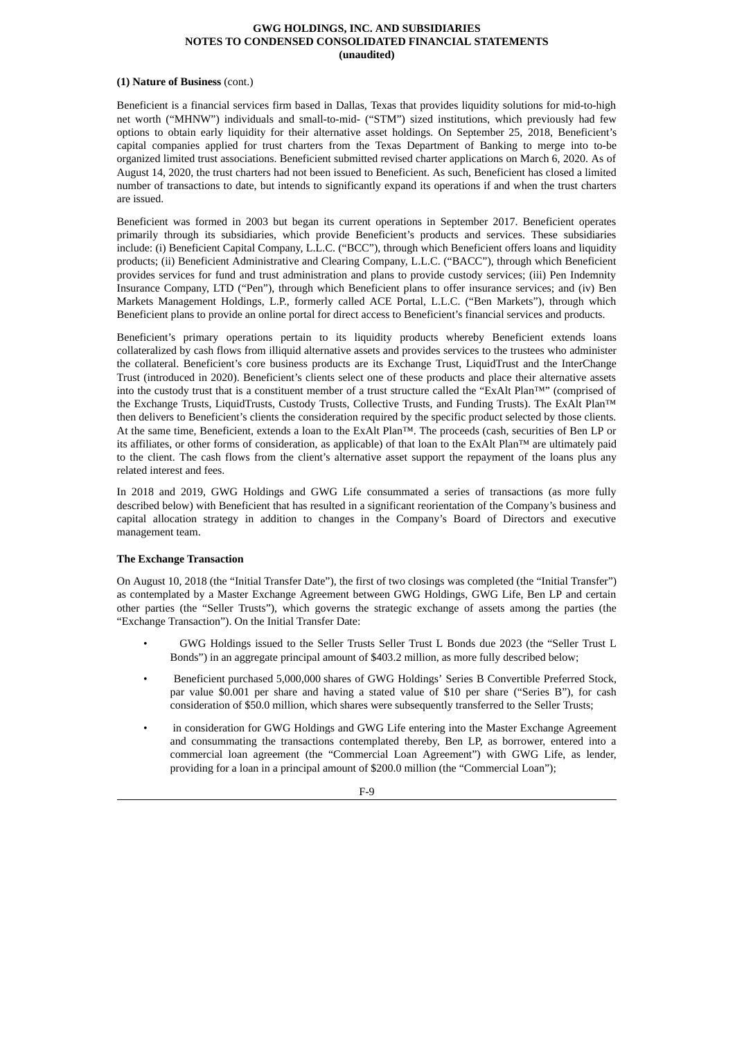#### **(1) Nature of Business** (cont.)

Beneficient is a financial services firm based in Dallas, Texas that provides liquidity solutions for mid-to-high net worth ("MHNW") individuals and small-to-mid- ("STM") sized institutions, which previously had few options to obtain early liquidity for their alternative asset holdings. On September 25, 2018, Beneficient's capital companies applied for trust charters from the Texas Department of Banking to merge into to-be organized limited trust associations. Beneficient submitted revised charter applications on March 6, 2020. As of August 14, 2020, the trust charters had not been issued to Beneficient. As such, Beneficient has closed a limited number of transactions to date, but intends to significantly expand its operations if and when the trust charters are issued.

Beneficient was formed in 2003 but began its current operations in September 2017. Beneficient operates primarily through its subsidiaries, which provide Beneficient's products and services. These subsidiaries include: (i) Beneficient Capital Company, L.L.C. ("BCC"), through which Beneficient offers loans and liquidity products; (ii) Beneficient Administrative and Clearing Company, L.L.C. ("BACC"), through which Beneficient provides services for fund and trust administration and plans to provide custody services; (iii) Pen Indemnity Insurance Company, LTD ("Pen"), through which Beneficient plans to offer insurance services; and (iv) Ben Markets Management Holdings, L.P., formerly called ACE Portal, L.L.C. ("Ben Markets"), through which Beneficient plans to provide an online portal for direct access to Beneficient's financial services and products.

Beneficient's primary operations pertain to its liquidity products whereby Beneficient extends loans collateralized by cash flows from illiquid alternative assets and provides services to the trustees who administer the collateral. Beneficient's core business products are its Exchange Trust, LiquidTrust and the InterChange Trust (introduced in 2020). Beneficient's clients select one of these products and place their alternative assets into the custody trust that is a constituent member of a trust structure called the "ExAlt Plan™" (comprised of the Exchange Trusts, LiquidTrusts, Custody Trusts, Collective Trusts, and Funding Trusts). The ExAlt Plan™ then delivers to Beneficient's clients the consideration required by the specific product selected by those clients. At the same time, Beneficient, extends a loan to the ExAlt Plan™. The proceeds (cash, securities of Ben LP or its affiliates, or other forms of consideration, as applicable) of that loan to the ExAlt Plan™ are ultimately paid to the client. The cash flows from the client's alternative asset support the repayment of the loans plus any related interest and fees.

In 2018 and 2019, GWG Holdings and GWG Life consummated a series of transactions (as more fully described below) with Beneficient that has resulted in a significant reorientation of the Company's business and capital allocation strategy in addition to changes in the Company's Board of Directors and executive management team.

# **The Exchange Transaction**

On August 10, 2018 (the "Initial Transfer Date"), the first of two closings was completed (the "Initial Transfer") as contemplated by a Master Exchange Agreement between GWG Holdings, GWG Life, Ben LP and certain other parties (the "Seller Trusts"), which governs the strategic exchange of assets among the parties (the "Exchange Transaction"). On the Initial Transfer Date:

- GWG Holdings issued to the Seller Trusts Seller Trust L Bonds due 2023 (the "Seller Trust L Bonds") in an aggregate principal amount of \$403.2 million, as more fully described below;
- Beneficient purchased 5,000,000 shares of GWG Holdings' Series B Convertible Preferred Stock, par value \$0.001 per share and having a stated value of \$10 per share ("Series B"), for cash consideration of \$50.0 million, which shares were subsequently transferred to the Seller Trusts;
- in consideration for GWG Holdings and GWG Life entering into the Master Exchange Agreement and consummating the transactions contemplated thereby, Ben LP, as borrower, entered into a commercial loan agreement (the "Commercial Loan Agreement") with GWG Life, as lender, providing for a loan in a principal amount of \$200.0 million (the "Commercial Loan");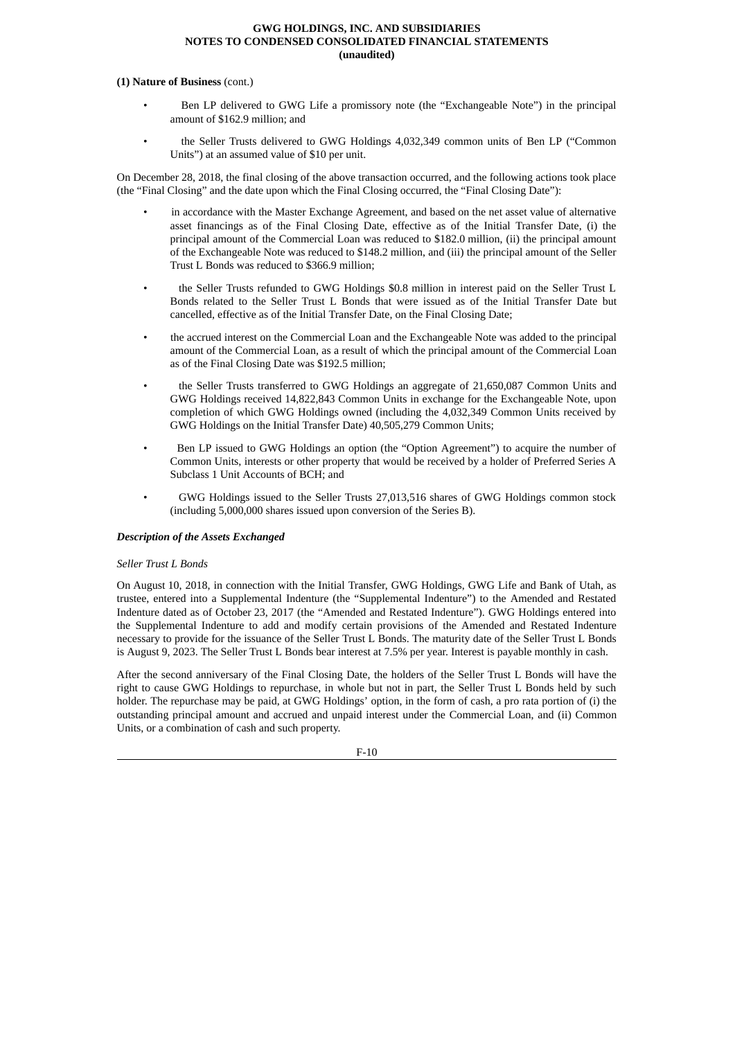#### **(1) Nature of Business** (cont.)

- Ben LP delivered to GWG Life a promissory note (the "Exchangeable Note") in the principal amount of \$162.9 million; and
- the Seller Trusts delivered to GWG Holdings 4,032,349 common units of Ben LP ("Common Units") at an assumed value of \$10 per unit.

On December 28, 2018, the final closing of the above transaction occurred, and the following actions took place (the "Final Closing" and the date upon which the Final Closing occurred, the "Final Closing Date"):

- in accordance with the Master Exchange Agreement, and based on the net asset value of alternative asset financings as of the Final Closing Date, effective as of the Initial Transfer Date, (i) the principal amount of the Commercial Loan was reduced to \$182.0 million, (ii) the principal amount of the Exchangeable Note was reduced to \$148.2 million, and (iii) the principal amount of the Seller Trust L Bonds was reduced to \$366.9 million;
- the Seller Trusts refunded to GWG Holdings \$0.8 million in interest paid on the Seller Trust L Bonds related to the Seller Trust L Bonds that were issued as of the Initial Transfer Date but cancelled, effective as of the Initial Transfer Date, on the Final Closing Date;
- the accrued interest on the Commercial Loan and the Exchangeable Note was added to the principal amount of the Commercial Loan, as a result of which the principal amount of the Commercial Loan as of the Final Closing Date was \$192.5 million;
- the Seller Trusts transferred to GWG Holdings an aggregate of 21,650,087 Common Units and GWG Holdings received 14,822,843 Common Units in exchange for the Exchangeable Note, upon completion of which GWG Holdings owned (including the 4,032,349 Common Units received by GWG Holdings on the Initial Transfer Date) 40,505,279 Common Units;
- Ben LP issued to GWG Holdings an option (the "Option Agreement") to acquire the number of Common Units, interests or other property that would be received by a holder of Preferred Series A Subclass 1 Unit Accounts of BCH; and
- GWG Holdings issued to the Seller Trusts 27,013,516 shares of GWG Holdings common stock (including 5,000,000 shares issued upon conversion of the Series B).

#### *Description of the Assets Exchanged*

#### *Seller Trust L Bonds*

On August 10, 2018, in connection with the Initial Transfer, GWG Holdings, GWG Life and Bank of Utah, as trustee, entered into a Supplemental Indenture (the "Supplemental Indenture") to the Amended and Restated Indenture dated as of October 23, 2017 (the "Amended and Restated Indenture"). GWG Holdings entered into the Supplemental Indenture to add and modify certain provisions of the Amended and Restated Indenture necessary to provide for the issuance of the Seller Trust L Bonds. The maturity date of the Seller Trust L Bonds is August 9, 2023. The Seller Trust L Bonds bear interest at 7.5% per year. Interest is payable monthly in cash.

After the second anniversary of the Final Closing Date, the holders of the Seller Trust L Bonds will have the right to cause GWG Holdings to repurchase, in whole but not in part, the Seller Trust L Bonds held by such holder. The repurchase may be paid, at GWG Holdings' option, in the form of cash, a pro rata portion of (i) the outstanding principal amount and accrued and unpaid interest under the Commercial Loan, and (ii) Common Units, or a combination of cash and such property.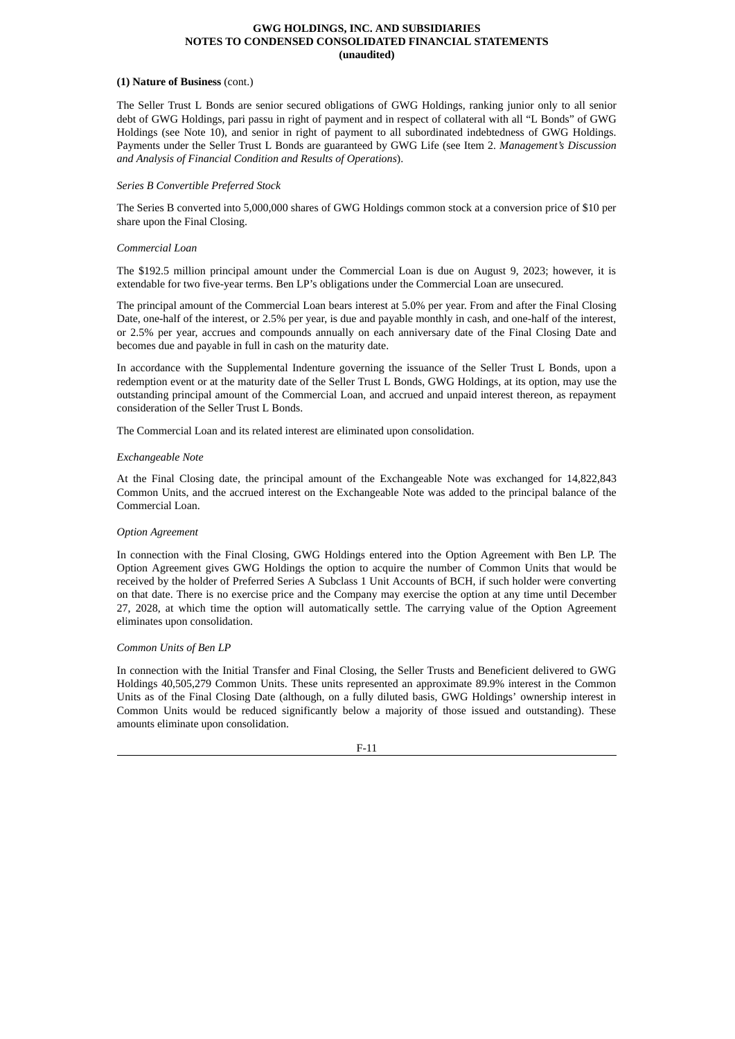#### **(1) Nature of Business** (cont.)

The Seller Trust L Bonds are senior secured obligations of GWG Holdings, ranking junior only to all senior debt of GWG Holdings, pari passu in right of payment and in respect of collateral with all "L Bonds" of GWG Holdings (see Note 10), and senior in right of payment to all subordinated indebtedness of GWG Holdings. Payments under the Seller Trust L Bonds are guaranteed by GWG Life (see Item 2. *Management's Discussion and Analysis of Financial Condition and Results of Operations*).

# *Series B Convertible Preferred Stock*

The Series B converted into 5,000,000 shares of GWG Holdings common stock at a conversion price of \$10 per share upon the Final Closing.

# *Commercial Loan*

The \$192.5 million principal amount under the Commercial Loan is due on August 9, 2023; however, it is extendable for two five-year terms. Ben LP's obligations under the Commercial Loan are unsecured.

The principal amount of the Commercial Loan bears interest at 5.0% per year. From and after the Final Closing Date, one-half of the interest, or 2.5% per year, is due and payable monthly in cash, and one-half of the interest, or 2.5% per year, accrues and compounds annually on each anniversary date of the Final Closing Date and becomes due and payable in full in cash on the maturity date.

In accordance with the Supplemental Indenture governing the issuance of the Seller Trust L Bonds, upon a redemption event or at the maturity date of the Seller Trust L Bonds, GWG Holdings, at its option, may use the outstanding principal amount of the Commercial Loan, and accrued and unpaid interest thereon, as repayment consideration of the Seller Trust L Bonds.

The Commercial Loan and its related interest are eliminated upon consolidation.

# *Exchangeable Note*

At the Final Closing date, the principal amount of the Exchangeable Note was exchanged for 14,822,843 Common Units, and the accrued interest on the Exchangeable Note was added to the principal balance of the Commercial Loan.

# *Option Agreement*

In connection with the Final Closing, GWG Holdings entered into the Option Agreement with Ben LP. The Option Agreement gives GWG Holdings the option to acquire the number of Common Units that would be received by the holder of Preferred Series A Subclass 1 Unit Accounts of BCH, if such holder were converting on that date. There is no exercise price and the Company may exercise the option at any time until December 27, 2028, at which time the option will automatically settle. The carrying value of the Option Agreement eliminates upon consolidation.

# *Common Units of Ben LP*

In connection with the Initial Transfer and Final Closing, the Seller Trusts and Beneficient delivered to GWG Holdings 40,505,279 Common Units. These units represented an approximate 89.9% interest in the Common Units as of the Final Closing Date (although, on a fully diluted basis, GWG Holdings' ownership interest in Common Units would be reduced significantly below a majority of those issued and outstanding). These amounts eliminate upon consolidation.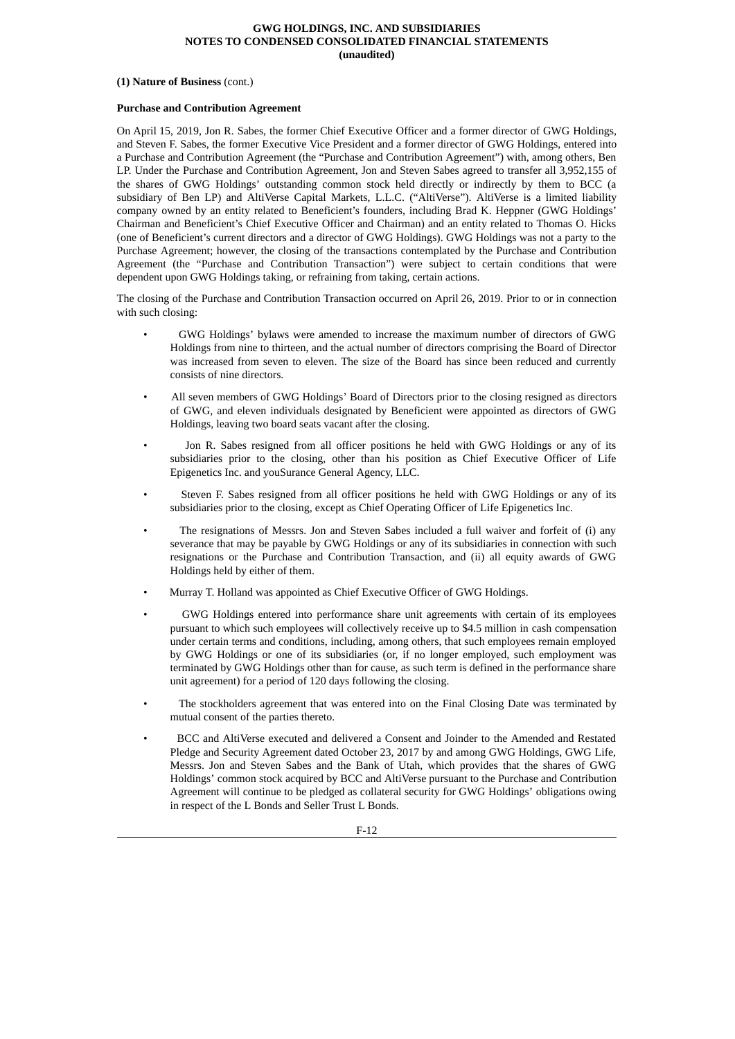#### **(1) Nature of Business** (cont.)

#### **Purchase and Contribution Agreement**

On April 15, 2019, Jon R. Sabes, the former Chief Executive Officer and a former director of GWG Holdings, and Steven F. Sabes, the former Executive Vice President and a former director of GWG Holdings, entered into a Purchase and Contribution Agreement (the "Purchase and Contribution Agreement") with, among others, Ben LP. Under the Purchase and Contribution Agreement, Jon and Steven Sabes agreed to transfer all 3,952,155 of the shares of GWG Holdings' outstanding common stock held directly or indirectly by them to BCC (a subsidiary of Ben LP) and AltiVerse Capital Markets, L.L.C. ("AltiVerse"). AltiVerse is a limited liability company owned by an entity related to Beneficient's founders, including Brad K. Heppner (GWG Holdings' Chairman and Beneficient's Chief Executive Officer and Chairman) and an entity related to Thomas O. Hicks (one of Beneficient's current directors and a director of GWG Holdings). GWG Holdings was not a party to the Purchase Agreement; however, the closing of the transactions contemplated by the Purchase and Contribution Agreement (the "Purchase and Contribution Transaction") were subject to certain conditions that were dependent upon GWG Holdings taking, or refraining from taking, certain actions.

The closing of the Purchase and Contribution Transaction occurred on April 26, 2019. Prior to or in connection with such closing:

- GWG Holdings' bylaws were amended to increase the maximum number of directors of GWG Holdings from nine to thirteen, and the actual number of directors comprising the Board of Director was increased from seven to eleven. The size of the Board has since been reduced and currently consists of nine directors.
- All seven members of GWG Holdings' Board of Directors prior to the closing resigned as directors of GWG, and eleven individuals designated by Beneficient were appointed as directors of GWG Holdings, leaving two board seats vacant after the closing.
- Jon R. Sabes resigned from all officer positions he held with GWG Holdings or any of its subsidiaries prior to the closing, other than his position as Chief Executive Officer of Life Epigenetics Inc. and youSurance General Agency, LLC.
- Steven F. Sabes resigned from all officer positions he held with GWG Holdings or any of its subsidiaries prior to the closing, except as Chief Operating Officer of Life Epigenetics Inc.
- The resignations of Messrs. Jon and Steven Sabes included a full waiver and forfeit of (i) any severance that may be payable by GWG Holdings or any of its subsidiaries in connection with such resignations or the Purchase and Contribution Transaction, and (ii) all equity awards of GWG Holdings held by either of them.
- Murray T. Holland was appointed as Chief Executive Officer of GWG Holdings.
- GWG Holdings entered into performance share unit agreements with certain of its employees pursuant to which such employees will collectively receive up to \$4.5 million in cash compensation under certain terms and conditions, including, among others, that such employees remain employed by GWG Holdings or one of its subsidiaries (or, if no longer employed, such employment was terminated by GWG Holdings other than for cause, as such term is defined in the performance share unit agreement) for a period of 120 days following the closing.
- The stockholders agreement that was entered into on the Final Closing Date was terminated by mutual consent of the parties thereto.
- BCC and AltiVerse executed and delivered a Consent and Joinder to the Amended and Restated Pledge and Security Agreement dated October 23, 2017 by and among GWG Holdings, GWG Life, Messrs. Jon and Steven Sabes and the Bank of Utah, which provides that the shares of GWG Holdings' common stock acquired by BCC and AltiVerse pursuant to the Purchase and Contribution Agreement will continue to be pledged as collateral security for GWG Holdings' obligations owing in respect of the L Bonds and Seller Trust L Bonds.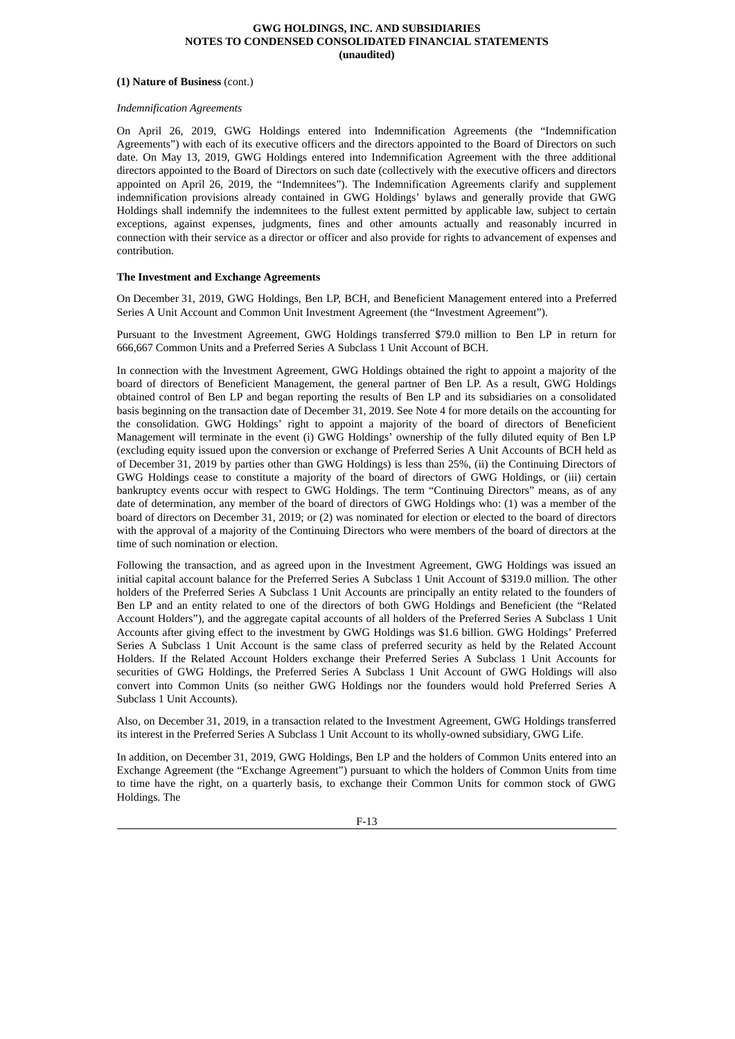#### **(1) Nature of Business** (cont.)

# *Indemnification Agreements*

On April 26, 2019, GWG Holdings entered into Indemnification Agreements (the "Indemnification Agreements") with each of its executive officers and the directors appointed to the Board of Directors on such date. On May 13, 2019, GWG Holdings entered into Indemnification Agreement with the three additional directors appointed to the Board of Directors on such date (collectively with the executive officers and directors appointed on April 26, 2019, the "Indemnitees"). The Indemnification Agreements clarify and supplement indemnification provisions already contained in GWG Holdings' bylaws and generally provide that GWG Holdings shall indemnify the indemnitees to the fullest extent permitted by applicable law, subject to certain exceptions, against expenses, judgments, fines and other amounts actually and reasonably incurred in connection with their service as a director or officer and also provide for rights to advancement of expenses and contribution.

# **The Investment and Exchange Agreements**

On December 31, 2019, GWG Holdings, Ben LP, BCH, and Beneficient Management entered into a Preferred Series A Unit Account and Common Unit Investment Agreement (the "Investment Agreement").

Pursuant to the Investment Agreement, GWG Holdings transferred \$79.0 million to Ben LP in return for 666,667 Common Units and a Preferred Series A Subclass 1 Unit Account of BCH.

In connection with the Investment Agreement, GWG Holdings obtained the right to appoint a majority of the board of directors of Beneficient Management, the general partner of Ben LP. As a result, GWG Holdings obtained control of Ben LP and began reporting the results of Ben LP and its subsidiaries on a consolidated basis beginning on the transaction date of December 31, 2019. See Note 4 for more details on the accounting for the consolidation. GWG Holdings' right to appoint a majority of the board of directors of Beneficient Management will terminate in the event (i) GWG Holdings' ownership of the fully diluted equity of Ben LP (excluding equity issued upon the conversion or exchange of Preferred Series A Unit Accounts of BCH held as of December 31, 2019 by parties other than GWG Holdings) is less than 25%, (ii) the Continuing Directors of GWG Holdings cease to constitute a majority of the board of directors of GWG Holdings, or (iii) certain bankruptcy events occur with respect to GWG Holdings. The term "Continuing Directors" means, as of any date of determination, any member of the board of directors of GWG Holdings who: (1) was a member of the board of directors on December 31, 2019; or (2) was nominated for election or elected to the board of directors with the approval of a majority of the Continuing Directors who were members of the board of directors at the time of such nomination or election.

Following the transaction, and as agreed upon in the Investment Agreement, GWG Holdings was issued an initial capital account balance for the Preferred Series A Subclass 1 Unit Account of \$319.0 million. The other holders of the Preferred Series A Subclass 1 Unit Accounts are principally an entity related to the founders of Ben LP and an entity related to one of the directors of both GWG Holdings and Beneficient (the "Related Account Holders"), and the aggregate capital accounts of all holders of the Preferred Series A Subclass 1 Unit Accounts after giving effect to the investment by GWG Holdings was \$1.6 billion. GWG Holdings' Preferred Series A Subclass 1 Unit Account is the same class of preferred security as held by the Related Account Holders. If the Related Account Holders exchange their Preferred Series A Subclass 1 Unit Accounts for securities of GWG Holdings, the Preferred Series A Subclass 1 Unit Account of GWG Holdings will also convert into Common Units (so neither GWG Holdings nor the founders would hold Preferred Series A Subclass 1 Unit Accounts).

Also, on December 31, 2019, in a transaction related to the Investment Agreement, GWG Holdings transferred its interest in the Preferred Series A Subclass 1 Unit Account to its wholly-owned subsidiary, GWG Life.

In addition, on December 31, 2019, GWG Holdings, Ben LP and the holders of Common Units entered into an Exchange Agreement (the "Exchange Agreement") pursuant to which the holders of Common Units from time to time have the right, on a quarterly basis, to exchange their Common Units for common stock of GWG Holdings. The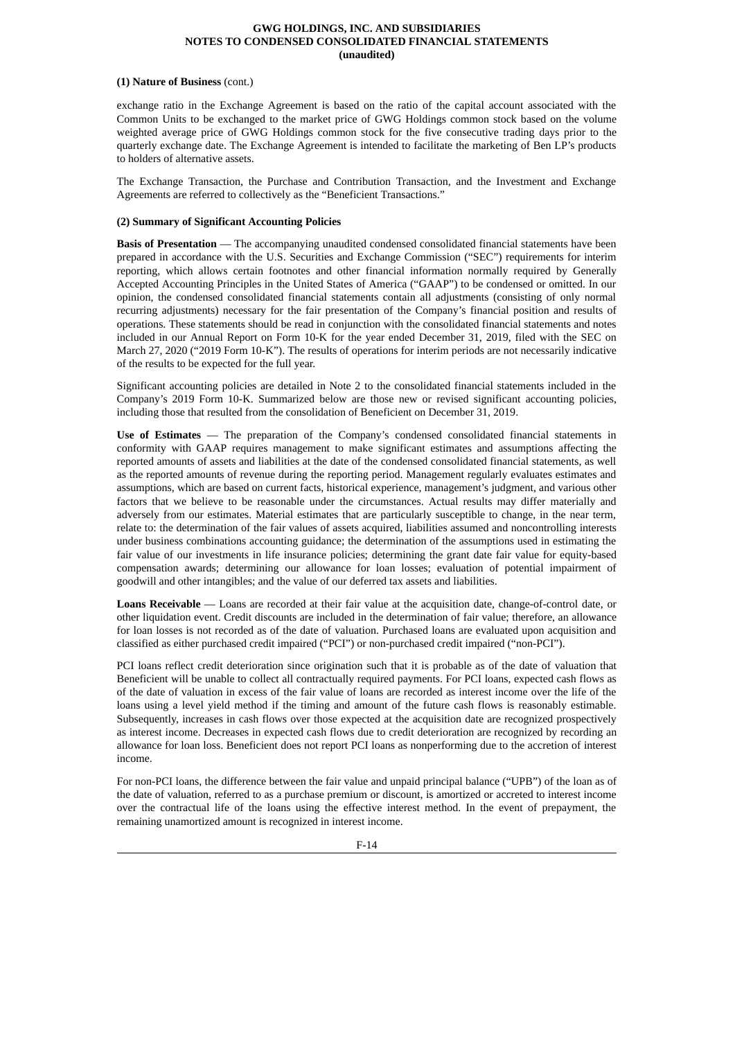# **(1) Nature of Business** (cont.)

exchange ratio in the Exchange Agreement is based on the ratio of the capital account associated with the Common Units to be exchanged to the market price of GWG Holdings common stock based on the volume weighted average price of GWG Holdings common stock for the five consecutive trading days prior to the quarterly exchange date. The Exchange Agreement is intended to facilitate the marketing of Ben LP's products to holders of alternative assets.

The Exchange Transaction, the Purchase and Contribution Transaction, and the Investment and Exchange Agreements are referred to collectively as the "Beneficient Transactions."

# **(2) Summary of Significant Accounting Policies**

**Basis of Presentation** — The accompanying unaudited condensed consolidated financial statements have been prepared in accordance with the U.S. Securities and Exchange Commission ("SEC") requirements for interim reporting, which allows certain footnotes and other financial information normally required by Generally Accepted Accounting Principles in the United States of America ("GAAP") to be condensed or omitted. In our opinion, the condensed consolidated financial statements contain all adjustments (consisting of only normal recurring adjustments) necessary for the fair presentation of the Company's financial position and results of operations. These statements should be read in conjunction with the consolidated financial statements and notes included in our Annual Report on Form 10-K for the year ended December 31, 2019, filed with the SEC on March 27, 2020 ("2019 Form 10-K"). The results of operations for interim periods are not necessarily indicative of the results to be expected for the full year.

Significant accounting policies are detailed in Note 2 to the consolidated financial statements included in the Company's 2019 Form 10-K. Summarized below are those new or revised significant accounting policies, including those that resulted from the consolidation of Beneficient on December 31, 2019.

**Use of Estimates** — The preparation of the Company's condensed consolidated financial statements in conformity with GAAP requires management to make significant estimates and assumptions affecting the reported amounts of assets and liabilities at the date of the condensed consolidated financial statements, as well as the reported amounts of revenue during the reporting period. Management regularly evaluates estimates and assumptions, which are based on current facts, historical experience, management's judgment, and various other factors that we believe to be reasonable under the circumstances. Actual results may differ materially and adversely from our estimates. Material estimates that are particularly susceptible to change, in the near term, relate to: the determination of the fair values of assets acquired, liabilities assumed and noncontrolling interests under business combinations accounting guidance; the determination of the assumptions used in estimating the fair value of our investments in life insurance policies; determining the grant date fair value for equity-based compensation awards; determining our allowance for loan losses; evaluation of potential impairment of goodwill and other intangibles; and the value of our deferred tax assets and liabilities.

**Loans Receivable** — Loans are recorded at their fair value at the acquisition date, change-of-control date, or other liquidation event. Credit discounts are included in the determination of fair value; therefore, an allowance for loan losses is not recorded as of the date of valuation. Purchased loans are evaluated upon acquisition and classified as either purchased credit impaired ("PCI") or non-purchased credit impaired ("non-PCI").

PCI loans reflect credit deterioration since origination such that it is probable as of the date of valuation that Beneficient will be unable to collect all contractually required payments. For PCI loans, expected cash flows as of the date of valuation in excess of the fair value of loans are recorded as interest income over the life of the loans using a level yield method if the timing and amount of the future cash flows is reasonably estimable. Subsequently, increases in cash flows over those expected at the acquisition date are recognized prospectively as interest income. Decreases in expected cash flows due to credit deterioration are recognized by recording an allowance for loan loss. Beneficient does not report PCI loans as nonperforming due to the accretion of interest income.

For non-PCI loans, the difference between the fair value and unpaid principal balance ("UPB") of the loan as of the date of valuation, referred to as a purchase premium or discount, is amortized or accreted to interest income over the contractual life of the loans using the effective interest method. In the event of prepayment, the remaining unamortized amount is recognized in interest income.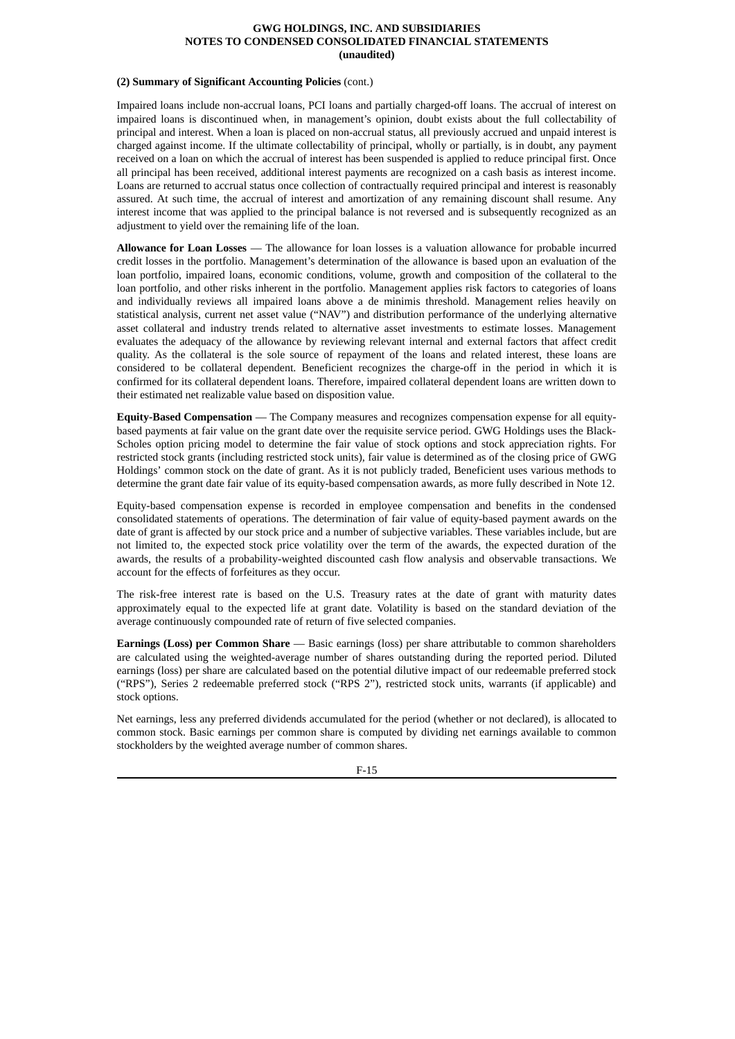# **(2) Summary of Significant Accounting Policies** (cont.)

Impaired loans include non-accrual loans, PCI loans and partially charged-off loans. The accrual of interest on impaired loans is discontinued when, in management's opinion, doubt exists about the full collectability of principal and interest. When a loan is placed on non-accrual status, all previously accrued and unpaid interest is charged against income. If the ultimate collectability of principal, wholly or partially, is in doubt, any payment received on a loan on which the accrual of interest has been suspended is applied to reduce principal first. Once all principal has been received, additional interest payments are recognized on a cash basis as interest income. Loans are returned to accrual status once collection of contractually required principal and interest is reasonably assured. At such time, the accrual of interest and amortization of any remaining discount shall resume. Any interest income that was applied to the principal balance is not reversed and is subsequently recognized as an adjustment to yield over the remaining life of the loan.

**Allowance for Loan Losses** — The allowance for loan losses is a valuation allowance for probable incurred credit losses in the portfolio. Management's determination of the allowance is based upon an evaluation of the loan portfolio, impaired loans, economic conditions, volume, growth and composition of the collateral to the loan portfolio, and other risks inherent in the portfolio. Management applies risk factors to categories of loans and individually reviews all impaired loans above a de minimis threshold. Management relies heavily on statistical analysis, current net asset value ("NAV") and distribution performance of the underlying alternative asset collateral and industry trends related to alternative asset investments to estimate losses. Management evaluates the adequacy of the allowance by reviewing relevant internal and external factors that affect credit quality. As the collateral is the sole source of repayment of the loans and related interest, these loans are considered to be collateral dependent. Beneficient recognizes the charge-off in the period in which it is confirmed for its collateral dependent loans. Therefore, impaired collateral dependent loans are written down to their estimated net realizable value based on disposition value.

**Equity-Based Compensation** — The Company measures and recognizes compensation expense for all equitybased payments at fair value on the grant date over the requisite service period. GWG Holdings uses the Black-Scholes option pricing model to determine the fair value of stock options and stock appreciation rights. For restricted stock grants (including restricted stock units), fair value is determined as of the closing price of GWG Holdings' common stock on the date of grant. As it is not publicly traded, Beneficient uses various methods to determine the grant date fair value of its equity-based compensation awards, as more fully described in Note 12.

Equity-based compensation expense is recorded in employee compensation and benefits in the condensed consolidated statements of operations. The determination of fair value of equity-based payment awards on the date of grant is affected by our stock price and a number of subjective variables. These variables include, but are not limited to, the expected stock price volatility over the term of the awards, the expected duration of the awards, the results of a probability-weighted discounted cash flow analysis and observable transactions. We account for the effects of forfeitures as they occur.

The risk-free interest rate is based on the U.S. Treasury rates at the date of grant with maturity dates approximately equal to the expected life at grant date. Volatility is based on the standard deviation of the average continuously compounded rate of return of five selected companies.

**Earnings (Loss) per Common Share** — Basic earnings (loss) per share attributable to common shareholders are calculated using the weighted-average number of shares outstanding during the reported period. Diluted earnings (loss) per share are calculated based on the potential dilutive impact of our redeemable preferred stock ("RPS"), Series 2 redeemable preferred stock ("RPS 2"), restricted stock units, warrants (if applicable) and stock options.

Net earnings, less any preferred dividends accumulated for the period (whether or not declared), is allocated to common stock. Basic earnings per common share is computed by dividing net earnings available to common stockholders by the weighted average number of common shares.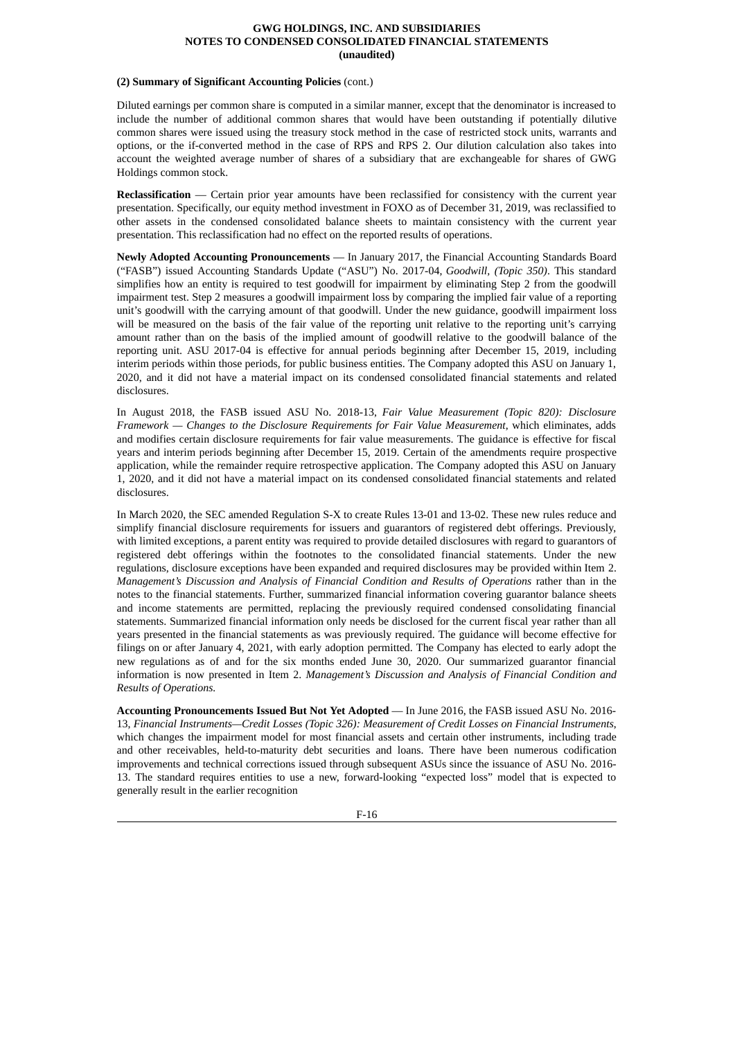# **(2) Summary of Significant Accounting Policies** (cont.)

Diluted earnings per common share is computed in a similar manner, except that the denominator is increased to include the number of additional common shares that would have been outstanding if potentially dilutive common shares were issued using the treasury stock method in the case of restricted stock units, warrants and options, or the if-converted method in the case of RPS and RPS 2. Our dilution calculation also takes into account the weighted average number of shares of a subsidiary that are exchangeable for shares of GWG Holdings common stock.

**Reclassification** — Certain prior year amounts have been reclassified for consistency with the current year presentation. Specifically, our equity method investment in FOXO as of December 31, 2019, was reclassified to other assets in the condensed consolidated balance sheets to maintain consistency with the current year presentation. This reclassification had no effect on the reported results of operations.

**Newly Adopted Accounting Pronouncements** — In January 2017, the Financial Accounting Standards Board ("FASB") issued Accounting Standards Update ("ASU") No. 2017-04, *Goodwill, (Topic 350)*. This standard simplifies how an entity is required to test goodwill for impairment by eliminating Step 2 from the goodwill impairment test. Step 2 measures a goodwill impairment loss by comparing the implied fair value of a reporting unit's goodwill with the carrying amount of that goodwill. Under the new guidance, goodwill impairment loss will be measured on the basis of the fair value of the reporting unit relative to the reporting unit's carrying amount rather than on the basis of the implied amount of goodwill relative to the goodwill balance of the reporting unit. ASU 2017-04 is effective for annual periods beginning after December 15, 2019, including interim periods within those periods, for public business entities. The Company adopted this ASU on January 1, 2020, and it did not have a material impact on its condensed consolidated financial statements and related disclosures.

In August 2018, the FASB issued ASU No. 2018-13, *Fair Value Measurement (Topic 820): Disclosure Framework — Changes to the Disclosure Requirements for Fair Value Measurement*, which eliminates, adds and modifies certain disclosure requirements for fair value measurements. The guidance is effective for fiscal years and interim periods beginning after December 15, 2019. Certain of the amendments require prospective application, while the remainder require retrospective application. The Company adopted this ASU on January 1, 2020, and it did not have a material impact on its condensed consolidated financial statements and related disclosures.

In March 2020, the SEC amended Regulation S-X to create Rules 13-01 and 13-02. These new rules reduce and simplify financial disclosure requirements for issuers and guarantors of registered debt offerings. Previously, with limited exceptions, a parent entity was required to provide detailed disclosures with regard to guarantors of registered debt offerings within the footnotes to the consolidated financial statements. Under the new regulations, disclosure exceptions have been expanded and required disclosures may be provided within Item 2. *Management's Discussion and Analysis of Financial Condition and Results of Operations* rather than in the notes to the financial statements. Further, summarized financial information covering guarantor balance sheets and income statements are permitted, replacing the previously required condensed consolidating financial statements. Summarized financial information only needs be disclosed for the current fiscal year rather than all years presented in the financial statements as was previously required. The guidance will become effective for filings on or after January 4, 2021, with early adoption permitted. The Company has elected to early adopt the new regulations as of and for the six months ended June 30, 2020. Our summarized guarantor financial information is now presented in Item 2. *Management's Discussion and Analysis of Financial Condition and Results of Operations.*

**Accounting Pronouncements Issued But Not Yet Adopted** — In June 2016, the FASB issued ASU No. 2016- 13, *Financial Instruments—Credit Losses (Topic 326): Measurement of Credit Losses on Financial Instruments*, which changes the impairment model for most financial assets and certain other instruments, including trade and other receivables, held-to-maturity debt securities and loans. There have been numerous codification improvements and technical corrections issued through subsequent ASUs since the issuance of ASU No. 2016- 13. The standard requires entities to use a new, forward-looking "expected loss" model that is expected to generally result in the earlier recognition

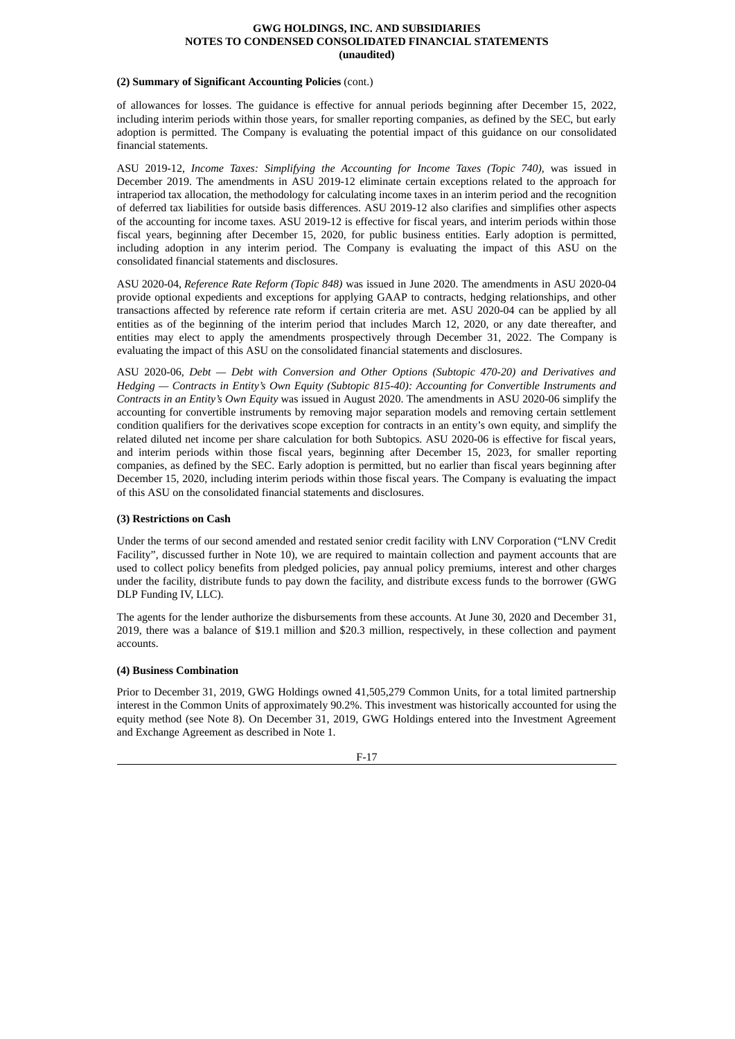# **(2) Summary of Significant Accounting Policies** (cont.)

of allowances for losses. The guidance is effective for annual periods beginning after December 15, 2022, including interim periods within those years, for smaller reporting companies, as defined by the SEC, but early adoption is permitted. The Company is evaluating the potential impact of this guidance on our consolidated financial statements.

ASU 2019-12, *Income Taxes: Simplifying the Accounting for Income Taxes (Topic 740),* was issued in December 2019. The amendments in ASU 2019-12 eliminate certain exceptions related to the approach for intraperiod tax allocation, the methodology for calculating income taxes in an interim period and the recognition of deferred tax liabilities for outside basis differences. ASU 2019-12 also clarifies and simplifies other aspects of the accounting for income taxes. ASU 2019-12 is effective for fiscal years, and interim periods within those fiscal years, beginning after December 15, 2020, for public business entities. Early adoption is permitted, including adoption in any interim period. The Company is evaluating the impact of this ASU on the consolidated financial statements and disclosures.

ASU 2020-04, *Reference Rate Reform (Topic 848)* was issued in June 2020. The amendments in ASU 2020-04 provide optional expedients and exceptions for applying GAAP to contracts, hedging relationships, and other transactions affected by reference rate reform if certain criteria are met. ASU 2020-04 can be applied by all entities as of the beginning of the interim period that includes March 12, 2020, or any date thereafter, and entities may elect to apply the amendments prospectively through December 31, 2022. The Company is evaluating the impact of this ASU on the consolidated financial statements and disclosures.

ASU 2020-06, *Debt — Debt with Conversion and Other Options (Subtopic 470-20) and Derivatives and Hedging — Contracts in Entity's Own Equity (Subtopic 815-40): Accounting for Convertible Instruments and Contracts in an Entity's Own Equity* was issued in August 2020. The amendments in ASU 2020-06 simplify the accounting for convertible instruments by removing major separation models and removing certain settlement condition qualifiers for the derivatives scope exception for contracts in an entity's own equity, and simplify the related diluted net income per share calculation for both Subtopics. ASU 2020-06 is effective for fiscal years, and interim periods within those fiscal years, beginning after December 15, 2023, for smaller reporting companies, as defined by the SEC. Early adoption is permitted, but no earlier than fiscal years beginning after December 15, 2020, including interim periods within those fiscal years. The Company is evaluating the impact of this ASU on the consolidated financial statements and disclosures.

# **(3) Restrictions on Cash**

Under the terms of our second amended and restated senior credit facility with LNV Corporation ("LNV Credit Facility", discussed further in Note 10), we are required to maintain collection and payment accounts that are used to collect policy benefits from pledged policies, pay annual policy premiums, interest and other charges under the facility, distribute funds to pay down the facility, and distribute excess funds to the borrower (GWG DLP Funding IV, LLC).

The agents for the lender authorize the disbursements from these accounts. At June 30, 2020 and December 31, 2019, there was a balance of \$19.1 million and \$20.3 million, respectively, in these collection and payment accounts.

# **(4) Business Combination**

Prior to December 31, 2019, GWG Holdings owned 41,505,279 Common Units, for a total limited partnership interest in the Common Units of approximately 90.2%. This investment was historically accounted for using the equity method (see Note 8). On December 31, 2019, GWG Holdings entered into the Investment Agreement and Exchange Agreement as described in Note 1.

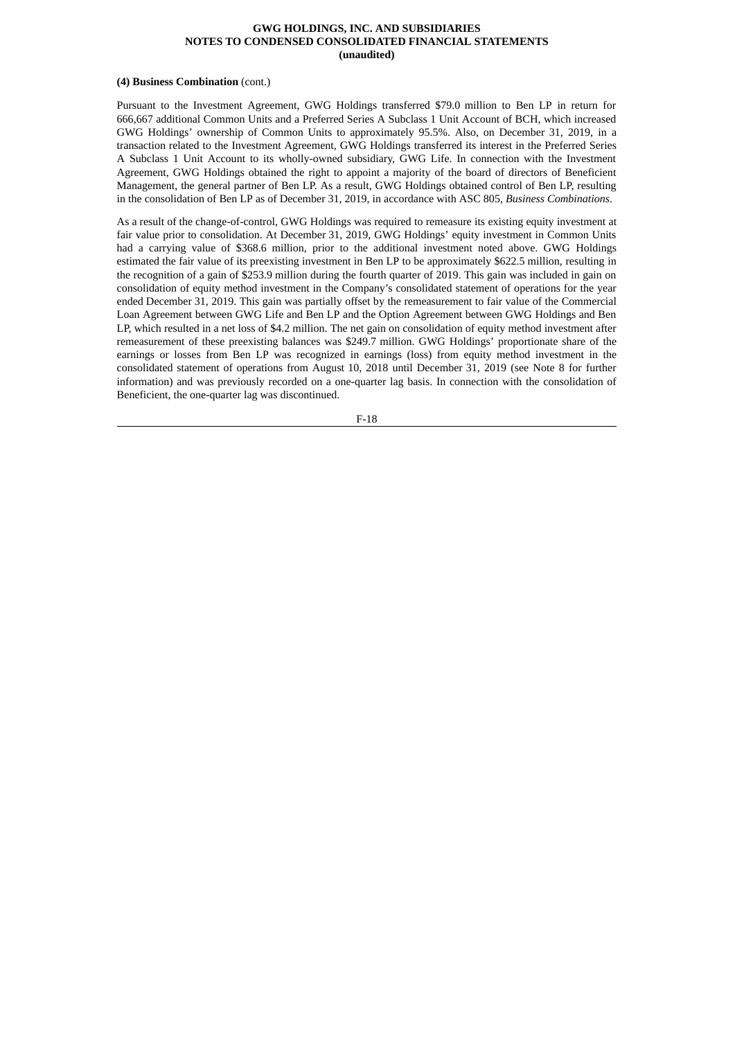#### **(4) Business Combination** (cont.)

Pursuant to the Investment Agreement, GWG Holdings transferred \$79.0 million to Ben LP in return for 666,667 additional Common Units and a Preferred Series A Subclass 1 Unit Account of BCH, which increased GWG Holdings' ownership of Common Units to approximately 95.5%. Also, on December 31, 2019, in a transaction related to the Investment Agreement, GWG Holdings transferred its interest in the Preferred Series A Subclass 1 Unit Account to its wholly-owned subsidiary, GWG Life. In connection with the Investment Agreement, GWG Holdings obtained the right to appoint a majority of the board of directors of Beneficient Management, the general partner of Ben LP. As a result, GWG Holdings obtained control of Ben LP, resulting in the consolidation of Ben LP as of December 31, 2019, in accordance with ASC 805, *Business Combinations*.

As a result of the change-of-control, GWG Holdings was required to remeasure its existing equity investment at fair value prior to consolidation. At December 31, 2019, GWG Holdings' equity investment in Common Units had a carrying value of \$368.6 million, prior to the additional investment noted above. GWG Holdings estimated the fair value of its preexisting investment in Ben LP to be approximately \$622.5 million, resulting in the recognition of a gain of \$253.9 million during the fourth quarter of 2019. This gain was included in gain on consolidation of equity method investment in the Company's consolidated statement of operations for the year ended December 31, 2019. This gain was partially offset by the remeasurement to fair value of the Commercial Loan Agreement between GWG Life and Ben LP and the Option Agreement between GWG Holdings and Ben LP, which resulted in a net loss of \$4.2 million. The net gain on consolidation of equity method investment after remeasurement of these preexisting balances was \$249.7 million. GWG Holdings' proportionate share of the earnings or losses from Ben LP was recognized in earnings (loss) from equity method investment in the consolidated statement of operations from August 10, 2018 until December 31, 2019 (see Note 8 for further information) and was previously recorded on a one-quarter lag basis. In connection with the consolidation of Beneficient, the one-quarter lag was discontinued.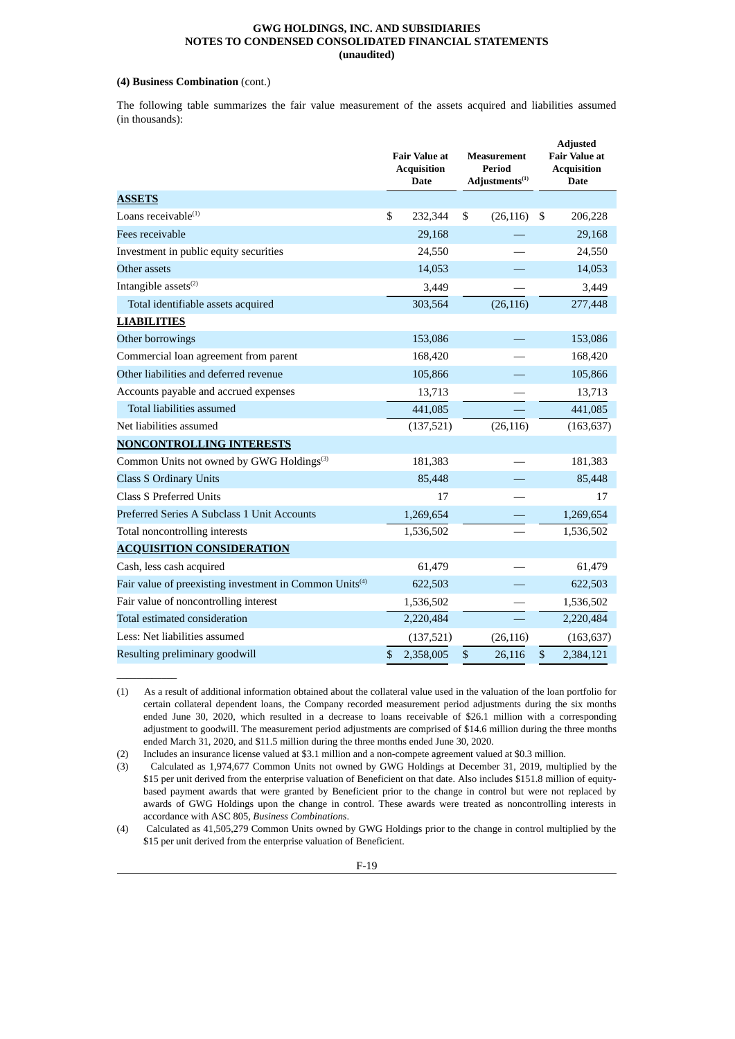# **(4) Business Combination** (cont.)

 $\mathcal{L}=\mathcal{L}$ 

The following table summarizes the fair value measurement of the assets acquired and liabilities assumed (in thousands):

|                                                                     | <b>Fair Value at</b><br><b>Acquisition</b><br><b>Date</b> |      | Measurement<br><b>Period</b><br>Adjustments <sup>(1)</sup> | <b>Adjusted</b><br><b>Fair Value at</b><br><b>Acquisition</b><br><b>Date</b> |
|---------------------------------------------------------------------|-----------------------------------------------------------|------|------------------------------------------------------------|------------------------------------------------------------------------------|
| <b>ASSETS</b>                                                       |                                                           |      |                                                            |                                                                              |
| Loans receivable $(1)$                                              | \$<br>232,344                                             | \$   | (26, 116)                                                  | \$<br>206,228                                                                |
| Fees receivable                                                     | 29,168                                                    |      |                                                            | 29,168                                                                       |
| Investment in public equity securities                              | 24,550                                                    |      |                                                            | 24,550                                                                       |
| Other assets                                                        | 14,053                                                    |      |                                                            | 14,053                                                                       |
| Intangible assets <sup>(2)</sup>                                    | 3,449                                                     |      |                                                            | 3,449                                                                        |
| Total identifiable assets acquired                                  | 303,564                                                   |      | (26, 116)                                                  | 277,448                                                                      |
| <b>LIABILITIES</b>                                                  |                                                           |      |                                                            |                                                                              |
| Other borrowings                                                    | 153,086                                                   |      |                                                            | 153,086                                                                      |
| Commercial loan agreement from parent                               | 168,420                                                   |      |                                                            | 168,420                                                                      |
| Other liabilities and deferred revenue                              | 105,866                                                   |      |                                                            | 105,866                                                                      |
| Accounts payable and accrued expenses                               | 13,713                                                    |      |                                                            | 13,713                                                                       |
| Total liabilities assumed                                           | 441,085                                                   |      |                                                            | 441,085                                                                      |
| Net liabilities assumed                                             | (137, 521)                                                |      | (26, 116)                                                  | (163, 637)                                                                   |
| <b>NONCONTROLLING INTERESTS</b>                                     |                                                           |      |                                                            |                                                                              |
| Common Units not owned by GWG Holdings <sup>(3)</sup>               | 181,383                                                   |      |                                                            | 181,383                                                                      |
| <b>Class S Ordinary Units</b>                                       | 85,448                                                    |      |                                                            | 85,448                                                                       |
| <b>Class S Preferred Units</b>                                      | 17                                                        |      |                                                            | 17                                                                           |
| Preferred Series A Subclass 1 Unit Accounts                         | 1,269,654                                                 |      |                                                            | 1,269,654                                                                    |
| Total noncontrolling interests                                      | 1,536,502                                                 |      |                                                            | 1,536,502                                                                    |
| <b>ACQUISITION CONSIDERATION</b>                                    |                                                           |      |                                                            |                                                                              |
| Cash, less cash acquired                                            | 61,479                                                    |      |                                                            | 61,479                                                                       |
| Fair value of preexisting investment in Common Units <sup>(4)</sup> | 622,503                                                   |      |                                                            | 622,503                                                                      |
| Fair value of noncontrolling interest                               | 1,536,502                                                 |      |                                                            | 1,536,502                                                                    |
| Total estimated consideration                                       | 2,220,484                                                 |      |                                                            | 2,220,484                                                                    |
| Less: Net liabilities assumed                                       | (137,521)                                                 |      | (26, 116)                                                  | (163, 637)                                                                   |
| Resulting preliminary goodwill                                      | \$<br>2,358,005                                           | $\$$ | 26,116                                                     | \$<br>2,384,121                                                              |

<sup>(1)</sup> As a result of additional information obtained about the collateral value used in the valuation of the loan portfolio for certain collateral dependent loans, the Company recorded measurement period adjustments during the six months ended June 30, 2020, which resulted in a decrease to loans receivable of \$26.1 million with a corresponding adjustment to goodwill. The measurement period adjustments are comprised of \$14.6 million during the three months ended March 31, 2020, and \$11.5 million during the three months ended June 30, 2020.

<sup>(2)</sup> Includes an insurance license valued at \$3.1 million and a non-compete agreement valued at \$0.3 million.

<sup>(3)</sup> Calculated as 1,974,677 Common Units not owned by GWG Holdings at December 31, 2019, multiplied by the \$15 per unit derived from the enterprise valuation of Beneficient on that date. Also includes \$151.8 million of equitybased payment awards that were granted by Beneficient prior to the change in control but were not replaced by awards of GWG Holdings upon the change in control. These awards were treated as noncontrolling interests in accordance with ASC 805, *Business Combinations*.

<sup>(4)</sup> Calculated as 41,505,279 Common Units owned by GWG Holdings prior to the change in control multiplied by the \$15 per unit derived from the enterprise valuation of Beneficient.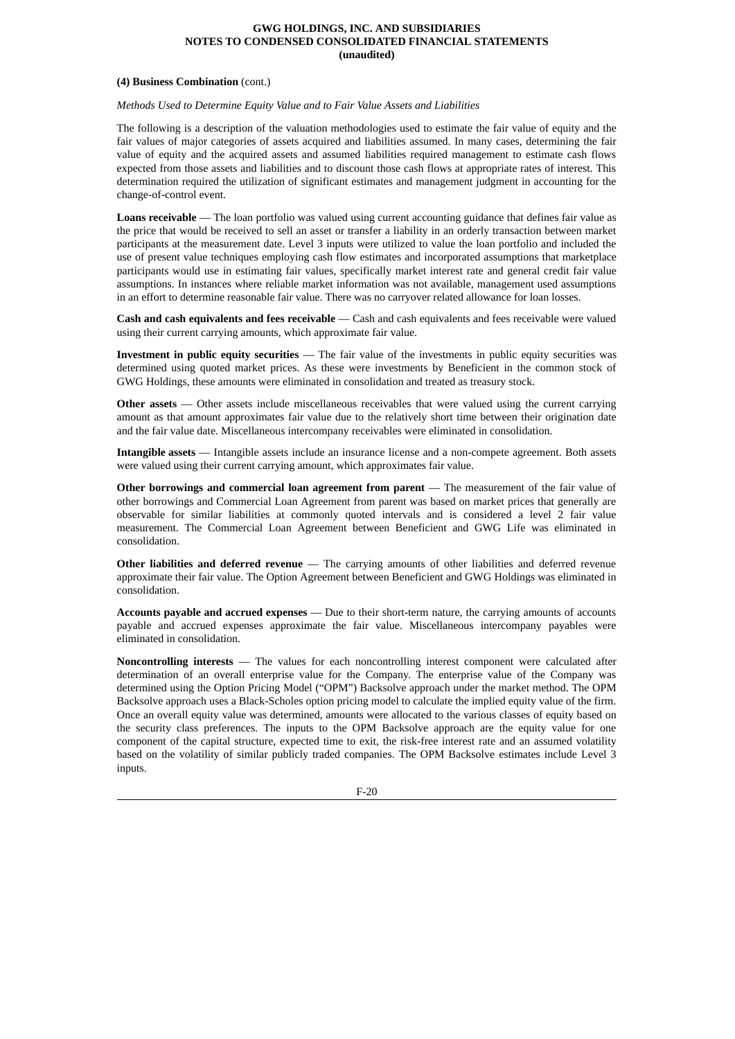#### **(4) Business Combination** (cont.)

*Methods Used to Determine Equity Value and to Fair Value Assets and Liabilities*

The following is a description of the valuation methodologies used to estimate the fair value of equity and the fair values of major categories of assets acquired and liabilities assumed. In many cases, determining the fair value of equity and the acquired assets and assumed liabilities required management to estimate cash flows expected from those assets and liabilities and to discount those cash flows at appropriate rates of interest. This determination required the utilization of significant estimates and management judgment in accounting for the change-of-control event.

**Loans receivable** — The loan portfolio was valued using current accounting guidance that defines fair value as the price that would be received to sell an asset or transfer a liability in an orderly transaction between market participants at the measurement date. Level 3 inputs were utilized to value the loan portfolio and included the use of present value techniques employing cash flow estimates and incorporated assumptions that marketplace participants would use in estimating fair values, specifically market interest rate and general credit fair value assumptions. In instances where reliable market information was not available, management used assumptions in an effort to determine reasonable fair value. There was no carryover related allowance for loan losses.

**Cash and cash equivalents and fees receivable** — Cash and cash equivalents and fees receivable were valued using their current carrying amounts, which approximate fair value.

**Investment in public equity securities** — The fair value of the investments in public equity securities was determined using quoted market prices. As these were investments by Beneficient in the common stock of GWG Holdings, these amounts were eliminated in consolidation and treated as treasury stock.

**Other assets** — Other assets include miscellaneous receivables that were valued using the current carrying amount as that amount approximates fair value due to the relatively short time between their origination date and the fair value date. Miscellaneous intercompany receivables were eliminated in consolidation.

**Intangible assets** — Intangible assets include an insurance license and a non-compete agreement. Both assets were valued using their current carrying amount, which approximates fair value.

**Other borrowings and commercial loan agreement from parent** — The measurement of the fair value of other borrowings and Commercial Loan Agreement from parent was based on market prices that generally are observable for similar liabilities at commonly quoted intervals and is considered a level 2 fair value measurement. The Commercial Loan Agreement between Beneficient and GWG Life was eliminated in consolidation.

**Other liabilities and deferred revenue** — The carrying amounts of other liabilities and deferred revenue approximate their fair value. The Option Agreement between Beneficient and GWG Holdings was eliminated in consolidation.

**Accounts payable and accrued expenses** — Due to their short-term nature, the carrying amounts of accounts payable and accrued expenses approximate the fair value. Miscellaneous intercompany payables were eliminated in consolidation.

**Noncontrolling interests** — The values for each noncontrolling interest component were calculated after determination of an overall enterprise value for the Company. The enterprise value of the Company was determined using the Option Pricing Model ("OPM") Backsolve approach under the market method. The OPM Backsolve approach uses a Black-Scholes option pricing model to calculate the implied equity value of the firm. Once an overall equity value was determined, amounts were allocated to the various classes of equity based on the security class preferences. The inputs to the OPM Backsolve approach are the equity value for one component of the capital structure, expected time to exit, the risk-free interest rate and an assumed volatility based on the volatility of similar publicly traded companies. The OPM Backsolve estimates include Level 3 inputs.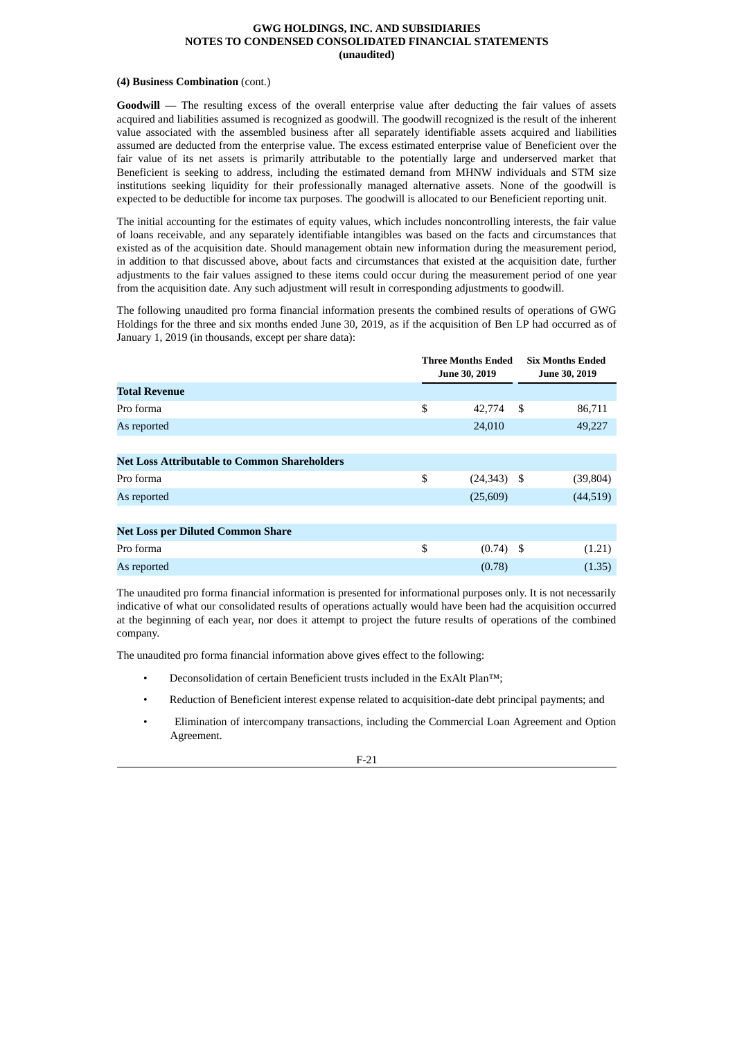#### **(4) Business Combination** (cont.)

**Goodwill** — The resulting excess of the overall enterprise value after deducting the fair values of assets acquired and liabilities assumed is recognized as goodwill. The goodwill recognized is the result of the inherent value associated with the assembled business after all separately identifiable assets acquired and liabilities assumed are deducted from the enterprise value. The excess estimated enterprise value of Beneficient over the fair value of its net assets is primarily attributable to the potentially large and underserved market that Beneficient is seeking to address, including the estimated demand from MHNW individuals and STM size institutions seeking liquidity for their professionally managed alternative assets. None of the goodwill is expected to be deductible for income tax purposes. The goodwill is allocated to our Beneficient reporting unit.

The initial accounting for the estimates of equity values, which includes noncontrolling interests, the fair value of loans receivable, and any separately identifiable intangibles was based on the facts and circumstances that existed as of the acquisition date. Should management obtain new information during the measurement period, in addition to that discussed above, about facts and circumstances that existed at the acquisition date, further adjustments to the fair values assigned to these items could occur during the measurement period of one year from the acquisition date. Any such adjustment will result in corresponding adjustments to goodwill.

The following unaudited pro forma financial information presents the combined results of operations of GWG Holdings for the three and six months ended June 30, 2019, as if the acquisition of Ben LP had occurred as of January 1, 2019 (in thousands, except per share data):

|                                                     | <b>Three Months Ended</b><br>June 30, 2019 | <b>Six Months Ended</b><br>June 30, 2019 |           |  |
|-----------------------------------------------------|--------------------------------------------|------------------------------------------|-----------|--|
| <b>Total Revenue</b>                                |                                            |                                          |           |  |
| Pro forma                                           | \$<br>42,774                               | - \$                                     | 86,711    |  |
| As reported                                         | 24,010                                     |                                          | 49,227    |  |
|                                                     |                                            |                                          |           |  |
| <b>Net Loss Attributable to Common Shareholders</b> |                                            |                                          |           |  |
| Pro forma                                           | \$<br>$(24,343)$ \$                        |                                          | (39, 804) |  |
| As reported                                         | (25,609)                                   |                                          | (44, 519) |  |
|                                                     |                                            |                                          |           |  |
| <b>Net Loss per Diluted Common Share</b>            |                                            |                                          |           |  |
| Pro forma                                           | \$<br>$(0.74)$ \$                          |                                          | (1.21)    |  |
| As reported                                         | (0.78)                                     |                                          | (1.35)    |  |

The unaudited pro forma financial information is presented for informational purposes only. It is not necessarily indicative of what our consolidated results of operations actually would have been had the acquisition occurred at the beginning of each year, nor does it attempt to project the future results of operations of the combined company.

The unaudited pro forma financial information above gives effect to the following:

- Deconsolidation of certain Beneficient trusts included in the ExAlt Plan™;
- Reduction of Beneficient interest expense related to acquisition-date debt principal payments; and
- Elimination of intercompany transactions, including the Commercial Loan Agreement and Option Agreement.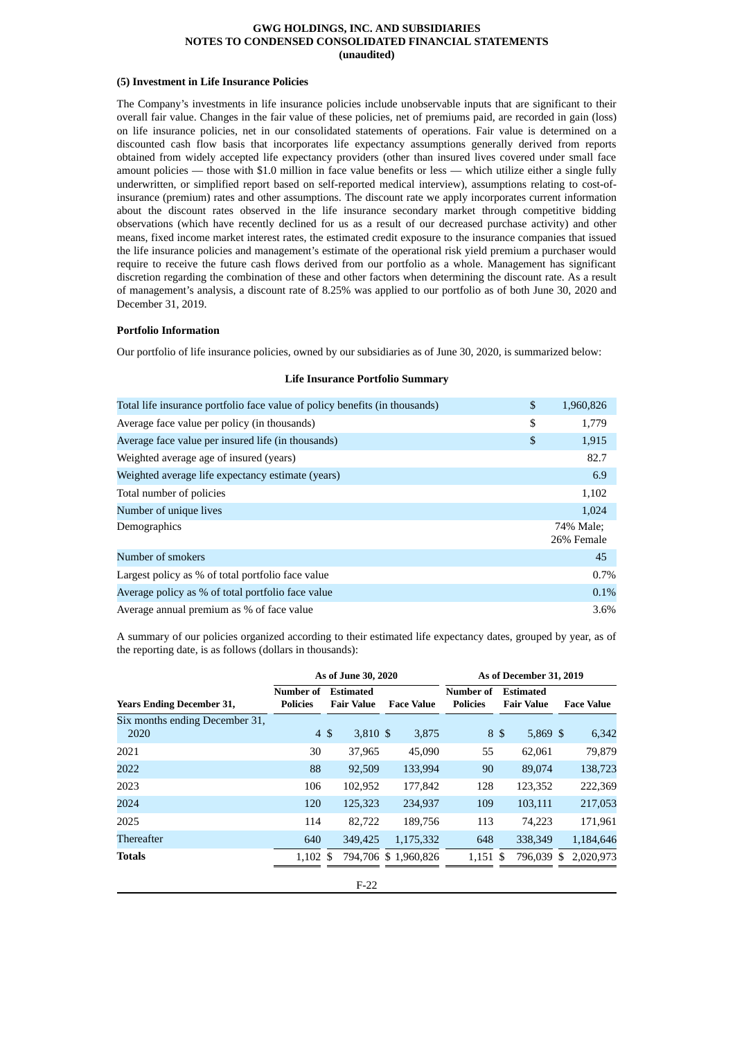# **(5) Investment in Life Insurance Policies**

The Company's investments in life insurance policies include unobservable inputs that are significant to their overall fair value. Changes in the fair value of these policies, net of premiums paid, are recorded in gain (loss) on life insurance policies, net in our consolidated statements of operations. Fair value is determined on a discounted cash flow basis that incorporates life expectancy assumptions generally derived from reports obtained from widely accepted life expectancy providers (other than insured lives covered under small face amount policies — those with \$1.0 million in face value benefits or less — which utilize either a single fully underwritten, or simplified report based on self-reported medical interview), assumptions relating to cost-ofinsurance (premium) rates and other assumptions. The discount rate we apply incorporates current information about the discount rates observed in the life insurance secondary market through competitive bidding observations (which have recently declined for us as a result of our decreased purchase activity) and other means, fixed income market interest rates, the estimated credit exposure to the insurance companies that issued the life insurance policies and management's estimate of the operational risk yield premium a purchaser would require to receive the future cash flows derived from our portfolio as a whole. Management has significant discretion regarding the combination of these and other factors when determining the discount rate. As a result of management's analysis, a discount rate of 8.25% was applied to our portfolio as of both June 30, 2020 and December 31, 2019.

#### **Portfolio Information**

Our portfolio of life insurance policies, owned by our subsidiaries as of June 30, 2020, is summarized below:

| Total life insurance portfolio face value of policy benefits (in thousands) | \$<br>1,960,826         |
|-----------------------------------------------------------------------------|-------------------------|
| Average face value per policy (in thousands)                                | \$<br>1,779             |
| Average face value per insured life (in thousands)                          | \$<br>1,915             |
| Weighted average age of insured (years)                                     | 82.7                    |
| Weighted average life expectancy estimate (years)                           | 6.9                     |
| Total number of policies                                                    | 1,102                   |
| Number of unique lives                                                      | 1,024                   |
| Demographics                                                                | 74% Male;<br>26% Female |
| Number of smokers                                                           | 45                      |
| Largest policy as % of total portfolio face value                           | 0.7%                    |
| Average policy as % of total portfolio face value                           | 0.1%                    |
| Average annual premium as % of face value                                   | 3.6%                    |

#### **Life Insurance Portfolio Summary**

A summary of our policies organized according to their estimated life expectancy dates, grouped by year, as of the reporting date, is as follows (dollars in thousands):

|                                        |                              | As of June 30, 2020                   |                     |                              | As of December 31, 2019               |    |                   |  |
|----------------------------------------|------------------------------|---------------------------------------|---------------------|------------------------------|---------------------------------------|----|-------------------|--|
| <b>Years Ending December 31,</b>       | Number of<br><b>Policies</b> | <b>Estimated</b><br><b>Fair Value</b> | <b>Face Value</b>   | Number of<br><b>Policies</b> | <b>Estimated</b><br><b>Fair Value</b> |    | <b>Face Value</b> |  |
| Six months ending December 31,<br>2020 | 4S                           | 3,810 \$                              | 3,875               | 8 \$                         | $5,869$ \$                            |    | 6,342             |  |
| 2021                                   | 30                           | 37,965                                | 45,090              | 55                           | 62,061                                |    | 79,879            |  |
| 2022                                   | 88                           | 92,509                                | 133,994             | 90                           | 89,074                                |    | 138,723           |  |
| 2023                                   | 106                          | 102,952                               | 177,842             | 128                          | 123,352                               |    | 222,369           |  |
| 2024                                   | 120                          | 125,323                               | 234,937             | 109                          | 103,111                               |    | 217,053           |  |
| 2025                                   | 114                          | 82,722                                | 189.756             | 113                          | 74,223                                |    | 171,961           |  |
| Thereafter                             | 640                          | 349,425                               | 1,175,332           | 648                          | 338,349                               |    | 1,184,646         |  |
| <b>Totals</b>                          | $1.102 \text{ }$ \$          |                                       | 794.706 \$1.960.826 | $1,151$ \$                   | 796.039                               | -S | 2,020,973         |  |
|                                        |                              | $F-22$                                |                     |                              |                                       |    |                   |  |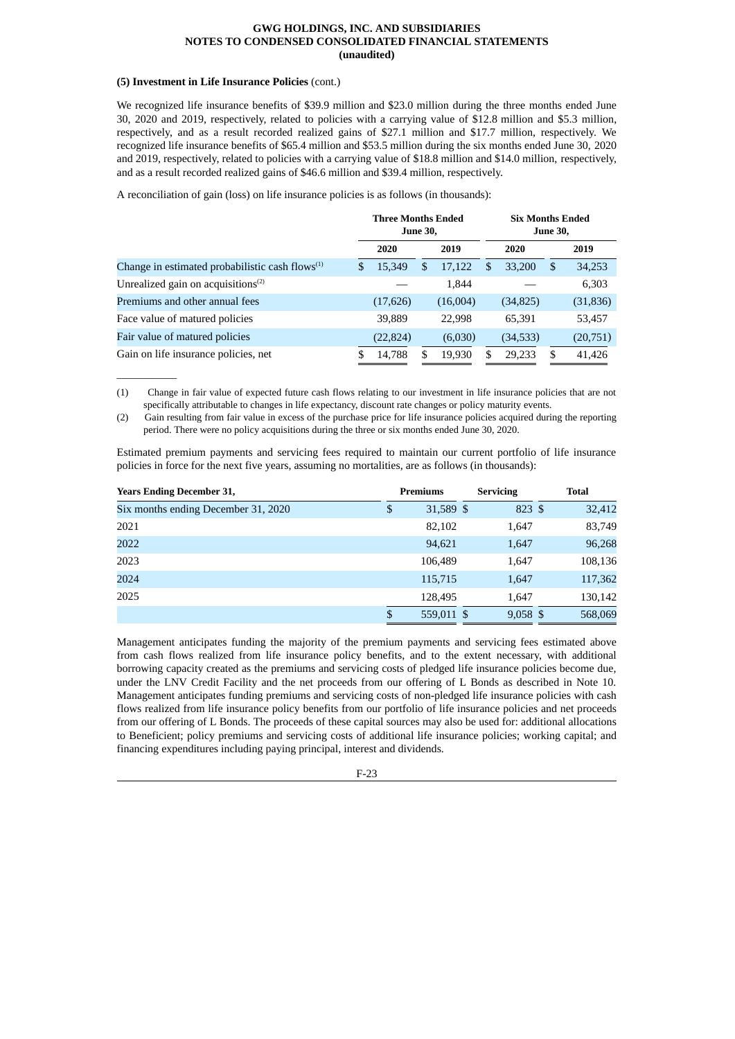#### **(5) Investment in Life Insurance Policies** (cont.)

 $\overline{\phantom{a}}$  , where  $\overline{\phantom{a}}$ 

We recognized life insurance benefits of \$39.9 million and \$23.0 million during the three months ended June 30, 2020 and 2019, respectively, related to policies with a carrying value of \$12.8 million and \$5.3 million, respectively, and as a result recorded realized gains of \$27.1 million and \$17.7 million, respectively. We recognized life insurance benefits of \$65.4 million and \$53.5 million during the six months ended June 30, 2020 and 2019, respectively, related to policies with a carrying value of \$18.8 million and \$14.0 million, respectively, and as a result recorded realized gains of \$46.6 million and \$39.4 million, respectively.

A reconciliation of gain (loss) on life insurance policies is as follows (in thousands):

|                                                    |     | <b>Three Months Ended</b><br><b>June 30,</b> |    |          |    |           |    | <b>Six Months Ended</b><br><b>June 30,</b> |  |  |
|----------------------------------------------------|-----|----------------------------------------------|----|----------|----|-----------|----|--------------------------------------------|--|--|
|                                                    |     | 2020                                         |    | 2019     |    | 2020      |    | 2019                                       |  |  |
| Change in estimated probabilistic cash flows $(1)$ | \$. | 15.349                                       | \$ | 17,122   | \$ | 33,200    | \$ | 34,253                                     |  |  |
| Unrealized gain on acquisitions $(2)$              |     |                                              |    | 1,844    |    |           |    | 6,303                                      |  |  |
| Premiums and other annual fees                     |     | (17, 626)                                    |    | (16,004) |    | (34,825)  |    | (31, 836)                                  |  |  |
| Face value of matured policies                     |     | 39,889                                       |    | 22,998   |    | 65,391    |    | 53,457                                     |  |  |
| Fair value of matured policies                     |     | (22, 824)                                    |    | (6,030)  |    | (34, 533) |    | (20, 751)                                  |  |  |
| Gain on life insurance policies, net               | \$. | 14,788                                       | S  | 19,930   | S. | 29,233    | S  | 41,426                                     |  |  |

<sup>(1)</sup> Change in fair value of expected future cash flows relating to our investment in life insurance policies that are not specifically attributable to changes in life expectancy, discount rate changes or policy maturity events.

Estimated premium payments and servicing fees required to maintain our current portfolio of life insurance policies in force for the next five years, assuming no mortalities, are as follows (in thousands):

| <b>Years Ending December 31,</b>    | <b>Premiums</b>  | <b>Servicing</b> | <b>Total</b> |
|-------------------------------------|------------------|------------------|--------------|
| Six months ending December 31, 2020 | \$<br>31,589 \$  | 823 \$           | 32,412       |
| 2021                                | 82,102           | 1,647            | 83,749       |
| 2022                                | 94,621           | 1,647            | 96,268       |
| 2023                                | 106,489          | 1,647            | 108,136      |
| 2024                                | 115,715          | 1,647            | 117,362      |
| 2025                                | 128,495          | 1,647            | 130,142      |
|                                     | \$<br>559,011 \$ | $9,058$ \$       | 568,069      |

Management anticipates funding the majority of the premium payments and servicing fees estimated above from cash flows realized from life insurance policy benefits, and to the extent necessary, with additional borrowing capacity created as the premiums and servicing costs of pledged life insurance policies become due, under the LNV Credit Facility and the net proceeds from our offering of L Bonds as described in Note 10. Management anticipates funding premiums and servicing costs of non-pledged life insurance policies with cash flows realized from life insurance policy benefits from our portfolio of life insurance policies and net proceeds from our offering of L Bonds. The proceeds of these capital sources may also be used for: additional allocations to Beneficient; policy premiums and servicing costs of additional life insurance policies; working capital; and financing expenditures including paying principal, interest and dividends.

<sup>(2)</sup> Gain resulting from fair value in excess of the purchase price for life insurance policies acquired during the reporting period. There were no policy acquisitions during the three or six months ended June 30, 2020.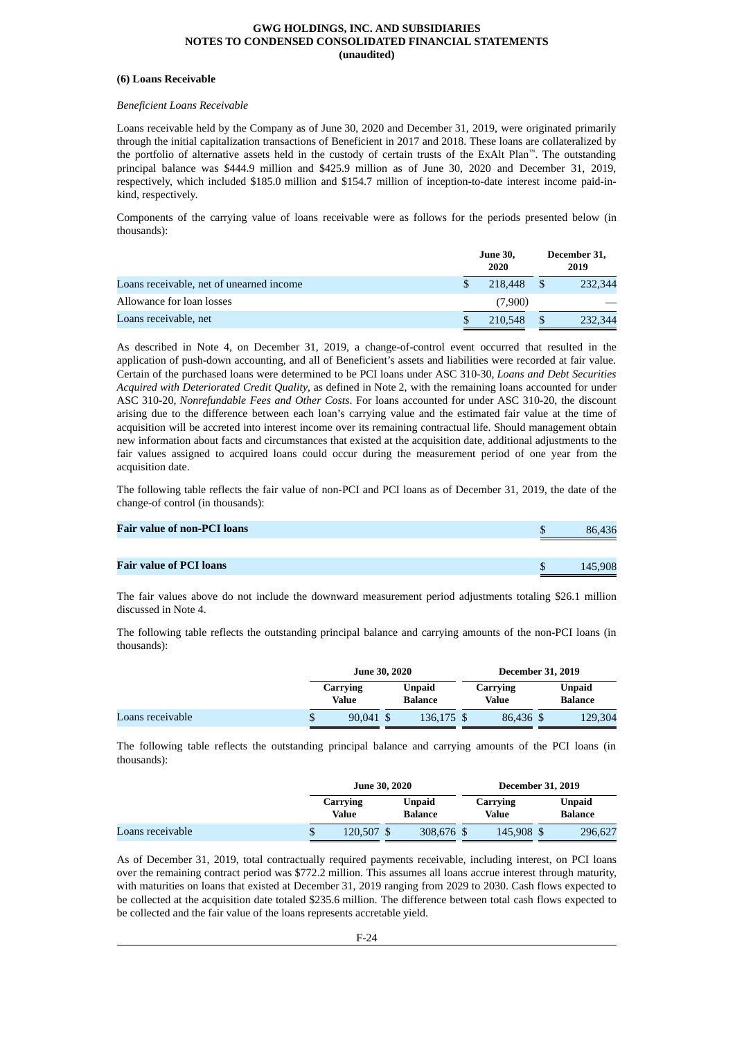#### **(6) Loans Receivable**

# *Beneficient Loans Receivable*

Loans receivable held by the Company as of June 30, 2020 and December 31, 2019, were originated primarily through the initial capitalization transactions of Beneficient in 2017 and 2018. These loans are collateralized by the portfolio of alternative assets held in the custody of certain trusts of the ExAlt Plan™. The outstanding principal balance was \$444.9 million and \$425.9 million as of June 30, 2020 and December 31, 2019, respectively, which included \$185.0 million and \$154.7 million of inception-to-date interest income paid-inkind, respectively.

Components of the carrying value of loans receivable were as follows for the periods presented below (in thousands):

|                                          | <b>June 30,</b><br>2020 | December 31,<br>2019 |
|------------------------------------------|-------------------------|----------------------|
| Loans receivable, net of unearned income | 218,448                 | 232,344              |
| Allowance for loan losses                | (7,900)                 |                      |
| Loans receivable, net                    | 210,548                 | 232,344              |

As described in Note 4, on December 31, 2019, a change-of-control event occurred that resulted in the application of push-down accounting, and all of Beneficient's assets and liabilities were recorded at fair value. Certain of the purchased loans were determined to be PCI loans under ASC 310-30, *Loans and Debt Securities Acquired with Deteriorated Credit Quality*, as defined in Note 2, with the remaining loans accounted for under ASC 310-20, *Nonrefundable Fees and Other Costs*. For loans accounted for under ASC 310-20, the discount arising due to the difference between each loan's carrying value and the estimated fair value at the time of acquisition will be accreted into interest income over its remaining contractual life. Should management obtain new information about facts and circumstances that existed at the acquisition date, additional adjustments to the fair values assigned to acquired loans could occur during the measurement period of one year from the acquisition date.

The following table reflects the fair value of non-PCI and PCI loans as of December 31, 2019, the date of the change-of control (in thousands):

| <b>Fair value of non-PCI loans</b> | 86,436  |
|------------------------------------|---------|
|                                    |         |
| Fair value of PCI loans            | 145,908 |

The fair values above do not include the downward measurement period adjustments totaling \$26.1 million discussed in Note 4.

The following table reflects the outstanding principal balance and carrying amounts of the non-PCI loans (in thousands):

|                  | <b>June 30, 2020</b> |                          | <b>December 31, 2019</b> |                   |  |                          |
|------------------|----------------------|--------------------------|--------------------------|-------------------|--|--------------------------|
|                  | Carrying<br>Value    | Unpaid<br><b>Balance</b> |                          | Carrying<br>Value |  | <b>Unpaid</b><br>Balance |
| Loans receivable | 90.041 \$            | 136,175 \$               |                          | 86.436 \$         |  | 129,304                  |

The following table reflects the outstanding principal balance and carrying amounts of the PCI loans (in thousands):

|                  |                   | <b>June 30, 2020</b>     |  |                   | <b>December 31, 2019</b> |                                 |  |
|------------------|-------------------|--------------------------|--|-------------------|--------------------------|---------------------------------|--|
|                  | Carrying<br>Value | Unpaid<br><b>Balance</b> |  | Carrying<br>Value |                          | <b>Unpaid</b><br><b>Balance</b> |  |
| Loans receivable | 120.507 \$        | 308,676 \$               |  | 145,908 \$        |                          | 296,627                         |  |

As of December 31, 2019, total contractually required payments receivable, including interest, on PCI loans over the remaining contract period was \$772.2 million. This assumes all loans accrue interest through maturity, with maturities on loans that existed at December 31, 2019 ranging from 2029 to 2030. Cash flows expected to be collected at the acquisition date totaled \$235.6 million. The difference between total cash flows expected to be collected and the fair value of the loans represents accretable yield.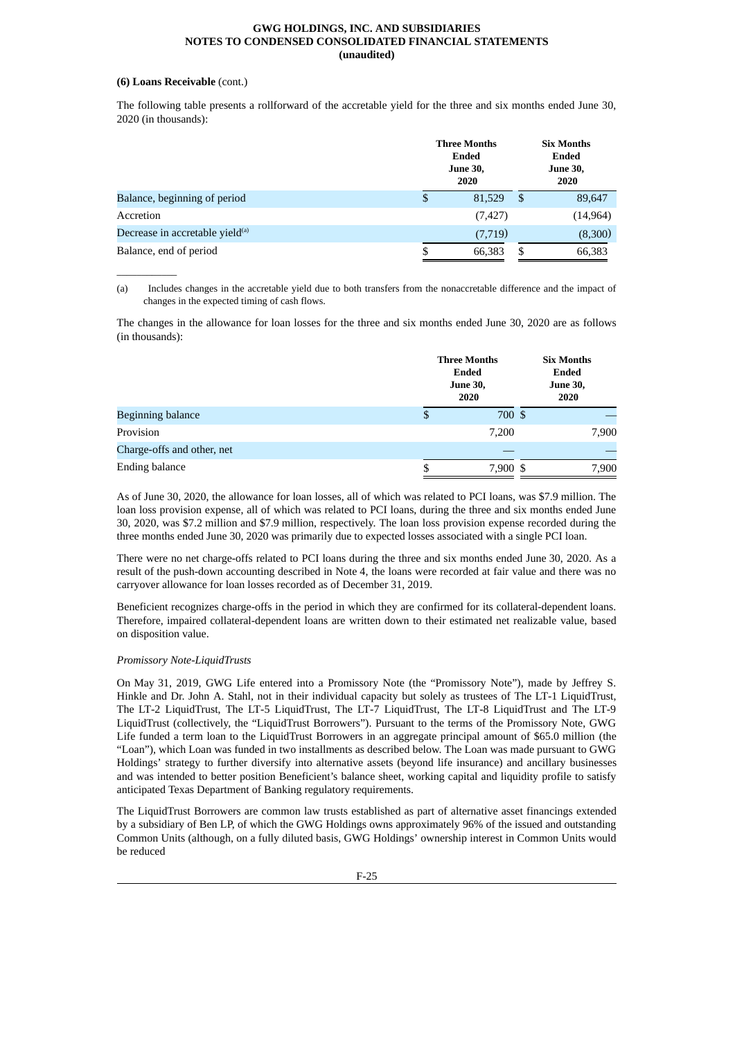# **(6) Loans Receivable** (cont.)

 $\overline{\phantom{a}}$  , where  $\overline{\phantom{a}}$ 

The following table presents a rollforward of the accretable yield for the three and six months ended June 30, 2020 (in thousands):

|                                             | <b>Three Months</b><br><b>Ended</b><br><b>June 30,</b><br>2020 |     | <b>Six Months</b><br>Ended<br><b>June 30,</b><br>2020 |  |  |
|---------------------------------------------|----------------------------------------------------------------|-----|-------------------------------------------------------|--|--|
| Balance, beginning of period                | \$<br>81,529                                                   | -\$ | 89,647                                                |  |  |
| Accretion                                   | (7, 427)                                                       |     | (14, 964)                                             |  |  |
| Decrease in accretable yield <sup>(a)</sup> | (7,719)                                                        |     | (8,300)                                               |  |  |
| Balance, end of period                      | \$<br>66,383                                                   | \$  | 66,383                                                |  |  |

(a) Includes changes in the accretable yield due to both transfers from the nonaccretable difference and the impact of changes in the expected timing of cash flows.

The changes in the allowance for loan losses for the three and six months ended June 30, 2020 are as follows (in thousands):

|                            |    | <b>Three Months</b><br>Ended<br><b>June 30,</b><br>2020 | <b>Six Months</b><br><b>Ended</b><br><b>June 30,</b><br>2020 |       |
|----------------------------|----|---------------------------------------------------------|--------------------------------------------------------------|-------|
| <b>Beginning balance</b>   | \$ | 700 \$                                                  |                                                              |       |
| Provision                  |    | 7,200                                                   |                                                              | 7,900 |
| Charge-offs and other, net |    |                                                         |                                                              |       |
| Ending balance             | S  | 7,900 \$                                                |                                                              | 7,900 |

As of June 30, 2020, the allowance for loan losses, all of which was related to PCI loans, was \$7.9 million. The loan loss provision expense, all of which was related to PCI loans, during the three and six months ended June 30, 2020, was \$7.2 million and \$7.9 million, respectively. The loan loss provision expense recorded during the three months ended June 30, 2020 was primarily due to expected losses associated with a single PCI loan.

There were no net charge-offs related to PCI loans during the three and six months ended June 30, 2020. As a result of the push-down accounting described in Note 4, the loans were recorded at fair value and there was no carryover allowance for loan losses recorded as of December 31, 2019.

Beneficient recognizes charge-offs in the period in which they are confirmed for its collateral-dependent loans. Therefore, impaired collateral-dependent loans are written down to their estimated net realizable value, based on disposition value.

#### *Promissory Note-LiquidTrusts*

On May 31, 2019, GWG Life entered into a Promissory Note (the "Promissory Note"), made by Jeffrey S. Hinkle and Dr. John A. Stahl, not in their individual capacity but solely as trustees of The LT-1 LiquidTrust, The LT-2 LiquidTrust, The LT-5 LiquidTrust, The LT-7 LiquidTrust, The LT-8 LiquidTrust and The LT-9 LiquidTrust (collectively, the "LiquidTrust Borrowers"). Pursuant to the terms of the Promissory Note, GWG Life funded a term loan to the LiquidTrust Borrowers in an aggregate principal amount of \$65.0 million (the "Loan"), which Loan was funded in two installments as described below. The Loan was made pursuant to GWG Holdings' strategy to further diversify into alternative assets (beyond life insurance) and ancillary businesses and was intended to better position Beneficient's balance sheet, working capital and liquidity profile to satisfy anticipated Texas Department of Banking regulatory requirements.

The LiquidTrust Borrowers are common law trusts established as part of alternative asset financings extended by a subsidiary of Ben LP, of which the GWG Holdings owns approximately 96% of the issued and outstanding Common Units (although, on a fully diluted basis, GWG Holdings' ownership interest in Common Units would be reduced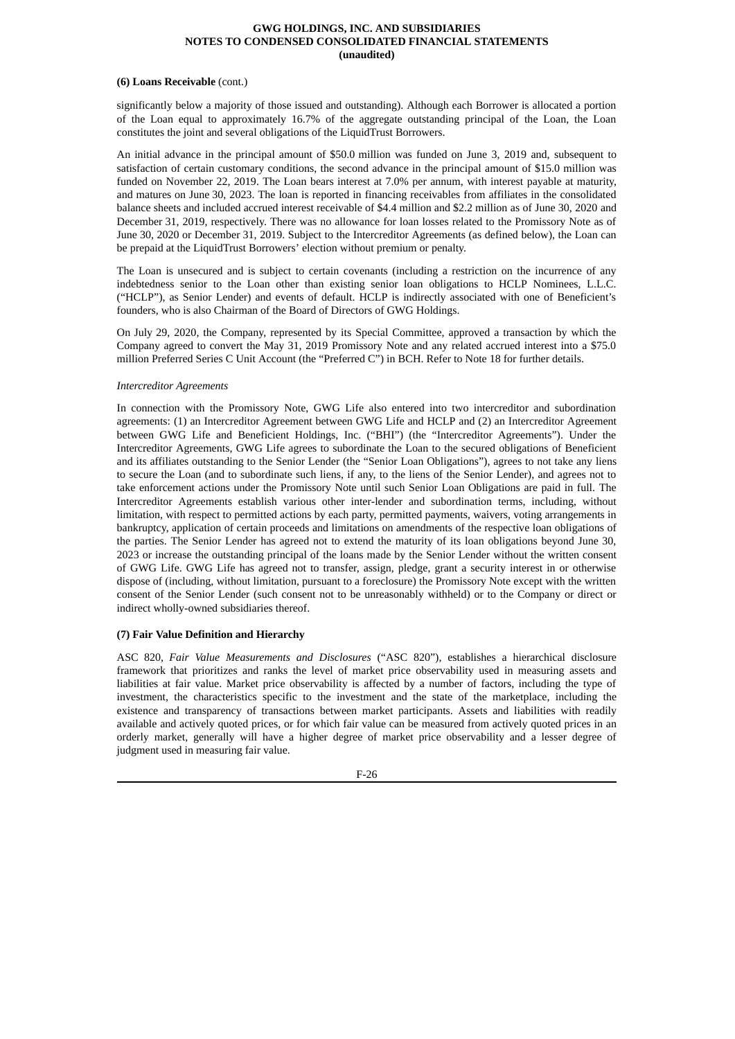#### **(6) Loans Receivable** (cont.)

significantly below a majority of those issued and outstanding). Although each Borrower is allocated a portion of the Loan equal to approximately 16.7% of the aggregate outstanding principal of the Loan, the Loan constitutes the joint and several obligations of the LiquidTrust Borrowers.

An initial advance in the principal amount of \$50.0 million was funded on June 3, 2019 and, subsequent to satisfaction of certain customary conditions, the second advance in the principal amount of \$15.0 million was funded on November 22, 2019. The Loan bears interest at 7.0% per annum, with interest payable at maturity, and matures on June 30, 2023. The loan is reported in financing receivables from affiliates in the consolidated balance sheets and included accrued interest receivable of \$4.4 million and \$2.2 million as of June 30, 2020 and December 31, 2019, respectively. There was no allowance for loan losses related to the Promissory Note as of June 30, 2020 or December 31, 2019. Subject to the Intercreditor Agreements (as defined below), the Loan can be prepaid at the LiquidTrust Borrowers' election without premium or penalty.

The Loan is unsecured and is subject to certain covenants (including a restriction on the incurrence of any indebtedness senior to the Loan other than existing senior loan obligations to HCLP Nominees, L.L.C. ("HCLP"), as Senior Lender) and events of default. HCLP is indirectly associated with one of Beneficient's founders, who is also Chairman of the Board of Directors of GWG Holdings.

On July 29, 2020, the Company, represented by its Special Committee, approved a transaction by which the Company agreed to convert the May 31, 2019 Promissory Note and any related accrued interest into a \$75.0 million Preferred Series C Unit Account (the "Preferred C") in BCH. Refer to Note 18 for further details.

# *Intercreditor Agreements*

In connection with the Promissory Note, GWG Life also entered into two intercreditor and subordination agreements: (1) an Intercreditor Agreement between GWG Life and HCLP and (2) an Intercreditor Agreement between GWG Life and Beneficient Holdings, Inc. ("BHI") (the "Intercreditor Agreements"). Under the Intercreditor Agreements, GWG Life agrees to subordinate the Loan to the secured obligations of Beneficient and its affiliates outstanding to the Senior Lender (the "Senior Loan Obligations"), agrees to not take any liens to secure the Loan (and to subordinate such liens, if any, to the liens of the Senior Lender), and agrees not to take enforcement actions under the Promissory Note until such Senior Loan Obligations are paid in full. The Intercreditor Agreements establish various other inter-lender and subordination terms, including, without limitation, with respect to permitted actions by each party, permitted payments, waivers, voting arrangements in bankruptcy, application of certain proceeds and limitations on amendments of the respective loan obligations of the parties. The Senior Lender has agreed not to extend the maturity of its loan obligations beyond June 30, 2023 or increase the outstanding principal of the loans made by the Senior Lender without the written consent of GWG Life. GWG Life has agreed not to transfer, assign, pledge, grant a security interest in or otherwise dispose of (including, without limitation, pursuant to a foreclosure) the Promissory Note except with the written consent of the Senior Lender (such consent not to be unreasonably withheld) or to the Company or direct or indirect wholly-owned subsidiaries thereof.

# **(7) Fair Value Definition and Hierarchy**

ASC 820, *Fair Value Measurements and Disclosures* ("ASC 820"), establishes a hierarchical disclosure framework that prioritizes and ranks the level of market price observability used in measuring assets and liabilities at fair value. Market price observability is affected by a number of factors, including the type of investment, the characteristics specific to the investment and the state of the marketplace, including the existence and transparency of transactions between market participants. Assets and liabilities with readily available and actively quoted prices, or for which fair value can be measured from actively quoted prices in an orderly market, generally will have a higher degree of market price observability and a lesser degree of judgment used in measuring fair value.

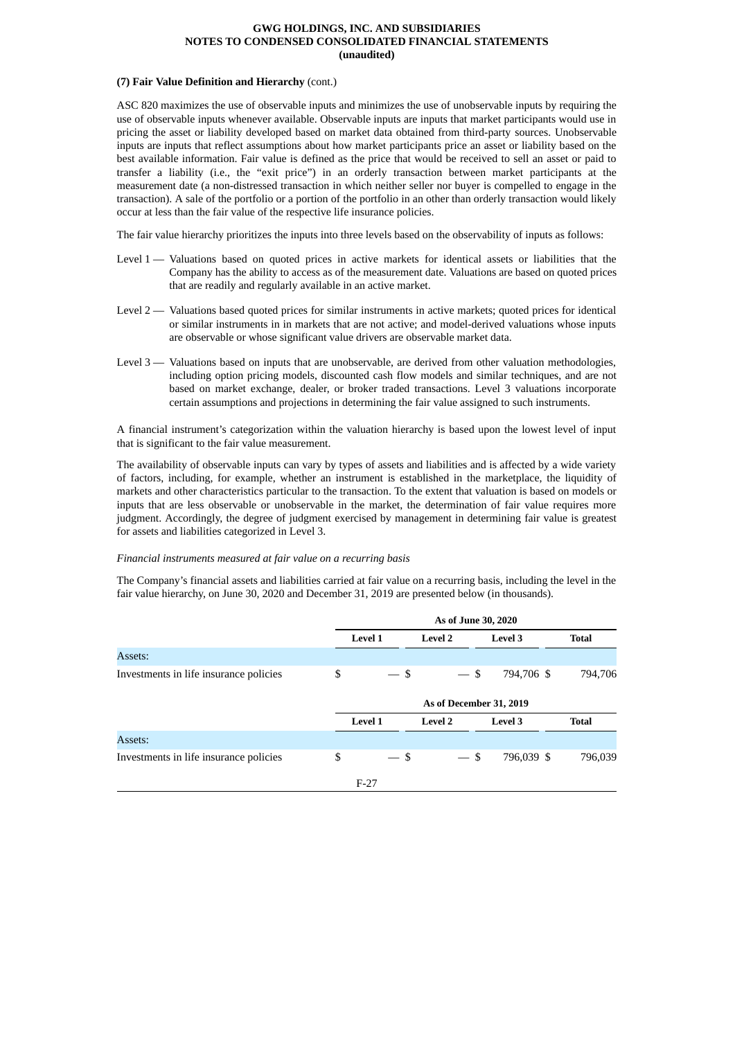# **(7) Fair Value Definition and Hierarchy** (cont.)

ASC 820 maximizes the use of observable inputs and minimizes the use of unobservable inputs by requiring the use of observable inputs whenever available. Observable inputs are inputs that market participants would use in pricing the asset or liability developed based on market data obtained from third-party sources. Unobservable inputs are inputs that reflect assumptions about how market participants price an asset or liability based on the best available information. Fair value is defined as the price that would be received to sell an asset or paid to transfer a liability (i.e., the "exit price") in an orderly transaction between market participants at the measurement date (a non-distressed transaction in which neither seller nor buyer is compelled to engage in the transaction). A sale of the portfolio or a portion of the portfolio in an other than orderly transaction would likely occur at less than the fair value of the respective life insurance policies.

The fair value hierarchy prioritizes the inputs into three levels based on the observability of inputs as follows:

- Level 1 Valuations based on quoted prices in active markets for identical assets or liabilities that the Company has the ability to access as of the measurement date. Valuations are based on quoted prices that are readily and regularly available in an active market.
- Level 2 Valuations based quoted prices for similar instruments in active markets; quoted prices for identical or similar instruments in in markets that are not active; and model-derived valuations whose inputs are observable or whose significant value drivers are observable market data.
- Level 3 Valuations based on inputs that are unobservable, are derived from other valuation methodologies, including option pricing models, discounted cash flow models and similar techniques, and are not based on market exchange, dealer, or broker traded transactions. Level 3 valuations incorporate certain assumptions and projections in determining the fair value assigned to such instruments.

A financial instrument's categorization within the valuation hierarchy is based upon the lowest level of input that is significant to the fair value measurement.

The availability of observable inputs can vary by types of assets and liabilities and is affected by a wide variety of factors, including, for example, whether an instrument is established in the marketplace, the liquidity of markets and other characteristics particular to the transaction. To the extent that valuation is based on models or inputs that are less observable or unobservable in the market, the determination of fair value requires more judgment. Accordingly, the degree of judgment exercised by management in determining fair value is greatest for assets and liabilities categorized in Level 3.

#### *Financial instruments measured at fair value on a recurring basis*

The Company's financial assets and liabilities carried at fair value on a recurring basis, including the level in the fair value hierarchy, on June 30, 2020 and December 31, 2019 are presented below (in thousands).

|                                        | As of June 30, 2020 |                                 |                         |                |              |  |  |  |  |
|----------------------------------------|---------------------|---------------------------------|-------------------------|----------------|--------------|--|--|--|--|
|                                        |                     | <b>Level 1</b>                  | <b>Level 2</b>          | Level 3        | <b>Total</b> |  |  |  |  |
| Assets:                                |                     |                                 |                         |                |              |  |  |  |  |
| Investments in life insurance policies | \$                  | $-$ \$                          | $-$ \$                  | 794,706 \$     | 794,706      |  |  |  |  |
|                                        |                     |                                 | As of December 31, 2019 |                |              |  |  |  |  |
|                                        |                     | <b>Level 1</b>                  | <b>Level 2</b>          | <b>Level 3</b> | <b>Total</b> |  |  |  |  |
| Assets:                                |                     |                                 |                         |                |              |  |  |  |  |
| Investments in life insurance policies | \$                  | -\$<br>$\overline{\phantom{a}}$ | $-$ \$                  | 796,039 \$     | 796,039      |  |  |  |  |
|                                        |                     | $F-27$                          |                         |                |              |  |  |  |  |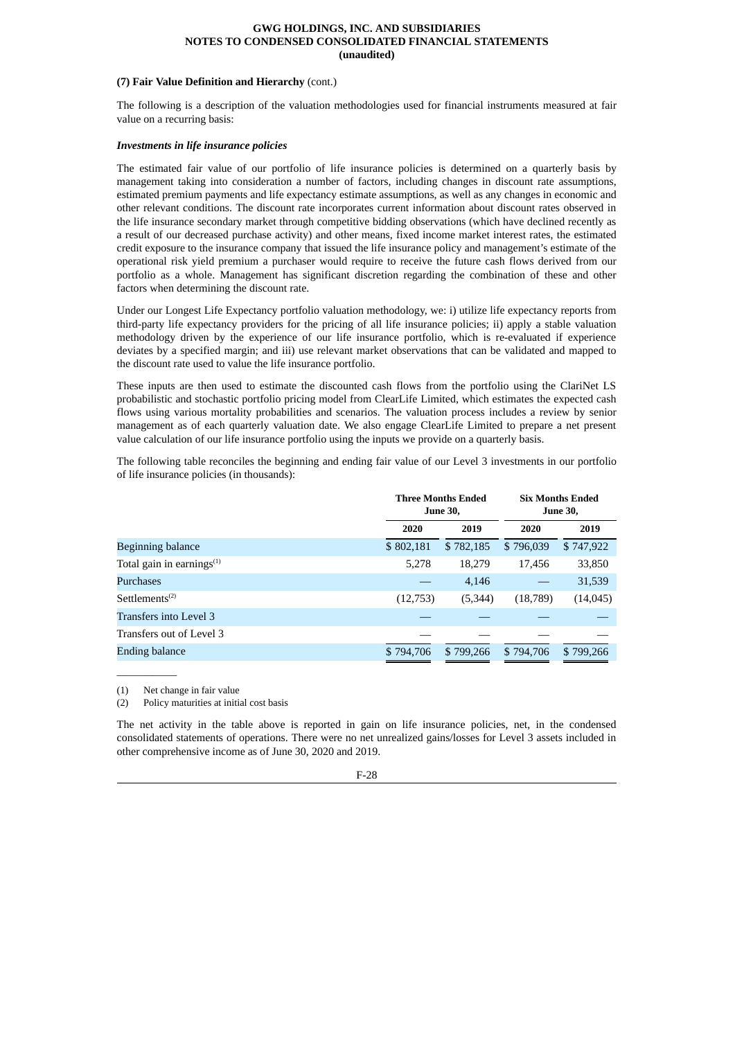# **(7) Fair Value Definition and Hierarchy** (cont.)

The following is a description of the valuation methodologies used for financial instruments measured at fair value on a recurring basis:

# *Investments in life insurance policies*

The estimated fair value of our portfolio of life insurance policies is determined on a quarterly basis by management taking into consideration a number of factors, including changes in discount rate assumptions, estimated premium payments and life expectancy estimate assumptions, as well as any changes in economic and other relevant conditions. The discount rate incorporates current information about discount rates observed in the life insurance secondary market through competitive bidding observations (which have declined recently as a result of our decreased purchase activity) and other means, fixed income market interest rates, the estimated credit exposure to the insurance company that issued the life insurance policy and management's estimate of the operational risk yield premium a purchaser would require to receive the future cash flows derived from our portfolio as a whole. Management has significant discretion regarding the combination of these and other factors when determining the discount rate.

Under our Longest Life Expectancy portfolio valuation methodology, we: i) utilize life expectancy reports from third-party life expectancy providers for the pricing of all life insurance policies; ii) apply a stable valuation methodology driven by the experience of our life insurance portfolio, which is re-evaluated if experience deviates by a specified margin; and iii) use relevant market observations that can be validated and mapped to the discount rate used to value the life insurance portfolio.

These inputs are then used to estimate the discounted cash flows from the portfolio using the ClariNet LS probabilistic and stochastic portfolio pricing model from ClearLife Limited, which estimates the expected cash flows using various mortality probabilities and scenarios. The valuation process includes a review by senior management as of each quarterly valuation date. We also engage ClearLife Limited to prepare a net present value calculation of our life insurance portfolio using the inputs we provide on a quarterly basis.

The following table reconciles the beginning and ending fair value of our Level 3 investments in our portfolio of life insurance policies (in thousands):

|                                         |           | <b>Three Months Ended</b><br><b>June 30,</b> |           | <b>Six Months Ended</b><br><b>June 30,</b> |
|-----------------------------------------|-----------|----------------------------------------------|-----------|--------------------------------------------|
|                                         | 2020      | 2019                                         | 2020      | 2019                                       |
| Beginning balance                       | \$802,181 | \$782,185                                    | \$796,039 | \$747,922                                  |
| Total gain in earnings $(1)$            | 5,278     | 18,279                                       | 17,456    | 33,850                                     |
| <b>Purchases</b>                        |           | 4,146                                        |           | 31,539                                     |
| Settlements <sup><math>(2)</math></sup> | (12,753)  | (5,344)                                      | (18,789)  | (14, 045)                                  |
| Transfers into Level 3                  |           |                                              |           |                                            |
| Transfers out of Level 3                |           |                                              |           |                                            |
| <b>Ending balance</b>                   | \$794,706 | \$799,266                                    | \$794,706 | \$799,266                                  |

(1) Net change in fair value

 $\overline{\phantom{a}}$  , where  $\overline{\phantom{a}}$ 

(2) Policy maturities at initial cost basis

The net activity in the table above is reported in gain on life insurance policies, net, in the condensed consolidated statements of operations. There were no net unrealized gains/losses for Level 3 assets included in other comprehensive income as of June 30, 2020 and 2019.

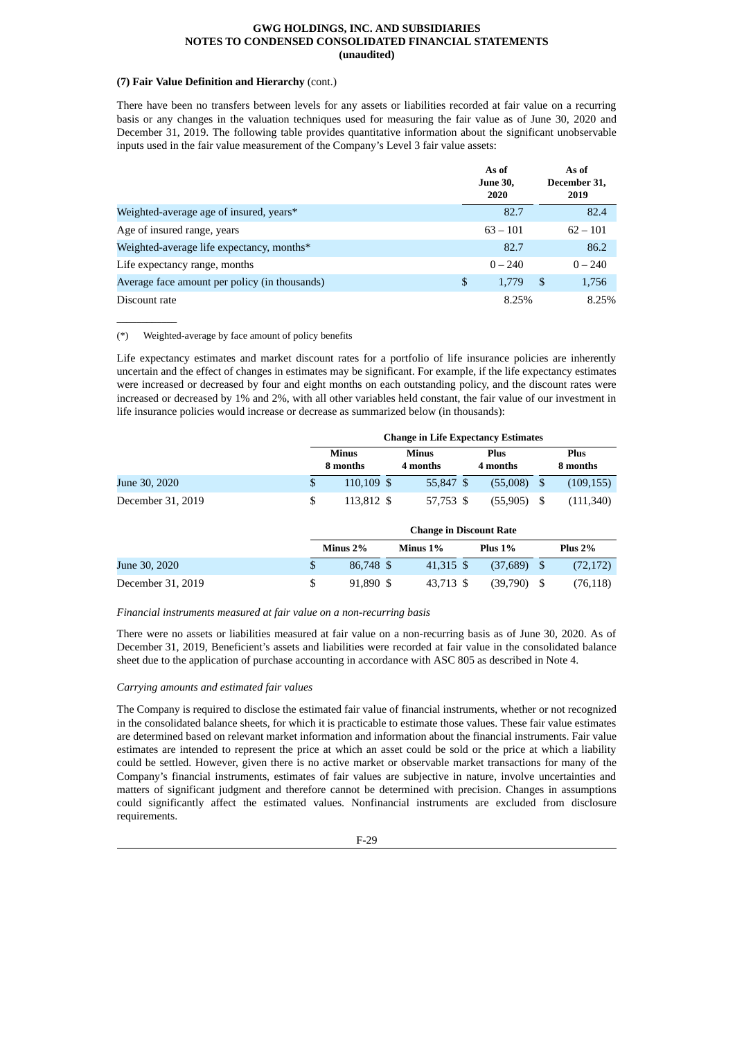# **(7) Fair Value Definition and Hierarchy** (cont.)

There have been no transfers between levels for any assets or liabilities recorded at fair value on a recurring basis or any changes in the valuation techniques used for measuring the fair value as of June 30, 2020 and December 31, 2019. The following table provides quantitative information about the significant unobservable inputs used in the fair value measurement of the Company's Level 3 fair value assets:

|                                               | As of<br><b>June 30,</b><br>2020 | As of<br>December 31,<br>2019 |
|-----------------------------------------------|----------------------------------|-------------------------------|
| Weighted-average age of insured, years*       | 82.7                             | 82.4                          |
| Age of insured range, years                   | $63 - 101$                       | $62 - 101$                    |
| Weighted-average life expectancy, months*     | 82.7                             | 86.2                          |
| Life expectancy range, months                 | $0 - 240$                        | $0 - 240$                     |
| Average face amount per policy (in thousands) | \$<br>1.779                      | \$<br>1,756                   |
| Discount rate                                 | 8.25%                            | 8.25%                         |

(\*) Weighted-average by face amount of policy benefits

 $\overline{\phantom{a}}$  , where  $\overline{\phantom{a}}$ 

Life expectancy estimates and market discount rates for a portfolio of life insurance policies are inherently uncertain and the effect of changes in estimates may be significant. For example, if the life expectancy estimates were increased or decreased by four and eight months on each outstanding policy, and the discount rates were increased or decreased by 1% and 2%, with all other variables held constant, the fair value of our investment in life insurance policies would increase or decrease as summarized below (in thousands):

|                   | <b>Change in Life Expectancy Estimates</b> |  |                          |  |                         |  |                         |  |
|-------------------|--------------------------------------------|--|--------------------------|--|-------------------------|--|-------------------------|--|
|                   | <b>Minus</b><br>8 months                   |  | <b>Minus</b><br>4 months |  | <b>Plus</b><br>4 months |  | <b>Plus</b><br>8 months |  |
| June 30, 2020     | $110.109$ \$                               |  | 55,847 \$                |  | (55,008)                |  | (109, 155)              |  |
| December 31, 2019 | 113,812 \$                                 |  | 57,753 \$                |  | (55, 905)               |  | (111,340)               |  |

|                   | <b>Change in Discount Rate</b> |             |  |             |  |               |      |            |  |
|-------------------|--------------------------------|-------------|--|-------------|--|---------------|------|------------|--|
|                   |                                | Minus 2%    |  | Minus $1\%$ |  | Plus $1\%$    |      | Plus $2\%$ |  |
| June 30, 2020     |                                | 86,748 \$   |  | 41.315 \$   |  | (37.689)      | - \$ | (72, 172)  |  |
| December 31, 2019 |                                | $91.890$ \$ |  | 43,713 \$   |  | $(39,790)$ \$ |      | (76, 118)  |  |

*Financial instruments measured at fair value on a non-recurring basis*

There were no assets or liabilities measured at fair value on a non-recurring basis as of June 30, 2020. As of December 31, 2019, Beneficient's assets and liabilities were recorded at fair value in the consolidated balance sheet due to the application of purchase accounting in accordance with ASC 805 as described in Note 4.

# *Carrying amounts and estimated fair values*

The Company is required to disclose the estimated fair value of financial instruments, whether or not recognized in the consolidated balance sheets, for which it is practicable to estimate those values. These fair value estimates are determined based on relevant market information and information about the financial instruments. Fair value estimates are intended to represent the price at which an asset could be sold or the price at which a liability could be settled. However, given there is no active market or observable market transactions for many of the Company's financial instruments, estimates of fair values are subjective in nature, involve uncertainties and matters of significant judgment and therefore cannot be determined with precision. Changes in assumptions could significantly affect the estimated values. Nonfinancial instruments are excluded from disclosure requirements.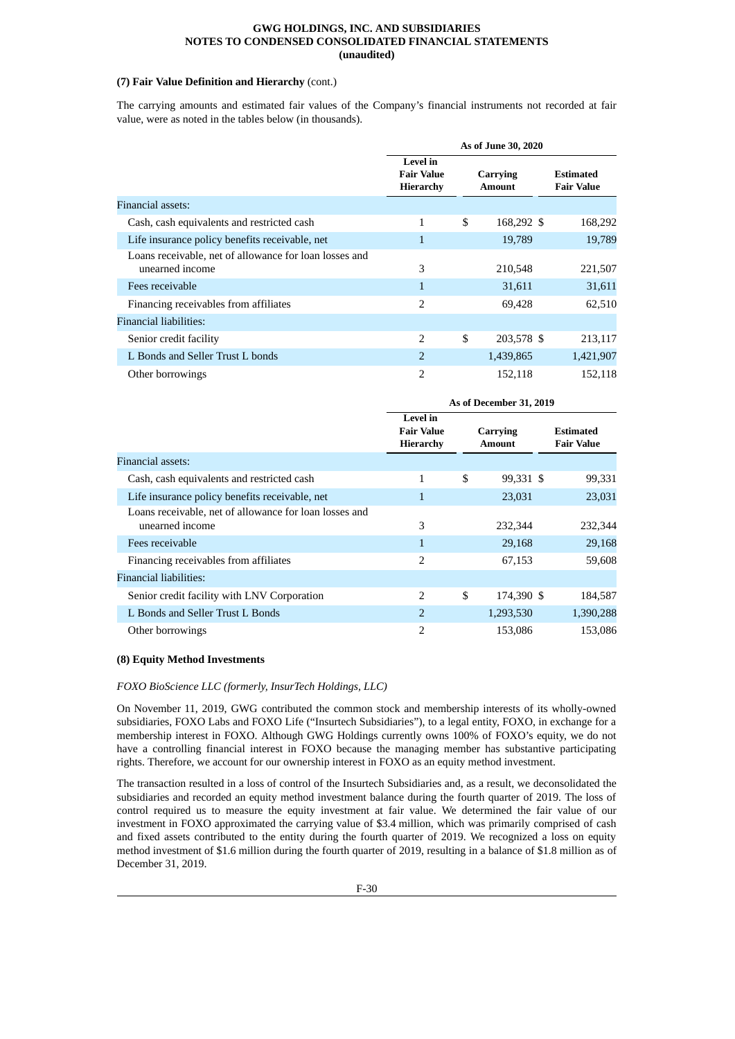# **(7) Fair Value Definition and Hierarchy** (cont.)

The carrying amounts and estimated fair values of the Company's financial instruments not recorded at fair value, were as noted in the tables below (in thousands).

|                                                                           | As of June 30, 2020                        |    |                           |  |                                       |  |
|---------------------------------------------------------------------------|--------------------------------------------|----|---------------------------|--|---------------------------------------|--|
|                                                                           | Level in<br><b>Fair Value</b><br>Hierarchy |    | Carrying<br><b>Amount</b> |  | <b>Estimated</b><br><b>Fair Value</b> |  |
| Financial assets:                                                         |                                            |    |                           |  |                                       |  |
| Cash, cash equivalents and restricted cash                                | 1                                          | \$ | 168,292 \$                |  | 168,292                               |  |
| Life insurance policy benefits receivable, net                            | 1                                          |    | 19,789                    |  | 19,789                                |  |
| Loans receivable, net of allowance for loan losses and<br>unearned income | 3                                          |    | 210,548                   |  | 221,507                               |  |
| Fees receivable                                                           | 1                                          |    | 31,611                    |  | 31,611                                |  |
| Financing receivables from affiliates                                     | $\overline{2}$                             |    | 69,428                    |  | 62,510                                |  |
| Financial liabilities:                                                    |                                            |    |                           |  |                                       |  |
| Senior credit facility                                                    | $\overline{2}$                             | \$ | 203,578 \$                |  | 213,117                               |  |
| L Bonds and Seller Trust L bonds                                          | 2                                          |    | 1,439,865                 |  | 1,421,907                             |  |
| Other borrowings                                                          | $\overline{2}$                             |    | 152,118                   |  | 152,118                               |  |

|                                                                           | As of December 31, 2019                           |    |                           |  |                                       |  |
|---------------------------------------------------------------------------|---------------------------------------------------|----|---------------------------|--|---------------------------------------|--|
|                                                                           | <b>Level</b> in<br><b>Fair Value</b><br>Hierarchy |    | Carrying<br><b>Amount</b> |  | <b>Estimated</b><br><b>Fair Value</b> |  |
| Financial assets:                                                         |                                                   |    |                           |  |                                       |  |
| Cash, cash equivalents and restricted cash                                | 1                                                 | \$ | 99,331 \$                 |  | 99,331                                |  |
| Life insurance policy benefits receivable, net                            | 1                                                 |    | 23,031                    |  | 23,031                                |  |
| Loans receivable, net of allowance for loan losses and<br>unearned income | 3                                                 |    | 232,344                   |  | 232,344                               |  |
| Fees receivable                                                           | $\mathbf{1}$                                      |    | 29,168                    |  | 29,168                                |  |
| Financing receivables from affiliates                                     | $\overline{2}$                                    |    | 67,153                    |  | 59,608                                |  |
| Financial liabilities:                                                    |                                                   |    |                           |  |                                       |  |
| Senior credit facility with LNV Corporation                               | 2                                                 | \$ | 174,390 \$                |  | 184,587                               |  |
| L Bonds and Seller Trust L Bonds                                          | $\overline{2}$                                    |    | 1,293,530                 |  | 1,390,288                             |  |
| Other borrowings                                                          | $\overline{2}$                                    |    | 153,086                   |  | 153,086                               |  |

# **(8) Equity Method Investments**

#### *FOXO BioScience LLC (formerly, InsurTech Holdings, LLC)*

On November 11, 2019, GWG contributed the common stock and membership interests of its wholly-owned subsidiaries, FOXO Labs and FOXO Life ("Insurtech Subsidiaries"), to a legal entity, FOXO, in exchange for a membership interest in FOXO. Although GWG Holdings currently owns 100% of FOXO's equity, we do not have a controlling financial interest in FOXO because the managing member has substantive participating rights. Therefore, we account for our ownership interest in FOXO as an equity method investment.

The transaction resulted in a loss of control of the Insurtech Subsidiaries and, as a result, we deconsolidated the subsidiaries and recorded an equity method investment balance during the fourth quarter of 2019. The loss of control required us to measure the equity investment at fair value. We determined the fair value of our investment in FOXO approximated the carrying value of \$3.4 million, which was primarily comprised of cash and fixed assets contributed to the entity during the fourth quarter of 2019. We recognized a loss on equity method investment of \$1.6 million during the fourth quarter of 2019, resulting in a balance of \$1.8 million as of December 31, 2019.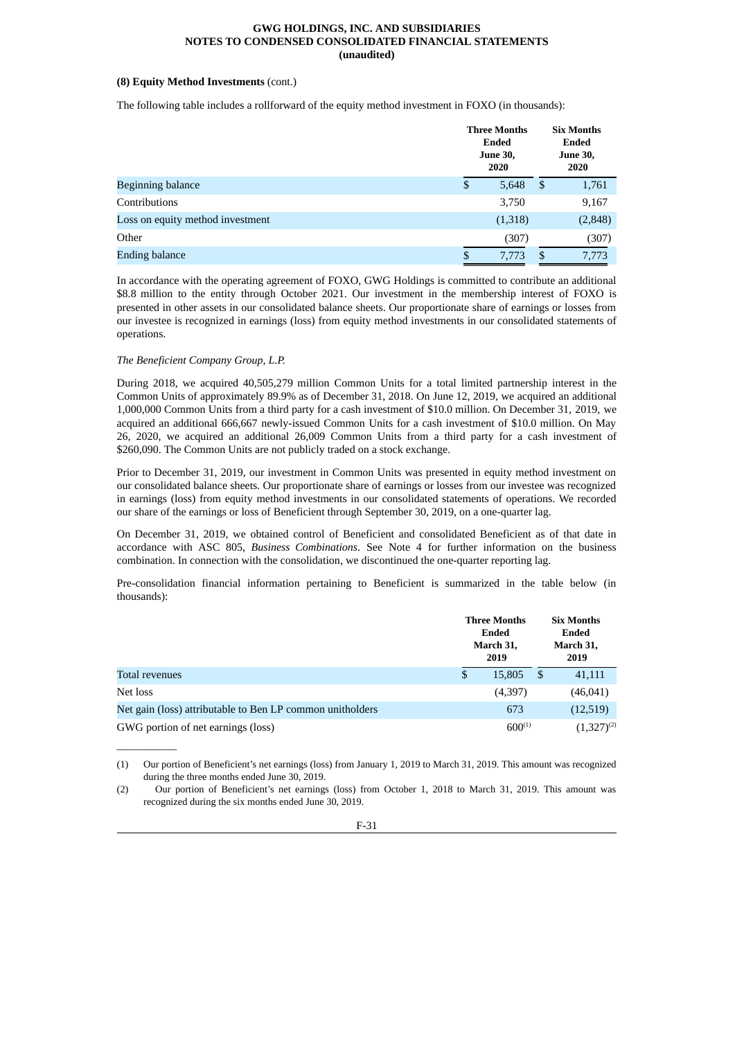# **(8) Equity Method Investments** (cont.)

The following table includes a rollforward of the equity method investment in FOXO (in thousands):

|                                  | <b>Three Months</b><br>Ended<br><b>June 30,</b><br>2020 |               | <b>Six Months</b><br>Ended<br><b>June 30,</b><br>2020 |
|----------------------------------|---------------------------------------------------------|---------------|-------------------------------------------------------|
| <b>Beginning balance</b>         | \$<br>5,648                                             | \$            | 1,761                                                 |
| Contributions                    | 3,750                                                   |               | 9,167                                                 |
| Loss on equity method investment | (1,318)                                                 |               | (2, 848)                                              |
| Other                            | (307)                                                   |               | (307)                                                 |
| <b>Ending balance</b>            | \$<br>7,773                                             | <sup>\$</sup> | 7,773                                                 |

In accordance with the operating agreement of FOXO, GWG Holdings is committed to contribute an additional \$8.8 million to the entity through October 2021. Our investment in the membership interest of FOXO is presented in other assets in our consolidated balance sheets. Our proportionate share of earnings or losses from our investee is recognized in earnings (loss) from equity method investments in our consolidated statements of operations.

# *The Beneficient Company Group, L.P.*

 $\mathcal{L}=\mathcal{L}$ 

During 2018, we acquired 40,505,279 million Common Units for a total limited partnership interest in the Common Units of approximately 89.9% as of December 31, 2018. On June 12, 2019, we acquired an additional 1,000,000 Common Units from a third party for a cash investment of \$10.0 million. On December 31, 2019, we acquired an additional 666,667 newly-issued Common Units for a cash investment of \$10.0 million. On May 26, 2020, we acquired an additional 26,009 Common Units from a third party for a cash investment of \$260,090. The Common Units are not publicly traded on a stock exchange.

Prior to December 31, 2019, our investment in Common Units was presented in equity method investment on our consolidated balance sheets. Our proportionate share of earnings or losses from our investee was recognized in earnings (loss) from equity method investments in our consolidated statements of operations. We recorded our share of the earnings or loss of Beneficient through September 30, 2019, on a one-quarter lag.

On December 31, 2019, we obtained control of Beneficient and consolidated Beneficient as of that date in accordance with ASC 805, *Business Combinations*. See Note 4 for further information on the business combination. In connection with the consolidation, we discontinued the one-quarter reporting lag.

Pre-consolidation financial information pertaining to Beneficient is summarized in the table below (in thousands):

|                                                           |   | <b>Three Months</b><br>Ended<br>March 31,<br>2019 |      | <b>Six Months</b><br>Ended<br>March 31,<br>2019 |
|-----------------------------------------------------------|---|---------------------------------------------------|------|-------------------------------------------------|
| Total revenues                                            | S | 15,805                                            | - \$ | 41,111                                          |
| Net loss                                                  |   | (4,397)                                           |      | (46, 041)                                       |
| Net gain (loss) attributable to Ben LP common unitholders |   | 673                                               |      | (12,519)                                        |
| GWG portion of net earnings (loss)                        |   | $600^{(1)}$                                       |      | $(1,327)^{(2)}$                                 |

(1) Our portion of Beneficient's net earnings (loss) from January 1, 2019 to March 31, 2019. This amount was recognized during the three months ended June 30, 2019.

<sup>(2)</sup> Our portion of Beneficient's net earnings (loss) from October 1, 2018 to March 31, 2019. This amount was recognized during the six months ended June 30, 2019.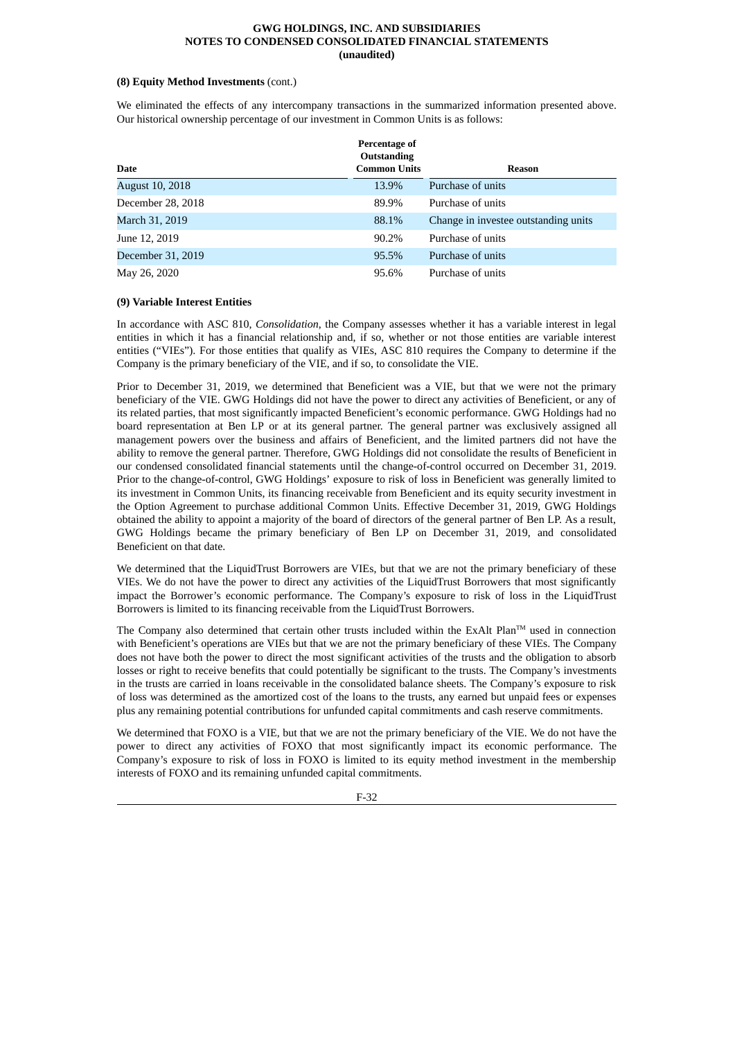#### **(8) Equity Method Investments** (cont.)

We eliminated the effects of any intercompany transactions in the summarized information presented above. Our historical ownership percentage of our investment in Common Units is as follows:

| Date                   | Percentage of<br><b>Outstanding</b><br><b>Common Units</b> | Reason                               |
|------------------------|------------------------------------------------------------|--------------------------------------|
| <b>August 10, 2018</b> | 13.9%                                                      | Purchase of units                    |
| December 28, 2018      | 89.9%                                                      | Purchase of units                    |
| March 31, 2019         | 88.1%                                                      | Change in investee outstanding units |
| June 12, 2019          | 90.2%                                                      | Purchase of units                    |
| December 31, 2019      | 95.5%                                                      | Purchase of units                    |
| May 26, 2020           | 95.6%                                                      | Purchase of units                    |

# **(9) Variable Interest Entities**

In accordance with ASC 810, *Consolidation*, the Company assesses whether it has a variable interest in legal entities in which it has a financial relationship and, if so, whether or not those entities are variable interest entities ("VIEs"). For those entities that qualify as VIEs, ASC 810 requires the Company to determine if the Company is the primary beneficiary of the VIE, and if so, to consolidate the VIE.

Prior to December 31, 2019, we determined that Beneficient was a VIE, but that we were not the primary beneficiary of the VIE. GWG Holdings did not have the power to direct any activities of Beneficient, or any of its related parties, that most significantly impacted Beneficient's economic performance. GWG Holdings had no board representation at Ben LP or at its general partner. The general partner was exclusively assigned all management powers over the business and affairs of Beneficient, and the limited partners did not have the ability to remove the general partner. Therefore, GWG Holdings did not consolidate the results of Beneficient in our condensed consolidated financial statements until the change-of-control occurred on December 31, 2019. Prior to the change-of-control, GWG Holdings' exposure to risk of loss in Beneficient was generally limited to its investment in Common Units, its financing receivable from Beneficient and its equity security investment in the Option Agreement to purchase additional Common Units. Effective December 31, 2019, GWG Holdings obtained the ability to appoint a majority of the board of directors of the general partner of Ben LP. As a result, GWG Holdings became the primary beneficiary of Ben LP on December 31, 2019, and consolidated Beneficient on that date.

We determined that the LiquidTrust Borrowers are VIEs, but that we are not the primary beneficiary of these VIEs. We do not have the power to direct any activities of the LiquidTrust Borrowers that most significantly impact the Borrower's economic performance. The Company's exposure to risk of loss in the LiquidTrust Borrowers is limited to its financing receivable from the LiquidTrust Borrowers.

The Company also determined that certain other trusts included within the ExAlt Plan<sup>TM</sup> used in connection with Beneficient's operations are VIEs but that we are not the primary beneficiary of these VIEs. The Company does not have both the power to direct the most significant activities of the trusts and the obligation to absorb losses or right to receive benefits that could potentially be significant to the trusts. The Company's investments in the trusts are carried in loans receivable in the consolidated balance sheets. The Company's exposure to risk of loss was determined as the amortized cost of the loans to the trusts, any earned but unpaid fees or expenses plus any remaining potential contributions for unfunded capital commitments and cash reserve commitments.

We determined that FOXO is a VIE, but that we are not the primary beneficiary of the VIE. We do not have the power to direct any activities of FOXO that most significantly impact its economic performance. The Company's exposure to risk of loss in FOXO is limited to its equity method investment in the membership interests of FOXO and its remaining unfunded capital commitments.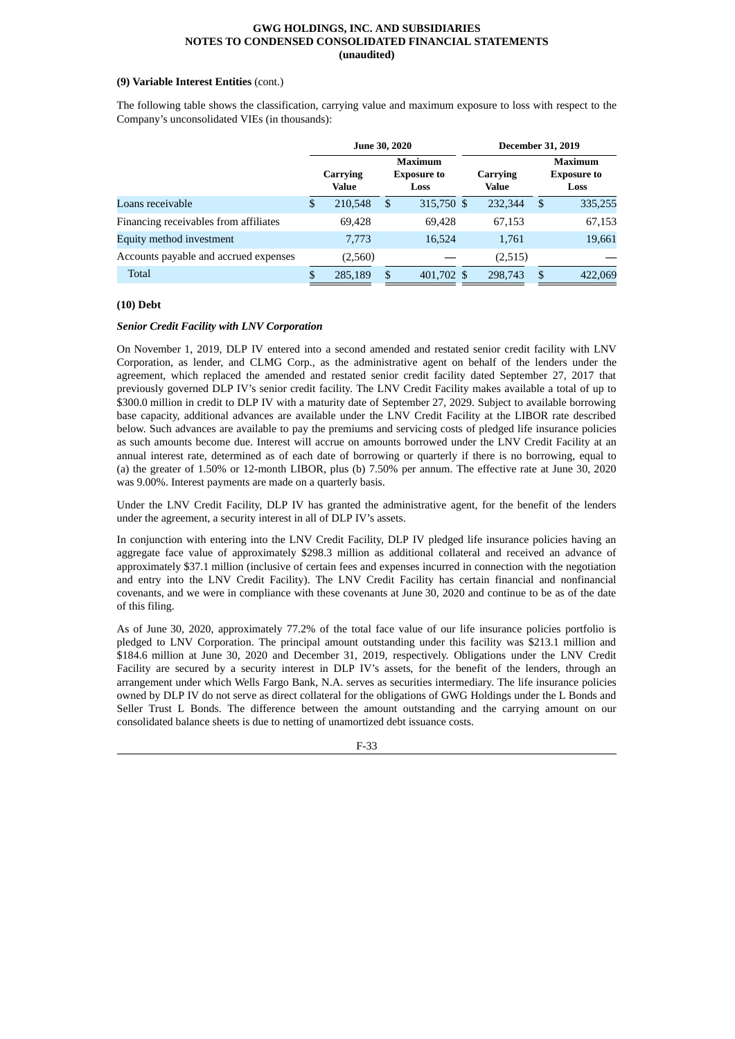# **(9) Variable Interest Entities** (cont.)

The following table shows the classification, carrying value and maximum exposure to loss with respect to the Company's unconsolidated VIEs (in thousands):

|                                       |   | <b>June 30, 2020</b> |                                              | <b>December 31, 2019</b> |                   |     |                                              |  |
|---------------------------------------|---|----------------------|----------------------------------------------|--------------------------|-------------------|-----|----------------------------------------------|--|
|                                       |   | Carrying<br>Value    | <b>Maximum</b><br><b>Exposure to</b><br>Loss |                          | Carrying<br>Value |     | <b>Maximum</b><br><b>Exposure to</b><br>Loss |  |
| Loans receivable                      | S | 210,548              | \$                                           | 315,750 \$               | 232,344           | S.  | 335,255                                      |  |
| Financing receivables from affiliates |   | 69,428               |                                              | 69,428                   | 67,153            |     | 67,153                                       |  |
| Equity method investment              |   | 7,773                |                                              | 16,524                   | 1,761             |     | 19,661                                       |  |
| Accounts payable and accrued expenses |   | (2,560)              |                                              |                          | (2,515)           |     |                                              |  |
| Total                                 |   | 285,189              | \$                                           | 401,702 \$               | 298,743           | \$. | 422,069                                      |  |

# **(10) Debt**

# *Senior Credit Facility with LNV Corporation*

On November 1, 2019, DLP IV entered into a second amended and restated senior credit facility with LNV Corporation, as lender, and CLMG Corp., as the administrative agent on behalf of the lenders under the agreement, which replaced the amended and restated senior credit facility dated September 27, 2017 that previously governed DLP IV's senior credit facility. The LNV Credit Facility makes available a total of up to \$300.0 million in credit to DLP IV with a maturity date of September 27, 2029. Subject to available borrowing base capacity, additional advances are available under the LNV Credit Facility at the LIBOR rate described below. Such advances are available to pay the premiums and servicing costs of pledged life insurance policies as such amounts become due. Interest will accrue on amounts borrowed under the LNV Credit Facility at an annual interest rate, determined as of each date of borrowing or quarterly if there is no borrowing, equal to (a) the greater of 1.50% or 12-month LIBOR, plus (b) 7.50% per annum. The effective rate at June 30, 2020 was 9.00%. Interest payments are made on a quarterly basis.

Under the LNV Credit Facility, DLP IV has granted the administrative agent, for the benefit of the lenders under the agreement, a security interest in all of DLP IV's assets.

In conjunction with entering into the LNV Credit Facility, DLP IV pledged life insurance policies having an aggregate face value of approximately \$298.3 million as additional collateral and received an advance of approximately \$37.1 million (inclusive of certain fees and expenses incurred in connection with the negotiation and entry into the LNV Credit Facility). The LNV Credit Facility has certain financial and nonfinancial covenants, and we were in compliance with these covenants at June 30, 2020 and continue to be as of the date of this filing.

As of June 30, 2020, approximately 77.2% of the total face value of our life insurance policies portfolio is pledged to LNV Corporation. The principal amount outstanding under this facility was \$213.1 million and \$184.6 million at June 30, 2020 and December 31, 2019, respectively. Obligations under the LNV Credit Facility are secured by a security interest in DLP IV's assets, for the benefit of the lenders, through an arrangement under which Wells Fargo Bank, N.A. serves as securities intermediary. The life insurance policies owned by DLP IV do not serve as direct collateral for the obligations of GWG Holdings under the L Bonds and Seller Trust L Bonds. The difference between the amount outstanding and the carrying amount on our consolidated balance sheets is due to netting of unamortized debt issuance costs.

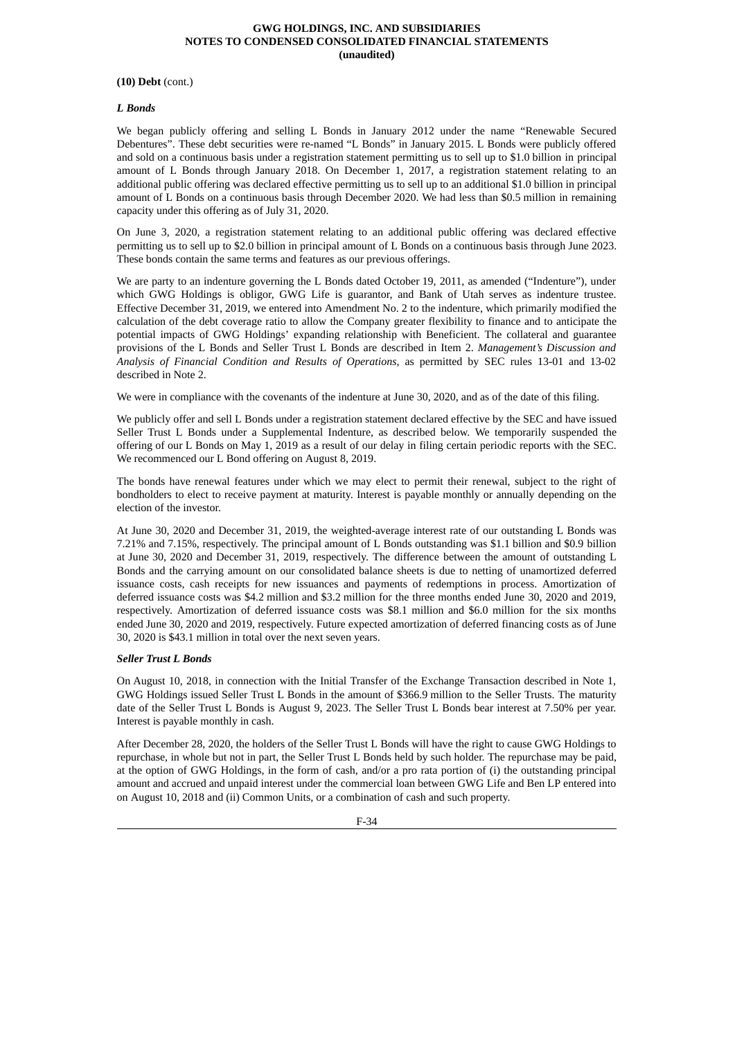#### **(10) Debt** (cont.)

#### *L Bonds*

We began publicly offering and selling L Bonds in January 2012 under the name "Renewable Secured Debentures". These debt securities were re-named "L Bonds" in January 2015. L Bonds were publicly offered and sold on a continuous basis under a registration statement permitting us to sell up to \$1.0 billion in principal amount of L Bonds through January 2018. On December 1, 2017, a registration statement relating to an additional public offering was declared effective permitting us to sell up to an additional \$1.0 billion in principal amount of L Bonds on a continuous basis through December 2020. We had less than \$0.5 million in remaining capacity under this offering as of July 31, 2020.

On June 3, 2020, a registration statement relating to an additional public offering was declared effective permitting us to sell up to \$2.0 billion in principal amount of L Bonds on a continuous basis through June 2023. These bonds contain the same terms and features as our previous offerings.

We are party to an indenture governing the L Bonds dated October 19, 2011, as amended ("Indenture"), under which GWG Holdings is obligor, GWG Life is guarantor, and Bank of Utah serves as indenture trustee. Effective December 31, 2019, we entered into Amendment No. 2 to the indenture, which primarily modified the calculation of the debt coverage ratio to allow the Company greater flexibility to finance and to anticipate the potential impacts of GWG Holdings' expanding relationship with Beneficient. The collateral and guarantee provisions of the L Bonds and Seller Trust L Bonds are described in Item 2. *Management's Discussion and Analysis of Financial Condition and Results of Operations*, as permitted by SEC rules 13-01 and 13-02 described in Note 2.

We were in compliance with the covenants of the indenture at June 30, 2020, and as of the date of this filing.

We publicly offer and sell L Bonds under a registration statement declared effective by the SEC and have issued Seller Trust L Bonds under a Supplemental Indenture, as described below. We temporarily suspended the offering of our L Bonds on May 1, 2019 as a result of our delay in filing certain periodic reports with the SEC. We recommenced our L Bond offering on August 8, 2019.

The bonds have renewal features under which we may elect to permit their renewal, subject to the right of bondholders to elect to receive payment at maturity. Interest is payable monthly or annually depending on the election of the investor.

At June 30, 2020 and December 31, 2019, the weighted-average interest rate of our outstanding L Bonds was 7.21% and 7.15%, respectively. The principal amount of L Bonds outstanding was \$1.1 billion and \$0.9 billion at June 30, 2020 and December 31, 2019, respectively. The difference between the amount of outstanding L Bonds and the carrying amount on our consolidated balance sheets is due to netting of unamortized deferred issuance costs, cash receipts for new issuances and payments of redemptions in process. Amortization of deferred issuance costs was \$4.2 million and \$3.2 million for the three months ended June 30, 2020 and 2019, respectively. Amortization of deferred issuance costs was \$8.1 million and \$6.0 million for the six months ended June 30, 2020 and 2019, respectively. Future expected amortization of deferred financing costs as of June 30, 2020 is \$43.1 million in total over the next seven years.

#### *Seller Trust L Bonds*

On August 10, 2018, in connection with the Initial Transfer of the Exchange Transaction described in Note 1, GWG Holdings issued Seller Trust L Bonds in the amount of \$366.9 million to the Seller Trusts. The maturity date of the Seller Trust L Bonds is August 9, 2023. The Seller Trust L Bonds bear interest at 7.50% per year. Interest is payable monthly in cash.

After December 28, 2020, the holders of the Seller Trust L Bonds will have the right to cause GWG Holdings to repurchase, in whole but not in part, the Seller Trust L Bonds held by such holder. The repurchase may be paid, at the option of GWG Holdings, in the form of cash, and/or a pro rata portion of (i) the outstanding principal amount and accrued and unpaid interest under the commercial loan between GWG Life and Ben LP entered into on August 10, 2018 and (ii) Common Units, or a combination of cash and such property.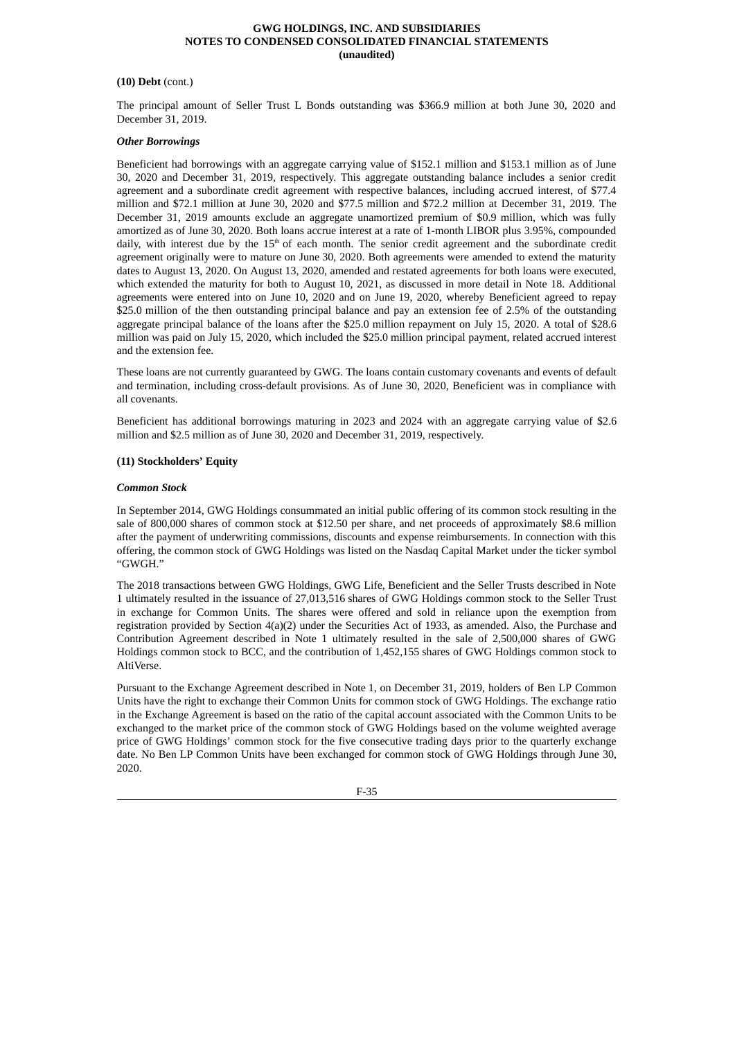# **(10) Debt** (cont.)

The principal amount of Seller Trust L Bonds outstanding was \$366.9 million at both June 30, 2020 and December 31, 2019.

#### *Other Borrowings*

Beneficient had borrowings with an aggregate carrying value of \$152.1 million and \$153.1 million as of June 30, 2020 and December 31, 2019, respectively. This aggregate outstanding balance includes a senior credit agreement and a subordinate credit agreement with respective balances, including accrued interest, of \$77.4 million and \$72.1 million at June 30, 2020 and \$77.5 million and \$72.2 million at December 31, 2019. The December 31, 2019 amounts exclude an aggregate unamortized premium of \$0.9 million, which was fully amortized as of June 30, 2020. Both loans accrue interest at a rate of 1-month LIBOR plus 3.95%, compounded daily, with interest due by the 15<sup>th</sup> of each month. The senior credit agreement and the subordinate credit agreement originally were to mature on June 30, 2020. Both agreements were amended to extend the maturity dates to August 13, 2020. On August 13, 2020, amended and restated agreements for both loans were executed, which extended the maturity for both to August 10, 2021, as discussed in more detail in Note 18. Additional agreements were entered into on June 10, 2020 and on June 19, 2020, whereby Beneficient agreed to repay \$25.0 million of the then outstanding principal balance and pay an extension fee of 2.5% of the outstanding aggregate principal balance of the loans after the \$25.0 million repayment on July 15, 2020. A total of \$28.6 million was paid on July 15, 2020, which included the \$25.0 million principal payment, related accrued interest and the extension fee.

These loans are not currently guaranteed by GWG. The loans contain customary covenants and events of default and termination, including cross-default provisions. As of June 30, 2020, Beneficient was in compliance with all covenants.

Beneficient has additional borrowings maturing in 2023 and 2024 with an aggregate carrying value of \$2.6 million and \$2.5 million as of June 30, 2020 and December 31, 2019, respectively.

# **(11) Stockholders' Equity**

# *Common Stock*

In September 2014, GWG Holdings consummated an initial public offering of its common stock resulting in the sale of 800,000 shares of common stock at \$12.50 per share, and net proceeds of approximately \$8.6 million after the payment of underwriting commissions, discounts and expense reimbursements. In connection with this offering, the common stock of GWG Holdings was listed on the Nasdaq Capital Market under the ticker symbol "GWGH."

The 2018 transactions between GWG Holdings, GWG Life, Beneficient and the Seller Trusts described in Note 1 ultimately resulted in the issuance of 27,013,516 shares of GWG Holdings common stock to the Seller Trust in exchange for Common Units. The shares were offered and sold in reliance upon the exemption from registration provided by Section 4(a)(2) under the Securities Act of 1933, as amended. Also, the Purchase and Contribution Agreement described in Note 1 ultimately resulted in the sale of 2,500,000 shares of GWG Holdings common stock to BCC, and the contribution of 1,452,155 shares of GWG Holdings common stock to AltiVerse.

Pursuant to the Exchange Agreement described in Note 1, on December 31, 2019, holders of Ben LP Common Units have the right to exchange their Common Units for common stock of GWG Holdings. The exchange ratio in the Exchange Agreement is based on the ratio of the capital account associated with the Common Units to be exchanged to the market price of the common stock of GWG Holdings based on the volume weighted average price of GWG Holdings' common stock for the five consecutive trading days prior to the quarterly exchange date. No Ben LP Common Units have been exchanged for common stock of GWG Holdings through June 30, 2020.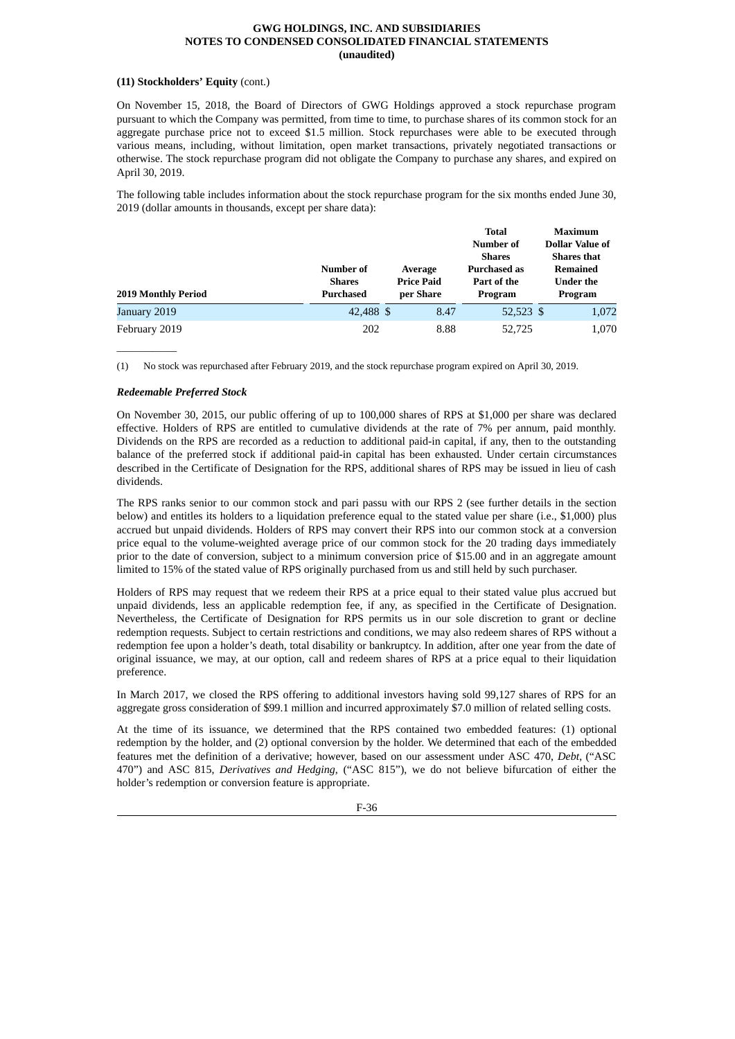# **(11) Stockholders' Equity** (cont.)

On November 15, 2018, the Board of Directors of GWG Holdings approved a stock repurchase program pursuant to which the Company was permitted, from time to time, to purchase shares of its common stock for an aggregate purchase price not to exceed \$1.5 million. Stock repurchases were able to be executed through various means, including, without limitation, open market transactions, privately negotiated transactions or otherwise. The stock repurchase program did not obligate the Company to purchase any shares, and expired on April 30, 2019.

The following table includes information about the stock repurchase program for the six months ended June 30, 2019 (dollar amounts in thousands, except per share data):

| 2019 Monthly Period | <b>Number of</b><br><b>Shares</b><br><b>Purchased</b> | Average<br><b>Price Paid</b><br>per Share | <b>Total</b><br>Number of<br><b>Shares</b><br><b>Purchased as</b><br>Part of the<br>Program | Maximum<br><b>Dollar Value of</b><br><b>Shares that</b><br>Remained<br>Under the<br>Program |
|---------------------|-------------------------------------------------------|-------------------------------------------|---------------------------------------------------------------------------------------------|---------------------------------------------------------------------------------------------|
| January 2019        | 42,488 \$                                             | 8.47                                      | 52,523 \$                                                                                   | 1,072                                                                                       |
| February 2019       | 202                                                   | 8.88                                      | 52,725                                                                                      | 1,070                                                                                       |

(1) No stock was repurchased after February 2019, and the stock repurchase program expired on April 30, 2019.

# *Redeemable Preferred Stock*

 $\overline{\phantom{a}}$  , where  $\overline{\phantom{a}}$ 

On November 30, 2015, our public offering of up to 100,000 shares of RPS at \$1,000 per share was declared effective. Holders of RPS are entitled to cumulative dividends at the rate of 7% per annum, paid monthly. Dividends on the RPS are recorded as a reduction to additional paid-in capital, if any, then to the outstanding balance of the preferred stock if additional paid-in capital has been exhausted. Under certain circumstances described in the Certificate of Designation for the RPS, additional shares of RPS may be issued in lieu of cash dividends.

The RPS ranks senior to our common stock and pari passu with our RPS 2 (see further details in the section below) and entitles its holders to a liquidation preference equal to the stated value per share (i.e., \$1,000) plus accrued but unpaid dividends. Holders of RPS may convert their RPS into our common stock at a conversion price equal to the volume-weighted average price of our common stock for the 20 trading days immediately prior to the date of conversion, subject to a minimum conversion price of \$15.00 and in an aggregate amount limited to 15% of the stated value of RPS originally purchased from us and still held by such purchaser.

Holders of RPS may request that we redeem their RPS at a price equal to their stated value plus accrued but unpaid dividends, less an applicable redemption fee, if any, as specified in the Certificate of Designation. Nevertheless, the Certificate of Designation for RPS permits us in our sole discretion to grant or decline redemption requests. Subject to certain restrictions and conditions, we may also redeem shares of RPS without a redemption fee upon a holder's death, total disability or bankruptcy. In addition, after one year from the date of original issuance, we may, at our option, call and redeem shares of RPS at a price equal to their liquidation preference.

In March 2017, we closed the RPS offering to additional investors having sold 99,127 shares of RPS for an aggregate gross consideration of \$99.1 million and incurred approximately \$7.0 million of related selling costs.

At the time of its issuance, we determined that the RPS contained two embedded features: (1) optional redemption by the holder, and (2) optional conversion by the holder. We determined that each of the embedded features met the definition of a derivative; however, based on our assessment under ASC 470, *Debt*, ("ASC 470") and ASC 815, *Derivatives and Hedging*, ("ASC 815"), we do not believe bifurcation of either the holder's redemption or conversion feature is appropriate.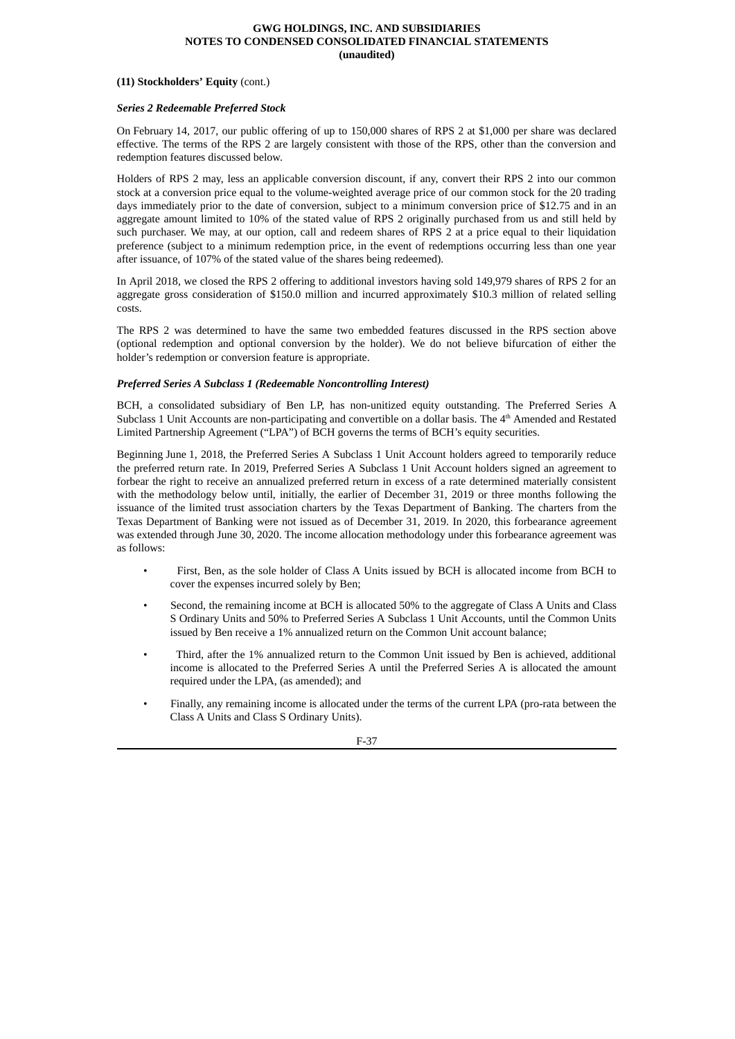#### **(11) Stockholders' Equity** (cont.)

#### *Series 2 Redeemable Preferred Stock*

On February 14, 2017, our public offering of up to 150,000 shares of RPS 2 at \$1,000 per share was declared effective. The terms of the RPS 2 are largely consistent with those of the RPS, other than the conversion and redemption features discussed below.

Holders of RPS 2 may, less an applicable conversion discount, if any, convert their RPS 2 into our common stock at a conversion price equal to the volume-weighted average price of our common stock for the 20 trading days immediately prior to the date of conversion, subject to a minimum conversion price of \$12.75 and in an aggregate amount limited to 10% of the stated value of RPS 2 originally purchased from us and still held by such purchaser. We may, at our option, call and redeem shares of RPS 2 at a price equal to their liquidation preference (subject to a minimum redemption price, in the event of redemptions occurring less than one year after issuance, of 107% of the stated value of the shares being redeemed).

In April 2018, we closed the RPS 2 offering to additional investors having sold 149,979 shares of RPS 2 for an aggregate gross consideration of \$150.0 million and incurred approximately \$10.3 million of related selling costs.

The RPS 2 was determined to have the same two embedded features discussed in the RPS section above (optional redemption and optional conversion by the holder). We do not believe bifurcation of either the holder's redemption or conversion feature is appropriate.

# *Preferred Series A Subclass 1 (Redeemable Noncontrolling Interest)*

BCH, a consolidated subsidiary of Ben LP, has non-unitized equity outstanding. The Preferred Series A Subclass 1 Unit Accounts are non-participating and convertible on a dollar basis. The 4<sup>th</sup> Amended and Restated Limited Partnership Agreement ("LPA") of BCH governs the terms of BCH's equity securities.

Beginning June 1, 2018, the Preferred Series A Subclass 1 Unit Account holders agreed to temporarily reduce the preferred return rate. In 2019, Preferred Series A Subclass 1 Unit Account holders signed an agreement to forbear the right to receive an annualized preferred return in excess of a rate determined materially consistent with the methodology below until, initially, the earlier of December 31, 2019 or three months following the issuance of the limited trust association charters by the Texas Department of Banking. The charters from the Texas Department of Banking were not issued as of December 31, 2019. In 2020, this forbearance agreement was extended through June 30, 2020. The income allocation methodology under this forbearance agreement was as follows:

- First, Ben, as the sole holder of Class A Units issued by BCH is allocated income from BCH to cover the expenses incurred solely by Ben;
- Second, the remaining income at BCH is allocated 50% to the aggregate of Class A Units and Class S Ordinary Units and 50% to Preferred Series A Subclass 1 Unit Accounts, until the Common Units issued by Ben receive a 1% annualized return on the Common Unit account balance;
- Third, after the 1% annualized return to the Common Unit issued by Ben is achieved, additional income is allocated to the Preferred Series A until the Preferred Series A is allocated the amount required under the LPA, (as amended); and
- Finally, any remaining income is allocated under the terms of the current LPA (pro-rata between the Class A Units and Class S Ordinary Units).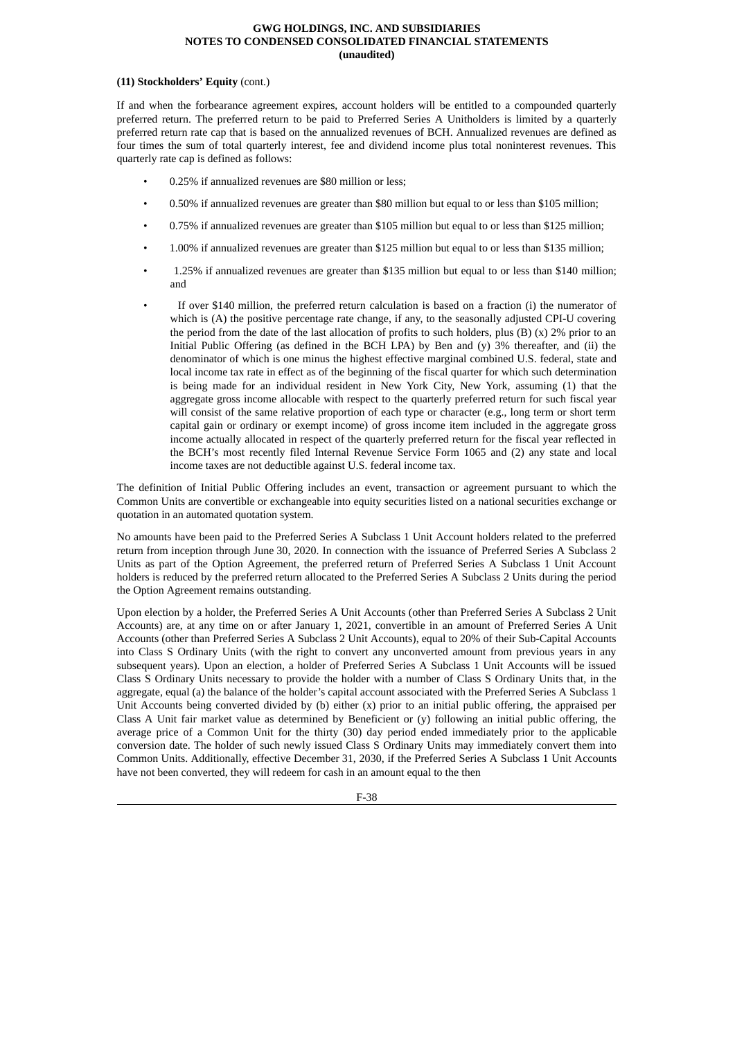#### **(11) Stockholders' Equity** (cont.)

If and when the forbearance agreement expires, account holders will be entitled to a compounded quarterly preferred return. The preferred return to be paid to Preferred Series A Unitholders is limited by a quarterly preferred return rate cap that is based on the annualized revenues of BCH. Annualized revenues are defined as four times the sum of total quarterly interest, fee and dividend income plus total noninterest revenues. This quarterly rate cap is defined as follows:

- 0.25% if annualized revenues are \$80 million or less;
- 0.50% if annualized revenues are greater than \$80 million but equal to or less than \$105 million;
- 0.75% if annualized revenues are greater than \$105 million but equal to or less than \$125 million;
- 1.00% if annualized revenues are greater than \$125 million but equal to or less than \$135 million;
- 1.25% if annualized revenues are greater than \$135 million but equal to or less than \$140 million; and
- If over \$140 million, the preferred return calculation is based on a fraction (i) the numerator of which is (A) the positive percentage rate change, if any, to the seasonally adjusted CPI-U covering the period from the date of the last allocation of profits to such holders, plus  $(B)$   $(x)$   $2\%$  prior to an Initial Public Offering (as defined in the BCH LPA) by Ben and  $(y)$  3% thereafter, and  $(ii)$  the denominator of which is one minus the highest effective marginal combined U.S. federal, state and local income tax rate in effect as of the beginning of the fiscal quarter for which such determination is being made for an individual resident in New York City, New York, assuming (1) that the aggregate gross income allocable with respect to the quarterly preferred return for such fiscal year will consist of the same relative proportion of each type or character (e.g., long term or short term capital gain or ordinary or exempt income) of gross income item included in the aggregate gross income actually allocated in respect of the quarterly preferred return for the fiscal year reflected in the BCH's most recently filed Internal Revenue Service Form 1065 and (2) any state and local income taxes are not deductible against U.S. federal income tax.

The definition of Initial Public Offering includes an event, transaction or agreement pursuant to which the Common Units are convertible or exchangeable into equity securities listed on a national securities exchange or quotation in an automated quotation system.

No amounts have been paid to the Preferred Series A Subclass 1 Unit Account holders related to the preferred return from inception through June 30, 2020. In connection with the issuance of Preferred Series A Subclass 2 Units as part of the Option Agreement, the preferred return of Preferred Series A Subclass 1 Unit Account holders is reduced by the preferred return allocated to the Preferred Series A Subclass 2 Units during the period the Option Agreement remains outstanding.

Upon election by a holder, the Preferred Series A Unit Accounts (other than Preferred Series A Subclass 2 Unit Accounts) are, at any time on or after January 1, 2021, convertible in an amount of Preferred Series A Unit Accounts (other than Preferred Series A Subclass 2 Unit Accounts), equal to 20% of their Sub-Capital Accounts into Class S Ordinary Units (with the right to convert any unconverted amount from previous years in any subsequent years). Upon an election, a holder of Preferred Series A Subclass 1 Unit Accounts will be issued Class S Ordinary Units necessary to provide the holder with a number of Class S Ordinary Units that, in the aggregate, equal (a) the balance of the holder's capital account associated with the Preferred Series A Subclass 1 Unit Accounts being converted divided by (b) either (x) prior to an initial public offering, the appraised per Class A Unit fair market value as determined by Beneficient or (y) following an initial public offering, the average price of a Common Unit for the thirty (30) day period ended immediately prior to the applicable conversion date. The holder of such newly issued Class S Ordinary Units may immediately convert them into Common Units. Additionally, effective December 31, 2030, if the Preferred Series A Subclass 1 Unit Accounts have not been converted, they will redeem for cash in an amount equal to the then

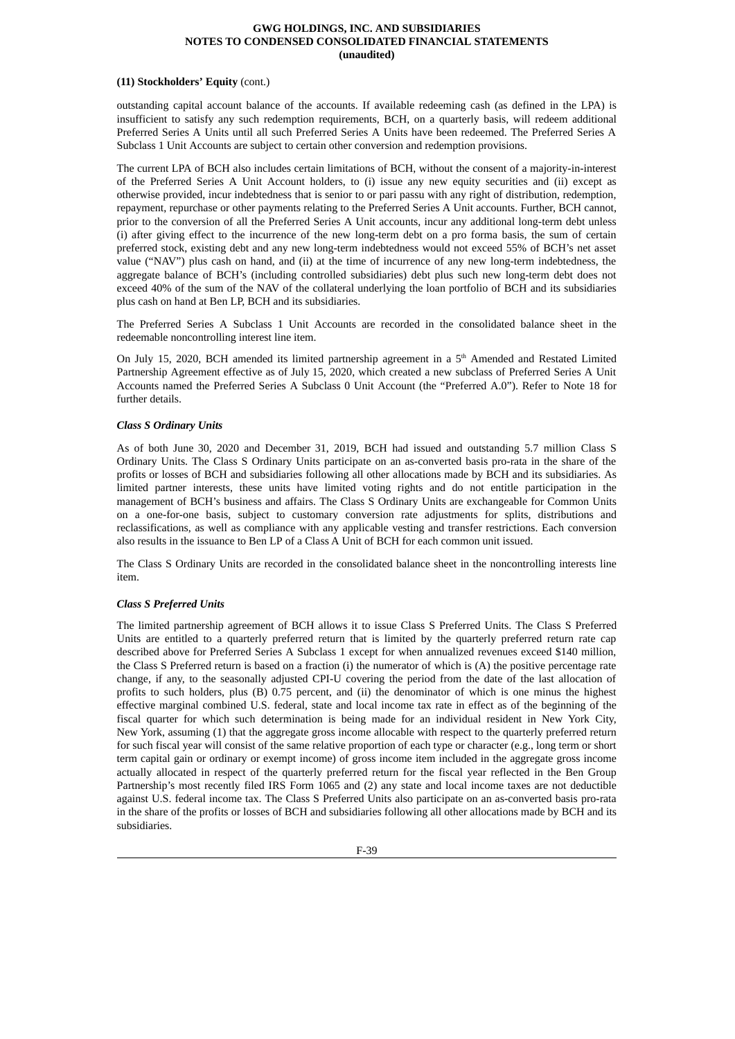# **(11) Stockholders' Equity** (cont.)

outstanding capital account balance of the accounts. If available redeeming cash (as defined in the LPA) is insufficient to satisfy any such redemption requirements, BCH, on a quarterly basis, will redeem additional Preferred Series A Units until all such Preferred Series A Units have been redeemed. The Preferred Series A Subclass 1 Unit Accounts are subject to certain other conversion and redemption provisions.

The current LPA of BCH also includes certain limitations of BCH, without the consent of a majority-in-interest of the Preferred Series A Unit Account holders, to (i) issue any new equity securities and (ii) except as otherwise provided, incur indebtedness that is senior to or pari passu with any right of distribution, redemption, repayment, repurchase or other payments relating to the Preferred Series A Unit accounts. Further, BCH cannot, prior to the conversion of all the Preferred Series A Unit accounts, incur any additional long-term debt unless (i) after giving effect to the incurrence of the new long-term debt on a pro forma basis, the sum of certain preferred stock, existing debt and any new long-term indebtedness would not exceed 55% of BCH's net asset value ("NAV") plus cash on hand, and (ii) at the time of incurrence of any new long-term indebtedness, the aggregate balance of BCH's (including controlled subsidiaries) debt plus such new long-term debt does not exceed 40% of the sum of the NAV of the collateral underlying the loan portfolio of BCH and its subsidiaries plus cash on hand at Ben LP, BCH and its subsidiaries.

The Preferred Series A Subclass 1 Unit Accounts are recorded in the consolidated balance sheet in the redeemable noncontrolling interest line item.

On July 15, 2020, BCH amended its limited partnership agreement in a  $5<sup>th</sup>$  Amended and Restated Limited Partnership Agreement effective as of July 15, 2020, which created a new subclass of Preferred Series A Unit Accounts named the Preferred Series A Subclass 0 Unit Account (the "Preferred A.0"). Refer to Note 18 for further details.

#### *Class S Ordinary Units*

As of both June 30, 2020 and December 31, 2019, BCH had issued and outstanding 5.7 million Class S Ordinary Units. The Class S Ordinary Units participate on an as-converted basis pro-rata in the share of the profits or losses of BCH and subsidiaries following all other allocations made by BCH and its subsidiaries. As limited partner interests, these units have limited voting rights and do not entitle participation in the management of BCH's business and affairs. The Class S Ordinary Units are exchangeable for Common Units on a one-for-one basis, subject to customary conversion rate adjustments for splits, distributions and reclassifications, as well as compliance with any applicable vesting and transfer restrictions. Each conversion also results in the issuance to Ben LP of a Class A Unit of BCH for each common unit issued.

The Class S Ordinary Units are recorded in the consolidated balance sheet in the noncontrolling interests line item.

# *Class S Preferred Units*

The limited partnership agreement of BCH allows it to issue Class S Preferred Units. The Class S Preferred Units are entitled to a quarterly preferred return that is limited by the quarterly preferred return rate cap described above for Preferred Series A Subclass 1 except for when annualized revenues exceed \$140 million, the Class S Preferred return is based on a fraction (i) the numerator of which is (A) the positive percentage rate change, if any, to the seasonally adjusted CPI-U covering the period from the date of the last allocation of profits to such holders, plus (B) 0.75 percent, and (ii) the denominator of which is one minus the highest effective marginal combined U.S. federal, state and local income tax rate in effect as of the beginning of the fiscal quarter for which such determination is being made for an individual resident in New York City, New York, assuming (1) that the aggregate gross income allocable with respect to the quarterly preferred return for such fiscal year will consist of the same relative proportion of each type or character (e.g., long term or short term capital gain or ordinary or exempt income) of gross income item included in the aggregate gross income actually allocated in respect of the quarterly preferred return for the fiscal year reflected in the Ben Group Partnership's most recently filed IRS Form 1065 and (2) any state and local income taxes are not deductible against U.S. federal income tax. The Class S Preferred Units also participate on an as-converted basis pro-rata in the share of the profits or losses of BCH and subsidiaries following all other allocations made by BCH and its subsidiaries.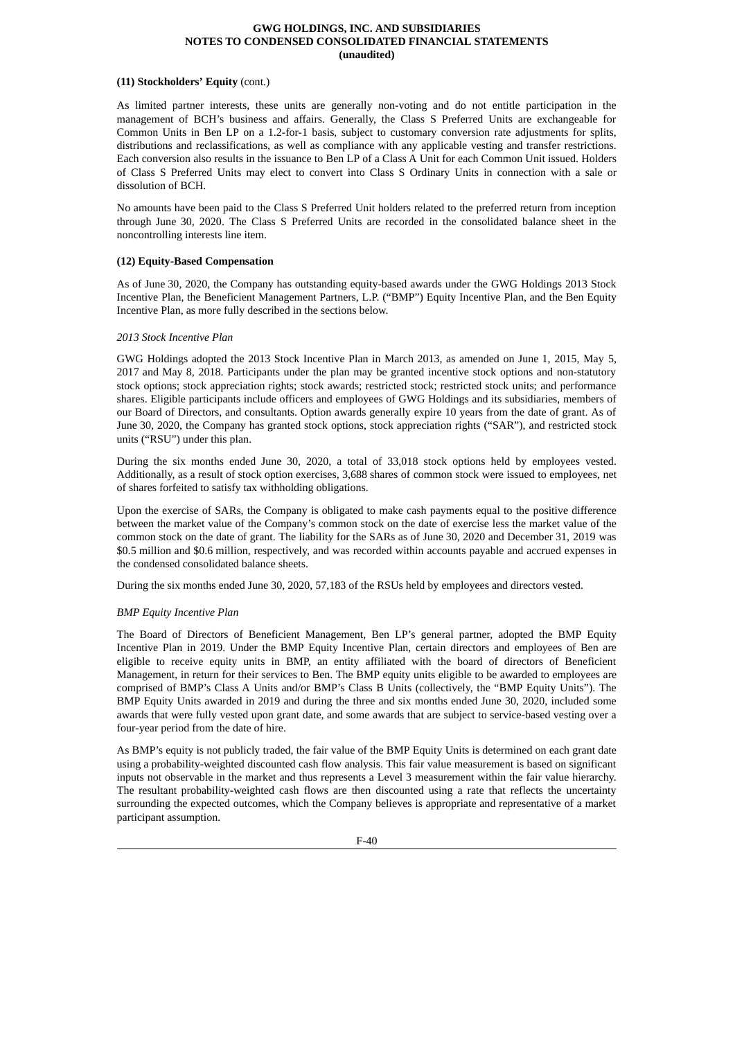# **(11) Stockholders' Equity** (cont.)

As limited partner interests, these units are generally non-voting and do not entitle participation in the management of BCH's business and affairs. Generally, the Class S Preferred Units are exchangeable for Common Units in Ben LP on a 1.2-for-1 basis, subject to customary conversion rate adjustments for splits, distributions and reclassifications, as well as compliance with any applicable vesting and transfer restrictions. Each conversion also results in the issuance to Ben LP of a Class A Unit for each Common Unit issued. Holders of Class S Preferred Units may elect to convert into Class S Ordinary Units in connection with a sale or dissolution of BCH.

No amounts have been paid to the Class S Preferred Unit holders related to the preferred return from inception through June 30, 2020. The Class S Preferred Units are recorded in the consolidated balance sheet in the noncontrolling interests line item.

# **(12) Equity-Based Compensation**

As of June 30, 2020, the Company has outstanding equity-based awards under the GWG Holdings 2013 Stock Incentive Plan, the Beneficient Management Partners, L.P. ("BMP") Equity Incentive Plan, and the Ben Equity Incentive Plan, as more fully described in the sections below.

# *2013 Stock Incentive Plan*

GWG Holdings adopted the 2013 Stock Incentive Plan in March 2013, as amended on June 1, 2015, May 5, 2017 and May 8, 2018. Participants under the plan may be granted incentive stock options and non-statutory stock options; stock appreciation rights; stock awards; restricted stock; restricted stock units; and performance shares. Eligible participants include officers and employees of GWG Holdings and its subsidiaries, members of our Board of Directors, and consultants. Option awards generally expire 10 years from the date of grant. As of June 30, 2020, the Company has granted stock options, stock appreciation rights ("SAR"), and restricted stock units ("RSU") under this plan.

During the six months ended June 30, 2020, a total of 33,018 stock options held by employees vested. Additionally, as a result of stock option exercises, 3,688 shares of common stock were issued to employees, net of shares forfeited to satisfy tax withholding obligations.

Upon the exercise of SARs, the Company is obligated to make cash payments equal to the positive difference between the market value of the Company's common stock on the date of exercise less the market value of the common stock on the date of grant. The liability for the SARs as of June 30, 2020 and December 31, 2019 was \$0.5 million and \$0.6 million, respectively, and was recorded within accounts payable and accrued expenses in the condensed consolidated balance sheets.

During the six months ended June 30, 2020, 57,183 of the RSUs held by employees and directors vested.

# *BMP Equity Incentive Plan*

The Board of Directors of Beneficient Management, Ben LP's general partner, adopted the BMP Equity Incentive Plan in 2019. Under the BMP Equity Incentive Plan, certain directors and employees of Ben are eligible to receive equity units in BMP, an entity affiliated with the board of directors of Beneficient Management, in return for their services to Ben. The BMP equity units eligible to be awarded to employees are comprised of BMP's Class A Units and/or BMP's Class B Units (collectively, the "BMP Equity Units"). The BMP Equity Units awarded in 2019 and during the three and six months ended June 30, 2020, included some awards that were fully vested upon grant date, and some awards that are subject to service-based vesting over a four-year period from the date of hire.

As BMP's equity is not publicly traded, the fair value of the BMP Equity Units is determined on each grant date using a probability-weighted discounted cash flow analysis. This fair value measurement is based on significant inputs not observable in the market and thus represents a Level 3 measurement within the fair value hierarchy. The resultant probability-weighted cash flows are then discounted using a rate that reflects the uncertainty surrounding the expected outcomes, which the Company believes is appropriate and representative of a market participant assumption.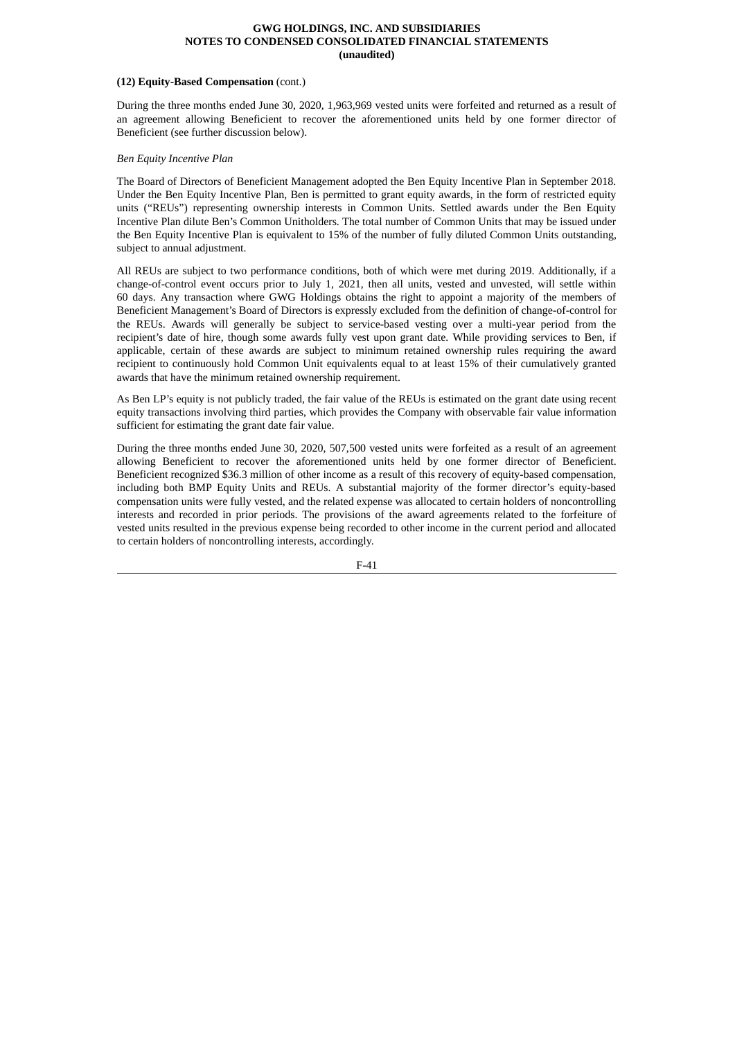#### **(12) Equity-Based Compensation** (cont.)

During the three months ended June 30, 2020, 1,963,969 vested units were forfeited and returned as a result of an agreement allowing Beneficient to recover the aforementioned units held by one former director of Beneficient (see further discussion below).

# *Ben Equity Incentive Plan*

The Board of Directors of Beneficient Management adopted the Ben Equity Incentive Plan in September 2018. Under the Ben Equity Incentive Plan, Ben is permitted to grant equity awards, in the form of restricted equity units ("REUs") representing ownership interests in Common Units. Settled awards under the Ben Equity Incentive Plan dilute Ben's Common Unitholders. The total number of Common Units that may be issued under the Ben Equity Incentive Plan is equivalent to 15% of the number of fully diluted Common Units outstanding, subject to annual adjustment.

All REUs are subject to two performance conditions, both of which were met during 2019. Additionally, if a change-of-control event occurs prior to July 1, 2021, then all units, vested and unvested, will settle within 60 days. Any transaction where GWG Holdings obtains the right to appoint a majority of the members of Beneficient Management's Board of Directors is expressly excluded from the definition of change-of-control for the REUs. Awards will generally be subject to service-based vesting over a multi-year period from the recipient's date of hire, though some awards fully vest upon grant date. While providing services to Ben, if applicable, certain of these awards are subject to minimum retained ownership rules requiring the award recipient to continuously hold Common Unit equivalents equal to at least 15% of their cumulatively granted awards that have the minimum retained ownership requirement.

As Ben LP's equity is not publicly traded, the fair value of the REUs is estimated on the grant date using recent equity transactions involving third parties, which provides the Company with observable fair value information sufficient for estimating the grant date fair value.

During the three months ended June 30, 2020, 507,500 vested units were forfeited as a result of an agreement allowing Beneficient to recover the aforementioned units held by one former director of Beneficient. Beneficient recognized \$36.3 million of other income as a result of this recovery of equity-based compensation, including both BMP Equity Units and REUs. A substantial majority of the former director's equity-based compensation units were fully vested, and the related expense was allocated to certain holders of noncontrolling interests and recorded in prior periods. The provisions of the award agreements related to the forfeiture of vested units resulted in the previous expense being recorded to other income in the current period and allocated to certain holders of noncontrolling interests, accordingly.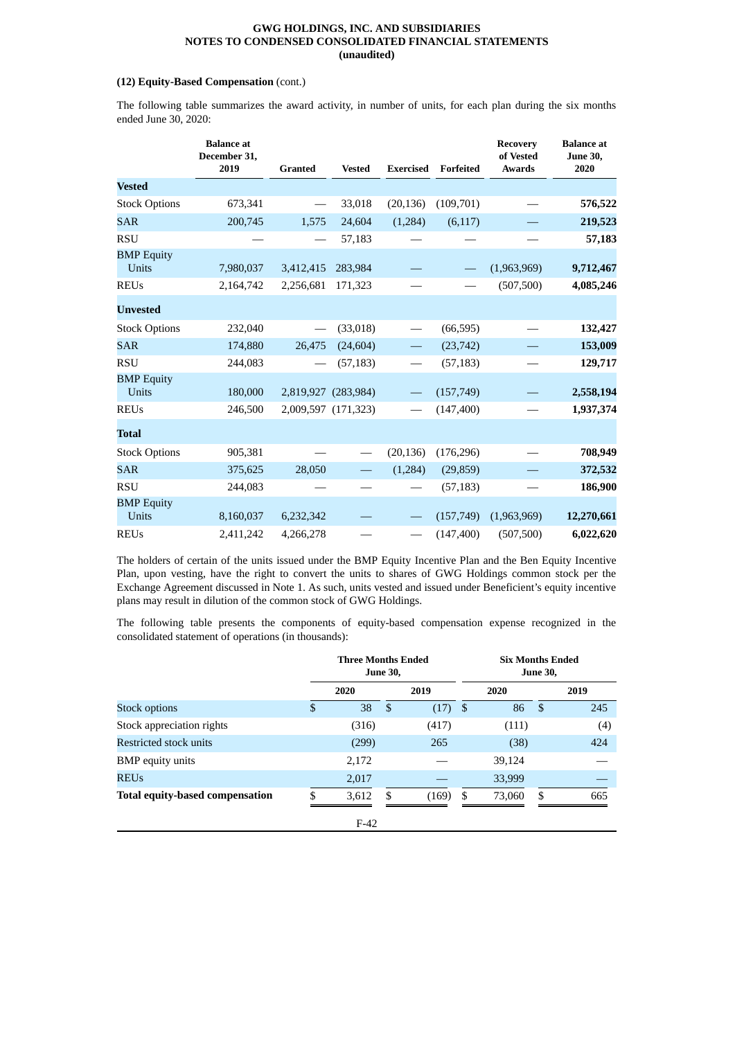# **(12) Equity-Based Compensation** (cont.)

The following table summarizes the award activity, in number of units, for each plan during the six months ended June 30, 2020:

|                            | <b>Balance</b> at<br>December 31,<br>2019 | <b>Granted</b>                  | <b>Vested</b>       | <b>Exercised</b>         | Forfeited  | <b>Recovery</b><br>of Vested<br><b>Awards</b> | <b>Balance</b> at<br><b>June 30,</b><br>2020 |
|----------------------------|-------------------------------------------|---------------------------------|---------------------|--------------------------|------------|-----------------------------------------------|----------------------------------------------|
| <b>Vested</b>              |                                           |                                 |                     |                          |            |                                               |                                              |
| <b>Stock Options</b>       | 673,341                                   | $\hspace{0.1mm}-\hspace{0.1mm}$ | 33,018              | (20, 136)                | (109,701)  |                                               | 576,522                                      |
| <b>SAR</b>                 | 200,745                                   | 1,575                           | 24,604              | (1,284)                  | (6, 117)   |                                               | 219,523                                      |
| <b>RSU</b>                 |                                           | $\hspace{0.1mm}-\hspace{0.1mm}$ | 57,183              |                          |            |                                               | 57,183                                       |
| <b>BMP Equity</b><br>Units | 7,980,037                                 | 3,412,415                       | 283,984             |                          |            | (1,963,969)                                   | 9,712,467                                    |
| <b>REUs</b>                | 2,164,742                                 | 2,256,681                       | 171,323             |                          |            | (507, 500)                                    | 4,085,246                                    |
| <b>Unvested</b>            |                                           |                                 |                     |                          |            |                                               |                                              |
| <b>Stock Options</b>       | 232,040                                   |                                 | (33,018)            |                          | (66, 595)  |                                               | 132,427                                      |
| <b>SAR</b>                 | 174,880                                   | 26,475                          | (24, 604)           |                          | (23, 742)  |                                               | 153,009                                      |
| <b>RSU</b>                 | 244,083                                   |                                 | (57, 183)           |                          | (57, 183)  |                                               | 129,717                                      |
| <b>BMP</b> Equity<br>Units | 180,000                                   |                                 | 2,819,927 (283,984) |                          | (157, 749) |                                               | 2,558,194                                    |
| <b>REUs</b>                | 246,500                                   |                                 | 2,009,597 (171,323) |                          | (147, 400) |                                               | 1,937,374                                    |
| <b>Total</b>               |                                           |                                 |                     |                          |            |                                               |                                              |
| <b>Stock Options</b>       | 905,381                                   |                                 |                     | (20, 136)                | (176, 296) |                                               | 708,949                                      |
| <b>SAR</b>                 | 375,625                                   | 28,050                          |                     | (1,284)                  | (29, 859)  |                                               | 372,532                                      |
| <b>RSU</b>                 | 244,083                                   |                                 |                     |                          | (57, 183)  |                                               | 186,900                                      |
| <b>BMP</b> Equity<br>Units | 8,160,037                                 | 6,232,342                       |                     |                          | (157, 749) | (1,963,969)                                   | 12,270,661                                   |
| <b>REUs</b>                | 2,411,242                                 | 4,266,278                       |                     | $\overline{\phantom{0}}$ | (147, 400) | (507, 500)                                    | 6,022,620                                    |

The holders of certain of the units issued under the BMP Equity Incentive Plan and the Ben Equity Incentive Plan, upon vesting, have the right to convert the units to shares of GWG Holdings common stock per the Exchange Agreement discussed in Note 1. As such, units vested and issued under Beneficient's equity incentive plans may result in dilution of the common stock of GWG Holdings.

The following table presents the components of equity-based compensation expense recognized in the consolidated statement of operations (in thousands):

|                                        |    | <b>Three Months Ended</b><br><b>June 30,</b> |    |       |      | <b>Six Months Ended</b><br><b>June 30,</b> |               |      |  |
|----------------------------------------|----|----------------------------------------------|----|-------|------|--------------------------------------------|---------------|------|--|
|                                        |    | 2020                                         |    | 2019  |      | 2020                                       |               | 2019 |  |
| <b>Stock options</b>                   | \$ | 38                                           | \$ | (17)  | - \$ | 86                                         | <sup>\$</sup> | 245  |  |
| Stock appreciation rights              |    | (316)                                        |    | (417) |      | (111)                                      |               | (4)  |  |
| Restricted stock units                 |    | (299)                                        |    | 265   |      | (38)                                       |               | 424  |  |
| <b>BMP</b> equity units                |    | 2,172                                        |    |       |      | 39,124                                     |               |      |  |
| REUs                                   |    | 2,017                                        |    |       |      | 33,999                                     |               |      |  |
| <b>Total equity-based compensation</b> | S. | 3,612                                        | \$ | (169) | \$   | 73,060                                     | \$            | 665  |  |
|                                        |    | $F-42$                                       |    |       |      |                                            |               |      |  |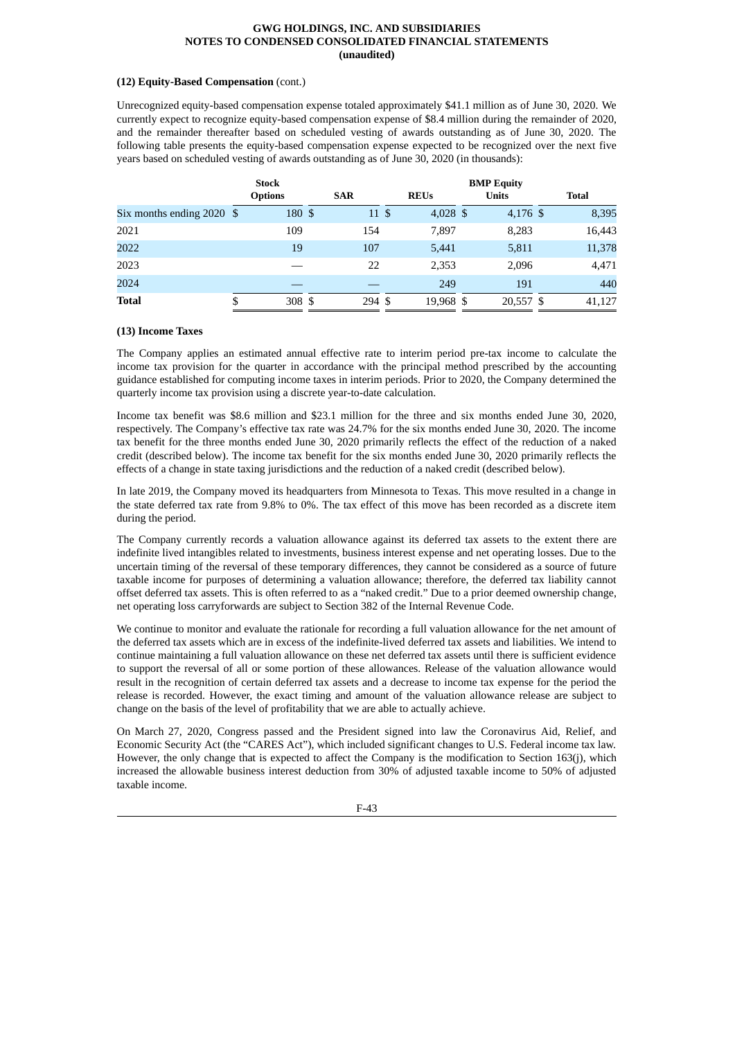# **(12) Equity-Based Compensation** (cont.)

Unrecognized equity-based compensation expense totaled approximately \$41.1 million as of June 30, 2020. We currently expect to recognize equity-based compensation expense of \$8.4 million during the remainder of 2020, and the remainder thereafter based on scheduled vesting of awards outstanding as of June 30, 2020. The following table presents the equity-based compensation expense expected to be recognized over the next five years based on scheduled vesting of awards outstanding as of June 30, 2020 (in thousands):

|                             | <b>Stock</b> |                |            |        | <b>BMP Equity</b> |             |  |              |  |              |  |
|-----------------------------|--------------|----------------|------------|--------|-------------------|-------------|--|--------------|--|--------------|--|
|                             |              | <b>Options</b> | <b>SAR</b> |        |                   | <b>REUs</b> |  | <b>Units</b> |  | <b>Total</b> |  |
| Six months ending $2020$ \$ |              | 180 \$         |            | 11 \$  |                   | 4,028 \$    |  | 4,176 \$     |  | 8,395        |  |
| 2021                        |              | 109            |            | 154    |                   | 7,897       |  | 8,283        |  | 16,443       |  |
| 2022                        |              | 19             |            | 107    |                   | 5,441       |  | 5,811        |  | 11,378       |  |
| 2023                        |              |                |            | 22     |                   | 2,353       |  | 2,096        |  | 4,471        |  |
| 2024                        |              |                |            |        |                   | 249         |  | 191          |  | 440          |  |
| <b>Total</b>                | \$           | 308 \$         |            | 294 \$ |                   | 19,968 \$   |  | 20,557 \$    |  | 41,127       |  |

# **(13) Income Taxes**

The Company applies an estimated annual effective rate to interim period pre-tax income to calculate the income tax provision for the quarter in accordance with the principal method prescribed by the accounting guidance established for computing income taxes in interim periods. Prior to 2020, the Company determined the quarterly income tax provision using a discrete year-to-date calculation.

Income tax benefit was \$8.6 million and \$23.1 million for the three and six months ended June 30, 2020, respectively. The Company's effective tax rate was 24.7% for the six months ended June 30, 2020. The income tax benefit for the three months ended June 30, 2020 primarily reflects the effect of the reduction of a naked credit (described below). The income tax benefit for the six months ended June 30, 2020 primarily reflects the effects of a change in state taxing jurisdictions and the reduction of a naked credit (described below).

In late 2019, the Company moved its headquarters from Minnesota to Texas. This move resulted in a change in the state deferred tax rate from 9.8% to 0%. The tax effect of this move has been recorded as a discrete item during the period.

The Company currently records a valuation allowance against its deferred tax assets to the extent there are indefinite lived intangibles related to investments, business interest expense and net operating losses. Due to the uncertain timing of the reversal of these temporary differences, they cannot be considered as a source of future taxable income for purposes of determining a valuation allowance; therefore, the deferred tax liability cannot offset deferred tax assets. This is often referred to as a "naked credit." Due to a prior deemed ownership change, net operating loss carryforwards are subject to Section 382 of the Internal Revenue Code.

We continue to monitor and evaluate the rationale for recording a full valuation allowance for the net amount of the deferred tax assets which are in excess of the indefinite-lived deferred tax assets and liabilities. We intend to continue maintaining a full valuation allowance on these net deferred tax assets until there is sufficient evidence to support the reversal of all or some portion of these allowances. Release of the valuation allowance would result in the recognition of certain deferred tax assets and a decrease to income tax expense for the period the release is recorded. However, the exact timing and amount of the valuation allowance release are subject to change on the basis of the level of profitability that we are able to actually achieve.

On March 27, 2020, Congress passed and the President signed into law the Coronavirus Aid, Relief, and Economic Security Act (the "CARES Act"), which included significant changes to U.S. Federal income tax law. However, the only change that is expected to affect the Company is the modification to Section 163(j), which increased the allowable business interest deduction from 30% of adjusted taxable income to 50% of adjusted taxable income.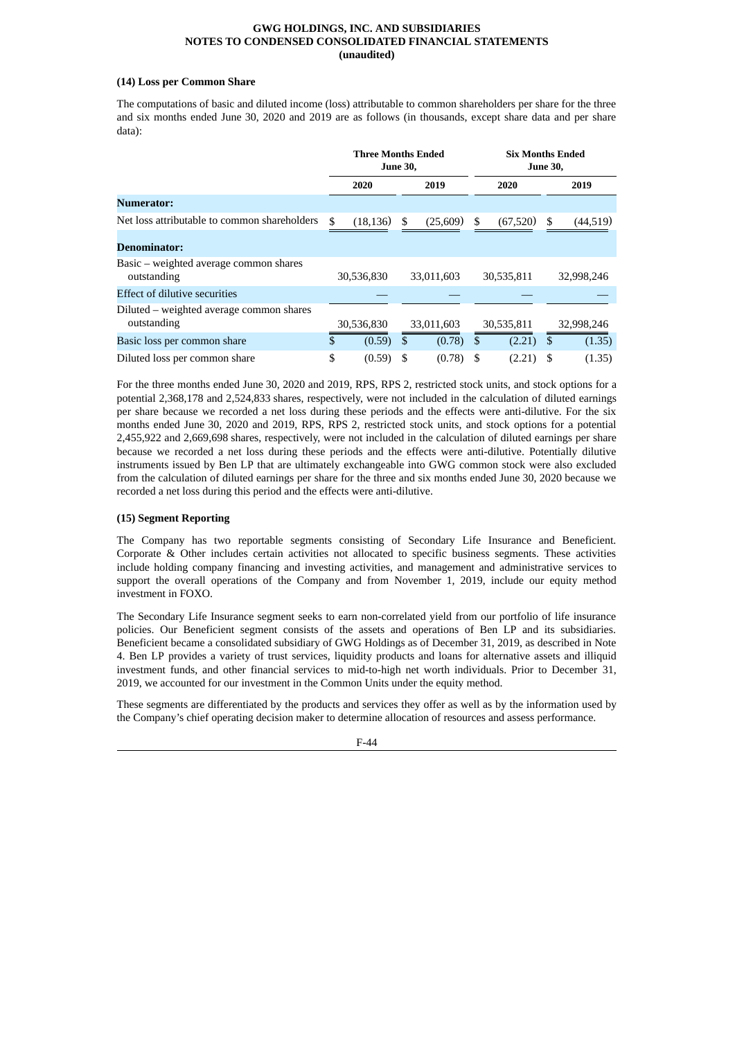# **(14) Loss per Common Share**

The computations of basic and diluted income (loss) attributable to common shareholders per share for the three and six months ended June 30, 2020 and 2019 are as follows (in thousands, except share data and per share data):

|                                                         | Three Months Ended<br><b>June 30,</b> |            |    | <b>Six Months Ended</b><br><b>June 30,</b> |    |            |               |            |
|---------------------------------------------------------|---------------------------------------|------------|----|--------------------------------------------|----|------------|---------------|------------|
|                                                         |                                       | 2020       |    | 2019                                       |    | 2020       |               | 2019       |
| Numerator:                                              |                                       |            |    |                                            |    |            |               |            |
| Net loss attributable to common shareholders            | \$                                    | (18, 136)  | \$ | (25,609)                                   | \$ | (67,520)   | S             | (44, 519)  |
| <b>Denominator:</b>                                     |                                       |            |    |                                            |    |            |               |            |
| Basic – weighted average common shares<br>outstanding   |                                       | 30,536,830 |    | 33,011,603                                 |    | 30,535,811 |               | 32,998,246 |
| <b>Effect of dilutive securities</b>                    |                                       |            |    |                                            |    |            |               |            |
| Diluted – weighted average common shares<br>outstanding |                                       | 30,536,830 |    | 33,011,603                                 |    | 30,535,811 |               | 32,998,246 |
| Basic loss per common share                             | \$                                    | (0.59)     | \$ | (0.78)                                     | \$ | (2.21)     | <sup>\$</sup> | (1.35)     |
| Diluted loss per common share                           | \$                                    | (0.59)     |    | (0.78)                                     | \$ | (2.21)     |               | (1.35)     |

For the three months ended June 30, 2020 and 2019, RPS, RPS 2, restricted stock units, and stock options for a potential 2,368,178 and 2,524,833 shares, respectively, were not included in the calculation of diluted earnings per share because we recorded a net loss during these periods and the effects were anti-dilutive. For the six months ended June 30, 2020 and 2019, RPS, RPS 2, restricted stock units, and stock options for a potential 2,455,922 and 2,669,698 shares, respectively, were not included in the calculation of diluted earnings per share because we recorded a net loss during these periods and the effects were anti-dilutive. Potentially dilutive instruments issued by Ben LP that are ultimately exchangeable into GWG common stock were also excluded from the calculation of diluted earnings per share for the three and six months ended June 30, 2020 because we recorded a net loss during this period and the effects were anti-dilutive.

#### **(15) Segment Reporting**

The Company has two reportable segments consisting of Secondary Life Insurance and Beneficient. Corporate & Other includes certain activities not allocated to specific business segments. These activities include holding company financing and investing activities, and management and administrative services to support the overall operations of the Company and from November 1, 2019, include our equity method investment in FOXO.

The Secondary Life Insurance segment seeks to earn non-correlated yield from our portfolio of life insurance policies. Our Beneficient segment consists of the assets and operations of Ben LP and its subsidiaries. Beneficient became a consolidated subsidiary of GWG Holdings as of December 31, 2019, as described in Note 4. Ben LP provides a variety of trust services, liquidity products and loans for alternative assets and illiquid investment funds, and other financial services to mid-to-high net worth individuals. Prior to December 31, 2019, we accounted for our investment in the Common Units under the equity method.

These segments are differentiated by the products and services they offer as well as by the information used by the Company's chief operating decision maker to determine allocation of resources and assess performance.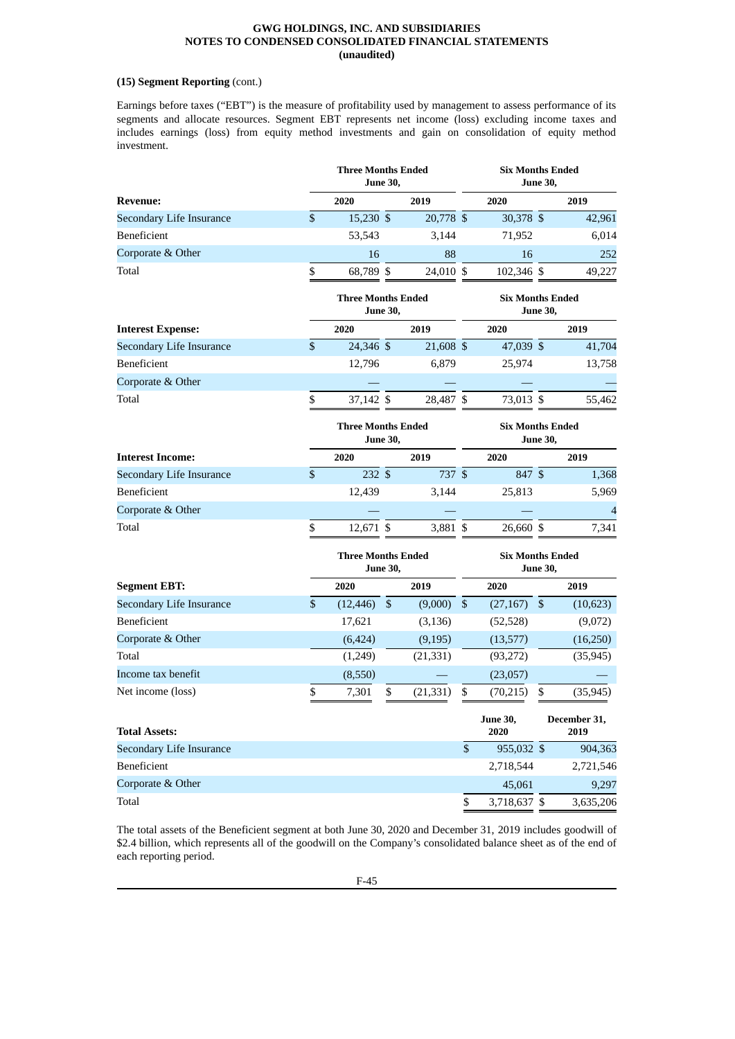# **(15) Segment Reporting** (cont.)

Earnings before taxes ("EBT") is the measure of profitability used by management to assess performance of its segments and allocate resources. Segment EBT represents net income (loss) excluding income taxes and includes earnings (loss) from equity method investments and gain on consolidation of equity method investment.

|                                 |                         | <b>Three Months Ended</b>             | <b>June 30,</b>           |                                            | <b>Six Months Ended</b><br><b>June 30,</b> |                         |    |                      |
|---------------------------------|-------------------------|---------------------------------------|---------------------------|--------------------------------------------|--------------------------------------------|-------------------------|----|----------------------|
| <b>Revenue:</b>                 |                         | 2020                                  |                           | 2019                                       | 2020                                       |                         |    | 2019                 |
| Secondary Life Insurance        | $\mathsf{\$}$           | 15,230 \$                             |                           | 20,778 \$                                  |                                            | 30,378 \$               |    | 42,961               |
| Beneficient                     |                         | 53,543                                |                           | 3,144                                      |                                            | 71,952                  |    | 6,014                |
| Corporate & Other               |                         | 16                                    |                           | 88                                         |                                            | 16                      |    | 252                  |
| Total                           | \$                      | 68,789 \$                             |                           | 24,010 \$                                  |                                            | 102,346 \$              |    | 49,227               |
|                                 |                         | <b>Three Months Ended</b><br>June 30, |                           | <b>Six Months Ended</b><br><b>June 30,</b> |                                            |                         |    |                      |
| <b>Interest Expense:</b>        |                         | 2020                                  |                           | 2019                                       |                                            | 2020                    |    | 2019                 |
| <b>Secondary Life Insurance</b> | \$                      | 24,346 \$                             |                           | 21,608 \$                                  |                                            | 47,039 \$               |    | 41,704               |
| Beneficient                     |                         | 12,796                                |                           | 6,879                                      |                                            | 25,974                  |    | 13,758               |
| Corporate & Other               |                         |                                       |                           |                                            |                                            |                         |    |                      |
| Total                           | \$                      | 37,142 \$                             |                           | 28,487 \$                                  |                                            | 73,013 \$               |    | 55,462               |
|                                 |                         | <b>Three Months Ended</b><br>June 30, |                           | <b>Six Months Ended</b><br><b>June 30,</b> |                                            |                         |    |                      |
| <b>Interest Income:</b>         |                         | 2020                                  |                           | 2019                                       |                                            | 2020                    |    | 2019                 |
| Secondary Life Insurance        | \$                      | 232S                                  |                           | 737 \$                                     |                                            | 847 \$                  |    | 1,368                |
| Beneficient                     |                         | 12,439                                |                           | 3,144                                      |                                            | 25,813                  |    | 5,969                |
| Corporate & Other               |                         |                                       |                           |                                            |                                            |                         |    | $\overline{4}$       |
| Total                           | \$                      | 12,671 \$                             |                           | 3,881 \$                                   |                                            | 26,660 \$               |    | 7,341                |
|                                 |                         | <b>Three Months Ended</b><br>June 30, |                           |                                            | <b>Six Months Ended</b><br><b>June 30,</b> |                         |    |                      |
| <b>Segment EBT:</b>             |                         | 2020                                  |                           | 2019                                       |                                            | 2020                    |    | 2019                 |
| Secondary Life Insurance        | $\overline{\mathbb{S}}$ | (12, 446)                             | $\boldsymbol{\mathsf{S}}$ | (9,000)                                    | $\mathfrak{S}$                             | $(27, 167)$ \$          |    | (10,623)             |
| Beneficient                     |                         | 17,621                                |                           | (3, 136)                                   |                                            | (52, 528)               |    | (9,072)              |
| Corporate & Other               |                         | (6,424)                               |                           | (9, 195)                                   |                                            | (13, 577)               |    | (16, 250)            |
| Total                           |                         | (1,249)                               |                           | (21, 331)                                  |                                            | (93, 272)               |    | (35, 945)            |
| Income tax benefit              |                         | (8,550)                               |                           |                                            |                                            | (23,057)                |    |                      |
| Net income (loss)               | \$                      | 7,301                                 | \$                        | (21, 331)                                  | \$                                         | (70,215)                | \$ | (35, 945)            |
| <b>Total Assets:</b>            |                         |                                       |                           |                                            |                                            | <b>June 30,</b><br>2020 |    | December 31,<br>2019 |
| Secondary Life Insurance        |                         |                                       |                           |                                            | \$                                         | 955,032 \$              |    | 904,363              |
| Beneficient                     |                         |                                       |                           |                                            |                                            | 2,718,544               |    | 2,721,546            |
| Corporate & Other               |                         |                                       |                           |                                            |                                            | 45,061                  |    | 9,297                |

The total assets of the Beneficient segment at both June 30, 2020 and December 31, 2019 includes goodwill of \$2.4 billion, which represents all of the goodwill on the Company's consolidated balance sheet as of the end of each reporting period.

Total \$ 3,718,637 \$ 3,635,206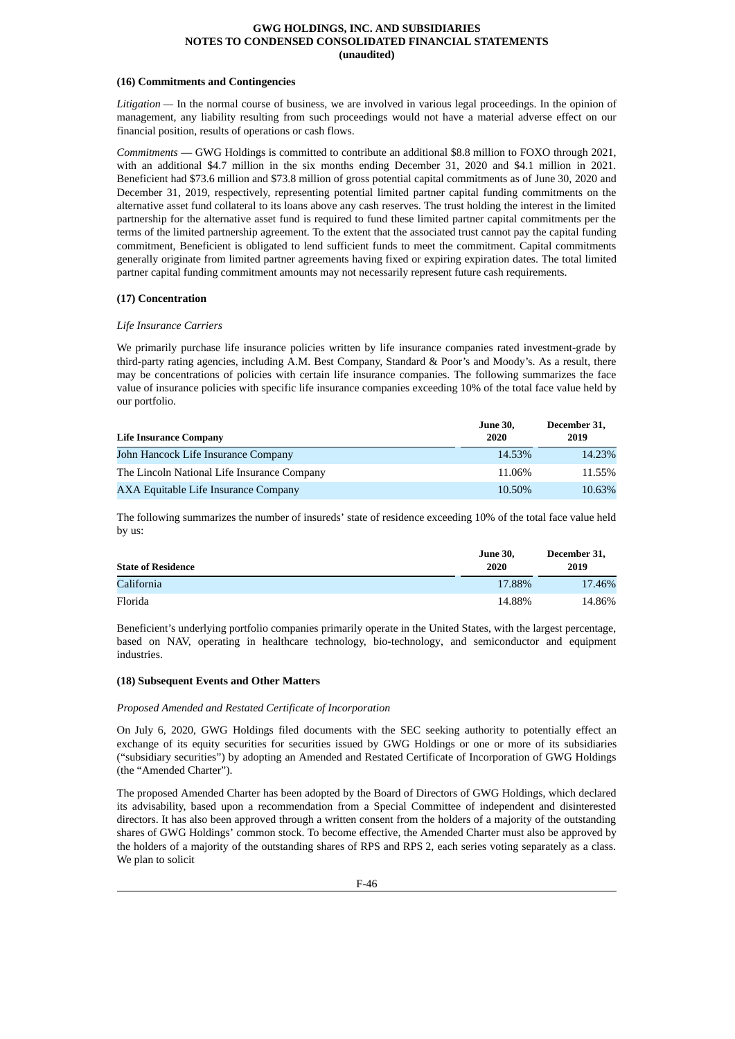# **(16) Commitments and Contingencies**

*Litigation —* In the normal course of business, we are involved in various legal proceedings. In the opinion of management, any liability resulting from such proceedings would not have a material adverse effect on our financial position, results of operations or cash flows.

*Commitments* — GWG Holdings is committed to contribute an additional \$8.8 million to FOXO through 2021, with an additional \$4.7 million in the six months ending December 31, 2020 and \$4.1 million in 2021. Beneficient had \$73.6 million and \$73.8 million of gross potential capital commitments as of June 30, 2020 and December 31, 2019, respectively, representing potential limited partner capital funding commitments on the alternative asset fund collateral to its loans above any cash reserves. The trust holding the interest in the limited partnership for the alternative asset fund is required to fund these limited partner capital commitments per the terms of the limited partnership agreement. To the extent that the associated trust cannot pay the capital funding commitment, Beneficient is obligated to lend sufficient funds to meet the commitment. Capital commitments generally originate from limited partner agreements having fixed or expiring expiration dates. The total limited partner capital funding commitment amounts may not necessarily represent future cash requirements.

# **(17) Concentration**

# *Life Insurance Carriers*

We primarily purchase life insurance policies written by life insurance companies rated investment-grade by third-party rating agencies, including A.M. Best Company, Standard & Poor's and Moody's. As a result, there may be concentrations of policies with certain life insurance companies. The following summarizes the face value of insurance policies with specific life insurance companies exceeding 10% of the total face value held by our portfolio.

| <b>Life Insurance Company</b>               | <b>June 30,</b><br>2020 | December 31,<br>2019 |
|---------------------------------------------|-------------------------|----------------------|
| John Hancock Life Insurance Company         | 14.53%                  | 14.23%               |
| The Lincoln National Life Insurance Company | 11.06%                  | 11.55%               |
| AXA Equitable Life Insurance Company        | 10.50%                  | 10.63%               |

The following summarizes the number of insureds' state of residence exceeding 10% of the total face value held by us:

| <b>State of Residence</b> | June 30,<br>2020 | December 31,<br>2019 |
|---------------------------|------------------|----------------------|
| California                | 17.88%           | 17.46%               |
| Florida                   | 14.88%           | 14.86%               |

Beneficient's underlying portfolio companies primarily operate in the United States, with the largest percentage, based on NAV, operating in healthcare technology, bio-technology, and semiconductor and equipment industries.

#### **(18) Subsequent Events and Other Matters**

#### *Proposed Amended and Restated Certificate of Incorporation*

On July 6, 2020, GWG Holdings filed documents with the SEC seeking authority to potentially effect an exchange of its equity securities for securities issued by GWG Holdings or one or more of its subsidiaries ("subsidiary securities") by adopting an Amended and Restated Certificate of Incorporation of GWG Holdings (the "Amended Charter").

The proposed Amended Charter has been adopted by the Board of Directors of GWG Holdings, which declared its advisability, based upon a recommendation from a Special Committee of independent and disinterested directors. It has also been approved through a written consent from the holders of a majority of the outstanding shares of GWG Holdings' common stock. To become effective, the Amended Charter must also be approved by the holders of a majority of the outstanding shares of RPS and RPS 2, each series voting separately as a class. We plan to solicit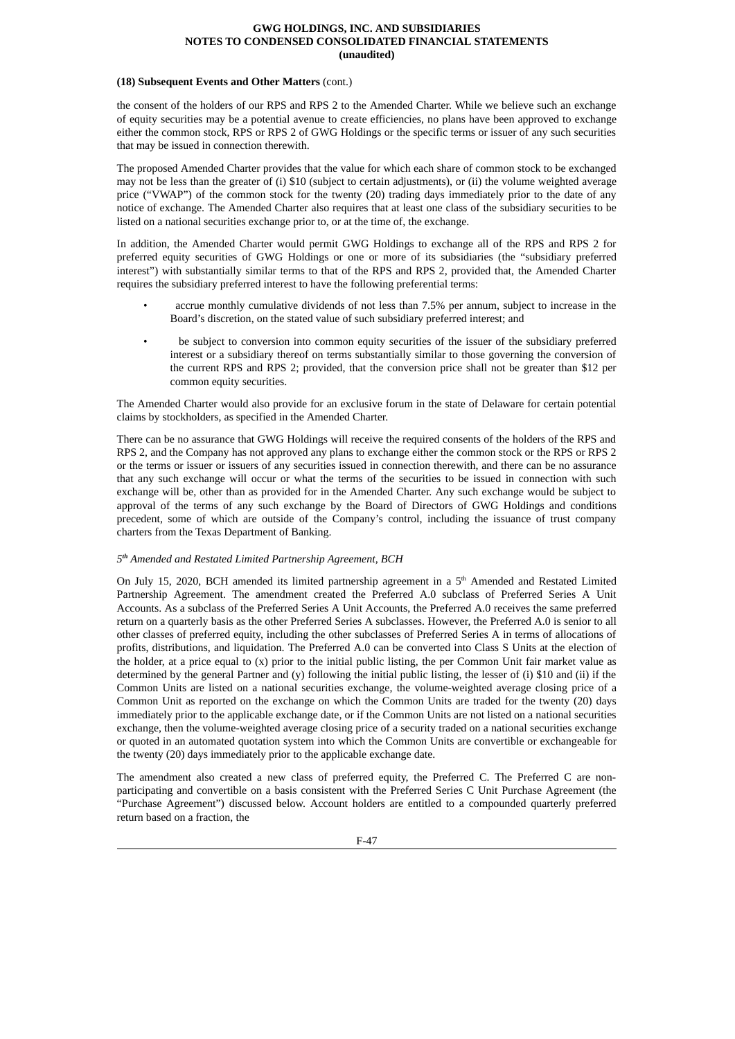#### **(18) Subsequent Events and Other Matters** (cont.)

the consent of the holders of our RPS and RPS 2 to the Amended Charter. While we believe such an exchange of equity securities may be a potential avenue to create efficiencies, no plans have been approved to exchange either the common stock, RPS or RPS 2 of GWG Holdings or the specific terms or issuer of any such securities that may be issued in connection therewith.

The proposed Amended Charter provides that the value for which each share of common stock to be exchanged may not be less than the greater of (i) \$10 (subject to certain adjustments), or (ii) the volume weighted average price ("VWAP") of the common stock for the twenty (20) trading days immediately prior to the date of any notice of exchange. The Amended Charter also requires that at least one class of the subsidiary securities to be listed on a national securities exchange prior to, or at the time of, the exchange.

In addition, the Amended Charter would permit GWG Holdings to exchange all of the RPS and RPS 2 for preferred equity securities of GWG Holdings or one or more of its subsidiaries (the "subsidiary preferred interest") with substantially similar terms to that of the RPS and RPS 2, provided that, the Amended Charter requires the subsidiary preferred interest to have the following preferential terms:

- accrue monthly cumulative dividends of not less than 7.5% per annum, subject to increase in the Board's discretion, on the stated value of such subsidiary preferred interest; and
- be subject to conversion into common equity securities of the issuer of the subsidiary preferred interest or a subsidiary thereof on terms substantially similar to those governing the conversion of the current RPS and RPS 2; provided, that the conversion price shall not be greater than \$12 per common equity securities.

The Amended Charter would also provide for an exclusive forum in the state of Delaware for certain potential claims by stockholders, as specified in the Amended Charter.

There can be no assurance that GWG Holdings will receive the required consents of the holders of the RPS and RPS 2, and the Company has not approved any plans to exchange either the common stock or the RPS or RPS 2 or the terms or issuer or issuers of any securities issued in connection therewith, and there can be no assurance that any such exchange will occur or what the terms of the securities to be issued in connection with such exchange will be, other than as provided for in the Amended Charter. Any such exchange would be subject to approval of the terms of any such exchange by the Board of Directors of GWG Holdings and conditions precedent, some of which are outside of the Company's control, including the issuance of trust company charters from the Texas Department of Banking.

# *5 th Amended and Restated Limited Partnership Agreement, BCH*

On July 15, 2020, BCH amended its limited partnership agreement in a  $5<sup>th</sup>$  Amended and Restated Limited Partnership Agreement. The amendment created the Preferred A.0 subclass of Preferred Series A Unit Accounts. As a subclass of the Preferred Series A Unit Accounts, the Preferred A.0 receives the same preferred return on a quarterly basis as the other Preferred Series A subclasses. However, the Preferred A.0 is senior to all other classes of preferred equity, including the other subclasses of Preferred Series A in terms of allocations of profits, distributions, and liquidation. The Preferred A.0 can be converted into Class S Units at the election of the holder, at a price equal to  $(x)$  prior to the initial public listing, the per Common Unit fair market value as determined by the general Partner and (y) following the initial public listing, the lesser of (i) \$10 and (ii) if the Common Units are listed on a national securities exchange, the volume-weighted average closing price of a Common Unit as reported on the exchange on which the Common Units are traded for the twenty (20) days immediately prior to the applicable exchange date, or if the Common Units are not listed on a national securities exchange, then the volume-weighted average closing price of a security traded on a national securities exchange or quoted in an automated quotation system into which the Common Units are convertible or exchangeable for the twenty (20) days immediately prior to the applicable exchange date.

The amendment also created a new class of preferred equity, the Preferred C. The Preferred C are nonparticipating and convertible on a basis consistent with the Preferred Series C Unit Purchase Agreement (the "Purchase Agreement") discussed below. Account holders are entitled to a compounded quarterly preferred return based on a fraction, the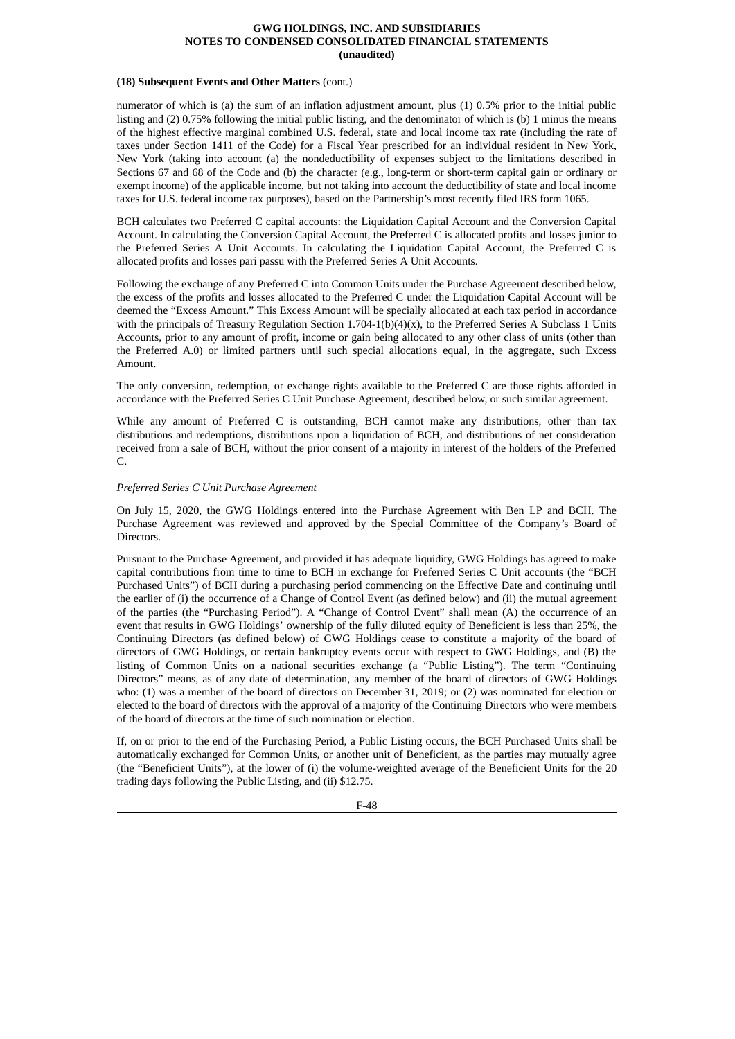#### **(18) Subsequent Events and Other Matters** (cont.)

numerator of which is (a) the sum of an inflation adjustment amount, plus (1) 0.5% prior to the initial public listing and (2) 0.75% following the initial public listing, and the denominator of which is (b) 1 minus the means of the highest effective marginal combined U.S. federal, state and local income tax rate (including the rate of taxes under Section 1411 of the Code) for a Fiscal Year prescribed for an individual resident in New York, New York (taking into account (a) the nondeductibility of expenses subject to the limitations described in Sections 67 and 68 of the Code and (b) the character (e.g., long-term or short-term capital gain or ordinary or exempt income) of the applicable income, but not taking into account the deductibility of state and local income taxes for U.S. federal income tax purposes), based on the Partnership's most recently filed IRS form 1065.

BCH calculates two Preferred C capital accounts: the Liquidation Capital Account and the Conversion Capital Account. In calculating the Conversion Capital Account, the Preferred C is allocated profits and losses junior to the Preferred Series A Unit Accounts. In calculating the Liquidation Capital Account, the Preferred C is allocated profits and losses pari passu with the Preferred Series A Unit Accounts.

Following the exchange of any Preferred C into Common Units under the Purchase Agreement described below, the excess of the profits and losses allocated to the Preferred C under the Liquidation Capital Account will be deemed the "Excess Amount." This Excess Amount will be specially allocated at each tax period in accordance with the principals of Treasury Regulation Section  $1.704-1(b)(4)(x)$ , to the Preferred Series A Subclass 1 Units Accounts, prior to any amount of profit, income or gain being allocated to any other class of units (other than the Preferred A.0) or limited partners until such special allocations equal, in the aggregate, such Excess Amount.

The only conversion, redemption, or exchange rights available to the Preferred C are those rights afforded in accordance with the Preferred Series C Unit Purchase Agreement, described below, or such similar agreement.

While any amount of Preferred C is outstanding, BCH cannot make any distributions, other than tax distributions and redemptions, distributions upon a liquidation of BCH, and distributions of net consideration received from a sale of BCH, without the prior consent of a majority in interest of the holders of the Preferred C.

# *Preferred Series C Unit Purchase Agreement*

On July 15, 2020, the GWG Holdings entered into the Purchase Agreement with Ben LP and BCH. The Purchase Agreement was reviewed and approved by the Special Committee of the Company's Board of Directors.

Pursuant to the Purchase Agreement, and provided it has adequate liquidity, GWG Holdings has agreed to make capital contributions from time to time to BCH in exchange for Preferred Series C Unit accounts (the "BCH Purchased Units") of BCH during a purchasing period commencing on the Effective Date and continuing until the earlier of (i) the occurrence of a Change of Control Event (as defined below) and (ii) the mutual agreement of the parties (the "Purchasing Period"). A "Change of Control Event" shall mean (A) the occurrence of an event that results in GWG Holdings' ownership of the fully diluted equity of Beneficient is less than 25%, the Continuing Directors (as defined below) of GWG Holdings cease to constitute a majority of the board of directors of GWG Holdings, or certain bankruptcy events occur with respect to GWG Holdings, and (B) the listing of Common Units on a national securities exchange (a "Public Listing"). The term "Continuing Directors" means, as of any date of determination, any member of the board of directors of GWG Holdings who: (1) was a member of the board of directors on December 31, 2019; or (2) was nominated for election or elected to the board of directors with the approval of a majority of the Continuing Directors who were members of the board of directors at the time of such nomination or election.

If, on or prior to the end of the Purchasing Period, a Public Listing occurs, the BCH Purchased Units shall be automatically exchanged for Common Units, or another unit of Beneficient, as the parties may mutually agree (the "Beneficient Units"), at the lower of (i) the volume-weighted average of the Beneficient Units for the 20 trading days following the Public Listing, and (ii) \$12.75.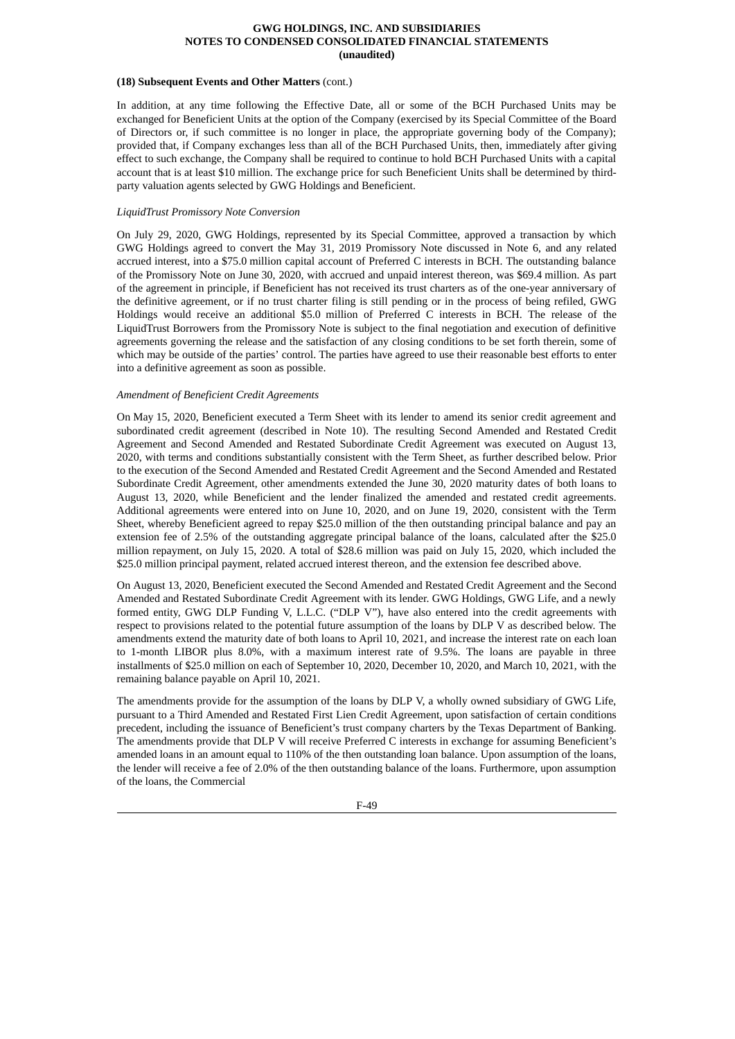#### **(18) Subsequent Events and Other Matters** (cont.)

In addition, at any time following the Effective Date, all or some of the BCH Purchased Units may be exchanged for Beneficient Units at the option of the Company (exercised by its Special Committee of the Board of Directors or, if such committee is no longer in place, the appropriate governing body of the Company); provided that, if Company exchanges less than all of the BCH Purchased Units, then, immediately after giving effect to such exchange, the Company shall be required to continue to hold BCH Purchased Units with a capital account that is at least \$10 million. The exchange price for such Beneficient Units shall be determined by thirdparty valuation agents selected by GWG Holdings and Beneficient.

# *LiquidTrust Promissory Note Conversion*

On July 29, 2020, GWG Holdings, represented by its Special Committee, approved a transaction by which GWG Holdings agreed to convert the May 31, 2019 Promissory Note discussed in Note 6, and any related accrued interest, into a \$75.0 million capital account of Preferred C interests in BCH. The outstanding balance of the Promissory Note on June 30, 2020, with accrued and unpaid interest thereon, was \$69.4 million. As part of the agreement in principle, if Beneficient has not received its trust charters as of the one-year anniversary of the definitive agreement, or if no trust charter filing is still pending or in the process of being refiled, GWG Holdings would receive an additional \$5.0 million of Preferred C interests in BCH. The release of the LiquidTrust Borrowers from the Promissory Note is subject to the final negotiation and execution of definitive agreements governing the release and the satisfaction of any closing conditions to be set forth therein, some of which may be outside of the parties' control. The parties have agreed to use their reasonable best efforts to enter into a definitive agreement as soon as possible.

# *Amendment of Beneficient Credit Agreements*

On May 15, 2020, Beneficient executed a Term Sheet with its lender to amend its senior credit agreement and subordinated credit agreement (described in Note 10). The resulting Second Amended and Restated Credit Agreement and Second Amended and Restated Subordinate Credit Agreement was executed on August 13, 2020, with terms and conditions substantially consistent with the Term Sheet, as further described below. Prior to the execution of the Second Amended and Restated Credit Agreement and the Second Amended and Restated Subordinate Credit Agreement, other amendments extended the June 30, 2020 maturity dates of both loans to August 13, 2020, while Beneficient and the lender finalized the amended and restated credit agreements. Additional agreements were entered into on June 10, 2020, and on June 19, 2020, consistent with the Term Sheet, whereby Beneficient agreed to repay \$25.0 million of the then outstanding principal balance and pay an extension fee of 2.5% of the outstanding aggregate principal balance of the loans, calculated after the \$25.0 million repayment, on July 15, 2020. A total of \$28.6 million was paid on July 15, 2020, which included the \$25.0 million principal payment, related accrued interest thereon, and the extension fee described above.

On August 13, 2020, Beneficient executed the Second Amended and Restated Credit Agreement and the Second Amended and Restated Subordinate Credit Agreement with its lender. GWG Holdings, GWG Life, and a newly formed entity, GWG DLP Funding V, L.L.C. ("DLP V"), have also entered into the credit agreements with respect to provisions related to the potential future assumption of the loans by DLP V as described below. The amendments extend the maturity date of both loans to April 10, 2021, and increase the interest rate on each loan to 1-month LIBOR plus 8.0%, with a maximum interest rate of 9.5%. The loans are payable in three installments of \$25.0 million on each of September 10, 2020, December 10, 2020, and March 10, 2021, with the remaining balance payable on April 10, 2021.

The amendments provide for the assumption of the loans by DLP V, a wholly owned subsidiary of GWG Life, pursuant to a Third Amended and Restated First Lien Credit Agreement, upon satisfaction of certain conditions precedent, including the issuance of Beneficient's trust company charters by the Texas Department of Banking. The amendments provide that DLP V will receive Preferred C interests in exchange for assuming Beneficient's amended loans in an amount equal to 110% of the then outstanding loan balance. Upon assumption of the loans, the lender will receive a fee of 2.0% of the then outstanding balance of the loans. Furthermore, upon assumption of the loans, the Commercial

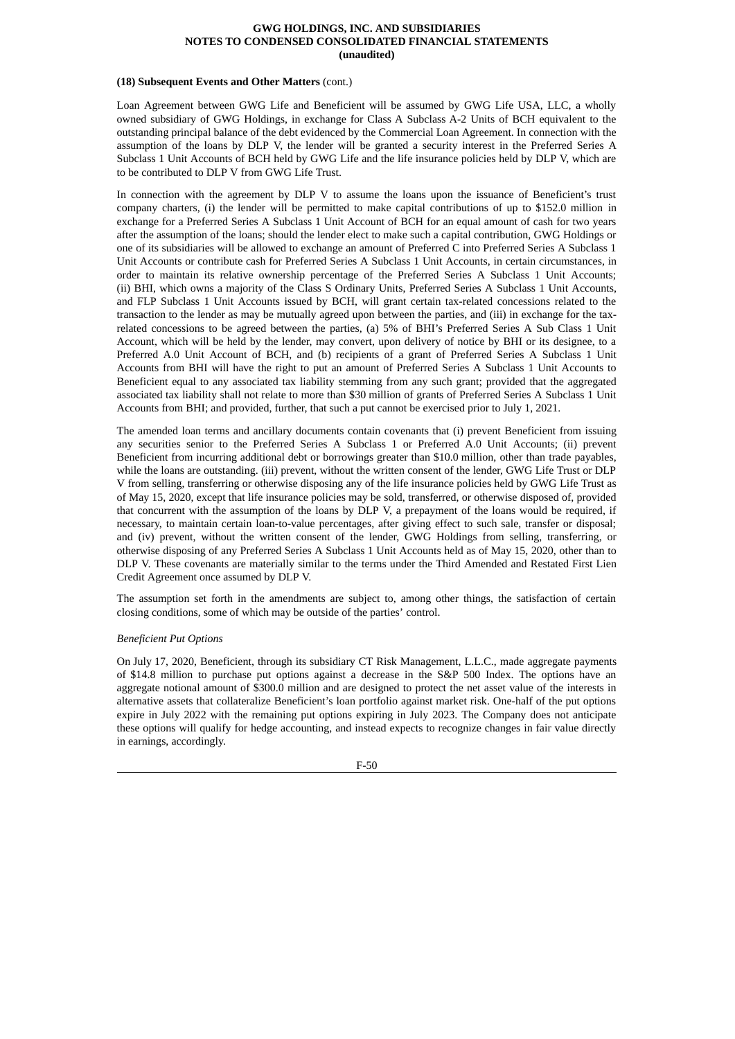#### **(18) Subsequent Events and Other Matters** (cont.)

Loan Agreement between GWG Life and Beneficient will be assumed by GWG Life USA, LLC, a wholly owned subsidiary of GWG Holdings, in exchange for Class A Subclass A-2 Units of BCH equivalent to the outstanding principal balance of the debt evidenced by the Commercial Loan Agreement. In connection with the assumption of the loans by DLP V, the lender will be granted a security interest in the Preferred Series A Subclass 1 Unit Accounts of BCH held by GWG Life and the life insurance policies held by DLP V, which are to be contributed to DLP V from GWG Life Trust.

In connection with the agreement by DLP V to assume the loans upon the issuance of Beneficient's trust company charters, (i) the lender will be permitted to make capital contributions of up to \$152.0 million in exchange for a Preferred Series A Subclass 1 Unit Account of BCH for an equal amount of cash for two years after the assumption of the loans; should the lender elect to make such a capital contribution, GWG Holdings or one of its subsidiaries will be allowed to exchange an amount of Preferred C into Preferred Series A Subclass 1 Unit Accounts or contribute cash for Preferred Series A Subclass 1 Unit Accounts, in certain circumstances, in order to maintain its relative ownership percentage of the Preferred Series A Subclass 1 Unit Accounts; (ii) BHI, which owns a majority of the Class S Ordinary Units, Preferred Series A Subclass 1 Unit Accounts, and FLP Subclass 1 Unit Accounts issued by BCH, will grant certain tax-related concessions related to the transaction to the lender as may be mutually agreed upon between the parties, and (iii) in exchange for the taxrelated concessions to be agreed between the parties, (a) 5% of BHI's Preferred Series A Sub Class 1 Unit Account, which will be held by the lender, may convert, upon delivery of notice by BHI or its designee, to a Preferred A.0 Unit Account of BCH, and (b) recipients of a grant of Preferred Series A Subclass 1 Unit Accounts from BHI will have the right to put an amount of Preferred Series A Subclass 1 Unit Accounts to Beneficient equal to any associated tax liability stemming from any such grant; provided that the aggregated associated tax liability shall not relate to more than \$30 million of grants of Preferred Series A Subclass 1 Unit Accounts from BHI; and provided, further, that such a put cannot be exercised prior to July 1, 2021.

The amended loan terms and ancillary documents contain covenants that (i) prevent Beneficient from issuing any securities senior to the Preferred Series A Subclass 1 or Preferred A.0 Unit Accounts; (ii) prevent Beneficient from incurring additional debt or borrowings greater than \$10.0 million, other than trade payables, while the loans are outstanding. (iii) prevent, without the written consent of the lender, GWG Life Trust or DLP V from selling, transferring or otherwise disposing any of the life insurance policies held by GWG Life Trust as of May 15, 2020, except that life insurance policies may be sold, transferred, or otherwise disposed of, provided that concurrent with the assumption of the loans by DLP V, a prepayment of the loans would be required, if necessary, to maintain certain loan-to-value percentages, after giving effect to such sale, transfer or disposal; and (iv) prevent, without the written consent of the lender, GWG Holdings from selling, transferring, or otherwise disposing of any Preferred Series A Subclass 1 Unit Accounts held as of May 15, 2020, other than to DLP V. These covenants are materially similar to the terms under the Third Amended and Restated First Lien Credit Agreement once assumed by DLP V.

The assumption set forth in the amendments are subject to, among other things, the satisfaction of certain closing conditions, some of which may be outside of the parties' control.

#### *Beneficient Put Options*

On July 17, 2020, Beneficient, through its subsidiary CT Risk Management, L.L.C., made aggregate payments of \$14.8 million to purchase put options against a decrease in the S&P 500 Index. The options have an aggregate notional amount of \$300.0 million and are designed to protect the net asset value of the interests in alternative assets that collateralize Beneficient's loan portfolio against market risk. One-half of the put options expire in July 2022 with the remaining put options expiring in July 2023. The Company does not anticipate these options will qualify for hedge accounting, and instead expects to recognize changes in fair value directly in earnings, accordingly.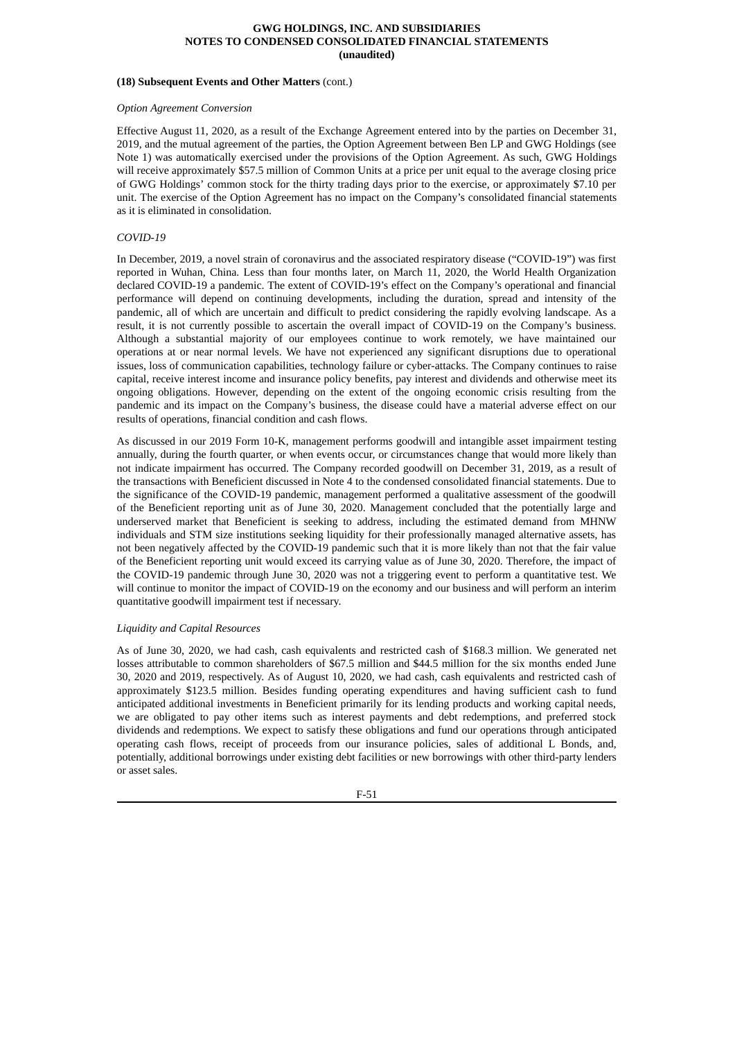#### **(18) Subsequent Events and Other Matters** (cont.)

#### *Option Agreement Conversion*

Effective August 11, 2020, as a result of the Exchange Agreement entered into by the parties on December 31, 2019, and the mutual agreement of the parties, the Option Agreement between Ben LP and GWG Holdings (see Note 1) was automatically exercised under the provisions of the Option Agreement. As such, GWG Holdings will receive approximately \$57.5 million of Common Units at a price per unit equal to the average closing price of GWG Holdings' common stock for the thirty trading days prior to the exercise, or approximately \$7.10 per unit. The exercise of the Option Agreement has no impact on the Company's consolidated financial statements as it is eliminated in consolidation.

# *COVID-19*

In December, 2019, a novel strain of coronavirus and the associated respiratory disease ("COVID-19") was first reported in Wuhan, China. Less than four months later, on March 11, 2020, the World Health Organization declared COVID-19 a pandemic. The extent of COVID-19's effect on the Company's operational and financial performance will depend on continuing developments, including the duration, spread and intensity of the pandemic, all of which are uncertain and difficult to predict considering the rapidly evolving landscape. As a result, it is not currently possible to ascertain the overall impact of COVID-19 on the Company's business. Although a substantial majority of our employees continue to work remotely, we have maintained our operations at or near normal levels. We have not experienced any significant disruptions due to operational issues, loss of communication capabilities, technology failure or cyber-attacks. The Company continues to raise capital, receive interest income and insurance policy benefits, pay interest and dividends and otherwise meet its ongoing obligations. However, depending on the extent of the ongoing economic crisis resulting from the pandemic and its impact on the Company's business, the disease could have a material adverse effect on our results of operations, financial condition and cash flows.

As discussed in our 2019 Form 10-K, management performs goodwill and intangible asset impairment testing annually, during the fourth quarter, or when events occur, or circumstances change that would more likely than not indicate impairment has occurred. The Company recorded goodwill on December 31, 2019, as a result of the transactions with Beneficient discussed in Note 4 to the condensed consolidated financial statements. Due to the significance of the COVID-19 pandemic, management performed a qualitative assessment of the goodwill of the Beneficient reporting unit as of June 30, 2020. Management concluded that the potentially large and underserved market that Beneficient is seeking to address, including the estimated demand from MHNW individuals and STM size institutions seeking liquidity for their professionally managed alternative assets, has not been negatively affected by the COVID-19 pandemic such that it is more likely than not that the fair value of the Beneficient reporting unit would exceed its carrying value as of June 30, 2020. Therefore, the impact of the COVID-19 pandemic through June 30, 2020 was not a triggering event to perform a quantitative test. We will continue to monitor the impact of COVID-19 on the economy and our business and will perform an interim quantitative goodwill impairment test if necessary.

#### *Liquidity and Capital Resources*

As of June 30, 2020, we had cash, cash equivalents and restricted cash of \$168.3 million. We generated net losses attributable to common shareholders of \$67.5 million and \$44.5 million for the six months ended June 30, 2020 and 2019, respectively. As of August 10, 2020, we had cash, cash equivalents and restricted cash of approximately \$123.5 million. Besides funding operating expenditures and having sufficient cash to fund anticipated additional investments in Beneficient primarily for its lending products and working capital needs, we are obligated to pay other items such as interest payments and debt redemptions, and preferred stock dividends and redemptions. We expect to satisfy these obligations and fund our operations through anticipated operating cash flows, receipt of proceeds from our insurance policies, sales of additional L Bonds, and, potentially, additional borrowings under existing debt facilities or new borrowings with other third-party lenders or asset sales.

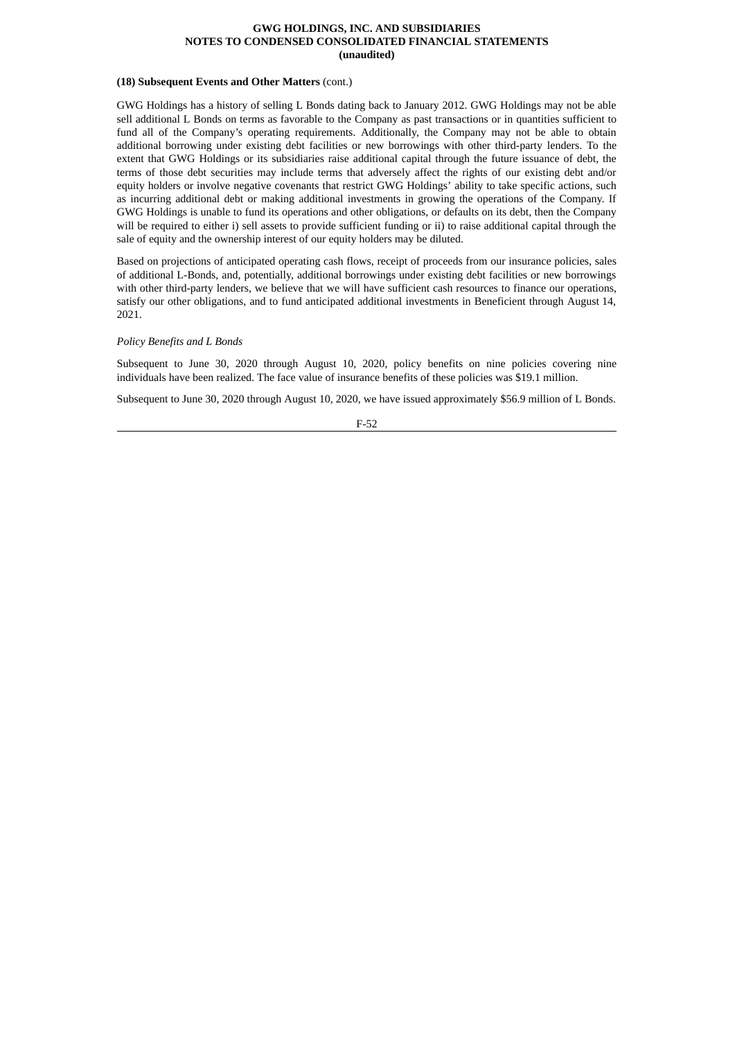#### **(18) Subsequent Events and Other Matters** (cont.)

GWG Holdings has a history of selling L Bonds dating back to January 2012. GWG Holdings may not be able sell additional L Bonds on terms as favorable to the Company as past transactions or in quantities sufficient to fund all of the Company's operating requirements. Additionally, the Company may not be able to obtain additional borrowing under existing debt facilities or new borrowings with other third-party lenders. To the extent that GWG Holdings or its subsidiaries raise additional capital through the future issuance of debt, the terms of those debt securities may include terms that adversely affect the rights of our existing debt and/or equity holders or involve negative covenants that restrict GWG Holdings' ability to take specific actions, such as incurring additional debt or making additional investments in growing the operations of the Company. If GWG Holdings is unable to fund its operations and other obligations, or defaults on its debt, then the Company will be required to either i) sell assets to provide sufficient funding or ii) to raise additional capital through the sale of equity and the ownership interest of our equity holders may be diluted.

Based on projections of anticipated operating cash flows, receipt of proceeds from our insurance policies, sales of additional L-Bonds, and, potentially, additional borrowings under existing debt facilities or new borrowings with other third-party lenders, we believe that we will have sufficient cash resources to finance our operations, satisfy our other obligations, and to fund anticipated additional investments in Beneficient through August 14, 2021.

# *Policy Benefits and L Bonds*

Subsequent to June 30, 2020 through August 10, 2020, policy benefits on nine policies covering nine individuals have been realized. The face value of insurance benefits of these policies was \$19.1 million.

Subsequent to June 30, 2020 through August 10, 2020, we have issued approximately \$56.9 million of L Bonds.